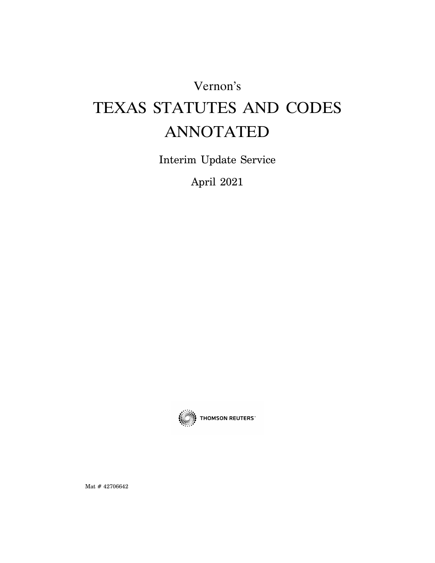Vernon's

# TEXAS STATUTES AND CODES ANNOTATED

Interim Update Service

April 2021



Mat # 42706642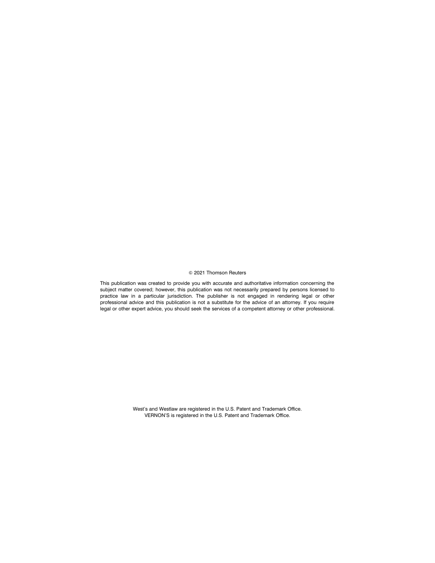### a 2021 Thomson Reuters

This publication was created to provide you with accurate and authoritative information concerning the subject matter covered; however, this publication was not necessarily prepared by persons licensed to practice law in a particular jurisdiction. The publisher is not engaged in rendering legal or other professional advice and this publication is not a substitute for the advice of an attorney. If you require legal or other expert advice, you should seek the services of a competent attorney or other professional.

> West's and Westlaw are registered in the U.S. Patent and Trademark Office. VERNON'S is registered in the U.S. Patent and Trademark Office.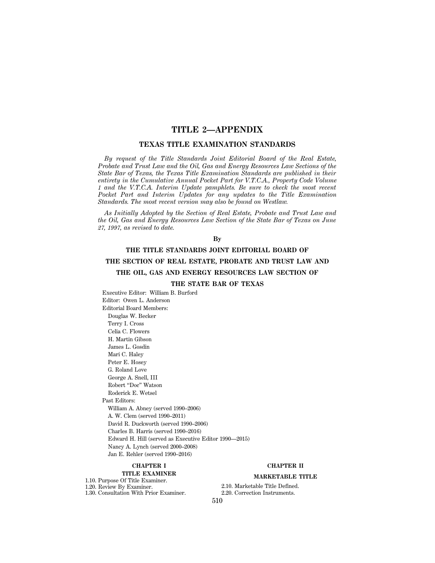# **TITLE 2—APPENDIX**

# **TEXAS TITLE EXAMINATION STANDARDS**

*By request of the Title Standards Joint Editorial Board of the Real Estate, Probate and Trust Law and the Oil, Gas and Energy Resources Law Sections of the State Bar of Texas, the Texas Title Examination Standards are published in their entirety in the Cumulative Annual Pocket Part for V.T.C.A., Property Code Volume 1 and the V.T.C.A. Interim Update pamphlets. Be sure to check the most recent Pocket Part and Interim Updates for any updates to the Title Examination Standards. The most recent version may also be found on Westlaw.*

*As Initially Adopted by the Section of Real Estate, Probate and Trust Law and the Oil, Gas and Energy Resources Law Section of the State Bar of Texas on June 27, 1997, as revised to date.*

# **By**

# **THE TITLE STANDARDS JOINT EDITORIAL BOARD OF**

# **THE SECTION OF REAL ESTATE, PROBATE AND TRUST LAW AND**

# **THE OIL, GAS AND ENERGY RESOURCES LAW SECTION OF**

# **THE STATE BAR OF TEXAS**

Executive Editor: William B. Burford Editor: Owen L. Anderson Editorial Board Members: Douglas W. Becker Terry I. Cross Celia C. Flowers H. Martin Gibson James L. Gosdin Mari C. Haley Peter E. Hosey G. Roland Love George A. Snell, III Robert ''Doc'' Watson Roderick E. Wetsel Past Editors: William A. Abney (served 1990–2006) A. W. Clem (served 1990–2011) David R. Duckworth (served 1990–2006) Charles B. Harris (served 1990–2016) Edward H. Hill (served as Executive Editor 1990—2015) Nancy A. Lynch (served 2000–2008) Jan E. Rehler (served 1990–2016)

# **CHAPTER I**

# **TITLE EXAMINER**

# 1.10. Purpose Of Title Examiner.

1.20. Review By Examiner. 1.30. Consultation With Prior Examiner. **CHAPTER II**

# **MARKETABLE TITLE**

2.10. Marketable Title Defined. 2.20. Correction Instruments.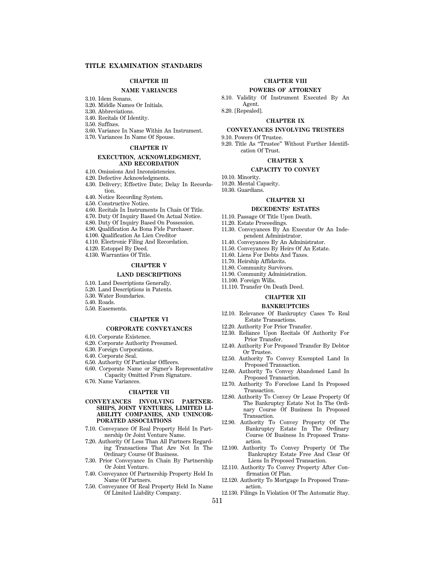# **CHAPTER III**

#### **NAME VARIANCES**

- 3.10. Idem Sonans.
- 3.20. Middle Names Or Initials.
- 3.30. Abbreviations.
- 3.40. Recitals Of Identity.
- 3.50. Suffixes.
- 3.60. Variance In Name Within An Instrument.
- 3.70. Variances In Name Of Spouse.

#### **CHAPTER IV**

#### **EXECUTION, ACKNOWLEDGMENT, AND RECORDATION**

- 4.10. Omissions And Inconsistencies.
- 4.20. Defective Acknowledgments.
- 4.30. Delivery; Effective Date; Delay In Recordation.
- 4.40. Notice Recording System.
- 4.50. Constructive Notice.
- 4.60. Recitals In Instruments In Chain Of Title.
- 4.70. Duty Of Inquiry Based On Actual Notice.
- 
- 4.80. Duty Of Inquiry Based On Possession.
- 4.90. Qualification As Bona Fide Purchaser.
- 4.100. Qualification As Lien Creditor
- 4.110. Electronic Filing And Recordation.
- 4.120. Estoppel By Deed.
- 4.130. Warranties Of Title.

#### **CHAPTER V**

#### **LAND DESCRIPTIONS**

- 5.10. Land Descriptions Generally.
- 5.20. Land Descriptions in Patents.
- 5.30. Water Boundaries.
- 5.40. Roads.
- 5.50. Easements.

#### **CHAPTER VI**

# **CORPORATE CONVEYANCES**

- 6.10. Corporate Existence.
- 6.20. Corporate Authority Presumed.
- 6.30. Foreign Corporations.
- 6.40. Corporate Seal.
- 6.50. Authority Of Particular Officers.
- 6.60. Corporate Name or Signer's Representative Capacity Omitted From Signature.
- 6.70. Name Variances.

#### **CHAPTER VII**

#### **CONVEYANCES INVOLVING PARTNER-SHIPS, JOINT VENTURES, LIMITED LI-ABILITY COMPANIES, AND UNINCOR-PORATED ASSOCIATIONS**

- 7.10. Conveyance Of Real Property Held In Partnership Or Joint Venture Name.
- 7.20. Authority Of Less Than All Partners Regarding Transactions That Are Not In The Ordinary Course Of Business.
- 7.30. Prior Conveyance In Chain By Partnership Or Joint Venture.
- 7.40. Conveyance Of Partnership Property Held In Name Of Partners.
- 7.50. Conveyance Of Real Property Held In Name Of Limited Liability Company.

# **POWERS OF ATTORNEY**

8.10. Validity Of Instrument Executed By An Agent.

8.20. [Repealed].

# **CHAPTER IX**

#### **CONVEYANCES INVOLVING TRUSTEES**

9.10. Powers Of Trustee. 9.20. Title As ''Trustee'' Without Further Identification Of Trust.

#### **CHAPTER X**

#### **CAPACITY TO CONVEY**

- 10.10. Minority.
- 10.20. Mental Capacity.
- 10.30. Guardians.
	- **CHAPTER XI**

# **DECEDENTS' ESTATES**

- 11.10. Passage Of Title Upon Death.
- 11.20. Estate Proceedings.
- 11.30. Conveyances By An Executor Or An Independent Administrator.
- 11.40. Conveyances By An Administrator.
- 11.50. Conveyances By Heirs Of An Estate.
- 11.60. Liens For Debts And Taxes.
- 11.70. Heirship Affidavits.
- 
- 11.80. Community Survivors. 11.90. Community Administration.
- 11.100. Foreign Wills.
- 11.110. Transfer On Death Deed.
- 

# **CHAPTER XII**

#### **BANKRUPTCIES**

- 12.10. Relevance Of Bankruptcy Cases To Real Estate Transactions.
- 12.20. Authority For Prior Transfer.
- 12.30. Reliance Upon Recitals Of Authority For Prior Transfer.
- 12.40. Authority For Proposed Transfer By Debtor Or Trustee.
- 12.50. Authority To Convey Exempted Land In Proposed Transaction.
- 12.60. Authority To Convey Abandoned Land In Proposed Transaction.
- 12.70. Authority To Foreclose Land In Proposed Transaction.
- 12.80. Authority To Convey Or Lease Property Of The Bankruptcy Estate Not In The Ordinary Course Of Business In Proposed Transaction.
- 12.90. Authority To Convey Property Of The Bankruptcy Estate In The Ordinary Course Of Business In Proposed Transaction.
- 12.100. Authority To Convey Property Of The Bankruptcy Estate Free And Clear Of Liens In Proposed Transaction.
- 12.110. Authority To Convey Property After Confirmation Of Plan.
- 12.120. Authority To Mortgage In Proposed Transaction.
- 12.130. Filings In Violation Of The Automatic Stay.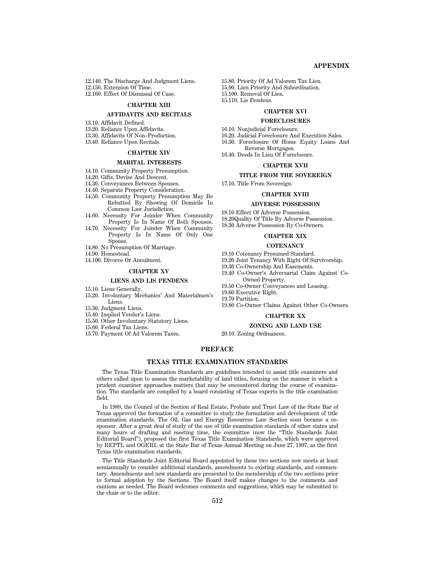# **APPENDIX**

12.140. The Discharge And Judgment Liens. 12.150. Extension Of Time.

12.160. Effect Of Dismissal Of Case.

#### **CHAPTER XIII**

#### **AFFIDAVITS AND RECITALS**

13.10. Affidavit Defined.

- 13.20. Reliance Upon Affidavits.
- 13.30. Affidavits Of Non–Production.
- 13.40. Reliance Upon Recitals.

#### **CHAPTER XIV**

#### **MARITAL INTERESTS**

- 14.10. Community Property Presumption.
- 14.20. Gifts, Devise And Descent.
- 14.30. Conveyances Between Spouses.
- 14.40. Separate Property Consideration.
- 14.50. Community Property Presumption May Be Rebutted By Showing Of Domicile In Common Law Jurisdiction.
- 14.60. Necessity For Joinder When Community Property Is In Name Of Both Spouses.
- 14.70. Necessity For Joinder When Community Property Is In Name Of Only One
- Spouse.
- 14.80. No Presumption Of Marriage.
- 14.90. Homestead.
- 14.100. Divorce Or Annulment.

#### **CHAPTER XV**

#### **LIENS AND LIS PENDENS**

- 15.10. Liens Generally.
- 15.20. Involuntary Mechanics' And Materialmen's Liens.
- 15.30. Judgment Liens.
- 15.40. Implied Vendor's Liens.
- 15.50. Other Involuntary Statutory Liens.
- 15.60. Federal Tax Liens.
- 15.70. Payment Of Ad Valorem Taxes.

15.80. Priority Of Ad Valorem Tax Lien. 15.90. Lien Priority And Subordination. 15.100. Removal Of Lien. 15.110. Lis Pendens.

#### **CHAPTER XVI**

#### **FORECLOSURES**

16.10. Nonjudicial Foreclosure.

- 16.20. Judicial Foreclosure And Execution Sales.
- 16.30. Foreclosure Of Home Equity Loans And Reverse Mortgages.
- 16.40. Deeds In Lieu Of Foreclosure.

# **CHAPTER XVII**

# **TITLE FROM THE SOVEREIGN**

# 17.10. Title From Sovereign.

#### **CHAPTER XVIII**

#### **ADVERSE POSSESSION**

18.10 Effect Of Adverse Possession.

18.20Quality Of Title By Adverse Possession.

18.30 Adverse Possession By Co-Owners.

#### **CHAPTER XIX**

#### **COTENANCY**

19.10 Cotenancy Presumed Standard.

19.20 Joint Tenancy With Right Of Survivorship.

19.30 Co-Ownership And Easements.

19.40 Co-Owner's Adversarial Claim Against Co-Owned Property.

19.50 Co-Owner Conveyances and Leasing.

19.60 Executive Right.

19.70 Partition.

19.80 Co-Owner Claims Against Other Co-Owners.

# **CHAPTER XX**

**ZONING AND LAND USE**

20.10. Zoning Ordinances.

# **PREFACE**

#### **TEXAS TITLE EXAMINATION STANDARDS**

The Texas Title Examination Standards are guidelines intended to assist title examiners and others called upon to assess the marketability of land titles, focusing on the manner in which a prudent examiner approaches matters that may be encountered during the course of examination. The standards are compiled by a board consisting of Texas experts in the title examination field.

In 1989, the Council of the Section of Real Estate, Probate and Trust Law of the State Bar of Texas approved the formation of a committee to study the formulation and development of title examination standards. The Oil, Gas and Energy Resources Law Section soon became a cosponsor. After a great deal of study of the use of title examination standards of other states and many hours of drafting and meeting time, the committee (now the "Title Standards Joint Editorial Board''), proposed the first Texas Title Examination Standards, which were approved by REPTL and OGERL at the State Bar of Texas Annual Meeting on June 27, 1997, as the first Texas title examination standards.

The Title Standards Joint Editorial Board appointed by these two sections now meets at least semiannually to consider additional standards, amendments to existing standards, and commentary. Amendments and new standards are presented to the membership of the two sections prior to formal adoption by the Sections. The Board itself makes changes to the comments and cautions as needed. The Board welcomes comments and suggestions, which may be submitted to the chair or to the editor.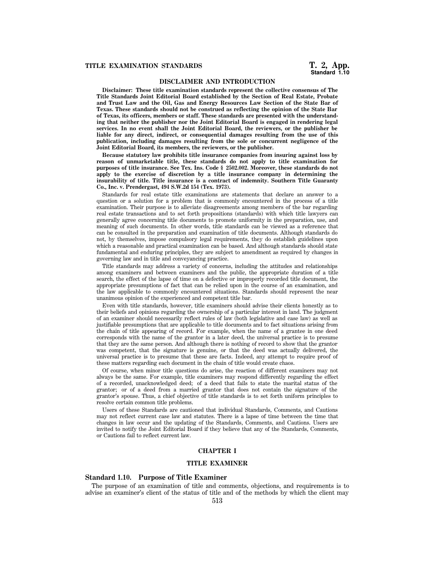# **DISCLAIMER AND INTRODUCTION**

**Disclaimer: These title examination standards represent the collective consensus of The Title Standards Joint Editorial Board established by the Section of Real Estate, Probate and Trust Law and the Oil, Gas and Energy Resources Law Section of the State Bar of Texas. These standards should not be construed as reflecting the opinion of the State Bar of Texas, its officers, members or staff. These standards are presented with the understanding that neither the publisher nor the Joint Editorial Board is engaged in rendering legal services. In no event shall the Joint Editorial Board, the reviewers, or the publisher be liable for any direct, indirect, or consequential damages resulting from the use of this publication, including damages resulting from the sole or concurrent negligence of the Joint Editorial Board, its members, the reviewers, or the publisher.**

**Because statutory law prohibits title insurance companies from insuring against loss by reason of unmarketable title, these standards do not apply to title examination for purposes of title insurance. See Tex. Ins. Code § 2502.002. Moreover, these standards do not apply to the exercise of discretion by a title insurance company in determining the insurability of title. Title insurance is a contract of indemnity. Southern Title Guaranty Co., Inc. v. Prendergast, 494 S.W.2d 154 (Tex. 1973).**

Standards for real estate title examinations are statements that declare an answer to a question or a solution for a problem that is commonly encountered in the process of a title examination. Their purpose is to alleviate disagreements among members of the bar regarding real estate transactions and to set forth propositions (standards) with which title lawyers can generally agree concerning title documents to promote uniformity in the preparation, use, and meaning of such documents. In other words, title standards can be viewed as a reference that can be consulted in the preparation and examination of title documents. Although standards do not, by themselves, impose compulsory legal requirements, they do establish guidelines upon which a reasonable and practical examination can be based. And although standards should state fundamental and enduring principles, they are subject to amendment as required by changes in governing law and in title and conveyancing practice.

Title standards may address a variety of concerns, including the attitudes and relationships among examiners and between examiners and the public, the appropriate duration of a title search, the effect of the lapse of time on a defective or improperly recorded title document, the appropriate presumptions of fact that can be relied upon in the course of an examination, and the law applicable to commonly encountered situations. Standards should represent the near unanimous opinion of the experienced and competent title bar.

Even with title standards, however, title examiners should advise their clients honestly as to their beliefs and opinions regarding the ownership of a particular interest in land. The judgment of an examiner should necessarily reflect rules of law (both legislative and case law) as well as justifiable presumptions that are applicable to title documents and to fact situations arising from the chain of title appearing of record. For example, when the name of a grantee in one deed corresponds with the name of the grantor in a later deed, the universal practice is to presume that they are the same person. And although there is nothing of record to show that the grantor was competent, that the signature is genuine, or that the deed was actually delivered, the universal practice is to presume that these are facts. Indeed, any attempt to require proof of these matters regarding each document in the chain of title would create chaos.

Of course, when minor title questions do arise, the reaction of different examiners may not always be the same. For example, title examiners may respond differently regarding the effect of a recorded, unacknowledged deed; of a deed that fails to state the marital status of the grantor; or of a deed from a married grantor that does not contain the signature of the grantor's spouse. Thus, a chief objective of title standards is to set forth uniform principles to resolve certain common title problems.

Users of these Standards are cautioned that individual Standards, Comments, and Cautions may not reflect current case law and statutes. There is a lapse of time between the time that changes in law occur and the updating of the Standards, Comments, and Cautions. Users are invited to notify the Joint Editorial Board if they believe that any of the Standards, Comments, or Cautions fail to reflect current law.

# **CHAPTER I**

#### **TITLE EXAMINER**

# **Standard 1.10. Purpose of Title Examiner**

The purpose of an examination of title and comments, objections, and requirements is to advise an examiner's client of the status of title and of the methods by which the client may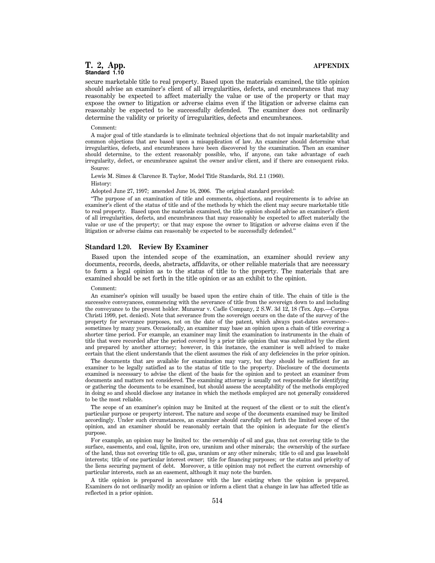secure marketable title to real property. Based upon the materials examined, the title opinion should advise an examiner's client of all irregularities, defects, and encumbrances that may reasonably be expected to affect materially the value or use of the property or that may expose the owner to litigation or adverse claims even if the litigation or adverse claims can reasonably be expected to be successfully defended. The examiner does not ordinarily determine the validity or priority of irregularities, defects and encumbrances.

#### Comment:

A major goal of title standards is to eliminate technical objections that do not impair marketability and common objections that are based upon a misapplication of law. An examiner should determine what irregularities, defects, and encumbrances have been discovered by the examination. Then an examiner should determine, to the extent reasonably possible, who, if anyone, can take advantage of each irregularity, defect, or encumbrance against the owner and/or client, and if there are consequent risks. Source:

Lewis M. Simes & Clarence B. Taylor, Model Title Standards, Std. 2.1 (1960).

History:

Adopted June 27, 1997; amended June 16, 2006. The original standard provided:

''The purpose of an examination of title and comments, objections, and requirements is to advise an examiner's client of the status of title and of the methods by which the client may secure marketable title to real property. Based upon the materials examined, the title opinion should advise an examiner's client of all irregularities, defects, and encumbrances that may reasonably be expected to affect materially the value or use of the property; or that may expose the owner to litigation or adverse claims even if the litigation or adverse claims can reasonably be expected to be successfully defended.''

# **Standard 1.20. Review By Examiner**

Based upon the intended scope of the examination, an examiner should review any documents, records, deeds, abstracts, affidavits, or other reliable materials that are necessary to form a legal opinion as to the status of title to the property. The materials that are examined should be set forth in the title opinion or as an exhibit to the opinion.

#### Comment:

An examiner's opinion will usually be based upon the entire chain of title. The chain of title is the successive conveyances, commencing with the severance of title from the sovereign down to and including the conveyance to the present holder. Munawar v. Cadle Company, 2 S.W. 3d 12, 18 (Tex. App.—Corpus Christi 1999, pet. denied). Note that severance from the sovereign occurs on the date of the survey of the property for severance purposes, not on the date of the patent, which always post-dates severance- sometimes by many years. Occasionally, an examiner may base an opinion upon a chain of title covering a shorter time period. For example, an examiner may limit the examination to instruments in the chain of title that were recorded after the period covered by a prior title opinion that was submitted by the client and prepared by another attorney; however, in this instance, the examiner is well advised to make certain that the client understands that the client assumes the risk of any deficiencies in the prior opinion.

The documents that are available for examination may vary, but they should be sufficient for an examiner to be legally satisfied as to the status of title to the property. Disclosure of the documents examined is necessary to advise the client of the basis for the opinion and to protect an examiner from documents and matters not considered. The examining attorney is usually not responsible for identifying or gathering the documents to be examined, but should assess the acceptability of the methods employed in doing so and should disclose any instance in which the methods employed are not generally considered to be the most reliable.

The scope of an examiner's opinion may be limited at the request of the client or to suit the client's particular purpose or property interest. The nature and scope of the documents examined may be limited accordingly. Under such circumstances, an examiner should carefully set forth the limited scope of the opinion, and an examiner should be reasonably certain that the opinion is adequate for the client's purpose.

For example, an opinion may be limited to: the ownership of oil and gas, thus not covering title to the surface, easements, and coal, lignite, iron ore, uranium and other minerals; the ownership of the surface of the land, thus not covering title to oil, gas, uranium or any other minerals; title to oil and gas leasehold interests; title of one particular interest owner; title for financing purposes; or the status and priority of the liens securing payment of debt. Moreover, a title opinion may not reflect the current ownership of particular interests, such as an easement, although it may note the burden.

A title opinion is prepared in accordance with the law existing when the opinion is prepared. Examiners do not ordinarily modify an opinion or inform a client that a change in law has affected title as reflected in a prior opinion.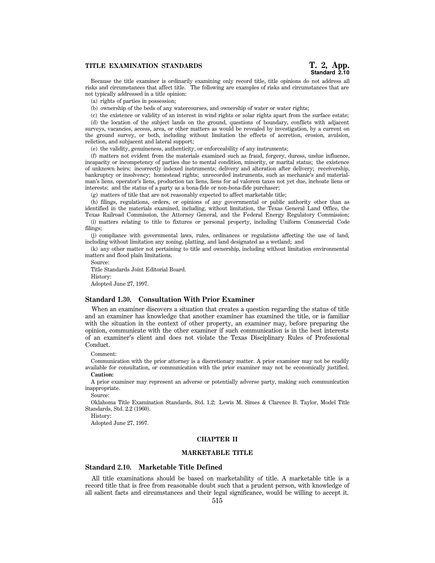Because the title examiner is ordinarily examining only record title, title opinions do not address all risks and circumstances that affect title. The following are examples of risks and circumstances that are not typically addressed in a title opinion:

(a) rights of parties in possession;

(b) ownership of the beds of any watercourses, and ownership of water or water rights;

(c) the existence or validity of an interest in wind rights or solar rights apart from the surface estate; (d) the location of the subject lands on the ground, questions of boundary, conflicts with adjacent surveys, vacancies, access, area, or other matters as would be revealed by investigation, by a current on the ground survey, or both, including without limitation the effects of accretion, erosion, avulsion, reliction, and subjacent and lateral support;

(e) the validity, genuineness, authenticity, or enforceability of any instruments;

(f) matters not evident from the materials examined such as fraud, forgery, duress, undue influence, incapacity or incompetency of parties due to mental condition, minority, or marital status; the existence of unknown heirs; incorrectly indexed instruments; delivery and alteration after delivery; receivership, bankruptcy or insolvency; homestead rights; unrecorded instruments, such as mechanic's and materialman's liens, operator's liens, production tax liens, liens for ad valorem taxes not yet due, inchoate liens or interests; and the status of a party as a bona-fide or non-bona-fide purchaser;

(g) matters of title that are not reasonably expected to affect marketable title;

(h) filings, regulations, orders, or opinions of any governmental or public authority other than as identified in the materials examined, including, without limitation, the Texas General Land Office, the Texas Railroad Commission, the Attorney General, and the Federal Energy Regulatory Commission; (i) matters relating to title to fixtures or personal property, including Uniform Commercial Code

filings; (j) compliance with governmental laws, rules, ordinances or regulations affecting the use of land, including without limitation any zoning, platting, and land designated as a wetland; and

(k) any other matter not pertaining to title and ownership, including without limitation environmental matters and flood plain limitations.

Source: Title Standards Joint Editorial Board. History: Adopted June 27, 1997.

### **Standard 1.30. Consultation With Prior Examiner**

When an examiner discovers a situation that creates a question regarding the status of title and an examiner has knowledge that another examiner has examined the title, or is familiar with the situation in the context of other property, an examiner may, before preparing the opinion, communicate with the other examiner if such communication is in the best interests of an examiner's client and does not violate the Texas Disciplinary Rules of Professional Conduct.

Comment:

Communication with the prior attorney is a discretionary matter. A prior examiner may not be readily available for consultation, or communication with the prior examiner may not be economically justified.

**Caution:**

A prior examiner may represent an adverse or potentially adverse party, making such communication inappropriate.

Source:

Oklahoma Title Examination Standards, Std. 1.2; Lewis M. Simes & Clarence B. Taylor, Model Title Standards, Std. 2.2 (1960).

History:

Adopted June 27, 1997.

#### **CHAPTER II**

#### **MARKETABLE TITLE**

## **Standard 2.10. Marketable Title Defined**

All title examinations should be based on marketability of title. A marketable title is a record title that is free from reasonable doubt such that a prudent person, with knowledge of all salient facts and circumstances and their legal significance, would be willing to accept it.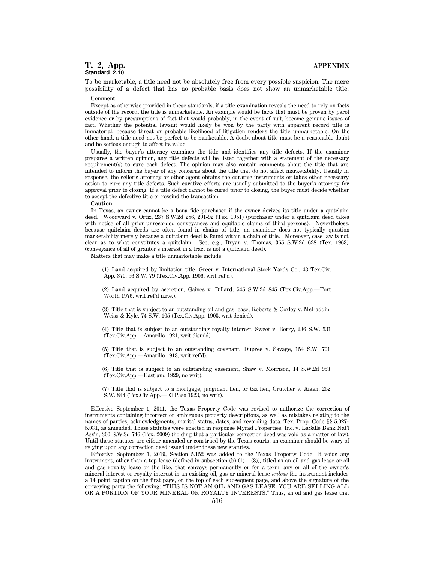To be marketable, a title need not be absolutely free from every possible suspicion. The mere possibility of a defect that has no probable basis does not show an unmarketable title. Comment:

Except as otherwise provided in these standards, if a title examination reveals the need to rely on facts outside of the record, the title is unmarketable. An example would be facts that must be proven by parol evidence or by presumptions of fact that would probably, in the event of suit, become genuine issues of fact. Whether the potential lawsuit would likely be won by the party with apparent record title is immaterial, because threat or probable likelihood of litigation renders the title unmarketable. On the other hand, a title need not be perfect to be marketable. A doubt about title must be a reasonable doubt and be serious enough to affect its value.

Usually, the buyer's attorney examines the title and identifies any title defects. If the examiner prepares a written opinion, any title defects will be listed together with a statement of the necessary requirement(s) to cure each defect. The opinion may also contain comments about the title that are intended to inform the buyer of any concerns about the title that do not affect marketability. Usually in response, the seller's attorney or other agent obtains the curative instruments or takes other necessary action to cure any title defects. Such curative efforts are usually submitted to the buyer's attorney for approval prior to closing. If a title defect cannot be cured prior to closing, the buyer must decide whether to accept the defective title or rescind the transaction.

#### **Caution:**

In Texas, an owner cannot be a bona fide purchaser if the owner derives its title under a quitclaim deed. Woodward v. Ortiz, 237 S.W.2d 286, 291-92 (Tex. 1951) (purchaser under a quitclaim deed takes with notice of all prior unrecorded conveyances and equitable claims of third persons). Nevertheless, because quitclaim deeds are often found in chains of title, an examiner does not typically question marketability merely because a quitclaim deed is found within a chain of title. Moreover, case law is not clear as to what constitutes a quitclaim. See, e.g., Bryan v. Thomas, 365 S.W.2d 628 (Tex. 1963) (conveyance of all of grantor's interest in a tract is not a quitclaim deed).

Matters that may make a title unmarketable include:

(1) Land acquired by limitation title, Greer v. International Stock Yards Co., 43 Tex.Civ. App. 370, 96 S.W. 79 (Tex.Civ.App. 1906, writ ref'd).

(2) Land acquired by accretion, Gaines v. Dillard, 545 S.W.2d 845 (Tex.Civ.App.—Fort Worth 1976, writ ref'd n.r.e.).

(3) Title that is subject to an outstanding oil and gas lease, Roberts & Corley v. McFaddin, Weiss & Kyle, 74 S.W. 105 (Tex.Civ.App. 1903, writ denied).

(4) Title that is subject to an outstanding royalty interest, Sweet v. Berry, 236 S.W. 531 (Tex.Civ.App.—Amarillo 1921, writ dism'd).

(5) Title that is subject to an outstanding covenant, Dupree v. Savage, 154 S.W. 701 (Tex.Civ.App.—Amarillo 1913, writ ref'd).

(6) Title that is subject to an outstanding easement, Shaw v. Morrison, 14 S.W.2d 953 (Tex.Civ.App.—Eastland 1929, no writ).

(7) Title that is subject to a mortgage, judgment lien, or tax lien, Crutcher v. Aiken, 252 S.W. 844 (Tex.Civ.App.—El Paso 1923, no writ).

Effective September 1, 2011, the Texas Property Code was revised to authorize the correction of instruments containing incorrect or ambiguous property descriptions, as well as mistakes relating to the names of parties, acknowledgments, marital status, dates, and recording data. Tex. Prop. Code §§ 5.027- 5.031, as amended. These statutes were enacted in response Myrad Properties, Inc. v. LaSalle Bank Nat'l Ass'n, 300 S.W.3d 746 (Tex. 2009) (holding that a particular correction deed was void as a matter of law). Until these statutes are either amended or construed by the Texas courts, an examiner should be wary of relying upon any correction deed issued under these new statutes.

Effective September 1, 2019, Section 5.152 was added to the Texas Property Code. It voids any instrument, other than a top lease (defined in subsection (b)  $(1) - (3)$ ), titled as an oil and gas lease or oil and gas royalty lease or the like, that conveys permanently or for a term, any or all of the owner's mineral interest or royalty interest in an existing oil, gas or mineral lease *unless* the instrument includes a 14 point caption on the first page, on the top of each subsequent page, and above the signature of the conveying party the following: ''THIS IS NOT AN OIL AND GAS LEASE. YOU ARE SELLING ALL OR A PORTION OF YOUR MINERAL OR ROYALTY INTERESTS.'' Thus, an oil and gas lease that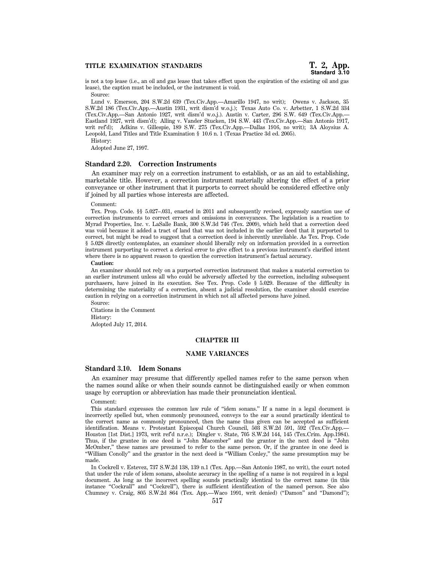# **TITLE EXAMINATION STANDARDS T. 2, App.**

is not a top lease (i.e., an oil and gas lease that takes effect upon the expiration of the existing oil and gas lease), the caption must be included, or the instrument is void. Source:

Lund v. Emerson, 204 S.W.2d 639 (Tex.Civ.App.—Amarillo 1947, no writ); Owens v. Jackson, 35 S.W.2d 186 (Tex.Civ.App.—Austin 1931, writ dism'd w.o.j.); Texas Auto Co. v. Arbetter, 1 S.W.2d 334 (Tex.Civ.App.—San Antonio 1927, writ dism'd w.o.j.). Austin v. Carter, 296 S.W. 649 (Tex.Civ.App.— Eastland 1927, writ dism'd); Alling v. Vander Stucken, 194 S.W. 443 (Tex.Civ.App.—San Antonio 1917, writ ref'd); Adkins v. Gillespie, 189 S.W. 275 (Tex.Civ.App.—Dallas 1916, no writ); 3A Aloysius A. Leopold, Land Titles and Title Examination § 10.6 n. 1 (Texas Practice 3d ed. 2005).

History:

Adopted June 27, 1997.

# **Standard 2.20. Correction Instruments**

An examiner may rely on a correction instrument to establish, or as an aid to establishing, marketable title. However, a correction instrument materially altering the effect of a prior conveyance or other instrument that it purports to correct should be considered effective only if joined by all parties whose interests are affected.

#### Comment:

Tex. Prop. Code. §§ 5.027–.031, enacted in 2011 and subsequently revised, expressly sanction use of correction instruments to correct errors and omissions in conveyances. The legislation is a reaction to Myrad Properties, Inc. v. LaSalle Bank, 300 S.W.3d 746 (Tex. 2009), which held that a correction deed was void because it added a tract of land that was not included in the earlier deed that it purported to correct, but might be read to suggest that a correction deed is inherently unreliable. As Tex. Prop. Code § 5.028 directly contemplates, an examiner should liberally rely on information provided in a correction instrument purporting to correct a clerical error to give effect to a previous instrument's clarified intent where there is no apparent reason to question the correction instrument's factual accuracy.

#### **Caution:**

An examiner should not rely on a purported correction instrument that makes a material correction to an earlier instrument unless all who could be adversely affected by the correction, including subsequent purchasers, have joined in its execution. See Tex. Prop. Code § 5.029. Because of the difficulty in determining the materiality of a correction, absent a judicial resolution, the examiner should exercise caution in relying on a correction instrument in which not all affected persons have joined.

Source:

Citations in the Comment History: Adopted July 17, 2014.

# **CHAPTER III**

# **NAME VARIANCES**

# **Standard 3.10. Idem Sonans**

An examiner may presume that differently spelled names refer to the same person when the names sound alike or when their sounds cannot be distinguished easily or when common usage by corruption or abbreviation has made their pronunciation identical.

Comment:

This standard expresses the common law rule of ''idem sonans.'' If a name in a legal document is incorrectly spelled but, when commonly pronounced, conveys to the ear a sound practically identical to the correct name as commonly pronounced, then the name thus given can be accepted as sufficient identification. Means v. Protestant Episcopal Church Council, 503 S.W.2d 591, 592 (Tex.Civ.App.— Houston [1st Dist.] 1973, writ ref'd n.r.e.); Dingler v. State, 705 S.W.2d 144, 145 (Tex.Crim. App.1984). Thus, if the grantee in one deed is ''John Macomber'' and the grantor in the next deed is ''John McOmber,'' these names are presumed to refer to the same person. Or, if the grantee in one deed is ''William Conolly'' and the grantor in the next deed is ''William Conley,'' the same presumption may be made.

In Cockrell v. Estevez, 737 S.W.2d 138, 139 n.1 (Tex. App.—San Antonio 1987, no writ), the court noted that under the rule of idem sonans, absolute accuracy in the spelling of a name is not required in a legal document. As long as the incorrect spelling sounds practically identical to the correct name (in this instance "Cockrall" and "Cockrell"), there is sufficient identification of the named person. See also Chumney v. Craig, 805 S.W.2d 864 (Tex. App.—Waco 1991, writ denied) (''Damon'' and ''Damond'');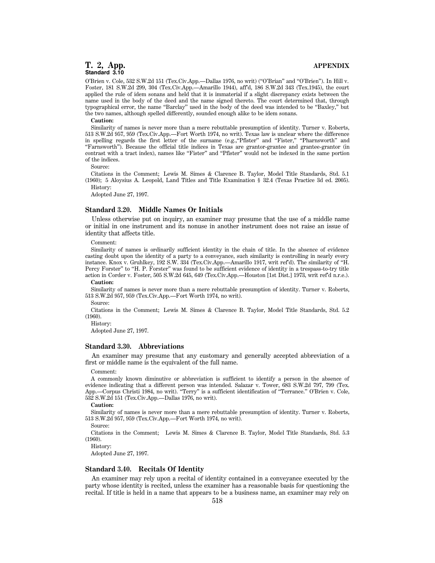O'Brien v. Cole, 532 S.W.2d 151 (Tex.Civ.App.—Dallas 1976, no writ) (''O'Brian'' and ''O'Brien''). In Hill v. Foster, 181 S.W.2d 299, 304 (Tex.Civ.App.—Amarillo 1944), aff'd, 186 S.W.2d 343 (Tex.1945), the court applied the rule of idem sonans and held that it is immaterial if a slight discrepancy exists between the name used in the body of the deed and the name signed thereto. The court determined that, through typographical error, the name ''Barclay'' used in the body of the deed was intended to be ''Baxley,'' but the two names, although spelled differently, sounded enough alike to be idem sonans.

# **Caution:**

Similarity of names is never more than a mere rebuttable presumption of identity. Turner v. Roberts, 513 S.W.2d 957, 959 (Tex.Civ.App.—Fort Worth 1974, no writ). Texas law is unclear where the difference in spelling regards the first letter of the surname (e.g., "Pfister" and "Fister," "Pharnsworth" and ''Farnsworth''). Because the official title indices in Texas are grantor-grantee and grantee-grantor (in contrast with a tract index), names like "Fister" and "Pfister" would not be indexed in the same portion of the indices.

Source:

Citations in the Comment; Lewis M. Simes & Clarence B. Taylor, Model Title Standards, Std. 5.1 (1960); 5 Aloysius A. Leopold, Land Titles and Title Examination § 32.4 (Texas Practice 3d ed. 2005). History:

Adopted June 27, 1997.

#### **Standard 3.20. Middle Names Or Initials**

Unless otherwise put on inquiry, an examiner may presume that the use of a middle name or initial in one instrument and its nonuse in another instrument does not raise an issue of identity that affects title.

Comment:

Similarity of names is ordinarily sufficient identity in the chain of title. In the absence of evidence casting doubt upon the identity of a party to a conveyance, such similarity is controlling in nearly every instance. Knox v. Gruhlkey, 192 S.W. 334 (Tex.Civ.App.—Amarillo 1917, writ ref'd). The similarity of ''H. Percy Forster" to "H. P. Forster" was found to be sufficient evidence of identity in a trespass-to-try title action in Corder v. Foster, 505 S.W.2d 645, 649 (Tex.Civ.App.—Houston [1st Dist.] 1973, writ ref'd n.r.e.).

#### **Caution:**

Similarity of names is never more than a mere rebuttable presumption of identity. Turner v. Roberts, 513 S.W.2d 957, 959 (Tex.Civ.App.—Fort Worth 1974, no writ).

Source:

Citations in the Comment; Lewis M. Simes & Clarence B. Taylor, Model Title Standards, Std. 5.2 (1960).

History:

Adopted June 27, 1997.

#### **Standard 3.30. Abbreviations**

An examiner may presume that any customary and generally accepted abbreviation of a first or middle name is the equivalent of the full name.

#### Comment:

A commonly known diminutive or abbreviation is sufficient to identify a person in the absence of evidence indicating that a different person was intended. Salazar v. Tower, 683 S.W.2d 797, 799 (Tex. App.—Corpus Christi 1984, no writ). ''Terry'' is a sufficient identification of ''Terrance.'' O'Brien v. Cole, 532 S.W.2d 151 (Tex.Civ.App.—Dallas 1976, no writ).

#### **Caution:**

Similarity of names is never more than a mere rebuttable presumption of identity. Turner v. Roberts, 513 S.W.2d 957, 959 (Tex.Civ.App.—Fort Worth 1974, no writ).

Source:

Citations in the Comment; Lewis M. Simes & Clarence B. Taylor, Model Title Standards, Std. 5.3 (1960).

History:

Adopted June 27, 1997.

# **Standard 3.40. Recitals Of Identity**

An examiner may rely upon a recital of identity contained in a conveyance executed by the party whose identity is recited, unless the examiner has a reasonable basis for questioning the recital. If title is held in a name that appears to be a business name, an examiner may rely on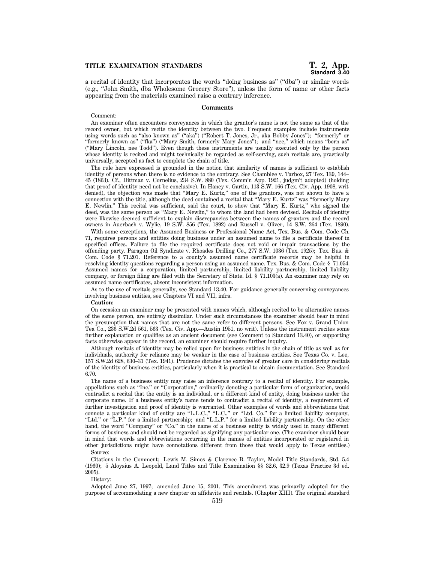# **TITLE EXAMINATION STANDARDS T. 2, App.**

a recital of identity that incorporates the words ''doing business as'' (''dba'') or similar words (e.g., ''John Smith, dba Wholesome Grocery Store''), unless the form of name or other facts appearing from the materials examined raise a contrary inference.

#### **Comments**

#### Comment:

An examiner often encounters conveyances in which the grantor's name is not the same as that of the record owner, but which recite the identity between the two. Frequent examples include instruments using words such as ''also known as'' (''aka'') (''Robert T. Jones, Jr., aka Bobby Jones''); ''formerly'' or ''formerly known as'' (''fka'') (''Mary Smith, formerly Mary Jones''); and ''nee,'' which means ''born as'' (''Mary Lincoln, nee Todd''). Even though these instruments are usually executed only by the person whose identity is recited and might technically be regarded as self-serving, such recitals are, practically universally, accepted as fact to complete the chain of title.

The rule here expressed is grounded in the notion that similarity of names is sufficient to establish identity of persons when there is no evidence to the contrary. See Chamblee v. Tarbox, 27 Tex. 139, 144– 45 (1863). Cf., Dittman v. Cornelius, 234 S.W. 880 (Tex. Comm'n App. 1921, judgm't adopted) (holding that proof of identity need not be conclusive). In Haney v. Gartin, 113 S.W. 166 (Tex. Civ. App. 1908, writ denied), the objection was made that ''Mary E. Kurtz,'' one of the grantors, was not shown to have a connection with the title, although the deed contained a recital that ''Mary E. Kurtz'' was ''formerly Mary E. Newlin.'' This recital was sufficient, said the court, to show that ''Mary E. Kurtz,'' who signed the deed, was the same person as "Mary E. Newlin," to whom the land had been devised. Recitals of identity were likewise deemed sufficient to explain discrepancies between the names of grantors and the record owners in Auerbach v. Wylie, 19 S.W. 856 (Tex. 1892) and Russell v. Oliver, 14 S.W. 264 (Tex. 1890).

With some exceptions, the Assumed Business or Professional Name Act, Tex. Bus. & Com. Code Ch. 71, requires persons and entities doing business under an assumed name to file a certificate thereof in specified offices. Failure to file the required certificate does not void or impair transactions by the offending party. Paragon Oil Syndicate v. Rhoades Drilling Co., 277 S.W. 1036 (Tex. 1925); Tex. Bus. & Com. Code § 71.201. Reference to a county's assumed name certificate records may be helpful in resolving identity questions regarding a person using an assumed name. Tex. Bus. & Com. Code § 71.054. Assumed names for a corporation, limited partnership, limited liability partnership, limited liability company, or foreign filing are filed with the Secretary of State. Id. § 71.103(a). An examiner may rely on assumed name certificates, absent inconsistent information.

As to the use of recitals generally, see Standard 13.40. For guidance generally concerning conveyances involving business entities, see Chapters VI and VII, infra.

# **Caution:**

On occasion an examiner may be presented with names which, although recited to be alternative names of the same person, are entirely dissimilar. Under such circumstances the examiner should bear in mind the presumption that names that are not the same refer to different persons. See Fox v. Grand Union Tea Co., 236 S.W.2d 561, 563 (Tex. Civ. App.—Austin 1951, no writ). Unless the instrument recites some further explanation or qualifies as an ancient document (see Comment to Standard 13.40), or supporting facts otherwise appear in the record, an examiner should require further inquiry.

Although recitals of identity may be relied upon for business entities in the chain of title as well as for individuals, authority for reliance may be weaker in the case of business entities. See Texas Co. v. Lee, 157 S.W.2d 628, 630–31 (Tex. 1941). Prudence dictates the exercise of greater care in considering recitals of the identity of business entities, particularly when it is practical to obtain documentation. See Standard 6.70.

The name of a business entity may raise an inference contrary to a recital of identity. For example, appellations such as ''Inc.'' or ''Corporation,'' ordinarily denoting a particular form of organization, would contradict a recital that the entity is an individual, or a different kind of entity, doing business under the corporate name. If a business entity's name tends to contradict a recital of identity, a requirement of further investigation and proof of identity is warranted. Other examples of words and abbreviations that connote a particular kind of entity are ''L.L.C.,'' ''L.C.,'' or ''Ltd. Co.'' for a limited liability company, "Ltd." or "L.P." for a limited partnership; and "L.L.P." for a limited liability partnership. On the other hand, the word "Company" or "Co." in the name of a business entity is widely used in many different forms of business and should not be regarded as signifying any particular one. (The examiner should bear in mind that words and abbreviations occurring in the names of entities incorporated or registered in other jurisdictions might have connotations different from those that would apply to Texas entities.) Source:

Citations in the Comment; Lewis M. Simes & Clarence B. Taylor, Model Title Standards, Std. 5.4 (1960); 5 Aloysius A. Leopold, Land Titles and Title Examination §§ 32.6, 32.9 (Texas Practice 3d ed. 2005).

#### History:

Adopted June 27, 1997; amended June 15, 2001. This amendment was primarily adopted for the purpose of accommodating a new chapter on affidavits and recitals. (Chapter XIII). The original standard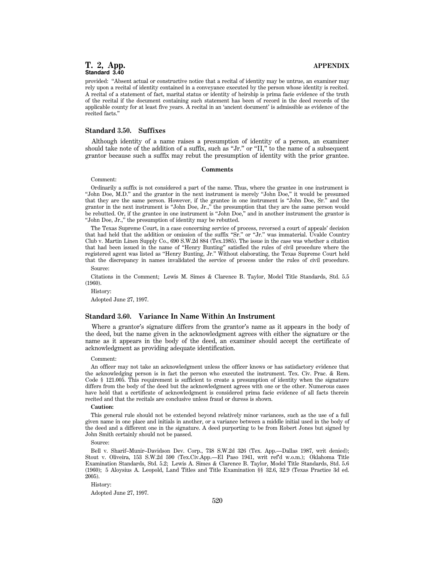provided: ''Absent actual or constructive notice that a recital of identity may be untrue, an examiner may rely upon a recital of identity contained in a conveyance executed by the person whose identity is recited. A recital of a statement of fact, marital status or identity of heirship is prima facie evidence of the truth of the recital if the document containing such statement has been of record in the deed records of the applicable county for at least five years. A recital in an 'ancient document' is admissible as evidence of the recited facts.''

#### **Standard 3.50. Suffixes**

Although identity of a name raises a presumption of identity of a person, an examiner should take note of the addition of a suffix, such as "Jr." or "II," to the name of a subsequent grantor because such a suffix may rebut the presumption of identity with the prior grantee.

#### **Comments**

# Comment:

Ordinarily a suffix is not considered a part of the name. Thus, where the grantee in one instrument is ''John Doe, M.D.'' and the grantor in the next instrument is merely ''John Doe,'' it would be presumed that they are the same person. However, if the grantee in one instrument is ''John Doe, Sr.'' and the grantor in the next instrument is ''John Doe, Jr.,'' the presumption that they are the same person would be rebutted. Or, if the grantee in one instrument is ''John Doe,'' and in another instrument the grantor is ''John Doe, Jr.,'' the presumption of identity may be rebutted.

The Texas Supreme Court, in a case concerning service of process, reversed a court of appeals' decision that had held that the addition or omission of the suffix "Sr." or "Jr." was immaterial. Uvalde Country Club v. Martin Linen Supply Co., 690 S.W.2d 884 (Tex.1985). The issue in the case was whether a citation that had been issued in the name of ''Henry Bunting'' satisfied the rules of civil procedure where the registered agent was listed as ''Henry Bunting, Jr.'' Without elaborating, the Texas Supreme Court held that the discrepancy in names invalidated the service of process under the rules of civil procedure. Source:

Citations in the Comment; Lewis M. Simes & Clarence B. Taylor, Model Title Standards, Std. 5.5 (1960).

History: Adopted June 27, 1997.

### **Standard 3.60. Variance In Name Within An Instrument**

Where a grantor's signature differs from the grantor's name as it appears in the body of the deed, but the name given in the acknowledgment agrees with either the signature or the name as it appears in the body of the deed, an examiner should accept the certificate of acknowledgment as providing adequate identification.

#### Comment:

An officer may not take an acknowledgment unless the officer knows or has satisfactory evidence that the acknowledging person is in fact the person who executed the instrument. Tex. Civ. Prac. & Rem. Code § 121.005. This requirement is sufficient to create a presumption of identity when the signature differs from the body of the deed but the acknowledgment agrees with one or the other. Numerous cases have held that a certificate of acknowledgment is considered prima facie evidence of all facts therein recited and that the recitals are conclusive unless fraud or duress is shown.

#### **Caution:**

This general rule should not be extended beyond relatively minor variances, such as the use of a full given name in one place and initials in another, or a variance between a middle initial used in the body of the deed and a different one in the signature. A deed purporting to be from Robert Jones but signed by John Smith certainly should not be passed.

Source:

Bell v. Sharif–Munir–Davidson Dev. Corp., 738 S.W.2d 326 (Tex. App.—Dallas 1987, writ denied); Stout v. Oliveira, 153 S.W.2d 590 (Tex.Civ.App.—El Paso 1941, writ ref'd w.o.m.); Oklahoma Title Examination Standards, Std. 5.2; Lewis A. Simes & Clarence B. Taylor, Model Title Standards, Std. 5.6 (1960); 5 Aloysius A. Leopold, Land Titles and Title Examination §§ 32.6, 32.9 (Texas Practice 3d ed. 2005).

History:

Adopted June 27, 1997.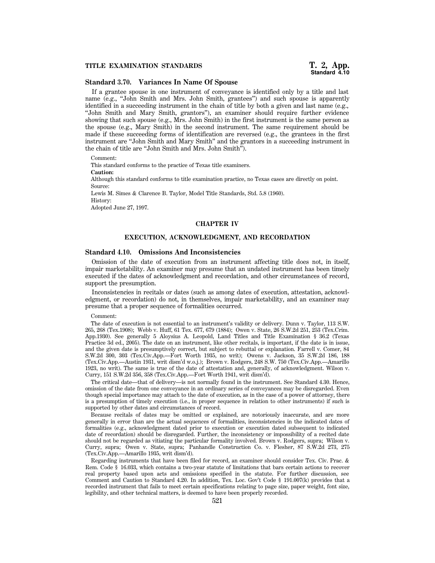# **Standard 3.70. Variances In Name Of Spouse**

If a grantee spouse in one instrument of conveyance is identified only by a title and last name (e.g., "John Smith and Mrs. John Smith, grantees") and such spouse is apparently identified in a succeeding instrument in the chain of title by both a given and last name (e.g., ''John Smith and Mary Smith, grantors''), an examiner should require further evidence showing that such spouse (e.g., Mrs. John Smith) in the first instrument is the same person as the spouse (e.g., Mary Smith) in the second instrument. The same requirement should be made if these succeeding forms of identification are reversed (e.g., the grantees in the first instrument are ''John Smith and Mary Smith'' and the grantors in a succeeding instrument in the chain of title are ''John Smith and Mrs. John Smith'').

Comment:

This standard conforms to the practice of Texas title examiners.

**Caution:**

Although this standard conforms to title examination practice, no Texas cases are directly on point. Source:

Lewis M. Simes & Clarence B. Taylor, Model Title Standards, Std. 5.8 (1960).

History:

Adopted June 27, 1997.

#### **CHAPTER IV**

# **EXECUTION, ACKNOWLEDGMENT, AND RECORDATION**

#### **Standard 4.10. Omissions And Inconsistencies**

Omission of the date of execution from an instrument affecting title does not, in itself, impair marketability. An examiner may presume that an undated instrument has been timely executed if the dates of acknowledgment and recordation, and other circumstances of record, support the presumption.

Inconsistencies in recitals or dates (such as among dates of execution, attestation, acknowledgment, or recordation) do not, in themselves, impair marketability, and an examiner may presume that a proper sequence of formalities occurred.

#### Comment:

The date of execution is not essential to an instrument's validity or delivery. Dunn v. Taylor, 113 S.W. 265, 268 (Tex.1908); Webb v. Huff, 61 Tex. 677, 679 (1884); Owen v. State, 26 S.W.2d 251, 253 (Tex.Crim. App.1930). See generally 5 Aloysius A. Leopold, Land Titles and Title Examination § 36.2 (Texas Practice 3d ed., 2005). The date on an instrument, like other recitals, is important, if the date is in issue, and the given date is presumptively correct, but subject to rebuttal or explanation. Farrell v. Comer, 84 S.W.2d 300, 303 (Tex.Civ.App.—Fort Worth 1935, no writ); Owens v. Jackson, 35 S.W.2d 186, 188 (Tex.Civ.App.—Austin 1931, writ dism'd w.o.j.); Brown v. Rodgers, 248 S.W. 750 (Tex.Civ.App.—Amarillo 1923, no writ). The same is true of the date of attestation and, generally, of acknowledgment. Wilson v. Curry, 151 S.W.2d 356, 358 (Tex.Civ.App.—Fort Worth 1941, writ dism'd).

The critical date—that of delivery—is not normally found in the instrument. See Standard 4.30. Hence, omission of the date from one conveyance in an ordinary series of conveyances may be disregarded. Even though special importance may attach to the date of execution, as in the case of a power of attorney, there is a presumption of timely execution (i.e., in proper sequence in relation to other instruments) if such is supported by other dates and circumstances of record.

Because recitals of dates may be omitted or explained, are notoriously inaccurate, and are more generally in error than are the actual sequences of formalities, inconsistencies in the indicated dates of formalities (e.g., acknowledgment dated prior to execution or execution dated subsequent to indicated date of recordation) should be disregarded. Further, the inconsistency or impossibility of a recited date should not be regarded as vitiating the particular formality involved. Brown v. Rodgers, supra; Wilson v. Curry, supra; Owen v. State, supra; Panhandle Construction Co. v. Flesher, 87 S.W.2d 273, 275 (Tex.Civ.App.—Amarillo 1935, writ dism'd).

Regarding instruments that have been filed for record, an examiner should consider Tex. Civ. Prac. & Rem. Code § 16.033, which contains a two-year statute of limitations that bars certain actions to recover real property based upon acts and omissions specified in the statute. For further discussion, see Comment and Caution to Standard 4.20. In addition, Tex. Loc. Gov't Code § 191.007(k) provides that a recorded instrument that fails to meet certain specifications relating to page size, paper weight, font size, legibility, and other technical matters, is deemed to have been properly recorded.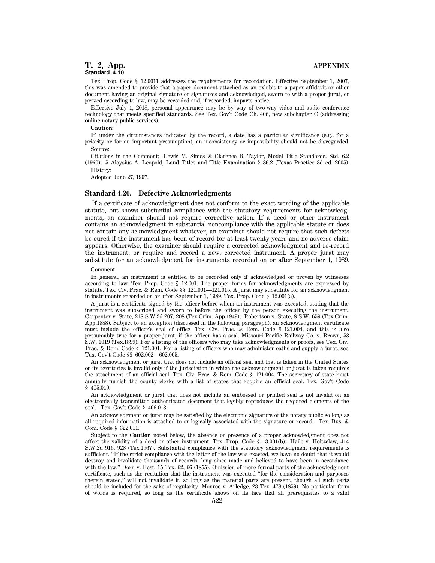Tex. Prop. Code § 12.0011 addresses the requirements for recordation. Effective September 1, 2007, this was amended to provide that a paper document attached as an exhibit to a paper affidavit or other document having an original signature or signatures and acknowledged, sworn to with a proper jurat, or proved according to law, may be recorded and, if recorded, imparts notice.

Effective July 1, 2018, personal appearance may be by way of two-way video and audio conference technology that meets specified standards. See Tex. Gov't Code Ch. 406, new subchapter C (addressing online notary public services).

#### **Caution:**

If, under the circumstances indicated by the record, a date has a particular significance (e.g., for a priority or for an important presumption), an inconsistency or impossibility should not be disregarded. Source:

Citations in the Comment; Lewis M. Simes & Clarence B. Taylor, Model Title Standards, Std. 6.2 (1960); 5 Aloysius A. Leopold, Land Titles and Title Examination § 36.2 (Texas Practice 3d ed. 2005). History:

Adopted June 27, 1997.

### **Standard 4.20. Defective Acknowledgments**

If a certificate of acknowledgment does not conform to the exact wording of the applicable statute, but shows substantial compliance with the statutory requirements for acknowledgments, an examiner should not require corrective action. If a deed or other instrument contains an acknowledgment in substantial noncompliance with the applicable statute or does not contain any acknowledgment whatever, an examiner should not require that such defects be cured if the instrument has been of record for at least twenty years and no adverse claim appears. Otherwise, the examiner should require a corrected acknowledgment and re-record the instrument, or require and record a new, corrected instrument. A proper jurat may substitute for an acknowledgment for instruments recorded on or after September 1, 1989.

#### Comment:

In general, an instrument is entitled to be recorded only if acknowledged or proven by witnesses according to law. Tex. Prop. Code § 12.001. The proper forms for acknowledgments are expressed by statute. Tex. Civ. Prac. & Rem. Code §§ 121.001—121.015. A jurat may substitute for an acknowledgment in instruments recorded on or after September 1, 1989. Tex. Prop. Code § 12.001(a).

A jurat is a certificate signed by the officer before whom an instrument was executed, stating that the instrument was subscribed and sworn to before the officer by the person executing the instrument. Carpenter v. State, 218 S.W.2d 207, 208 (Tex.Crim. App.1949); Robertson v. State, 8 S.W. 659 (Tex.Crim. App.1888). Subject to an exception (discussed in the following paragraph), an acknowledgment certificate must include the officer's seal of office, Tex. Civ. Prac. & Rem. Code § 121.004, and this is also presumably true for a proper jurat, if the officer has a seal. Missouri Pacific Railway Co. v. Brown, 53 S.W. 1019 (Tex.1899). For a listing of the officers who may take acknowledgments or proofs, see Tex. Civ. Prac. & Rem. Code § 121.001. For a listing of officers who may administer oaths and supply a jurat, see Tex. Gov't Code §§ 602.002—602.005.

An acknowledgment or jurat that does not include an official seal and that is taken in the United States or its territories is invalid only if the jurisdiction in which the acknowledgment or jurat is taken requires the attachment of an official seal. Tex. Civ. Prac. & Rem. Code § 121.004. The secretary of state must annually furnish the county clerks with a list of states that require an official seal. Tex. Gov't Code § 405.019.

An acknowledgment or jurat that does not include an embossed or printed seal is not invalid on an electronically transmitted authenticated document that legibly reproduces the required elements of the seal. Tex. Gov't Code § 406.013.

An acknowledgment or jurat may be satisfied by the electronic signature of the notary public so long as all required information is attached to or logically associated with the signature or record. Tex. Bus. & Com. Code § 322.011.

Subject to the **Caution** noted below, the absence or presence of a proper acknowledgment does not affect the validity of a deed or other instrument. Tex. Prop. Code § 13.001(b); Haile v. Holtzclaw, 414 S.W.2d 916, 928 (Tex.1967). Substantial compliance with the statutory acknowledgment requirements is sufficient. ''If the strict compliance with the letter of the law was exacted, we have no doubt that it would destroy and invalidate thousands of records, long since made and believed to have been in accordance with the law.'' Dorn v. Best, 15 Tex. 62, 66 (1855). Omission of mere formal parts of the acknowledgment certificate, such as the recitation that the instrument was executed ''for the consideration and purposes therein stated,'' will not invalidate it, so long as the material parts are present, though all such parts should be included for the sake of regularity. Monroe v. Arledge, 23 Tex. 478 (1859). No particular form of words is required, so long as the certificate shows on its face that all prerequisites to a valid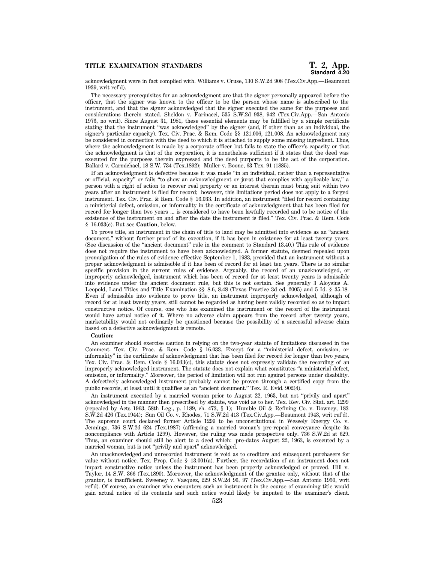# **TITLE EXAMINATION STANDARDS T. 2, App.**

acknowledgment were in fact complied with. Williams v. Cruse, 130 S.W.2d 908 (Tex.Civ.App.—Beaumont 1939, writ ref'd).

The necessary prerequisites for an acknowledgment are that the signer personally appeared before the officer, that the signer was known to the officer to be the person whose name is subscribed to the instrument, and that the signer acknowledged that the signer executed the same for the purposes and considerations therein stated. Sheldon v. Farinacci, 535 S.W.2d 938, 942 (Tex.Civ.App.—San Antonio 1976, no writ). Since August 31, 1981, these essential elements may be fulfilled by a simple certificate stating that the instrument ''was acknowledged'' by the signer (and, if other than as an individual, the signer's particular capacity). Tex. Civ. Prac. & Rem. Code §§ 121.006, 121.008. An acknowledgment may be considered in connection with the deed to which it is attached to supply some missing ingredient. Thus, where the acknowledgment is made by a corporate officer but fails to state the officer's capacity or that the acknowledgment is that of the corporation, it is nonetheless sufficient if it states that the deed was executed for the purposes therein expressed and the deed purports to be the act of the corporation. Ballard v. Carmichael, 18 S.W. 734 (Tex.1892); Muller v. Boone, 63 Tex. 91 (1885).

If an acknowledgment is defective because it was made ''in an individual, rather than a representative or official, capacity'' or fails ''to show an acknowledgment or jurat that complies with applicable law,'' a person with a right of action to recover real property or an interest therein must bring suit within two years after an instrument is filed for record; however, this limitations period does not apply to a forged instrument. Tex. Civ. Prac. & Rem. Code § 16.033. In addition, an instrument ''filed for record containing a ministerial defect, omission, or informality in the certificate of acknowledgment that has been filed for record for longer than two years ... is considered to have been lawfully recorded and to be notice of the existence of the instrument on and after the date the instrument is filed.'' Tex. Civ. Prac. & Rem. Code § 16.033(c). But see **Caution**, below.

To prove title, an instrument in the chain of title to land may be admitted into evidence as an ''ancient document,'' without further proof of its execution, if it has been in existence for at least twenty years. (See discussion of the ''ancient document'' rule in the comment to Standard 13.40.) This rule of evidence does not require the instrument to have been acknowledged. A former statute, deemed repealed upon promulgation of the rules of evidence effective September 1, 1983, provided that an instrument without a proper acknowledgment is admissible if it has been of record for at least ten years. There is no similar specific provision in the current rules of evidence. Arguably, the record of an unacknowledged, or improperly acknowledged, instrument which has been of record for at least twenty years is admissible into evidence under the ancient document rule, but this is not certain. See generally 3 Aloysius A. Leopold, Land Titles and Title Examination §§ 8.6, 8.48 (Texas Practice 3d ed. 2005) and 5 Id. § 35.18. Even if admissible into evidence to prove title, an instrument improperly acknowledged, although of record for at least twenty years, still cannot be regarded as having been validly recorded so as to impart constructive notice. Of course, one who has examined the instrument or the record of the instrument would have actual notice of it. Where no adverse claim appears from the record after twenty years, marketability would not ordinarily be questioned because the possibility of a successful adverse claim based on a defective acknowledgment is remote.

#### **Caution:**

An examiner should exercise caution in relying on the two-year statute of limitations discussed in the Comment. Tex. Civ. Prac. & Rem. Code § 16.033. Except for a ''ministerial defect, omission, or informality'' in the certificate of acknowledgment that has been filed for record for longer than two years, Tex. Civ. Prac. & Rem. Code § 16.033(c), this statute does not expressly validate the recording of an improperly acknowledged instrument. The statute does not explain what constitutes ''a ministerial defect, omission, or informality.'' Moreover, the period of limitation will not run against persons under disability. A defectively acknowledged instrument probably cannot be proven through a certified copy from the public records, at least until it qualifies as an ''ancient document.'' Tex. R. Evid. 902(4).

An instrument executed by a married woman prior to August 22, 1963, but not ''privily and apart'' acknowledged in the manner then prescribed by statute, was void as to her. Tex. Rev. Civ. Stat. art. 1299 (repealed by Acts 1963, 58th Leg., p. 1189, ch. 473, § 1); Humble Oil & Refining Co. v. Downey, 183 S.W.2d 426 (Tex.1944); Sun Oil Co. v. Rhodes, 71 S.W.2d 413 (Tex.Civ.App.—Beaumont 1943, writ ref'd). The supreme court declared former Article 1299 to be unconstitutional in Wessely Energy Co. v. Jennings, 736 S.W.2d 624 (Tex.1987) (affirming a married woman's pre-repeal conveyance despite its noncompliance with Article 1299). However, the ruling was made prospective only. 736 S.W.2d at 629. Thus, an examiner should still be alert to a deed which: pre-dates August 22, 1963, is executed by a married woman, but is not ''privily and apart'' acknowledged.

An unacknowledged and unrecorded instrument is void as to creditors and subsequent purchasers for value without notice. Tex. Prop. Code § 13.001(a). Further, the recordation of an instrument does not impart constructive notice unless the instrument has been properly acknowledged or proved. Hill v. Taylor, 14 S.W. 366 (Tex.1890). Moreover, the acknowledgment of the grantee only, without that of the grantor, is insufficient. Sweeney v. Vasquez, 229 S.W.2d 96, 97 (Tex.Civ.App.—San Antonio 1950, writ ref'd). Of course, an examiner who encounters such an instrument in the course of examining title would gain actual notice of its contents and such notice would likely be imputed to the examiner's client.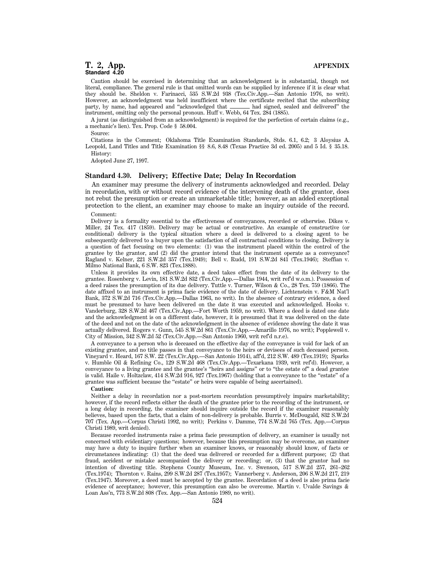Caution should be exercised in determining that an acknowledgment is in substantial, though not literal, compliance. The general rule is that omitted words can be supplied by inference if it is clear what they should be. Sheldon v. Farinacci, 535 S.W.2d 938 (Tex.Civ.App.—San Antonio 1976, no writ). However, an acknowledgment was held insufficient where the certificate recited that the subscribing party, by name, had appeared and "acknowledged that \_\_\_\_\_\_\_\_\_ had signed, sealed and delivered" the party, by name, had appeared and "acknowledged that  $\equiv$ instrument, omitting only the personal pronoun. Huff v. Webb, 64 Tex. 284 (1885).

A jurat (as distinguished from an acknowledgment) is required for the perfection of certain claims (e.g., a mechanic's lien). Tex. Prop. Code § 58.004.

Source:

Citations in the Comment; Oklahoma Title Examination Standards, Stds. 6.1, 6.2; 3 Aloysius A. Leopold, Land Titles and Title Examination §§ 8.6, 8.48 (Texas Practice 3d ed. 2005) and 5 Id. § 35.18. History:

Adopted June 27, 1997.

# **Standard 4.30. Delivery; Effective Date; Delay In Recordation**

An examiner may presume the delivery of instruments acknowledged and recorded. Delay in recordation, with or without record evidence of the intervening death of the grantor, does not rebut the presumption or create an unmarketable title; however, as an added exceptional protection to the client, an examiner may choose to make an inquiry outside of the record.

Comment:

Delivery is a formality essential to the effectiveness of conveyances, recorded or otherwise. Dikes v. Miller, 24 Tex. 417 (1859). Delivery may be actual or constructive. An example of constructive (or conditional) delivery is the typical situation where a deed is delivered to a closing agent to be subsequently delivered to a buyer upon the satisfaction of all contractual conditions to closing. Delivery is a question of fact focusing on two elements: (1) was the instrument placed within the control of the grantee by the grantor, and (2) did the grantor intend that the instrument operate as a conveyance? Ragland v. Kelner, 221 S.W.2d 357 (Tex.1949); Bell v. Rudd, 191 S.W.2d 841 (Tex.1946); Steffian v. Milmo National Bank, 6 S.W. 823 (Tex.1888).

Unless it provides its own effective date, a deed takes effect from the date of its delivery to the grantee. Rosenberg v. Levin, 181 S.W.2d 832 (Tex.Civ.App.—Dallas 1944, writ ref'd w.o.m.). Possession of a deed raises the presumption of its due delivery. Tuttle v. Turner, Wilson & Co., 28 Tex. 759 (1866). The date affixed to an instrument is prima facie evidence of the date of delivery. Lichtenstein v. F&M Nat'l Bank, 372 S.W.2d 716 (Tex.Civ.App.—Dallas 1963, no writ). In the absence of contrary evidence, a deed must be presumed to have been delivered on the date it was executed and acknowledged. Hooks v. Vanderburg, 328 S.W.2d 467 (Tex.Civ.App.—Fort Worth 1959, no writ). Where a deed is dated one date and the acknowledgment is on a different date, however, it is presumed that it was delivered on the date of the deed and not on the date of the acknowledgment in the absence of evidence showing the date it was actually delivered. Rogers v. Gunn, 545 S.W.2d 861 (Tex.Civ.App.—Amarillo 1976, no writ); Popplewell v. City of Mission, 342 S.W.2d 52 (Tex.Civ.App.—San Antonio 1960, writ ref'd n.r.e).

A conveyance to a person who is deceased on the effective day of the conveyance is void for lack of an existing grantee, and no title passes in that conveyance to the heirs or devisees of such deceased person. Vineyard v. Heard, 167 S.W. 22 (Tex.Civ.App.—San Antonio 1914), aff'd, 212 S.W. 489 (Tex.1919); Sparks v. Humble Oil & Refining Co., 129 S.W.2d 468 (Tex.Civ.App.—Texarkana 1939, writ ref'd). However, a conveyance to a living grantee and the grantee's ''heirs and assigns'' or to ''the estate of'' a dead grantee is valid. Haile v. Holtzclaw, 414 S.W.2d 916, 927 (Tex.1967) (holding that a conveyance to the ''estate'' of a grantee was sufficient because the ''estate'' or heirs were capable of being ascertained).

#### **Caution:**

Neither a delay in recordation nor a post-mortem recordation presumptively impairs marketability; however, if the record reflects either the death of the grantee prior to the recording of the instrument, or a long delay in recording, the examiner should inquire outside the record if the examiner reasonably believes, based upon the facts, that a claim of non-delivery is probable. Burris v. McDougald, 832 S.W.2d 707 (Tex. App.—Corpus Christi 1992, no writ); Perkins v. Damme, 774 S.W.2d 765 (Tex. App.—Corpus Christi 1989, writ denied).

Because recorded instruments raise a prima facie presumption of delivery, an examiner is usually not concerned with evidentiary questions; however, because this presumption may be overcome, an examiner may have a duty to inquire further when an examiner knows, or reasonably should know, of facts or circumstances indicating: (1) that the deed was delivered or recorded for a different purpose; (2) that fraud, accident or mistake accompanied the delivery or recording; or, (3) that the grantor had no intention of divesting title. Stephens County Museum, Inc. v. Swenson, 517 S.W.2d 257, 261–262 (Tex.1974); Thornton v. Rains, 299 S.W.2d 287 (Tex.1957); Vannerberg v. Anderson, 206 S.W.2d 217, 219 (Tex.1947). Moreover, a deed must be accepted by the grantee. Recordation of a deed is also prima facie evidence of acceptance; however, this presumption can also be overcome. Martin v. Uvalde Savings & Loan Ass'n, 773 S.W.2d 808 (Tex. App.—San Antonio 1989, no writ).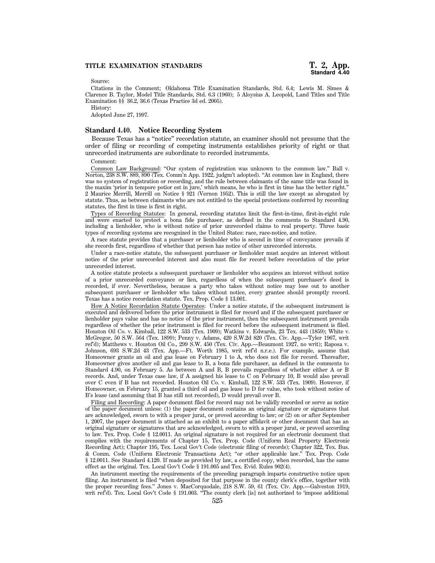Source:

Citations in the Comment; Oklahoma Title Examination Standards, Std. 6.4; Lewis M. Simes & Clarence B. Taylor, Model Title Standards, Std. 6.3 (1960); 5 Aloysius A. Leopold, Land Titles and Title Examination §§ 36.2, 36.6 (Texas Practice 3d ed. 2005).

History:

Adopted June 27, 1997.

### **Standard 4.40. Notice Recording System**

Because Texas has a ''notice'' recordation statute, an examiner should not presume that the order of filing or recording of competing instruments establishes priority of right or that unrecorded instruments are subordinate to recorded instruments.

#### Comment:

Common Law Background: ''Our system of registration was unknown to the common law.'' Ball v. Norton, 238 S.W. 889, 890 (Tex. Comm'n App. 1922, judgm't adopted). "At common law in England, there was no system of registration or recording, and the rule between claimants of the same title was found in the maxim 'prior in tempore potior est in jure,' which means, he who is first in time has the better right.'' 2 Maurice Merrill, Merrill on Notice § 921 (Vernon 1952). This is still the law except as abrogated by statute. Thus, as between claimants who are not entitled to the special protections conferred by recording statutes, the first in time is first in right.

Types of Recording Statutes: In general, recording statutes limit the first-in-time, first-in-right rule and were enacted to protect a bona fide purchaser, as defined in the comments to Standard 4.90, including a lienholder, who is without notice of prior unrecorded claims to real property. Three basic types of recording systems are recognized in the United States: race, race-notice, and notice.

A race statute provides that a purchaser or lienholder who is second in time of conveyance prevails if she records first, regardless of whether that person has notice of other unrecorded interests.

Under a race-notice statute, the subsequent purchaser or lienholder must acquire an interest without notice of the prior unrecorded interest and also must file for record before recordation of the prior unrecorded interest.

A notice statute protects a subsequent purchaser or lienholder who acquires an interest without notice of a prior unrecorded conveyance or lien, regardless of when the subsequent purchaser's deed is recorded, if ever. Nevertheless, because a party who takes without notice may lose out to another subsequent purchaser or lienholder who takes without notice, every grantee should promptly record. Texas has a notice recordation statute. Tex. Prop. Code § 13.001.

How A Notice Recordation Statute Operates: Under a notice statute, if the subsequent instrument is executed and delivered before the prior instrument is filed for record and if the subsequent purchaser or lienholder pays value and has no notice of the prior instrument, then the subsequent instrument prevails regardless of whether the prior instrument is filed for record before the subsequent instrument is filed. Houston Oil Co. v. Kimball, 122 S.W. 533 (Tex. 1909); Watkins v. Edwards, 23 Tex. 443 (1859); White v. McGregor, 50 S.W. 564 (Tex. 1899); Penny v. Adams, 420 S.W.2d 820 (Tex. Civ. App.—Tyler 1967, writ ref'd); Matthews v. Houston Oil Co., 299 S.W. 450 (Tex. Civ. App.—Beaumont 1927, no writ); Raposa v. Johnson, 693 S.W.2d 43 (Tex. App.—Ft. Worth 1985, writ ref'd n.r.e.). For example, assume that Homeowner grants an oil and gas lease on February 1 to A, who does not file for record. Thereafter, Homeowner gives another oil and gas lease to B, a bona fide purchaser, as defined in the comments to Standard 4.90, on February 5. As between A and B, B prevails regardless of whether either A or B records. And, under Texas case law, if A assigned his lease to C on February 10, B would also prevail over C even if B has not recorded. Houston Oil Co. v. Kimball, 122 S.W. 533 (Tex. 1909). However, if Homeowner, on February 15, granted a third oil and gas lease to D for value, who took without notice of B's lease (and assuming that B has still not recorded), D would prevail over B.

Filing and Recording: A paper document filed for record may not be validly recorded or serve as notice of the paper document unless: (1) the paper document contains an original signature or signatures that are acknowledged, sworn to with a proper jurat, or proved according to law; or (2) on or after September 1, 2007, the paper document is attached as an exhibit to a paper affidavit or other document that has an original signature or signatures that are acknowledged, sworn to with a proper jurat, or proved according to law. Tex. Prop. Code § 12.0011. An original signature is not required for an electronic document that complies with the requirements of Chapter 15, Tex. Prop. Code (Uniform Real Property Electronic Recording Act); Chapter 195, Tex. Local Gov't Code (electronic filing of records); Chapter 322, Tex. Bus. & Comm. Code (Uniform Electronic Transactions Act); ''or other applicable law.'' Tex. Prop. Code § 12.0011. See Standard 4.120. If made as provided by law, a certified copy, when recorded, has the same effect as the original. Tex. Local Gov't Code § 191.005 and Tex. Evid. Rules 902(4).

An instrument meeting the requirements of the preceding paragraph imparts constructive notice upon filing. An instrument is filed ''when deposited for that purpose in the county clerk's office, together with the proper recording fees.'' Jones v. MacCorquodale, 218 S.W. 59, 61 (Tex. Civ. App.—Galveston 1919, writ ref'd). Tex. Local Gov't Code § 191.003. ''The county clerk [is] not authorized to 'impose additional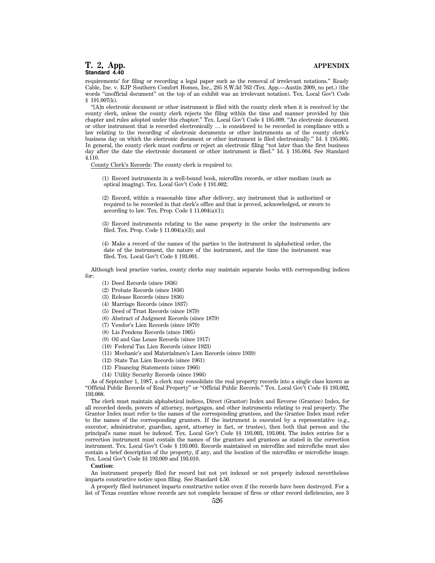requirements' for filing or recording a legal paper such as the removal of irrelevant notations.'' Ready Cable, Inc. v. RJP Southern Comfort Homes, Inc., 295 S.W.3d 763 (Tex. App.—Austin 2009, no pet.) (the words ''unofficial document'' on the top of an exhibit was an irrelevant notation). Tex. Local Gov't Code § 191.007(k).

''[A]n electronic document or other instrument is filed with the county clerk when it is received by the county clerk, unless the county clerk rejects the filing within the time and manner provided by this chapter and rules adopted under this chapter.'' Tex. Local Gov't Code § 195.009. ''An electronic document or other instrument that is recorded electronically … is considered to be recorded in compliance with a law relating to the recording of electronic documents or other instruments as of the county clerk's business day on which the electronic document or other instrument is filed electronically.'' Id. § 195.005. In general, the county clerk must confirm or reject an electronic filing ''not later than the first business day after the date the electronic document or other instrument is filed.'' Id. § 195.004. See Standard 4.110.

County Clerk's Records: The county clerk is required to:

(1) Record instruments in a well-bound book, microfilm records, or other medium (such as optical imaging). Tex. Local Gov't Code § 191.002;

(2) Record, within a reasonable time after delivery, any instrument that is authorized or required to be recorded in that clerk's office and that is proved, acknowledged, or sworn to according to law. Tex. Prop. Code § 11.004(a)(1);

(3) Record instruments relating to the same property in the order the instruments are filed. Tex. Prop. Code § 11.004(a)(3); and

(4) Make a record of the names of the parties to the instrument in alphabetical order, the date of the instrument, the nature of the instrument, and the time the instrument was filed. Tex. Local Gov't Code § 193.001.

Although local practice varies, county clerks may maintain separate books with corresponding indices for:

- (1) Deed Records (since 1836)
- (2) Probate Records (since 1836)
- (3) Release Records (since 1836)
- (4) Marriage Records (since 1837)
- (5) Deed of Trust Records (since 1879)
- (6) Abstract of Judgment Records (since 1879)
- (7) Vendor's Lien Records (since 1879)
- (8) Lis Pendens Records (since 1905)
- (9) Oil and Gas Lease Records (since 1917)
- (10) Federal Tax Lien Records (since 1923)
- (11) Mechanic's and Materialmen's Lien Records (since 1939)
- (12) State Tax Lien Records (since 1961)
- (13) Financing Statements (since 1966)
- (14) Utility Security Records (since 1966)

As of September 1, 1987, a clerk may consolidate the real property records into a single class known as ''Official Public Records of Real Property'' or ''Official Public Records.'' Tex. Local Gov't Code §§ 193.002, 193.008.

The clerk must maintain alphabetical indices, Direct (Grantor) Index and Reverse (Grantee) Index, for all recorded deeds, powers of attorney, mortgages, and other instruments relating to real property. The Grantor Index must refer to the names of the corresponding grantees, and the Grantee Index must refer to the names of the corresponding grantors. If the instrument is executed by a representative (e.g., executor, administrator, guardian, agent, attorney in fact, or trustee), then both that person and the principal's name must be indexed. Tex. Local Gov't Code §§ 193.003, 193.004. The index entries for a correction instrument must contain the names of the grantors and grantees as stated in the correction instrument. Tex. Local Gov't Code § 193.003. Records maintained on microfilm and microfiche must also contain a brief description of the property, if any, and the location of the microfilm or microfiche image. Tex. Local Gov't Code §§ 193.009 and 193.010.

#### **Caution:**

An instrument properly filed for record but not yet indexed or not properly indexed nevertheless imparts constructive notice upon filing. See Standard 4.50.

A properly filed instrument imparts constructive notice even if the records have been destroyed. For a list of Texas counties whose records are not complete because of fires or other record deficiencies, see 3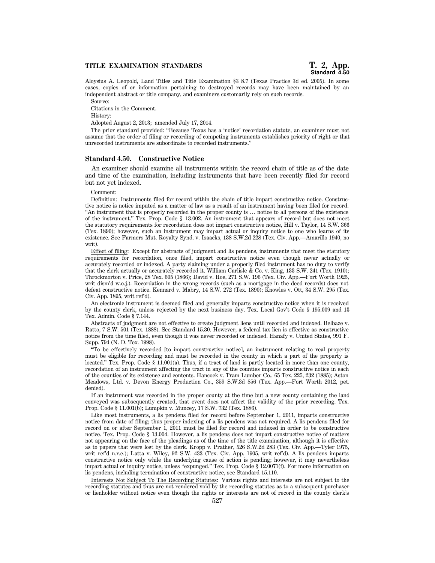Aloysius A. Leopold, Land Titles and Title Examination §3 8.7 (Texas Practice 3d ed. 2005). In some cases, copies of or information pertaining to destroyed records may have been maintained by an independent abstract or title company, and examiners customarily rely on such records.

Source:

Citations in the Comment.

History:

Adopted August 2, 2013; amended July 17, 2014.

The prior standard provided: ''Because Texas has a 'notice' recordation statute, an examiner must not assume that the order of filing or recording of competing instruments establishes priority of right or that unrecorded instruments are subordinate to recorded instruments.''

#### **Standard 4.50. Constructive Notice**

An examiner should examine all instruments within the record chain of title as of the date and time of the examination, including instruments that have been recently filed for record but not yet indexed.

#### Comment:

Definition: Instruments filed for record within the chain of title impart constructive notice. Constructive notice is notice imputed as a matter of law as a result of an instrument having been filed for record. ''An instrument that is properly recorded in the proper county is … notice to all persons of the existence of the instrument.'' Tex. Prop. Code § 13.002. An instrument that appears of record but does not meet the statutory requirements for recordation does not impart constructive notice, Hill v. Taylor, 14 S.W. 366 (Tex. 1890); however, such an instrument may impart actual or inquiry notice to one who learns of its existence. See Farmers Mut. Royalty Synd. v. Isaacks, 138 S.W.2d 228 (Tex. Civ. App.—Amarillo 1940, no writ).

Effect of filing: Except for abstracts of judgment and lis pendens, instruments that meet the statutory requirements for recordation, once filed, impart constructive notice even though never actually or accurately recorded or indexed. A party claiming under a properly filed instrument has no duty to verify that the clerk actually or accurately recorded it. William Carlisle & Co. v. King, 133 S.W. 241 (Tex. 1910); Throckmorton v. Price, 28 Tex. 605 (1866); David v. Roe, 271 S.W. 196 (Tex. Civ. App.—Fort Worth 1925, writ dism'd w.o.j.). Recordation in the wrong records (such as a mortgage in the deed records) does not defeat constructive notice. Kennard v. Mabry, 14 S.W. 272 (Tex. 1890); Knowles v. Ott, 34 S.W. 295 (Tex. Civ. App. 1895, writ ref'd).

An electronic instrument is deemed filed and generally imparts constructive notice when it is received by the county clerk, unless rejected by the next business day. Tex. Local Gov't Code § 195.009 and 13 Tex. Admin. Code § 7.144.

Abstracts of judgment are not effective to create judgment liens until recorded and indexed. Belbaze v. Ratto, 7 S.W. 501 (Tex. 1888). See Standard 15.30. However, a federal tax lien is effective as constructive notice from the time filed, even though it was never recorded or indexed. Hanafy v. United States, 991 F. Supp. 794 (N. D. Tex. 1998).

''To be effectively recorded [to impart constructive notice], an instrument relating to real property must be eligible for recording and must be recorded in the county in which a part of the property is located.'' Tex. Prop. Code § 11.001(a). Thus, if a tract of land is partly located in more than one county, recordation of an instrument affecting the tract in any of the counties imparts constructive notice in each of the counties of its existence and contents. Hancock v. Tram Lumber Co., 65 Tex. 225, 232 (1885); Aston Meadows, Ltd. v. Devon Energy Production Co., 359 S.W.3d 856 (Tex. App.—Fort Worth 2012, pet. denied).

If an instrument was recorded in the proper county at the time but a new county containing the land conveyed was subsequently created, that event does not affect the validity of the prior recording. Tex. Prop. Code § 11.001(b); Lumpkin v. Muncey, 17 S.W. 732 (Tex. 1886).

Like most instruments, a lis pendens filed for record before September 1, 2011, imparts constructive notice from date of filing; thus proper indexing of a lis pendens was not required. A lis pendens filed for record on or after September 1, 2011 must be filed for record and indexed in order to be constructive notice. Tex. Prop. Code § 13.004. However, a lis pendens does not impart constructive notice of matters not appearing on the face of the pleadings as of the time of the title examination, although it is effective as to papers that were lost by the clerk. Kropp v. Prather, 526 S.W.2d 283 (Tex. Civ. App.—Tyler 1975, writ ref'd n.r.e.); Latta v. Wiley, 92 S.W. 433 (Tex. Civ. App. 1905, writ ref'd). A lis pendens imparts constructive notice only while the underlying cause of action is pending; however, it may nevertheless impart actual or inquiry notice, unless "expunged." Tex. Prop. Code § 12.0071(f). For more information on lis pendens, including termination of constructive notice, see Standard 15.110.

Interests Not Subject To The Recording Statutes: Various rights and interests are not subject to the recording statutes and thus are not rendered void by the recording statutes as to a subsequent purchaser or lienholder without notice even though the rights or interests are not of record in the county clerk's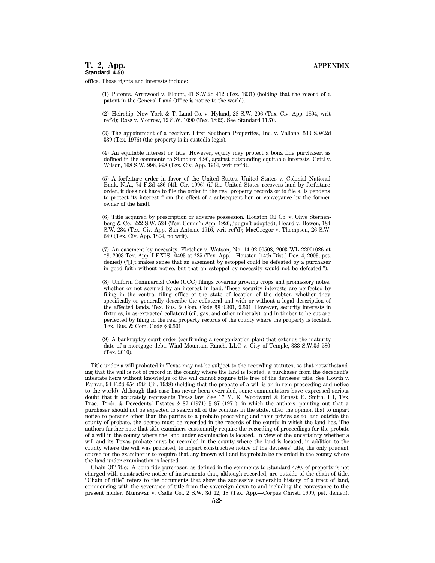office. Those rights and interests include:

(1) Patents. Arrowood v. Blount, 41 S.W.2d 412 (Tex. 1931) (holding that the record of a patent in the General Land Office is notice to the world).

(2) Heirship. New York & T. Land Co. v. Hyland, 28 S.W. 206 (Tex. Civ. App. 1894, writ ref'd); Ross v. Morrow, 19 S.W. 1090 (Tex. 1892). See Standard 11.70.

(3) The appointment of a receiver. First Southern Properties, Inc. v. Vallone, 533 S.W.2d 339 (Tex. 1976) (the property is in custodia legis).

(4) An equitable interest or title. However, equity may protect a bona fide purchaser, as defined in the comments to Standard 4.90, against outstanding equitable interests. Cetti v. Wilson, 168 S.W. 996, 998 (Tex. Civ. App. 1914, writ ref'd).

(5) A forfeiture order in favor of the United States. United States v. Colonial National Bank, N.A., 74 F.3d 486 (4th Cir. 1996) (if the United States recovers land by forfeiture order, it does not have to file the order in the real property records or to file a lis pendens to protect its interest from the effect of a subsequent lien or conveyance by the former owner of the land).

(6) Title acquired by prescription or adverse possession. Houston Oil Co. v. Olive Sternenberg & Co., 222 S.W. 534 (Tex. Comm'n App. 1920, judgm't adopted); Heard v. Bowen, 184 S.W. 234 (Tex. Civ. App.–San Antonio 1916, writ ref'd); MacGregor v. Thompson, 26 S.W. 649 (Tex. Civ. App. 1894, no writ).

(7) An easement by necessity. Fletcher v. Watson, No. 14-02-00508, 2003 WL 22901026 at \*8, 2003 Tex. App. LEXIS 10493 at \*25 (Tex. App.—Houston [14th Dist.] Dec. 4, 2003, pet. denied) (''[I]t makes sense that an easement by estoppel could be defeated by a purchaser in good faith without notice, but that an estoppel by necessity would not be defeated.'').

(8) Uniform Commercial Code (UCC) filings covering growing crops and promissory notes, whether or not secured by an interest in land. These security interests are perfected by filing in the central filing office of the state of location of the debtor, whether they specifically or generally describe the collateral and with or without a legal description of the affected lands. Tex. Bus. & Com. Code §§ 9.301, 9.501. However, security interests in fixtures, in as-extracted collateral (oil, gas, and other minerals), and in timber to be cut are perfected by filing in the real property records of the county where the property is located. Tex. Bus. & Com. Code § 9.501.

(9) A bankruptcy court order (confirming a reorganization plan) that extends the maturity date of a mortgage debt. Wind Mountain Ranch, LLC v. City of Temple, 333 S.W.3d 580 (Tex. 2010).

Title under a will probated in Texas may not be subject to the recording statutes, so that notwithstanding that the will is not of record in the county where the land is located, a purchaser from the decedent's intestate heirs without knowledge of the will cannot acquire title free of the devisees' title. See Howth v. Farrar, 94 F.2d 654 (5th Cir. 1938) (holding that the probate of a will is an in rem proceeding and notice to the world). Although that case has never been overruled, some commentators have expressed serious doubt that it accurately represents Texas law. See 17 M. K. Woodward & Ernest E. Smith, III, Tex. Prac., Prob. & Decedents' Estates § 87 (1971) § 87 (1971), in which the authors, pointing out that a purchaser should not be expected to search all of the counties in the state, offer the opinion that to impart notice to persons other than the parties to a probate proceeding and their privies as to land outside the county of probate, the decree must be recorded in the records of the county in which the land lies. The authors further note that title examiners customarily require the recording of proceedings for the probate of a will in the county where the land under examination is located. In view of the uncertainty whether a will and its Texas probate must be recorded in the county where the land is located, in addition to the county where the will was probated, to impart constructive notice of the devisees' title, the only prudent course for the examiner is to require that any known will and its probate be recorded in the county where the land under examination is located.

Chain Of Title: A bona fide purchaser, as defined in the comments to Standard 4.90, of property is not charged with constructive notice of instruments that, although recorded, are outside of the chain of title. ''Chain of title'' refers to the documents that show the successive ownership history of a tract of land, commencing with the severance of title from the sovereign down to and including the conveyance to the present holder. Munawar v. Cadle Co., 2 S.W. 3d 12, 18 (Tex. App.—Corpus Christi 1999, pet. denied).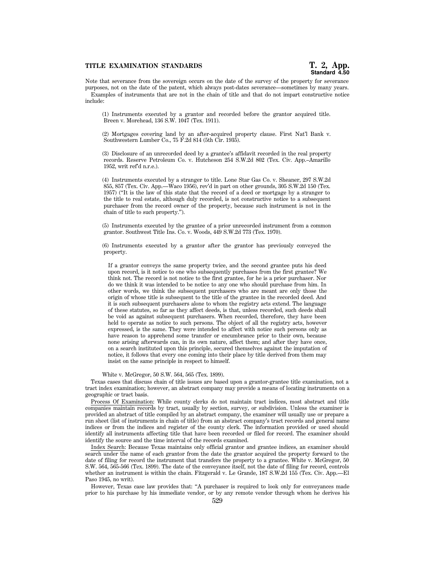# **TITLE EXAMINATION STANDARDS T. 2, App.**

Note that severance from the sovereign occurs on the date of the survey of the property for severance purposes, not on the date of the patent, which always post-dates severance—sometimes by many years. Examples of instruments that are not in the chain of title and that do not impart constructive notice include:

(1) Instruments executed by a grantor and recorded before the grantor acquired title. Breen v. Morehead, 136 S.W. 1047 (Tex. 1911).

(2) Mortgages covering land by an after-acquired property clause. First Nat'l Bank v. Southwestern Lumber Co., 75 F.2d 814 (5th Cir. 1935).

(3) Disclosure of an unrecorded deed by a grantee's affidavit recorded in the real property records. Reserve Petroleum Co. v. Hutcheson 254 S.W.2d 802 (Tex. Civ. App.–Amarillo 1952, writ ref'd n.r.e.).

(4) Instruments executed by a stranger to title. Lone Star Gas Co. v. Sheaner, 297 S.W.2d 855, 857 (Tex. Civ. App.—Waco 1956), rev'd in part on other grounds, 305 S.W.2d 150 (Tex. 1957) (''It is the law of this state that the record of a deed or mortgage by a stranger to the title to real estate, although duly recorded, is not constructive notice to a subsequent purchaser from the record owner of the property, because such instrument is not in the chain of title to such property.'').

(5) Instruments executed by the grantee of a prior unrecorded instrument from a common grantor. Southwest Title Ins. Co. v. Woods, 449 S.W.2d 773 (Tex. 1970).

(6) Instruments executed by a grantor after the grantor has previously conveyed the property.

If a grantor conveys the same property twice, and the second grantee puts his deed upon record, is it notice to one who subsequently purchases from the first grantee? We think not. The record is not notice to the first grantee, for he is a prior purchaser. Nor do we think it was intended to be notice to any one who should purchase from him. In other words, we think the subsequent purchasers who are meant are only those the origin of whose title is subsequent to the title of the grantee in the recorded deed. And it is such subsequent purchasers alone to whom the registry acts extend. The language of these statutes, so far as they affect deeds, is that, unless recorded, such deeds shall be void as against subsequent purchasers. When recorded, therefore, they have been held to operate as notice to such persons. The object of all the registry acts, however expressed, is the same. They were intended to affect with notice such persons only as have reason to apprehend some transfer or encumbrance prior to their own, because none arising afterwards can, in its own nature, affect them; and after they have once, on a search instituted upon this principle, secured themselves against the imputation of notice, it follows that every one coming into their place by title derived from them may insist on the same principle in respect to himself.

#### White v. McGregor, 50 S.W. 564, 565 (Tex. 1899).

Texas cases that discuss chain of title issues are based upon a grantor-grantee title examination, not a tract index examination; however, an abstract company may provide a means of locating instruments on a geographic or tract basis.

Process Of Examination: While county clerks do not maintain tract indices, most abstract and title companies maintain records by tract, usually by section, survey, or subdivision. Unless the examiner is provided an abstract of title compiled by an abstract company, the examiner will usually use or prepare a run sheet (list of instruments in chain of title) from an abstract company's tract records and general name indices or from the indices and register of the county clerk. The information provided or used should identify all instruments affecting title that have been recorded or filed for record. The examiner should identify the source and the time interval of the records examined.

Index Search: Because Texas maintains only official grantor and grantee indices, an examiner should search under the name of each grantor from the date the grantor acquired the property forward to the date of filing for record the instrument that transfers the property to a grantee. White v. McGregor, 50 S.W. 564, 565-566 (Tex. 1899). The date of the conveyance itself, not the date of filing for record, controls whether an instrument is within the chain. Fitzgerald v. Le Grande, 187 S.W.2d 155 (Tex. Civ. App.—El Paso 1945, no writ).

However, Texas case law provides that: ''A purchaser is required to look only for conveyances made prior to his purchase by his immediate vendor, or by any remote vendor through whom he derives his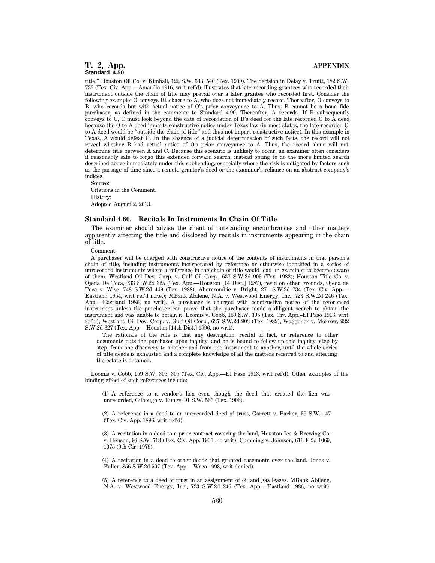title.'' Houston Oil Co. v. Kimball, 122 S.W. 533, 540 (Tex. 1909). The decision in Delay v. Truitt, 182 S.W. 732 (Tex. Civ. App.—Amarillo 1916, writ ref'd), illustrates that late-recording grantees who recorded their instrument outside the chain of title may prevail over a later grantee who recorded first. Consider the following example: O conveys Blackacre to A, who does not immediately record. Thereafter, O conveys to B, who records but with actual notice of O's prior conveyance to A. Thus, B cannot be a bona fide purchaser, as defined in the comments to Standard 4.90. Thereafter, A records. If B subsequently conveys to C, C must look beyond the date of recordation of B's deed for the late recorded O to A deed because the O to A deed imparts constructive notice under Texas law (in most states, the late-recorded O to A deed would be ''outside the chain of title'' and thus not impart constructive notice). In this example in Texas, A would defeat C. In the absence of a judicial determination of such facts, the record will not reveal whether B had actual notice of O's prior conveyance to A. Thus, the record alone will not determine title between A and C. Because this scenario is unlikely to occur, an examiner often considers it reasonably safe to forgo this extended forward search, instead opting to do the more limited search described above immediately under this subheading, especially where the risk is mitigated by factors such as the passage of time since a remote grantor's deed or the examiner's reliance on an abstract company's indices.

Source: Citations in the Comment. History: Adopted August 2, 2013.

#### **Standard 4.60. Recitals In Instruments In Chain Of Title**

The examiner should advise the client of outstanding encumbrances and other matters apparently affecting the title and disclosed by recitals in instruments appearing in the chain of title.

Comment:

A purchaser will be charged with constructive notice of the contents of instruments in that person's chain of title, including instruments incorporated by reference or otherwise identified in a series of unrecorded instruments where a reference in the chain of title would lead an examiner to become aware of them. Westland Oil Dev. Corp. v. Gulf Oil Corp., 637 S.W.2d 903 (Tex. 1982); Houston Title Co. v. Ojeda De Toca, 733 S.W.2d 325 (Tex. App.—Houston [14 Dist.] 1987), rev'd on other grounds, Ojeda de Toca v. Wise, 748 S.W.2d 449 (Tex. 1988); Abercrombie v. Bright, 271 S.W.2d 734 (Tex. Civ. App.— Eastland 1954, writ ref'd n.r.e.); MBank Abilene, N.A. v. Westwood Energy, Inc., 723 S.W.2d 246 (Tex. App.—Eastland 1986, no writ). A purchaser is charged with constructive notice of the referenced instrument unless the purchaser can prove that the purchaser made a diligent search to obtain the instrument and was unable to obtain it. Loomis v. Cobb, 159 S.W. 305 (Tex. Civ. App.–El Paso 1913, writ ref'd); Westland Oil Dev. Corp. v. Gulf Oil Corp., 637 S.W.2d 903 (Tex. 1982); Waggoner v. Morrow, 932 S.W.2d 627 (Tex. App.—Houston [14th Dist.] 1996, no writ).

The rationale of the rule is that any description, recital of fact, or reference to other documents puts the purchaser upon inquiry, and he is bound to follow up this inquiry, step by step, from one discovery to another and from one instrument to another, until the whole series of title deeds is exhausted and a complete knowledge of all the matters referred to and affecting the estate is obtained.

Loomis v. Cobb, 159 S.W. 305, 307 (Tex. Civ. App.—El Paso 1913, writ ref'd). Other examples of the binding effect of such references include:

(1) A reference to a vendor's lien even though the deed that created the lien was unrecorded, Gilbough v. Runge, 91 S.W. 566 (Tex. 1906).

(2) A reference in a deed to an unrecorded deed of trust, Garrett v. Parker, 39 S.W. 147 (Tex. Civ. App. 1896, writ ref'd).

(3) A recitation in a deed to a prior contract covering the land, Houston Ice & Brewing Co. v. Henson, 93 S.W. 713 (Tex. Civ. App. 1906, no writ); Cumming v. Johnson, 616 F.2d 1069, 1075 (9th Cir. 1979).

(4) A recitation in a deed to other deeds that granted easements over the land. Jones v. Fuller, 856 S.W.2d 597 (Tex. App.—Waco 1993, writ denied).

(5) A reference to a deed of trust in an assignment of oil and gas leases. MBank Abilene, N.A. v. Westwood Energy, Inc., 723 S.W.2d 246 (Tex. App.—Eastland 1986, no writ).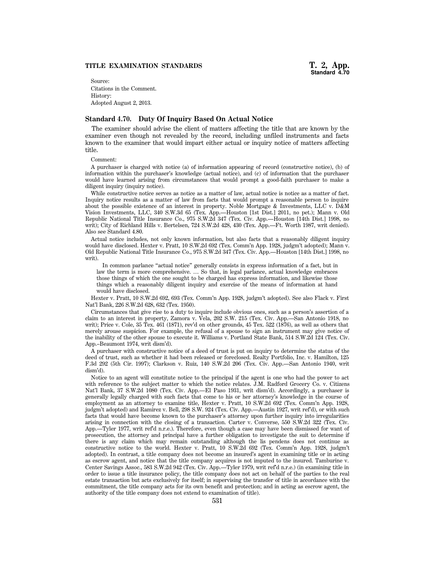Source: Citations in the Comment. History: Adopted August 2, 2013.

#### **Standard 4.70. Duty Of Inquiry Based On Actual Notice**

The examiner should advise the client of matters affecting the title that are known by the examiner even though not revealed by the record, including unfiled instruments and facts known to the examiner that would impart either actual or inquiry notice of matters affecting title.

Comment:

A purchaser is charged with notice (a) of information appearing of record (constructive notice), (b) of information within the purchaser's knowledge (actual notice), and (c) of information that the purchaser would have learned arising from circumstances that would prompt a good-faith purchaser to make a diligent inquiry (inquiry notice).

While constructive notice serves as notice as a matter of law, actual notice is notice as a matter of fact. Inquiry notice results as a matter of law from facts that would prompt a reasonable person to inquire about the possible existence of an interest in property. Noble Mortgage & Investments, LLC v. D&M Vision Investments, LLC, 340 S.W.3d 65 (Tex. App.—Houston [1st Dist.] 2011, no pet.); Mann v. Old Republic National Title Insurance Co., 975 S.W.2d 347 (Tex. Civ. App.—Houston [14th Dist.] 1998, no writ); City of Richland Hills v. Bertelsen, 724 S.W.2d 428, 430 (Tex. App.—Ft. Worth 1987, writ denied). Also see Standard 4.80.

Actual notice includes, not only known information, but also facts that a reasonably diligent inquiry would have disclosed. Hexter v. Pratt, 10 S.W.2d 692 (Tex. Comm'n App. 1928, judgm't adopted); Mann v. Old Republic National Title Insurance Co., 975 S.W.2d 347 (Tex. Civ. App.—Houston [14th Dist.] 1998, no writ).

In common parlance "actual notice" generally consists in express information of a fact, but in law the term is more comprehensive. … So that, in legal parlance, actual knowledge embraces those things of which the one sought to be charged has express information, and likewise those things which a reasonably diligent inquiry and exercise of the means of information at hand would have disclosed.

Hexter v. Pratt, 10 S.W.2d 692, 693 (Tex. Comm'n App. 1928, judgm't adopted). See also Flack v. First Nat'l Bank, 226 S.W.2d 628, 632 (Tex. 1950).

Circumstances that give rise to a duty to inquire include obvious ones, such as a person's assertion of a claim to an interest in property, Zamora v. Vela, 202 S.W. 215 (Tex. Civ. App.—San Antonio 1918, no writ); Price v. Cole, 35 Tex. 461 (1871), rev'd on other grounds, 45 Tex. 522 (1876), as well as others that merely arouse suspicion. For example, the refusal of a spouse to sign an instrument may give notice of the inability of the other spouse to execute it. Williams v. Portland State Bank, 514 S.W.2d 124 (Tex. Civ. App.–Beaumont 1974, writ dism'd).

A purchaser with constructive notice of a deed of trust is put on inquiry to determine the status of the deed of trust, such as whether it had been released or foreclosed. Realty Portfolio, Inc. v. Hamilton, 125 F.3d 292 (5th Cir. 1997); Clarkson v. Ruiz, 140 S.W.2d 206 (Tex. Civ. App.—San Antonio 1940, writ dism'd).

Notice to an agent will constitute notice to the principal if the agent is one who had the power to act with reference to the subject matter to which the notice relates. J.M. Radford Grocery Co. v. Citizens Nat'l Bank, 37 S.W.2d 1080 (Tex. Civ. App.—El Paso 1931, writ dism'd). Accordingly, a purchaser is generally legally charged with such facts that come to his or her attorney's knowledge in the course of employment as an attorney to examine title, Hexter v. Pratt, 10 S.W.2d 692 (Tex. Comm'n App. 1928, judgm't adopted) and Ramirez v. Bell, 298 S.W. 924 (Tex. Civ. App.—Austin 1927, writ ref'd), or with such facts that would have become known to the purchaser's attorney upon further inquiry into irregularities arising in connection with the closing of a transaction. Carter v. Converse, 550 S.W.2d 322 (Tex. Civ. App.—Tyler 1977, writ ref'd n.r.e.). Therefore, even though a case may have been dismissed for want of prosecution, the attorney and principal have a further obligation to investigate the suit to determine if there is any claim which may remain outstanding although the lis pendens does not continue as constructive notice to the world. Hexter v. Pratt, 10 S.W.2d 692 (Tex. Comm'n App. 1928, judgm't adopted). In contrast, a title company does not become an insured's agent in examining title or in acting as escrow agent, and notice that the title company acquires is not imputed to the insured. Tamburine v. Center Savings Assoc., 583 S.W.2d 942 (Tex. Civ. App.—Tyler 1979, writ ref'd n.r.e.) (in examining title in order to issue a title insurance policy, the title company does not act on behalf of the parties to the real estate transaction but acts exclusively for itself; in supervising the transfer of title in accordance with the commitment, the title company acts for its own benefit and protection; and in acting as escrow agent, the authority of the title company does not extend to examination of title).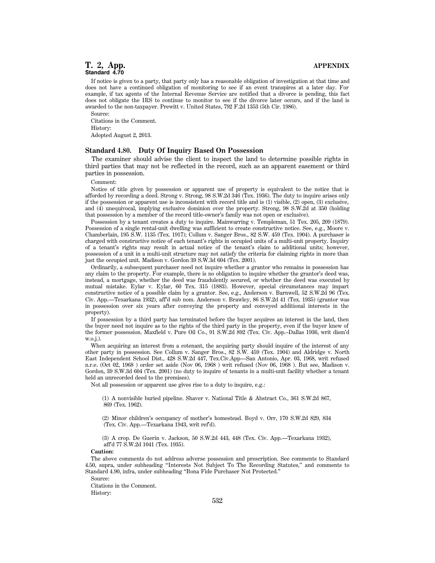If notice is given to a party, that party only has a reasonable obligation of investigation at that time and does not have a continued obligation of monitoring to see if an event transpires at a later day. For example, if tax agents of the Internal Revenue Service are notified that a divorce is pending, this fact does not obligate the IRS to continue to monitor to see if the divorce later occurs, and if the land is awarded to the non-taxpayer. Prewitt v. United States, 792 F.2d 1353 (5th Cir. 1986).

Source:

Citations in the Comment. History: Adopted August 2, 2013.

## **Standard 4.80. Duty Of Inquiry Based On Possession**

The examiner should advise the client to inspect the land to determine possible rights in third parties that may not be reflected in the record, such as an apparent easement or third parties in possession.

Comment:

Notice of title given by possession or apparent use of property is equivalent to the notice that is afforded by recording a deed. Strong v. Strong, 98 S.W.2d 346 (Tex. 1936). The duty to inquire arises only if the possession or apparent use is inconsistent with record title and is (1) visible, (2) open, (3) exclusive, and (4) unequivocal, implying exclusive dominion over the property. Strong, 98 S.W.2d at 350 (holding that possession by a member of the record title-owner's family was not open or exclusive).

Possession by a tenant creates a duty to inquire. Mainwarring v. Templeman, 51 Tex. 205, 209 (1879). Possession of a single rental-unit dwelling was sufficient to create constructive notice. See, e.g., Moore v. Chamberlain, 195 S.W. 1135 (Tex. 1917); Collum v. Sanger Bros., 82 S.W. 459 (Tex. 1904). A purchaser is charged with constructive notice of each tenant's rights in occupied units of a multi-unit property. Inquiry of a tenant's rights may result in actual notice of the tenant's claim to additional units; however, possession of a unit in a multi-unit structure may not satisfy the criteria for claiming rights in more than just the occupied unit. Madison v. Gordon 39 S.W.3d 604 (Tex. 2001).

Ordinarily, a subsequent purchaser need not inquire whether a grantor who remains in possession has any claim to the property. For example, there is no obligation to inquire whether the grantor's deed was, instead, a mortgage, whether the deed was fraudulently secured, or whether the deed was executed by mutual mistake. Eylar v. Eylar, 60 Tex. 315 (1883). However, special circumstances may impart constructive notice of a possible claim by a grantor. See, e.g., Anderson v. Barnwell, 52 S.W.2d 96 (Tex. Civ. App.—Texarkana 1932), aff'd sub nom. Anderson v. Brawley, 86 S.W.2d 41 (Tex. 1935) (grantor was in possession over six years after conveying the property and conveyed additional interests in the property).

If possession by a third party has terminated before the buyer acquires an interest in the land, then the buyer need not inquire as to the rights of the third party in the property, even if the buyer knew of the former possession. Maxfield v. Pure Oil Co., 91 S.W.2d 892 (Tex. Civ. App.–Dallas 1936, writ dism'd w.o.j.).

When acquiring an interest from a cotenant, the acquiring party should inquire of the interest of any other party in possession. See Collum v. Sanger Bros., 82 S.W. 459 (Tex. 1904) and Aldridge v. North East Independent School Dist., 428 S.W.2d 447, Tex.Civ.App—San Antonio, Apr. 03, 1968, writ refused n.r.e. (Oct 02, 1968 ) order set aside (Nov 06, 1968 ) writ refused (Nov 06, 1968 ). But see, Madison v. Gordon, 39 S.W.3d 604 (Tex. 2001) (no duty to inquire of tenants in a multi-unit facility whether a tenant held an unrecorded deed to the premises).

Not all possession or apparent use gives rise to a duty to inquire, e.g.:

(1) A nonvisible buried pipeline. Shaver v. National Title & Abstract Co., 361 S.W.2d 867, 869 (Tex. 1962).

(2) Minor children's occupancy of mother's homestead. Boyd v. Orr, 170 S.W.2d 829, 834 (Tex. Civ. App.—Texarkana 1943, writ ref'd).

(3) A crop. De Guerin v. Jackson, 50 S.W.2d 443, 448 (Tex. Civ. App.—Texarkana 1932), aff'd 77 S.W.2d 1041 (Tex. 1935).

#### **Caution:**

The above comments do not address adverse possession and prescription. See comments to Standard 4.50, supra, under subheading ''Interests Not Subject To The Recording Statutes,'' and comments to Standard 4.90, infra, under subheading ''Bona Fide Purchaser Not Protected.''

Source:

Citations in the Comment. History: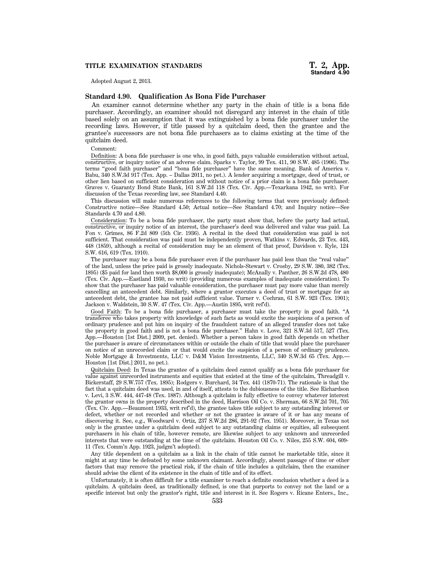# **TITLE EXAMINATION STANDARDS T. 2, App.**

Adopted August 2, 2013.

# **Standard 4.90. Qualification As Bona Fide Purchaser**

An examiner cannot determine whether any party in the chain of title is a bona fide purchaser. Accordingly, an examiner should not disregard any interest in the chain of title based solely on an assumption that it was extinguished by a bona fide purchaser under the recording laws. However, if title passed by a quitclaim deed, then the grantee and the grantee's successors are not bona fide purchasers as to claims existing at the time of the quitclaim deed.

Comment:

Definition: A bona fide purchaser is one who, in good faith, pays valuable consideration without actual, constructive, or inquiry notice of an adverse claim. Sparks v. Taylor, 99 Tex. 411, 90 S.W. 485 (1906). The terms ''good faith purchaser'' and ''bona fide purchaser'' have the same meaning. Bank of America v. Babu, 340 S.W.3d 917 (Tex. App. – Dallas 2011, no pet.). A lender acquiring a mortgage, deed of trust, or other lien based on sufficient consideration and without notice of a prior claim is a bona fide purchaser. Graves v. Guaranty Bond State Bank, 161 S.W.2d 118 (Tex. Civ. App.—Texarkana 1942, no writ). For discussion of the Texas recording law, see Standard 4.40.

This discussion will make numerous references to the following terms that were previously defined: Constructive notice—See Standard 4.50; Actual notice—See Standard 4.70; and Inquiry notice—See Standards 4.70 and 4.80.

Consideration: To be a bona fide purchaser, the party must show that, before the party had actual, constructive, or inquiry notice of an interest, the purchaser's deed was delivered and value was paid. La Fon v. Grimes, 86 F.2d 809 (5th Cir. 1936). A recital in the deed that consideration was paid is not sufficient. That consideration was paid must be independently proven, Watkins v. Edwards, 23 Tex. 443, 448 (1859), although a recital of consideration may be an element of that proof, Davidson v. Ryle, 124 S.W. 616, 619 (Tex. 1910).

The purchaser may be a bona fide purchaser even if the purchaser has paid less than the ''real value'' of the land, unless the price paid is grossly inadequate. Nichols-Stewart v. Crosby, 29 S.W. 380, 382 (Tex. 1895) (\$5 paid for land then worth \$8,000 is grossly inadequate); McAnally v. Panther, 26 S.W.2d 478, 480 (Tex. Civ. App.—Eastland 1930, no writ) (providing numerous examples of inadequate consideration). To show that the purchaser has paid valuable consideration, the purchaser must pay more value than merely cancelling an antecedent debt. Similarly, where a grantor executes a deed of trust or mortgage for an antecedent debt, the grantee has not paid sufficient value. Turner v. Cochran, 61 S.W. 923 (Tex. 1901); Jackson v. Waldstein, 30 S.W. 47 (Tex. Civ. App.—Austin 1895, writ ref'd).

Good Faith: To be a bona fide purchaser, a purchaser must take the property in good faith. ''A transferee who takes property with knowledge of such facts as would excite the suspicions of a person of ordinary prudence and put him on inquiry of the fraudulent nature of an alleged transfer does not take the property in good faith and is not a bona fide purchaser.'' Hahn v. Love, 321 S.W.3d 517, 527 (Tex. App.—Houston [1st Dist.] 2009, pet. denied). Whether a person takes in good faith depends on whether the purchaser is aware of circumstances within or outside the chain of title that would place the purchaser on notice of an unrecorded claim or that would excite the suspicion of a person of ordinary prudence. Noble Mortgage & Investments, LLC v. D&M Vision Investments, LLC, 340 S.W.3d 65 (Tex. App.— Houston [1st Dist.] 2011, no pet.).

Quitclaim Deed: In Texas the grantee of a quitclaim deed cannot qualify as a bona fide purchaser for value against unrecorded instruments and equities that existed at the time of the quitclaim, Threadgill v. Bickerstaff, 29 S.W.757 (Tex. 1895); Rodgers v. Burchard, 34 Tex. 441 (1870-71). The rationale is that the fact that a quitclaim deed was used, in and of itself, attests to the dubiousness of the title. See Richardson v. Levi, 3 S.W. 444, 447-48 (Tex. 1887). Although a quitclaim is fully effective to convey whatever interest the grantor owns in the property described in the deed, Harrison Oil Co. v. Sherman, 66 S.W.2d 701, 705 (Tex. Civ. App.—Beaumont 1933, writ ref'd), the grantee takes title subject to any outstanding interest or defect, whether or not recorded and whether or not the grantee is aware of it or has any means of discovering it. See, e.g., Woodward v. Ortiz, 237 S.W.2d 286, 291-92 (Tex. 1951). Moreover, in Texas not only is the grantee under a quitclaim deed subject to any outstanding claims or equities, all subsequent purchasers in his chain of title, however remote, are likewise subject to any unknown and unrecorded interests that were outstanding at the time of the quitclaim. Houston Oil Co. v. Niles, 255 S.W. 604, 609- 11 (Tex. Comm'n App. 1923, judgm't adopted).

Any title dependent on a quitclaim as a link in the chain of title cannot be marketable title, since it might at any time be defeated by some unknown claimant. Accordingly, absent passage of time or other factors that may remove the practical risk, if the chain of title includes a quitclaim, then the examiner should advise the client of its existence in the chain of title and of its effect.

Unfortunately, it is often difficult for a title examiner to reach a definite conclusion whether a deed is a quitclaim. A quitclaim deed, as traditionally defined, is one that purports to convey not the land or a specific interest but only the grantor's right, title and interest in it. See Rogers v. Ricane Enters., Inc.,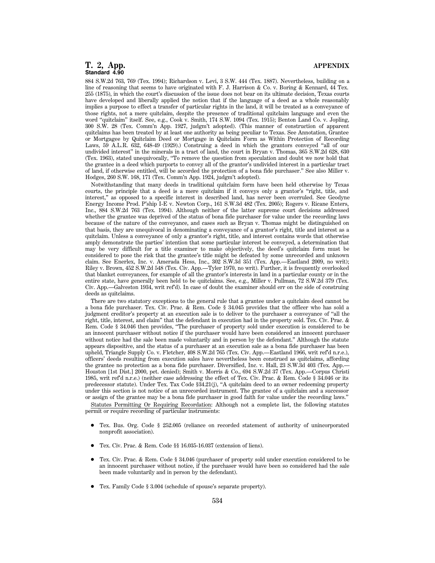884 S.W.2d 763, 769 (Tex. 1994); Richardson v. Levi, 3 S.W. 444 (Tex. 1887). Nevertheless, building on a line of reasoning that seems to have originated with F. J. Harrison & Co. v. Boring & Kennard, 44 Tex. 255 (1875), in which the court's discussion of the issue does not bear on its ultimate decision, Texas courts have developed and liberally applied the notion that if the language of a deed as a whole reasonably implies a purpose to effect a transfer of particular rights in the land, it will be treated as a conveyance of those rights, not a mere quitclaim, despite the presence of traditional quitclaim language and even the word "quitclaim" itself. See, e.g., Cook v. Smith, 174 S.W. 1094 (Tex. 1915); Benton Land Co. v. Jopling, 300 S.W. 28 (Tex. Comm'n App. 1927, judgm't adopted). (This manner of construction of apparent quitclaims has been treated by at least one authority as being peculiar to Texas. See Annotation, Grantee or Mortgagee by Quitclaim Deed or Mortgage in Quitclaim Form as Within Protection of Recording Laws, 59 A.L.R. 632, 648-49 (1929).) Construing a deed in which the grantors conveyed ''all of our undivided interest'' in the minerals in a tract of land, the court in Bryan v. Thomas, 365 S.W.2d 628, 630 (Tex. 1963), stated unequivocally, ''To remove the question from speculation and doubt we now hold that the grantee in a deed which purports to convey all of the grantor's undivided interest in a particular tract of land, if otherwise entitled, will be accorded the protection of a bona fide purchaser.'' See also Miller v. Hodges, 260 S.W. 168, 171 (Tex. Comm'n App. 1924, judgm't adopted).

Notwithstanding that many deeds in traditional quitclaim form have been held otherwise by Texas courts, the principle that a deed is a mere quitclaim if it conveys only a grantor's ''right, title, and interest,'' as opposed to a specific interest in described land, has never been overruled. See Geodyne Energy Income Prod. P'ship I-E v. Newton Corp., 161 S.W.3d 482 (Tex. 2005); Rogers v. Ricane Enters, Inc., 884 S.W.2d 763 (Tex. 1994). Although neither of the latter supreme court decisions addressed whether the grantee was deprived of the status of bona fide purchaser for value under the recording laws because of the nature of the conveyance, and cases such as Bryan v. Thomas might be distinguished on that basis, they are unequivocal in denominating a conveyance of a grantor's right, title and interest as a quitclaim. Unless a conveyance of only a grantor's right, title, and interest contains words that otherwise amply demonstrate the parties' intention that some particular interest be conveyed, a determination that may be very difficult for a title examiner to make objectively, the deed's quitclaim form must be considered to pose the risk that the grantee's title might be defeated by some unrecorded and unknown claim. See Enerlex, Inc. v. Amerada Hess, Inc., 302 S.W.3d 351 (Tex. App.—Eastland 2009, no writ); Riley v. Brown, 452 S.W.2d 548 (Tex. Civ. App.—Tyler 1970, no writ). Further, it is frequently overlooked that blanket conveyances, for example of all the grantor's interests in land in a particular county or in the entire state, have generally been held to be quitclaims. See, e.g., Miller v. Pullman, 72 S.W.2d 379 (Tex. Civ. App.—Galveston 1934, writ ref'd). In case of doubt the examiner should err on the side of construing deeds as quitclaims.

There are two statutory exceptions to the general rule that a grantee under a quitclaim deed cannot be a bona fide purchaser. Tex. Civ. Prac. & Rem. Code § 34.045 provides that the officer who has sold a judgment creditor's property at an execution sale is to deliver to the purchaser a conveyance of ''all the right, title, interest, and claim'' that the defendant in execution had in the property sold. Tex. Civ. Prac. & Rem. Code § 34.046 then provides, ''The purchaser of property sold under execution is considered to be an innocent purchaser without notice if the purchaser would have been considered an innocent purchaser without notice had the sale been made voluntarily and in person by the defendant.'' Although the statute appears dispositive, and the status of a purchaser at an execution sale as a bona fide purchaser has been upheld, Triangle Supply Co. v. Fletcher, 408 S.W.2d 765 (Tex. Civ. App.—Eastland 1966, writ ref'd n.r.e.), officers' deeds resulting from execution sales have nevertheless been construed as quitclaims, affording the grantee no protection as a bona fide purchaser. Diversified, Inc. v. Hall, 23 S.W.3d 403 (Tex. App.— Houston [1st Dist.] 2000, pet. denied); Smith v. Morris & Co., 694 S.W.2d 37 (Tex. App.—Corpus Christi 1985, writ ref'd n.r.e.) (neither case addressing the effect of Tex. Civ. Prac. & Rem. Code § 34.046 or its predecessor statute). Under Tex. Tax Code §34.21(j), ''A quitclaim deed to an owner redeeming property under this section is not notice of an unrecorded instrument. The grantee of a quitclaim and a successor or assign of the grantee may be a bona fide purchaser in good faith for value under the recording laws.''

Statutes Permitting Or Requiring Recordation: Although not a complete list, the following statutes permit or require recording of particular instruments:

- 1 Tex. Bus. Org. Code § 252.005 (reliance on recorded statement of authority of unincorporated nonprofit association).
- 1 Tex. Civ. Prac. & Rem. Code §§ 16.035-16.037 (extension of liens).
- 1 Tex. Civ. Prac. & Rem. Code § 34.046 (purchaser of property sold under execution considered to be an innocent purchaser without notice, if the purchaser would have been so considered had the sale been made voluntarily and in person by the defendant).
- 1 Tex. Family Code § 3.004 (schedule of spouse's separate property).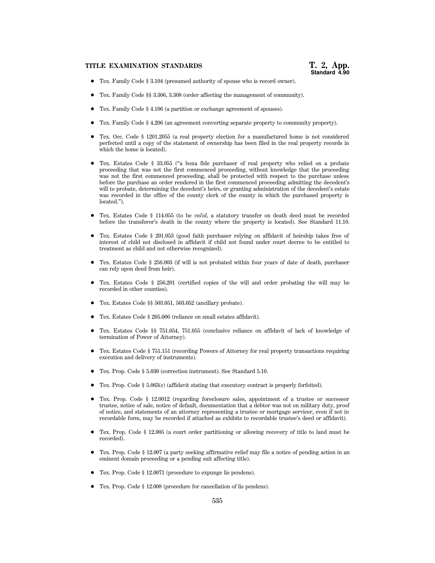- Tex. Family Code § 3.104 (presumed authority of spouse who is record owner).
- 1 Tex. Family Code §§ 3.306, 3.308 (order affecting the management of community).
- 1 Tex. Family Code § 4.106 (a partition or exchange agreement of spouses).
- 1 Tex. Family Code § 4.206 (an agreement converting separate property to community property).
- 1 Tex. Occ. Code § 1201.2055 (a real property election for a manufactured home is not considered perfected until a copy of the statement of ownership has been filed in the real property records in which the home is located).
- 1 Tex. Estates Code § 33.055 (''a bona fide purchaser of real property who relied on a probate proceeding that was not the first commenced proceeding, without knowledge that the proceeding was not the first commenced proceeding, shall be protected with respect to the purchase unless before the purchase an order rendered in the first commenced proceeding admitting the decedent's will to probate, determining the decedent's heirs, or granting administration of the decedent's estate was recorded in the office of the county clerk of the county in which the purchased property is located.'').
- 1 Tex. Estates Code § 114.055 (to be *valid*, a statutory transfer on death deed must be recorded before the transferor's death in the county where the property is located). See Standard 11.10.
- 1 Tex. Estates Code § 201.053 (good faith purchaser relying on affidavit of heirship takes free of interest of child not disclosed in affidavit if child not found under court decree to be entitled to treatment as child and not otherwise recognized).
- 1 Tex. Estates Code § 256.003 (if will is not probated within four years of date of death, purchaser can rely upon deed from heir).
- Tex. Estates Code § 256.201 (certified copies of the will and order probating the will may be recorded in other counties).
- Tex. Estates Code §§ 503.051, 503.052 (ancillary probate).
- 1 Tex. Estates Code § 205.006 (reliance on small estates affidavit).
- 1 Tex. Estates Code §§ 751.054, 751.055 (conclusive reliance on affidavit of lack of knowledge of termination of Power of Attorney).
- 1 Tex. Estates Code § 751.151 (recording Powers of Attorney for real property transactions requiring execution and delivery of instruments).
- 1 Tex. Prop. Code § 5.030 (correction instrument). See Standard 5.10.
- 1 Tex. Prop. Code § 5.063(c) (affidavit stating that executory contract is properly forfeited).
- 1 Tex. Prop. Code § 12.0012 (regarding foreclosure sales, appointment of a trustee or successor trustee, notice of sale, notice of default, documentation that a debtor was not on military duty, proof of notice, and statements of an attorney representing a trustee or mortgage servicer, even if not in recordable form, may be recorded if attached as exhibits to recordable trustee's deed or affidavit).
- Tex. Prop. Code § 12.005 (a court order partitioning or allowing recovery of title to land must be recorded).
- 1 Tex. Prop. Code § 12.007 (a party seeking affirmative relief may file a notice of pending action in an eminent domain proceeding or a pending suit affecting title).
- Tex. Prop. Code § 12.0071 (procedure to expunge lis pendens).
- 1 Tex. Prop. Code § 12.008 (procedure for cancellation of lis pendens).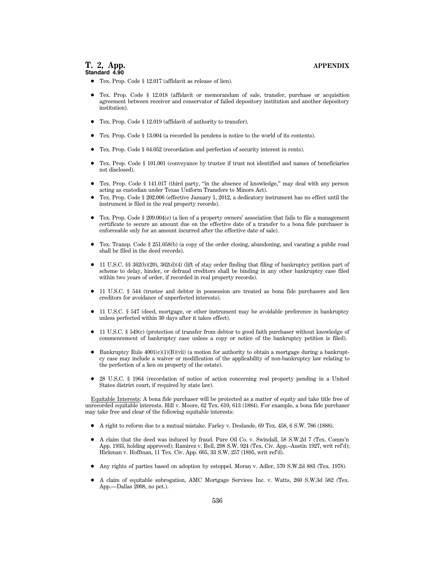- Tex. Prop. Code § 12.017 (affidavit as release of lien).
- 1 Tex. Prop. Code § 12.018 (affidavit or memorandum of sale, transfer, purchase or acquisition agreement between receiver and conservator of failed depository institution and another depository institution).
- Tex. Prop. Code § 12.019 (affidavit of authority to transfer).
- 1 Tex. Prop. Code § 13.004 (a recorded lis pendens is notice to the world of its contents).
- Tex. Prop. Code § 64.052 (recordation and perfection of security interest in rents).
- 1 Tex. Prop. Code § 101.001 (conveyance by trustee if trust not identified and names of beneficiaries not disclosed).
- 1 Tex. Prop. Code § 141.017 (third party, ''in the absence of knowledge,'' may deal with any person acting as custodian under Texas Uniform Transfers to Minors Act).
- 1 Tex. Prop. Code § 202.006 (effective January 1, 2012, a dedicatory instrument has no effect until the instrument is filed in the real property records).
- 1 Tex. Prop. Code § 209.004(e) (a lien of a property owners' association that fails to file a management certificate to secure an amount due on the effective date of a transfer to a bona fide purchaser is enforceable only for an amount incurred after the effective date of sale).
- Tex. Transp. Code § 251.058(b) (a copy of the order closing, abandoning, and vacating a public road shall be filed in the deed records).
- $\bullet$  11 U.S.C. §§ 362(b)(20), 362(d)(4) (lift of stay order finding that filing of bankruptcy petition part of scheme to delay, hinder, or defraud creditors shall be binding in any other bankruptcy case filed within two years of order, if recorded in real property records).
- 11 U.S.C. § 544 (trustee and debtor in possession are treated as bona fide purchasers and lien creditors for avoidance of unperfected interests).
- 11 U.S.C. § 547 (deed, mortgage, or other instrument may be avoidable preference in bankruptcy unless perfected within 30 days after it takes effect).
- 1 11 U.S.C. § 549(c) (protection of transfer from debtor to good faith purchaser without knowledge of commencement of bankruptcy case unless a copy or notice of the bankruptcy petition is filed).
- $\bullet$  Bankruptcy Rule 4001(c)(1)(B)(vii) (a motion for authority to obtain a mortgage during a bankruptcy case may include a waiver or modification of the applicability of non-bankruptcy law relating to the perfection of a lien on property of the estate).
- 28 U.S.C. § 1964 (recordation of notice of action concerning real property pending in a United States district court, if required by state law).

Equitable Interests: A bona fide purchaser will be protected as a matter of equity and take title free of unrecorded equitable interests. Hill v. Moore, 62 Tex. 610, 613 (1884). For example, a bona fide purchaser may take free and clear of the following equitable interests:

- 1 A right to reform due to a mutual mistake. Farley v. Deslande, 69 Tex. 458, 6 S.W. 786 (1888).
- A claim that the deed was induced by fraud. Pure Oil Co. v. Swindall, 58 S.W.2d 7 (Tex. Comm'n App. 1933, holding approved); Ramirez v. Bell, 298 S.W. 924 (Tex. Civ. App.–Austin 1927, writ ref'd); Hickman v. Hoffman, 11 Tex. Civ. App. 605, 33 S.W. 257 (1895, writ ref'd).
- 1 Any rights of parties based on adoption by estoppel. Moran v. Adler, 570 S.W.2d 883 (Tex. 1978).
- 1 A claim of equitable subrogation, AMC Mortgage Services Inc. v. Watts, 260 S.W.3d 582 (Tex. App.—Dallas 2008, no pet.).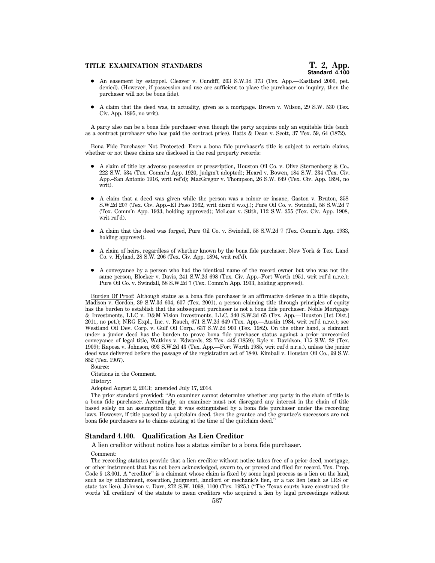# **TITLE EXAMINATION STANDARDS T. 2, App.**

- An easement by estoppel. Cleaver v. Cundiff, 203 S.W.3d 373 (Tex. App.—Eastland 2006, pet. denied). (However, if possession and use are sufficient to place the purchaser on inquiry, then the purchaser will not be bona fide).
- $\bullet$  A claim that the deed was, in actuality, given as a mortgage. Brown v. Wilson, 29 S.W. 530 (Tex. Civ. App. 1895, no writ).

A party also can be a bona fide purchaser even though the party acquires only an equitable title (such as a contract purchaser who has paid the contract price). Batts & Dean v. Scott, 37 Tex. 59, 64 (1872).

Bona Fide Purchaser Not Protected: Even a bona fide purchaser's title is subject to certain claims, whether or not these claims are disclosed in the real property records:

- 1 A claim of title by adverse possession or prescription, Houston Oil Co. v. Olive Sternenberg & Co., 222 S.W. 534 (Tex. Comm'n App. 1920, judgm't adopted); Heard v. Bowen, 184 S.W. 234 (Tex. Civ. App.–San Antonio 1916, writ ref'd); MacGregor v. Thompson, 26 S.W. 649 (Tex. Civ. App. 1894, no writ).
- A claim that a deed was given while the person was a minor or insane, Gaston v. Bruton, 358 S.W.2d 207 (Tex. Civ. App.–El Paso 1962, writ dism'd w.o.j.); Pure Oil Co. v. Swindall, 58 S.W.2d 7 (Tex. Comm'n App. 1933, holding approved); McLean v. Stith, 112 S.W. 355 (Tex. Civ. App. 1908, writ ref'd).
- 1 A claim that the deed was forged, Pure Oil Co. v. Swindall, 58 S.W.2d 7 (Tex. Comm'n App. 1933, holding approved).
- 1 A claim of heirs, regardless of whether known by the bona fide purchaser, New York & Tex. Land Co. v. Hyland, 28 S.W. 206 (Tex. Civ. App. 1894, writ ref'd).
- 1 A conveyance by a person who had the identical name of the record owner but who was not the same person, Blocker v. Davis, 241 S.W.2d 698 (Tex. Civ. App.–Fort Worth 1951, writ ref'd n.r.e.); Pure Oil Co. v. Swindall, 58 S.W.2d 7 (Tex. Comm'n App. 1933, holding approved).

Burden Of Proof: Although status as a bona fide purchaser is an affirmative defense in a title dispute, Madison v. Gordon, 39 S.W.3d 604, 607 (Tex. 2001), a person claiming title through principles of equity has the burden to establish that the subsequent purchaser is not a bona fide purchaser. Noble Mortgage & Investments, LLC v. D&M Vision Investments, LLC, 340 S.W.3d 65 (Tex. App.—Houston [1st Dist.] 2011, no pet.); NRG Expl., Inc. v. Rauch, 671 S.W.2d 649 (Tex. App.—Austin 1984, writ ref'd n.r.e.); see Westland Oil Dev. Corp. v. Gulf Oil Corp., 637 S.W.2d 903 (Tex. 1982). On the other hand, a claimant under a junior deed has the burden to prove bona fide purchaser status against a prior unrecorded conveyance of legal title, Watkins v. Edwards, 23 Tex. 443 (1859); Ryle v. Davidson, 115 S.W. 28 (Tex. 1909); Raposa v. Johnson, 693 S.W.2d 43 (Tex. App.—Fort Worth 1985, writ ref'd n.r.e.), unless the junior deed was delivered before the passage of the registration act of 1840. Kimball v. Houston Oil Co., 99 S.W. 852 (Tex. 1907).

Source:

Citations in the Comment.

History:

Adopted August 2, 2013; amended July 17, 2014.

The prior standard provided: ''An examiner cannot determine whether any party in the chain of title is a bona fide purchaser. Accordingly, an examiner must not disregard any interest in the chain of title based solely on an assumption that it was extinguished by a bona fide purchaser under the recording laws. However, if title passed by a quitclaim deed, then the grantee and the grantee's successors are not bona fide purchasers as to claims existing at the time of the quitclaim deed.''

#### **Standard 4.100. Qualification As Lien Creditor**

A lien creditor without notice has a status similar to a bona fide purchaser.

Comment:

The recording statutes provide that a lien creditor without notice takes free of a prior deed, mortgage, or other instrument that has not been acknowledged, sworn to, or proved and filed for record. Tex. Prop. Code § 13.001. A "creditor" is a claimant whose claim is fixed by some legal process as a lien on the land, such as by attachment, execution, judgment, landlord or mechanic's lien, or a tax lien (such as IRS or state tax lien). Johnson v. Darr, 272 S.W. 1098, 1100 (Tex. 1925.) (''The Texas courts have construed the words 'all creditors' of the statute to mean creditors who acquired a lien by legal proceedings without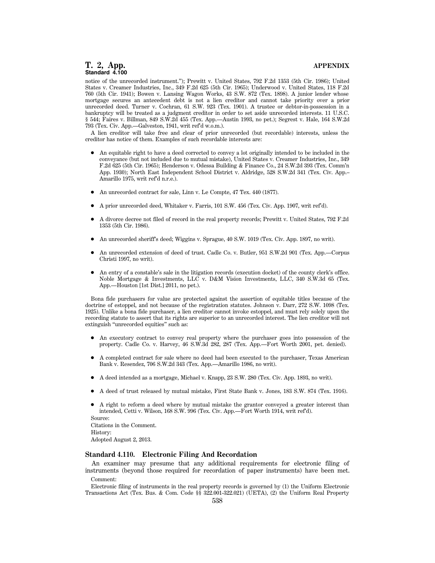notice of the unrecorded instrument.''); Prewitt v. United States, 792 F.2d 1353 (5th Cir. 1986); United States v. Creamer Industries, Inc., 349 F.2d 625 (5th Cir. 1965); Underwood v. United States, 118 F.2d 760 (5th Cir. 1941); Bowen v. Lansing Wagon Works, 43 S.W. 872 (Tex. 1898). A junior lender whose mortgage secures an antecedent debt is not a lien creditor and cannot take priority over a prior unrecorded deed. Turner v. Cochran, 61 S.W. 923 (Tex. 1901). A trustee or debtor-in-possession in a bankruptcy will be treated as a judgment creditor in order to set aside unrecorded interests. 11 U.S.C. § 544; Faires v. Billman, 849 S.W.2d 455 (Tex. App.—Austin 1993, no pet.); Segrest v. Hale, 164 S.W.2d 793 (Tex. Civ. App.—Galveston, 1941, writ ref'd w.o.m.).

A lien creditor will take free and clear of prior unrecorded (but recordable) interests, unless the creditor has notice of them. Examples of such recordable interests are:

- 1 An equitable right to have a deed corrected to convey a lot originally intended to be included in the conveyance (but not included due to mutual mistake), United States v. Creamer Industries, Inc., 349 F.2d 625 (5th Cir. 1965); Henderson v. Odessa Building & Finance Co., 24 S.W.2d 393 (Tex. Comm'n App. 1930); North East Independent School District v. Aldridge, 528 S.W.2d 341 (Tex. Civ. App.– Amarillo 1975, writ ref'd n.r.e.).
- 1 An unrecorded contract for sale, Linn v. Le Compte, 47 Tex. 440 (1877).
- 1 A prior unrecorded deed, Whitaker v. Farris, 101 S.W. 456 (Tex. Civ. App. 1907, writ ref'd).
- 1 A divorce decree not filed of record in the real property records; Prewitt v. United States, 792 F.2d 1353 (5th Cir. 1986).
- 1 An unrecorded sheriff's deed; Wiggins v. Sprague, 40 S.W. 1019 (Tex. Civ. App. 1897, no writ).
- An unrecorded extension of deed of trust. Cadle Co. v. Butler, 951 S.W.2d 901 (Tex. App.—Corpus Christi 1997, no writ).
- An entry of a constable's sale in the litigation records (execution docket) of the county clerk's office. Noble Mortgage & Investments, LLC v. D&M Vision Investments, LLC, 340 S.W.3d 65 (Tex. App.—Houston [1st Dist.] 2011, no pet.).

Bona fide purchasers for value are protected against the assertion of equitable titles because of the doctrine of estoppel, and not because of the registration statutes. Johnson v. Darr, 272 S.W. 1098 (Tex. 1925). Unlike a bona fide purchaser, a lien creditor cannot invoke estoppel, and must rely solely upon the recording statute to assert that its rights are superior to an unrecorded interest. The lien creditor will not extinguish "unrecorded equities" such as:

- 1 An executory contract to convey real property where the purchaser goes into possession of the property. Cadle Co. v. Harvey, 46 S.W.3d 282, 287 (Tex. App.—Fort Worth 2001, pet. denied).
- A completed contract for sale where no deed had been executed to the purchaser, Texas American Bank v. Resendez, 706 S.W.2d 343 (Tex. App.—Amarillo 1986, no writ).
- 1 A deed intended as a mortgage, Michael v. Knapp, 23 S.W. 280 (Tex. Civ. App. 1893, no writ).
- 1 A deed of trust released by mutual mistake, First State Bank v. Jones, 183 S.W. 874 (Tex. 1916).
- A right to reform a deed where by mutual mistake the grantor conveyed a greater interest than intended, Cetti v. Wilson, 168 S.W. 996 (Tex. Civ. App.—Fort Worth 1914, writ ref'd). Source:

Citations in the Comment. History: Adopted August 2, 2013.

#### **Standard 4.110. Electronic Filing And Recordation**

An examiner may presume that any additional requirements for electronic filing of instruments (beyond those required for recordation of paper instruments) have been met. Comment:

Electronic filing of instruments in the real property records is governed by (1) the Uniform Electronic Transactions Act (Tex. Bus. & Com. Code §§ 322.001-322.021) (UETA), (2) the Uniform Real Property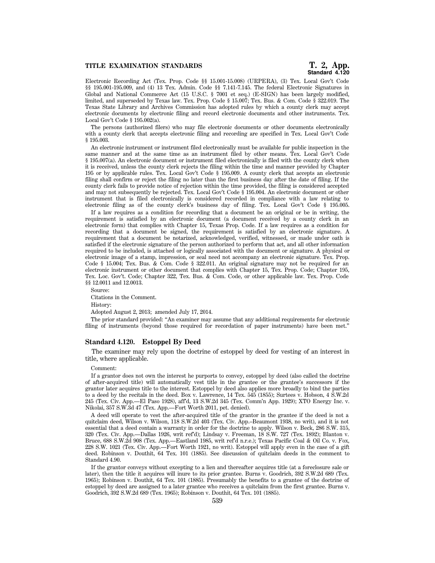# **TITLE EXAMINATION STANDARDS T. 2, App.**

Electronic Recording Act (Tex. Prop. Code §§ 15.001-15.008) (URPERA), (3) Tex. Local Gov't Code §§ 195.001-195.009, and (4) 13 Tex. Admin. Code §§ 7.141-7.145. The federal Electronic Signatures in Global and National Commerce Act (15 U.S.C. § 7001 et seq.) (E-SIGN) has been largely modified, limited, and superseded by Texas law. Tex. Prop. Code § 15.007; Tex. Bus. & Com. Code § 322.019. The Texas State Library and Archives Commission has adopted rules by which a county clerk may accept electronic documents by electronic filing and record electronic documents and other instruments. Tex. Local Gov't Code § 195.002(a).

The persons (authorized filers) who may file electronic documents or other documents electronically with a county clerk that accepts electronic filing and recording are specified in Tex. Local Gov't Code § 195.003.

An electronic instrument or instrument filed electronically must be available for public inspection in the same manner and at the same time as an instrument filed by other means. Tex. Local Gov't Code § 195.007(a). An electronic document or instrument filed electronically is filed with the county clerk when it is received, unless the county clerk rejects the filing within the time and manner provided by Chapter 195 or by applicable rules. Tex. Local Gov't Code § 195.009. A county clerk that accepts an electronic filing shall confirm or reject the filing no later than the first business day after the date of filing. If the county clerk fails to provide notice of rejection within the time provided, the filing is considered accepted and may not subsequently be rejected. Tex. Local Gov't Code § 195.004. An electronic document or other instrument that is filed electronically is considered recorded in compliance with a law relating to electronic filing as of the county clerk's business day of filing. Tex. Local Gov't Code § 195.005.

If a law requires as a condition for recording that a document be an original or be in writing, the requirement is satisfied by an electronic document (a document received by a county clerk in an electronic form) that complies with Chapter 15, Texas Prop. Code. If a law requires as a condition for recording that a document be signed, the requirement is satisfied by an electronic signature. A requirement that a document be notarized, acknowledged, verified, witnessed, or made under oath is satisfied if the electronic signature of the person authorized to perform that act, and all other information required to be included, is attached or logically associated with the document or signature. A physical or electronic image of a stamp, impression, or seal need not accompany an electronic signature. Tex. Prop. Code § 15.004; Tex. Bus. & Com. Code § 322.011. An original signature may not be required for an electronic instrument or other document that complies with Chapter 15, Tex. Prop. Code; Chapter 195, Tex. Loc. Gov't. Code; Chapter 322, Tex. Bus. & Com. Code, or other applicable law. Tex. Prop. Code §§ 12.0011 and 12.0013.

Source: Citations in the Comment. History:

Adopted August 2, 2013; amended July 17, 2014.

The prior standard provided: ''An examiner may assume that any additional requirements for electronic filing of instruments (beyond those required for recordation of paper instruments) have been met.''

### **Standard 4.120. Estoppel By Deed**

The examiner may rely upon the doctrine of estoppel by deed for vesting of an interest in title, where applicable.

#### Comment:

If a grantor does not own the interest he purports to convey, estoppel by deed (also called the doctrine of after-acquired title) will automatically vest title in the grantee or the grantee's successors if the grantor later acquires title to the interest. Estoppel by deed also applies more broadly to bind the parties to a deed by the recitals in the deed. Box v. Lawrence, 14 Tex. 545 (1855); Surtees v. Hobson, 4 S.W.2d 245 (Tex. Civ. App.—El Paso 1928), aff'd, 13 S.W.2d 345 (Tex. Comm'n App. 1929); XTO Energy Inc. v. Nikolai, 357 S.W.3d 47 (Tex. App.—Fort Worth 2011, pet. denied).

A deed will operate to vest the after-acquired title of the grantor in the grantee if the deed is not a quitclaim deed, Wilson v. Wilson, 118 S.W.2d 403 (Tex. Civ. App.–Beaumont 1938, no writ), and it is not essential that a deed contain a warranty in order for the doctrine to apply. Wilson v. Beck, 286 S.W. 315, 320 (Tex. Civ. App.—Dallas 1926, writ ref'd); Lindsay v. Freeman, 18 S.W. 727 (Tex. 1892); Blanton v. Bruce, 688 S.W.2d 908 (Tex. App.—Eastland 1985, writ ref'd n.r.e.); Texas Pacific Coal & Oil Co. v. Fox, 228 S.W. 1021 (Tex. Civ. App.—Fort Worth 1921, no writ). Estoppel will apply even in the case of a gift deed. Robinson v. Douthit, 64 Tex. 101 (1885). See discussion of quitclaim deeds in the comment to Standard 4.90.

If the grantor conveys without excepting to a lien and thereafter acquires title (at a foreclosure sale or later), then the title it acquires will inure to its prior grantee. Burns v. Goodrich, 392 S.W.2d 689 (Tex. 1965); Robinson v. Douthit, 64 Tex. 101 (1885). Presumably the benefits to a grantee of the doctrine of estoppel by deed are assigned to a later grantee who receives a quitclaim from the first grantee. Burns v. Goodrich, 392 S.W.2d 689 (Tex. 1965); Robinson v. Douthit, 64 Tex. 101 (1885).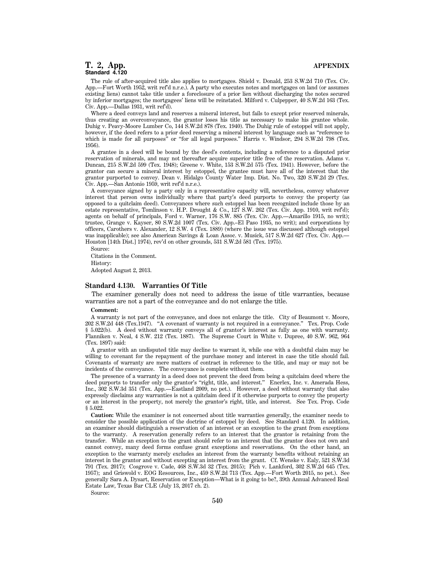The rule of after-acquired title also applies to mortgages. Shield v. Donald, 253 S.W.2d 710 (Tex. Civ. App.—Fort Worth 1952, writ ref'd n.r.e.). A party who executes notes and mortgages on land (or assumes existing liens) cannot take title under a foreclosure of a prior lien without discharging the notes secured by inferior mortgages; the mortgagees' liens will be reinstated. Milford v. Culpepper, 40 S.W.2d 163 (Tex. Civ. App.—Dallas 1931, writ ref'd).

Where a deed conveys land and reserves a mineral interest, but fails to except prior reserved minerals, thus creating an overconveyance, the grantor loses his title as necessary to make his grantee whole. Duhig v. Peavy-Moore Lumber Co, 144 S.W.2d 878 (Tex. 1940). The Duhig rule of estoppel will not apply, however, if the deed refers to a prior deed reserving a mineral interest by language such as ''reference to which is made for all purposes<sup>"</sup> or "for all legal purposes." Harris v. Windsor, 294 S.W.2d 798 (Tex. 1956).

A grantee in a deed will be bound by the deed's contents, including a reference to a disputed prior reservation of minerals, and may not thereafter acquire superior title free of the reservation. Adams v. Duncan, 215 S.W.2d 599 (Tex. 1948); Greene v. White, 153 S.W.2d 575 (Tex. 1941). However, before the grantor can secure a mineral interest by estoppel, the grantee must have all of the interest that the grantor purported to convey. Dean v. Hidalgo County Water Imp. Dist. No. Two, 320 S.W.2d 29 (Tex. Civ. App.—San Antonio 1959, writ ref'd n.r.e.).

A conveyance signed by a party only in a representative capacity will, nevertheless, convey whatever interest that person owns individually where that party's deed purports to convey the property (as opposed to a quitclaim deed). Conveyances where such estoppel has been recognized include those by an estate representative, Tomlinson v. H.P. Drought & Co., 127 S.W. 262 (Tex. Civ. App. 1910, writ ref'd); agents on behalf of principals, Ford v. Warner, 176 S.W. 885 (Tex. Civ. App.—Amarillo 1915, no writ); trustee, Grange v. Kayser, 80 S.W.2d 1007 (Tex. Civ. App.–El Paso 1935, no writ); and corporations by officers, Carothers v. Alexander, 12 S.W. 4 (Tex. 1889) (where the issue was discussed although estoppel was inapplicable); see also American Savings & Loan Assoc. v. Musick, 517 S.W.2d 627 (Tex. Civ. App.— Houston [14th Dist.] 1974), rev'd on other grounds, 531 S.W.2d 581 (Tex. 1975).

Source: Citations in the Comment. History: Adopted August 2, 2013.

#### **Standard 4.130. Warranties Of Title**

The examiner generally does not need to address the issue of title warranties, because warranties are not a part of the conveyance and do not enlarge the title.

#### **Comment:**

A warranty is not part of the conveyance, and does not enlarge the title. City of Beaumont v. Moore, 202 S.W.2d 448 (Tex.1947). ''A covenant of warranty is not required in a conveyance.'' Tex. Prop. Code § 5.022(b). A deed without warranty conveys all of grantor's interest as fully as one with warranty. Flanniken v. Neal, 4 S.W. 212 (Tex. 1887). The Supreme Court in White v. Dupree, 40 S.W. 962, 964 (Tex. 1897) said:

A grantor with an undisputed title may decline to warrant it, while one with a doubtful claim may be willing to covenant for the repayment of the purchase money and interest in case the title should fail. Covenants of warranty are mere matters of contract in reference to the title, and may or may not be incidents of the conveyance. The conveyance is complete without them.

The presence of a warranty in a deed does not prevent the deed from being a quitclaim deed where the deed purports to transfer only the grantor's "right, title, and interest." Enerlex, Inc. v. Amerada Hess, Inc., 302 S.W.3d 351 (Tex. App.—Eastland 2009, no pet.). However, a deed without warranty that also expressly disclaims any warranties is not a quitclaim deed if it otherwise purports to convey the property or an interest in the property, not merely the grantor's right, title, and interest. See Tex. Prop. Code § 5.022.

**Caution:** While the examiner is not concerned about title warranties generally, the examiner needs to consider the possible application of the doctrine of estoppel by deed. See Standard 4.120. In addition, an examiner should distinguish a reservation of an interest or an exception to the grant from exceptions to the warranty. A reservation generally refers to an interest that the grantor is retaining from the transfer. While an exception to the grant should refer to an interest that the grantor does not own and cannot convey, many deed forms confuse grant exceptions and reservations. On the other hand, an exception to the warranty merely excludes an interest from the warranty benefits without retaining an interest in the grantor and without excepting an interest from the grant. Cf. Wenske v. Ealy, 521 S.W.3d 791 (Tex. 2017); Cosgrove v. Cade, 468 S.W.3d 32 (Tex. 2015); Pich v. Lankford, 302 S.W.2d 645 (Tex. 1957); and Griswold v. EOG Resources, Inc., 459 S.W.2d 713 (Tex. App.—Fort Worth 2015, no pet.). See generally Sara A. Dysart, Reservation or Exception—What is it going to be?, 39th Annual Advanced Real Estate Law, Texas Bar CLE (July 13, 2017 ch. 2).

Source: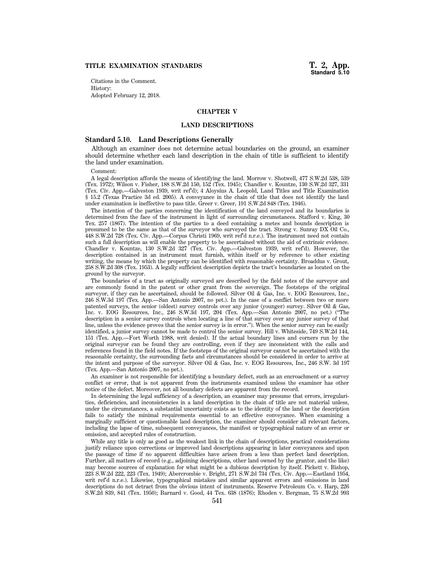**Standard 5.10**

Citations in the Comment. History: Adopted February 12, 2018.

# **CHAPTER V**

# **LAND DESCRIPTIONS**

# **Standard 5.10. Land Descriptions Generally**

Although an examiner does not determine actual boundaries on the ground, an examiner should determine whether each land description in the chain of title is sufficient to identify the land under examination.

Comment:

A legal description affords the means of identifying the land. Morrow v. Shotwell, 477 S.W.2d 538, 539 (Tex. 1972); Wilson v. Fisher, 188 S.W.2d 150, 152 (Tex. 1945); Chandler v. Kountze, 130 S.W.2d 327, 331 (Tex. Civ. App.—Galveston 1939, writ ref'd); 4 Aloysius A. Leopold, Land Titles and Title Examination § 15.2 (Texas Practice 3d ed. 2005). A conveyance in the chain of title that does not identify the land under examination is ineffective to pass title. Greer v. Greer, 191 S.W.2d 848 (Tex. 1946).

The intention of the parties concerning the identification of the land conveyed and its boundaries is determined from the face of the instrument in light of surrounding circumstances. Stafford v. King, 30 Tex. 257 (1867). The intention of the parties to a deed containing a metes and bounds description is presumed to be the same as that of the surveyor who surveyed the tract. Strong v. Sunray DX Oil Co., 448 S.W.2d 728 (Tex. Civ. App.—Corpus Christi 1969, writ ref'd n.r.e.). The instrument need not contain such a full description as will enable the property to be ascertained without the aid of extrinsic evidence. Chandler v. Kountze, 130 S.W.2d 327 (Tex. Civ. App.—Galveston 1939, writ ref'd). However, the description contained in an instrument must furnish, within itself or by reference to other existing writing, the means by which the property can be identified with reasonable certainty. Broaddus v. Grout, 258 S.W.2d 308 (Tex. 1953). A legally sufficient description depicts the tract's boundaries as located on the ground by the surveyor.

The boundaries of a tract as originally surveyed are described by the field notes of the surveyor and are commonly found in the patent or other grant from the sovereign. The footsteps of the original surveyor, if they can be ascertained, should be followed. Silver Oil & Gas, Inc. v. EOG Resources, Inc., 246 S.W.3d 197 (Tex. App.—San Antonio 2007, no pet.). In the case of a conflict between two or more patented surveys, the senior (oldest) survey controls over any junior (younger) survey. Silver Oil & Gas, Inc. v. EOG Resources, Inc., 246 S.W.3d 197, 204 (Tex. App.—San Antonio 2007, no pet.) (''The description in a senior survey controls when locating a line of that survey over any junior survey of that line, unless the evidence proves that the senior survey is in error.''). When the senior survey can be easily identified, a junior survey cannot be made to control the senior survey. Hill v. Whiteside, 749 S.W.2d 144, 151 (Tex. App.—Fort Worth 1988, writ denied). If the actual boundary lines and corners run by the original surveyor can be found they are controlling, even if they are inconsistent with the calls and references found in the field notes. If the footsteps of the original surveyor cannot be ascertained with the reasonable certainty, the surrounding facts and circumstances should be considered in order to arrive at the intent and purpose of the surveyor. Silver Oil & Gas, Inc. v. EOG Resources, Inc., 246 S.W. 3d 197 (Tex. App.—San Antonio 2007, no pet.).

An examiner is not responsible for identifying a boundary defect, such as an encroachment or a survey conflict or error, that is not apparent from the instruments examined unless the examiner has other notice of the defect. Moreover, not all boundary defects are apparent from the record.

In determining the legal sufficiency of a description, an examiner may presume that errors, irregularities, deficiencies, and inconsistencies in a land description in the chain of title are not material unless, under the circumstances, a substantial uncertainty exists as to the identity of the land or the description fails to satisfy the minimal requirements essential to an effective conveyance. When examining a marginally sufficient or questionable land description, the examiner should consider all relevant factors, including the lapse of time, subsequent conveyances, the manifest or typographical nature of an error or omission, and accepted rules of construction.

While any title is only as good as the weakest link in the chain of descriptions, practical considerations justify reliance upon corrections or improved land descriptions appearing in later conveyances and upon the passage of time if no apparent difficulties have arisen from a less than perfect land description. Further, all matters of record (e.g., adjoining descriptions, other land owned by the grantor, and the like) may become sources of explanation for what might be a dubious description by itself. Pickett v. Bishop, 223 S.W.2d 222, 223 (Tex. 1949); Abercrombie v. Bright, 271 S.W.2d 734 (Tex. Civ. App.—Eastland 1954, writ ref'd n.r.e.). Likewise, typographical mistakes and similar apparent errors and omissions in land descriptions do not detract from the obvious intent of instruments. Reserve Petroleum Co. v. Harp, 226 S.W.2d 839, 841 (Tex. 1950); Barnard v. Good, 44 Tex. 638 (1876); Rhoden v. Bergman, 75 S.W.2d 993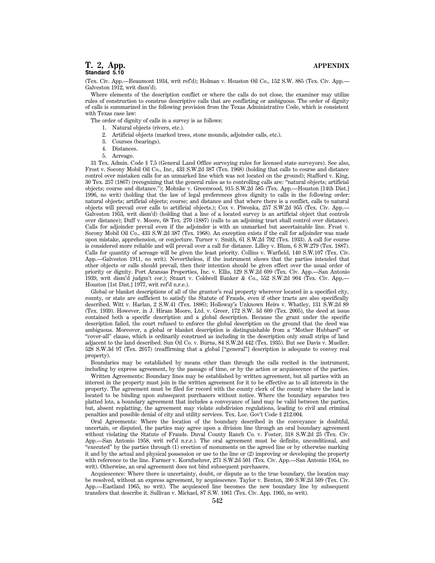(Tex. Civ. App.—Beaumont 1934, writ ref'd); Holman v. Houston Oil Co., 152 S.W. 885 (Tex. Civ. App.— Galveston 1912, writ dism'd).

Where elements of the description conflict or where the calls do not close, the examiner may utilize rules of construction to construe descriptive calls that are conflicting or ambiguous. The order of dignity of calls is summarized in the following provision from the Texas Administrative Code, which is consistent with Texas case law:

The order of dignity of calls in a survey is as follows:

- 1. Natural objects (rivers, etc.).
- 2. Artificial objects (marked trees, stone mounds, adjoinder calls, etc.).
- 3. Courses (bearings).
- 4. Distances.
- 5. Acreage.

31 Tex. Admin. Code § 7.5 (General Land Office surveying rules for licensed state surveyors). See also, Frost v. Socony Mobil Oil Co., Inc., 433 S.W.2d 387 (Tex. 1968) (holding that calls to course and distance control over mistaken calls for an unmarked line which was not located on the ground); Stafford v. King, 30 Tex. 257 (1867) (recognizing that the general rules as to controlling calls are: ''natural objects; artificial objects; course and distance.''); Mohnke v. Greenwood, 915 S.W.2d 585 (Tex. App.—Houston [14th Dist.] 1996, no writ) (holding that the law of legal preferences gives dignity to calls in the following order: natural objects; artificial objects; course; and distance and that where there is a conflict, calls to natural objects will prevail over calls to artificial objects.); Cox v. Piwonka, 257 S.W.2d 955 (Tex. Civ. App.— Galveston 1953, writ dism'd) (holding that a line of a located survey is an artificial object that controls over distance); Duff v. Moore, 68 Tex. 270 (1887) (calls to an adjoining tract shall control over distance). Calls for adjoinder prevail even if the adjoinder is with an unmarked but ascertainable line. Frost v. Socony Mobil Oil Co., 433 S.W.2d 387 (Tex. 1968). An exception exists if the call for adjoinder was made upon mistake, apprehension, or conjecture. Turner v. Smith, 61 S.W.2d 792 (Tex. 1933). A call for course is considered more reliable and will prevail over a call for distance. Lilley v. Blum, 6 S.W.279 (Tex. 1887). Calls for quantity of acreage will be given the least priority. Collins v. Warfield, 140 S.W.107 (Tex. Civ. App.—Galveston 1911, no writ). Nevertheless, if the instrument shows that the parties intended that other objects or calls should prevail, then their intention should be given effect over the usual order of priority or dignity. Port Aransas Properties, Inc. v. Ellis, 129 S.W.2d 699 (Tex. Civ. App.—San Antonio 1939, writ dism'd judgm't cor.); Stuart v. Coldwell Banker & Co., 552 S.W.2d 904 (Tex. Civ. App.— Houston [1st Dist.] 1977, writ ref'd n.r.e.).

Global or blanket descriptions of all of the grantor's real property wherever located in a specified city, county, or state are sufficient to satisfy the Statute of Frauds, even if other tracts are also specifically described. Witt v. Harlan, 2 S.W.41 (Tex. 1886); Holloway's Unknown Heirs v. Whatley, 131 S.W.2d 89 (Tex. 1939). However, in J. Hiram Moore, Ltd. v. Greer, 172 S.W. 3d 609 (Tex. 2005), the deed at issue contained both a specific description and a global description. Because the grant under the specific description failed, the court refused to enforce the global description on the ground that the deed was ambiguous. Moreover, a global or blanket description is distinguishable from a ''Mother Hubbard'' or ''cover-all'' clause, which is ordinarily construed as including in the description only small strips of land adjacent to the land described. Sun Oil Co. v. Burns, 84 S.W.2d 442 (Tex. 1935). But see Davis v. Mueller, 528 S.W.3d 97 (Tex. 2017) (reaffirming that a global [''general''] description is adequate to convey real property).

Boundaries may be established by means other than through the calls recited in the instrument, including by express agreement, by the passage of time, or by the action or acquiescence of the parties.

Written Agreements: Boundary lines may be established by written agreement, but all parties with an interest in the property must join in the written agreement for it to be effective as to all interests in the property. The agreement must be filed for record with the county clerk of the county where the land is located to be binding upon subsequent purchasers without notice. Where the boundary separates two platted lots, a boundary agreement that includes a conveyance of land may be valid between the parties, but, absent replatting, the agreement may violate subdivision regulations, leading to civil and criminal penalties and possible denial of city and utility services. Tex. Loc. Gov't Code § 212.004.

Oral Agreements: Where the location of the boundary described in the conveyance is doubtful, uncertain, or disputed, the parties may agree upon a division line through an oral boundary agreement without violating the Statute of Frauds. Duval County Ranch Co. v. Foster, 318 S.W.2d 25 (Tex. Civ. App.—San Antonio 1958, writ ref'd n.r.e.). The oral agreement must be definite, unconditional, and ''executed'' by the parties through (1) erection of monuments on the agreed line or by otherwise marking it and by the actual and physical possession or use to the line or (2) improving or developing the property with reference to the line. Farmer v. Kornfuehrer, 271 S.W.2d 501 (Tex. Civ. App.—San Antonio 1954, no writ). Otherwise, an oral agreement does not bind subsequent purchasers.

Acquiescence: Where there is uncertainty, doubt, or dispute as to the true boundary, the location may be resolved, without an express agreement, by acquiescence. Taylor v. Benton, 390 S.W.2d 509 (Tex. Civ. App.—Eastland 1965, no writ). The acquiesced line becomes the new boundary line by subsequent transfers that describe it. Sullivan v. Michael, 87 S.W. 1061 (Tex. Civ. App. 1905, no writ).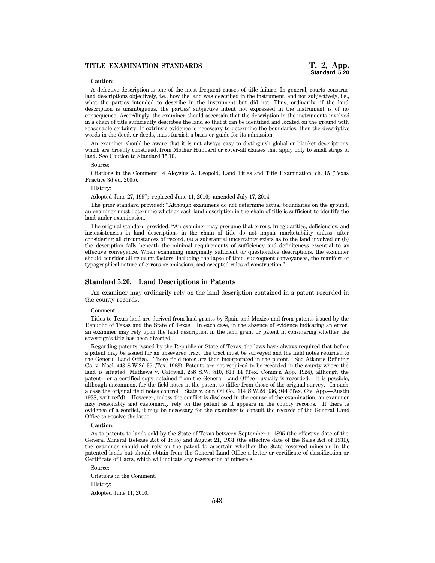# **Caution:**

A defective description is one of the most frequent causes of title failure. In general, courts construe land descriptions objectively, i.e., how the land was described in the instrument, and not subjectively, i.e., what the parties intended to describe in the instrument but did not. Thus, ordinarily, if the land description is unambiguous, the parties' subjective intent not expressed in the instrument is of no consequence. Accordingly, the examiner should ascertain that the description in the instruments involved in a chain of title sufficiently describes the land so that it can be identified and located on the ground with reasonable certainty. If extrinsic evidence is necessary to determine the boundaries, then the descriptive words in the deed, or deeds, must furnish a basis or guide for its admission.

An examiner should be aware that it is not always easy to distinguish global or blanket descriptions, which are broadly construed, from Mother Hubbard or cover-all clauses that apply only to small strips of land. See Caution to Standard 15.10.

#### Source:

Citations in the Comment; 4 Aloysius A. Leopold, Land Titles and Title Examination, ch. 15 (Texas Practice 3d ed. 2005).

History:

Adopted June 27, 1997; replaced June 11, 2010; amended July 17, 2014.

The prior standard provided: ''Although examiners do not determine actual boundaries on the ground, an examiner must determine whether each land description in the chain of title is sufficient to identify the land under examination.''

The original standard provided: ''An examiner may presume that errors, irregularities, deficiencies, and inconsistencies in land descriptions in the chain of title do not impair marketability unless, after considering all circumstances of record, (a) a substantial uncertainty exists as to the land involved or (b) the description falls beneath the minimal requirements of sufficiency and definiteness essential to an effective conveyance. When examining marginally sufficient or questionable descriptions, the examiner should consider all relevant factors, including the lapse of time, subsequent conveyances, the manifest or typographical nature of errors or omissions, and accepted rules of construction.''

#### **Standard 5.20. Land Descriptions in Patents**

An examiner may ordinarily rely on the land description contained in a patent recorded in the county records.

#### Comment:

Titles to Texas land are derived from land grants by Spain and Mexico and from patents issued by the Republic of Texas and the State of Texas. In each case, in the absence of evidence indicating an error, an examiner may rely upon the land description in the land grant or patent in considering whether the sovereign's title has been divested.

Regarding patents issued by the Republic or State of Texas, the laws have always required that before a patent may be issued for an unsevered tract, the tract must be surveyed and the field notes returned to the General Land Office. Those field notes are then incorporated in the patent. See Atlantic Refining Co. v. Noel, 443 S.W.2d 35 (Tex. 1968). Patents are not required to be recorded in the county where the land is situated, Mathews v. Caldwell, 258 S.W. 810, 813 14 (Tex. Comm'n App. 1924), although the patent—or a certified copy obtained from the General Land Office—usually is recorded. It is possible, although uncommon, for the field notes in the patent to differ from those of the original survey. In such a case the original field notes control. State v. Sun Oil Co., 114 S.W.2d 936, 944 (Tex. Civ. App.—Austin 1938, writ ref'd). However, unless the conflict is disclosed in the course of the examination, an examiner may reasonably and customarily rely on the patent as it appears in the county records. If there is evidence of a conflict, it may be necessary for the examiner to consult the records of the General Land Office to resolve the issue.

# **Caution:**

As to patents to lands sold by the State of Texas between September 1, 1895 (the effective date of the General Mineral Release Act of 1895) and August 21, 1931 (the effective date of the Sales Act of 1931), the examiner should not rely on the patent to ascertain whether the State reserved minerals in the patented lands but should obtain from the General Land Office a letter or certificate of classification or Certificate of Facts, which will indicate any reservation of minerals.

Source: Citations in the Comment. History: Adopted June 11, 2010.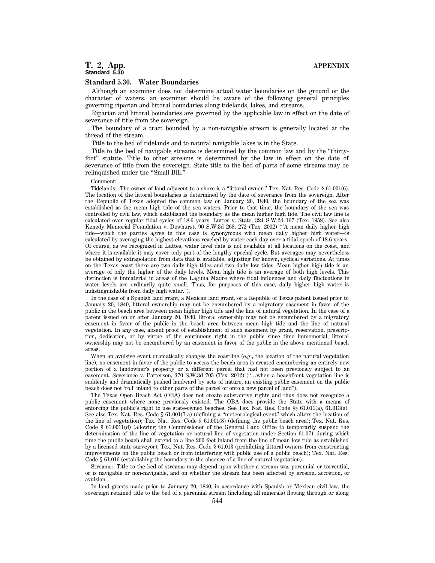# **T. 2, App. APPENDIX Standard 5.30**

#### **Standard 5.30. Water Boundaries**

Although an examiner does not determine actual water boundaries on the ground or the character of waters, an examiner should be aware of the following general principles governing riparian and littoral boundaries along tidelands, lakes, and streams.

Riparian and littoral boundaries are governed by the applicable law in effect on the date of severance of title from the sovereign.

The boundary of a tract bounded by a non-navigable stream is generally located at the thread of the stream.

Title to the bed of tidelands and to natural navigable lakes is in the State.

Title to the bed of navigable streams is determined by the common law and by the ''thirtyfoot'' statute. Title to other streams is determined by the law in effect on the date of severance of title from the sovereign. State title to the bed of parts of some streams may be relinquished under the ''Small Bill.''

#### Comment:

Tidelands: The owner of land adjacent to a shore is a ''littoral owner.'' Tex. Nat. Res. Code § 61.001(6). The location of the littoral boundaries is determined by the date of severance from the sovereign. After the Republic of Texas adopted the common law on January 20, 1840, the boundary of the sea was established as the mean high tide of the sea waters. Prior to that time, the boundary of the sea was controlled by civil law, which established the boundary as the mean higher high tide. The civil law line is calculated over regular tidal cycles of 18.6 years. Luttes v. State, 324 S.W.2d 167 (Tex. 1958). See also Kenedy Memorial Foundation v. Dewhurst, 90 S.W.3d 268, 272 (Tex. 2002) (''A mean daily higher high tide—which the parties agree in this case is synonymous with mean daily higher high water—is calculated by averaging the highest elevations reached by water each day over a tidal epoch of 18.6 years. Of course, as we recognized in Luttes, water level data is not available at all locations on the coast, and where it is available it may cover only part of the lengthy epochal cycle. But averages may nevertheless be obtained by extrapolation from data that is available, adjusting for known, cyclical variations. At times on the Texas coast there are two daily high tides and two daily low tides. Mean higher high tide is an average of only the higher of the daily levels. Mean high tide is an average of both high levels. This distinction is immaterial in areas of the Laguna Madre where tidal influences and daily fluctuations in water levels are ordinarily quite small. Thus, for purposes of this case, daily higher high water is indistinguishable from daily high water.'').

In the case of a Spanish land grant, a Mexican land grant, or a Republic of Texas patent issued prior to January 20, 1840, littoral ownership may not be encumbered by a migratory easement in favor of the public in the beach area between mean higher high tide and the line of natural vegetation. In the case of a patent issued on or after January 20, 1840, littoral ownership may not be encumbered by a migratory easement in favor of the public in the beach area between mean high tide and the line of natural vegetation. In any case, absent proof of establishment of such easement by grant, reservation, prescription, dedication, or by virtue of the continuous right in the public since time immemorial, littoral ownership may not be encumbered by an easement in favor of the public in the above mentioned beach areas.

When an avulsive event dramatically changes the coastline (e.g., the location of the natural vegetation line), no easement in favor of the public to access the beach area is created encumbering an entirely new portion of a landowner's property or a different parcel that had not been previously subject to an easement. Severance v. Patterson, 370 S.W.3d 705 (Tex. 2012) (''…when a beachfront vegetation line is suddenly and dramatically pushed landward by acts of nature, an existing public easement on the public beach does not 'roll' inland to other parts of the parcel or onto a new parcel of land'').

The Texas Open Beach Act (OBA) does not create substantive rights and thus does not recognize a public easement where none previously existed. The OBA does provide the State with a means of enforcing the public's right to use state-owned beaches. See Tex. Nat. Res. Code §§ 61.011(a), 61.013(a). See also Tex. Nat. Res. Code § 61.001(7-a) (defining a ''meteorological event'' which alters the location of the line of vegetation); Tex. Nat. Res. Code § 61.001(8) (defining the public beach area); Tex. Nat. Res. Code § 61.0011(d) (allowing the Commissioner of the General Land Office to temporarily suspend the determination of the line of vegetation or natural line of vegetation under Section 61.071 during which time the public beach shall extend to a line 200 feet inland from the line of mean low tide as established by a licensed state surveyor); Tex. Nat. Res. Code § 61.013 (prohibiting littoral owners from constructing improvements on the public beach or from interfering with public use of a public beach); Tex. Nat. Res. Code § 61.016 (establishing the boundary in the absence of a line of natural vegetation).

Streams: Title to the bed of streams may depend upon whether a stream was perennial or torrential, or is navigable or non-navigable, and on whether the stream has been affected by erosion, accretion, or avulsion.

In land grants made prior to January 20, 1840, in accordance with Spanish or Mexican civil law, the sovereign retained title to the bed of a perennial stream (including all minerals) flowing through or along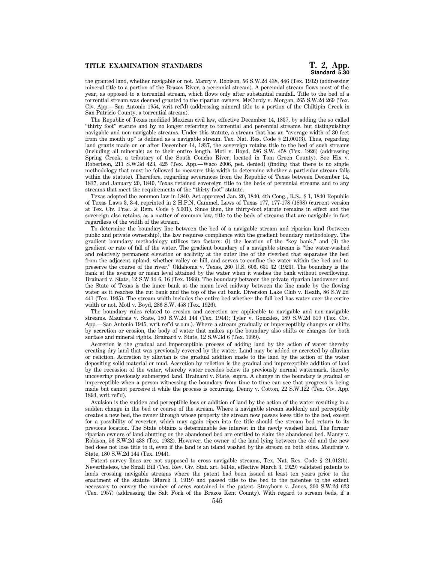## **TITLE EXAMINATION STANDARDS**

the granted land, whether navigable or not. Manry v. Robison, 56 S.W.2d 438, 446 (Tex. 1932) (addressing mineral title to a portion of the Brazos River, a perennial stream). A perennial stream flows most of the year, as opposed to a torrential stream, which flows only after substantial rainfall. Title to the bed of a torrential stream was deemed granted to the riparian owners. McCurdy v. Morgan, 265 S.W.2d 269 (Tex. Civ. App.—San Antonio 1954, writ ref'd) (addressing mineral title to a portion of the Chiltipin Creek in San Patricio County, a torrential stream).

The Republic of Texas modified Mexican civil law, effective December 14, 1837, by adding the so called ''thirty foot'' statute and by no longer referring to torrential and perennial streams, but distinguishing navigable and non-navigable streams. Under this statute, a stream that has an ''average width of 30 feet from the mouth up'' is defined as a navigable stream. Tex. Nat. Res. Code § 21.001(3). Thus, regarding land grants made on or after December 14, 1837, the sovereign retains title to the bed of such streams (including all minerals) as to their entire length. Motl v. Boyd, 286 S.W. 458 (Tex. 1926) (addressing Spring Creek, a tributary of the South Concho River, located in Tom Green County). See Hix v. Robertson, 211 S.W.3d 423, 425 (Tex. App.—Waco 2006, pet. denied) (finding that there is no single methodology that must be followed to measure this width to determine whether a particular stream falls within the statute). Therefore, regarding severances from the Republic of Texas between December 14, 1837, and January 20, 1840, Texas retained sovereign title to the beds of perennial streams and to any streams that meet the requirements of the ''thirty-foot'' statute.

Texas adopted the common law in 1840. Act approved Jan. 20, 1840, 4th Cong., R.S., § 1, 1840 Republic of Texas Laws 3, 3-4, reprinted in 2 H.P.N. Gammel, Laws of Texas 177, 177-178 (1898) (current version at Tex. Civ. Prac. & Rem. Code § 5.001). Since then, the thirty-foot statute remains in effect and the sovereign also retains, as a matter of common law, title to the beds of streams that are navigable in fact regardless of the width of the stream.

To determine the boundary line between the bed of a navigable stream and riparian land (between public and private ownership), the law requires compliance with the gradient boundary methodology. The gradient boundary methodology utilizes two factors: (i) the location of the ''key bank,'' and (ii) the gradient or rate of fall of the water. The gradient boundary of a navigable stream is ''the water-washed and relatively permanent elevation or acclivity at the outer line of the riverbed that separates the bed from the adjacent upland, whether valley or hill, and serves to confine the water within the bed and to preserve the course of the river.'' Oklahoma v. Texas, 260 U.S. 606, 631 32 (1923). The boundary is the bank at the average or mean level attained by the water when it washes the bank without overflowing. Brainard v. State, 12 S.W.3d 6, 16 (Tex. 1999). The boundary between the private riparian landowner and the State of Texas is the inner bank at the mean level midway between the line made by the flowing water as it reaches the cut bank and the top of the cut bank. Diversion Lake Club v. Heath, 86 S.W.2d 441 (Tex. 1935). The stream width includes the entire bed whether the full bed has water over the entire width or not. Motl v. Boyd, 286 S.W. 458 (Tex. 1926).

The boundary rules related to erosion and accretion are applicable to navigable and non-navigable streams. Maufrais v. State, 180 S.W.2d 144 (Tex. 1944); Tyler v. Gonzales, 189 S.W.2d 519 (Tex. Civ. App.—San Antonio 1945, writ ref'd w.o.m.). Where a stream gradually or imperceptibly changes or shifts by accretion or erosion, the body of water that makes up the boundary also shifts or changes for both surface and mineral rights. Brainard v. State, 12 S.W.3d 6 (Tex. 1999).

Accretion is the gradual and imperceptible process of adding land by the action of water thereby creating dry land that was previously covered by the water. Land may be added or accreted by alluvian or reliction. Accretion by alluvian is the gradual addition made to the land by the action of the water depositing solid material or mud. Accretion by reliction is the gradual and imperceptible addition of land by the recession of the water, whereby water recedes below its previously normal watermark, thereby uncovering previously submerged land. Brainard v. State, supra. A change in the boundary is gradual or imperceptible when a person witnessing the boundary from time to time can see that progress is being made but cannot perceive it while the process is occurring. Denny v. Cotton, 22 S.W.122 (Tex. Civ. App. 1893, writ ref'd).

Avulsion is the sudden and perceptible loss or addition of land by the action of the water resulting in a sudden change in the bed or course of the stream. Where a navigable stream suddenly and perceptibly creates a new bed, the owner through whose property the stream now passes loses title to the bed, except for a possibility of reverter, which may again ripen into fee title should the stream bed return to its previous location. The State obtains a determinable fee interest in the newly washed land. The former riparian owners of land abutting on the abandoned bed are entitled to claim the abandoned bed. Manry v. Robison, 56 S.W.2d 438 (Tex. 1932). However, the owner of the land lying between the old and the new bed does not lose title to it, even if the land is an island washed by the stream on both sides. Maufrais v. State, 180 S.W.2d 144 (Tex. 1944).

Patent survey lines are not supposed to cross navigable streams, Tex. Nat. Res. Code § 21.012(b). Nevertheless, the Small Bill (Tex. Rev. Civ. Stat. art. 5414a, effective March 3, 1929) validated patents to lands crossing navigable streams where the patent had been issued at least ten years prior to the enactment of the statute (March 3, 1919) and passed title to the bed to the patentee to the extent necessary to convey the number of acres contained in the patent. Strayhorn v. Jones, 300 S.W.2d 623 (Tex. 1957) (addressing the Salt Fork of the Brazos Kent County). With regard to stream beds, if a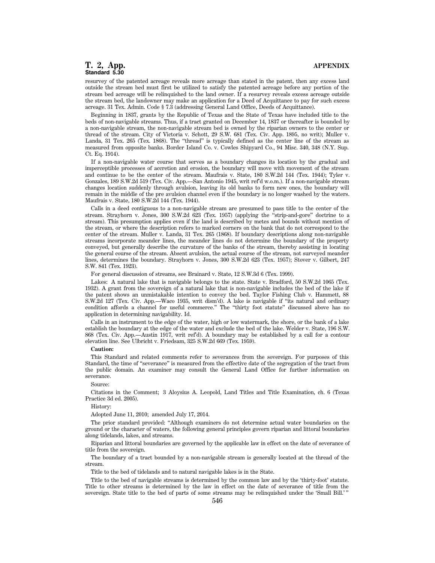# **T. 2, App. APPENDIX Standard 5.30**

resurvey of the patented acreage reveals more acreage than stated in the patent, then any excess land outside the stream bed must first be utilized to satisfy the patented acreage before any portion of the stream bed acreage will be relinquished to the land owner. If a resurvey reveals excess acreage outside the stream bed, the landowner may make an application for a Deed of Acquittance to pay for such excess acreage. 31 Tex. Admin. Code § 7.3 (addressing General Land Office, Deeds of Acquittance).

Beginning in 1837, grants by the Republic of Texas and the State of Texas have included title to the beds of non-navigable streams. Thus, if a tract granted on December 14, 1837 or thereafter is bounded by a non-navigable stream, the non-navigable stream bed is owned by the riparian owners to the center or thread of the stream. City of Victoria v. Schott, 29 S.W. 681 (Tex. Civ. App. 1895, no writ); Muller v. Landa, 31 Tex. 265 (Tex. 1868). The ''thread'' is typically defined as the center line of the stream as measured from opposite banks. Border Island Co. v. Cowles Shipyard Co., 94 Misc. 340, 348 (N.Y. Sup. Ct. Eq. 1914).

If a non-navigable water course that serves as a boundary changes its location by the gradual and imperceptible processes of accretion and erosion, the boundary will move with movement of the stream and continue to be the center of the stream. Maufrais v. State, 180 S.W.2d 144 (Tex. 1944); Tyler v. Gonzales, 189 S.W.2d 519 (Tex. Civ. App.—San Antonio 1945, writ ref'd w.o.m.). If a non-navigable stream changes location suddenly through avulsion, leaving its old banks to form new ones, the boundary will remain in the middle of the pre avulsion channel even if the boundary is no longer washed by the waters. Maufrais v. State, 180 S.W.2d 144 (Tex. 1944).

Calls in a deed contiguous to a non-navigable stream are presumed to pass title to the center of the stream. Strayhorn v. Jones, 300 S.W.2d 623 (Tex. 1957) (applying the ''strip-and-gore'' doctrine to a stream). This presumption applies even if the land is described by metes and bounds without mention of the stream, or where the description refers to marked corners on the bank that do not correspond to the center of the stream. Muller v. Landa, 31 Tex. 265 (1868). If boundary descriptions along non-navigable streams incorporate meander lines, the meander lines do not determine the boundary of the property conveyed, but generally describe the curvature of the banks of the stream, thereby assisting in locating the general course of the stream. Absent avulsion, the actual course of the stream, not surveyed meander lines, determines the boundary. Strayhorn v. Jones, 300 S.W.2d 623 (Tex. 1957); Stover v. Gilbert, 247 S.W. 841 (Tex. 1923).

For general discussion of streams, see Brainard v. State, 12 S.W.3d 6 (Tex. 1999).

Lakes: A natural lake that is navigable belongs to the state. State v. Bradford, 50 S.W.2d 1065 (Tex. 1932). A grant from the sovereign of a natural lake that is non-navigable includes the bed of the lake if the patent shows an unmistakable intention to convey the bed. Taylor Fishing Club v. Hammett, 88 S.W.2d 127 (Tex. Civ. App.—Waco 1935, writ dism'd). A lake is navigable if ''its natural and ordinary condition affords a channel for useful commerce.'' The ''thirty foot statute'' discussed above has no application in determining navigability. Id.

Calls in an instrument to the edge of the water, high or low watermark, the shore, or the bank of a lake establish the boundary at the edge of the water and exclude the bed of the lake. Welder v. State, 196 S.W. 868 (Tex. Civ. App.—Austin 1917, writ ref'd). A boundary may be established by a call for a contour elevation line. See Ulbricht v. Friedsam, 325 S.W.2d 669 (Tex. 1959).

#### **Caution:**

This Standard and related comments refer to severances from the sovereign. For purposes of this Standard, the time of ''severance'' is measured from the effective date of the segregation of the tract from the public domain. An examiner may consult the General Land Office for further information on severance.

#### Source:

Citations in the Comment; 3 Aloysius A. Leopold, Land Titles and Title Examination, ch. 6 (Texas Practice 3d ed. 2005).

History:

Adopted June 11, 2010; amended July 17, 2014.

The prior standard provided: ''Although examiners do not determine actual water boundaries on the ground or the character of waters, the following general principles govern riparian and littoral boundaries along tidelands, lakes, and streams.

Riparian and littoral boundaries are governed by the applicable law in effect on the date of severance of title from the sovereign.

The boundary of a tract bounded by a non-navigable stream is generally located at the thread of the stream.

Title to the bed of tidelands and to natural navigable lakes is in the State.

Title to the bed of navigable streams is determined by the common law and by the 'thirty-foot' statute. Title to other streams is determined by the law in effect on the date of severance of title from the sovereign. State title to the bed of parts of some streams may be relinquished under the 'Small Bill.' ''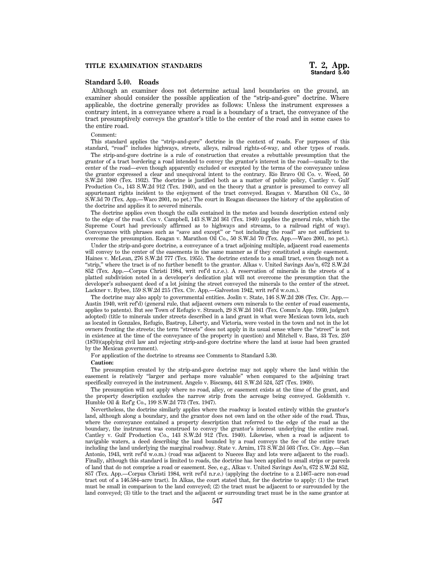# **Standard 5.40. Roads**

Although an examiner does not determine actual land boundaries on the ground, an examiner should consider the possible application of the "strip-and-gore" doctrine. Where applicable, the doctrine generally provides as follows: Unless the instrument expresses a contrary intent, in a conveyance where a road is a boundary of a tract, the conveyance of the tract presumptively conveys the grantor's title to the center of the road and in some cases to the entire road.

Comment:

This standard applies the "strip-and-gore" doctrine in the context of roads. For purposes of this standard, ''road'' includes highways, streets, alleys, railroad rights-of-way, and other types of roads.

The strip-and-gore doctrine is a rule of construction that creates a rebuttable presumption that the grantor of a tract bordering a road intended to convey the grantor's interest in the road—usually to the center of the road—even though apparently excluded or excepted by the terms of the conveyance unless the grantor expressed a clear and unequivocal intent to the contrary. Rio Bravo Oil Co. v. Weed, 50 S.W.2d 1080 (Tex. 1932). The doctrine is justified both as a matter of public policy, Cantley v. Gulf Production Co., 143 S.W.2d 912 (Tex. 1940), and on the theory that a grantor is presumed to convey all appurtenant rights incident to the enjoyment of the tract conveyed. Reagan v. Marathon Oil Co., 50 S.W.3d 70 (Tex. App.—Waco 2001, no pet.) The court in Reagan discusses the history of the application of the doctrine and applies it to severed minerals.

The doctrine applies even though the calls contained in the metes and bounds description extend only to the edge of the road. Cox v. Campbell, 143 S.W.2d 361 (Tex. 1940) (applies the general rule, which the Supreme Court had previously affirmed as to highways and streams, to a railroad right of way). Conveyances with phrases such as ''save and except'' or ''not including the road'' are not sufficient to overcome the presumption. Reagan v. Marathon Oil Co., 50 S.W.3d 70 (Tex. App.—Waco 2001, no pet.).

Under the strip-and-gore doctrine, a conveyance of a tract adjoining multiple, adjacent road easements will convey to the center of the easements in the same manner as if they constituted a single easement. Haines v. McLean, 276 S.W.2d 777 (Tex. 1955). The doctrine extends to a small tract, even though not a ''strip,'' where the tract is of no further benefit to the grantor. Alkas v. United Savings Ass'n, 672 S.W.2d 852 (Tex. App.—Corpus Christi 1984, writ ref'd n.r.e.). A reservation of minerals in the streets of a platted subdivision noted in a developer's dedication plat will not overcome the presumption that the developer's subsequent deed of a lot joining the street conveyed the minerals to the center of the street. Lackner v. Bybee, 159 S.W.2d 215 (Tex. Civ. App.—Galveston 1942, writ ref'd w.o.m.).

The doctrine may also apply to governmental entities. Joslin v. State, 146 S.W.2d 208 (Tex. Civ. App.— Austin 1940, writ ref'd) (general rule, that adjacent owners own minerals to the center of road easements, applies to patents). But see Town of Refugio v. Strauch, 29 S.W.2d 1041 (Tex. Comm'n App. 1930, judgm't adopted) (title to minerals under streets described in a land grant in what were Mexican town lots, such as located in Gonzales, Refugio, Bastrop, Liberty, and Victoria, were vested in the town and not in the lot owners fronting the streets; the term ''streets'' does not apply in its usual sense where the ''street'' is not in existence at the time of the conveyance of the property in question) and Mitchell v. Bass, 33 Tex. 259 (1870)(applying civil law and rejecting strip-and-gore doctrine where the land at issue had been granted by the Mexican government).

For application of the doctrine to streams see Comments to Standard 5.30.

# **Caution:**

The presumption created by the strip-and-gore doctrine may not apply where the land within the easement is relatively ''larger and perhaps more valuable'' when compared to the adjoining tract specifically conveyed in the instrument. Angelo v. Biscamp, 441 S.W.2d 524, 527 (Tex. 1969).

The presumption will not apply where no road, alley, or easement exists at the time of the grant, and the property description excludes the narrow strip from the acreage being conveyed. Goldsmith v. Humble Oil & Ref'g Co., 199 S.W.2d 773 (Tex. 1947).

Nevertheless, the doctrine similarly applies where the roadway is located entirely within the grantor's land, although along a boundary, and the grantor does not own land on the other side of the road. Thus, where the conveyance contained a property description that referred to the edge of the road as the boundary, the instrument was construed to convey the grantor's interest underlying the entire road. Cantley v. Gulf Production Co., 143 S.W.2d 912 (Tex. 1940). Likewise, when a road is adjacent to navigable waters, a deed describing the land bounded by a road conveys the fee of the entire tract including the land underlying the marginal roadway. State v. Arnim, 173 S.W.2d 503 (Tex. Civ. App.—San Antonio, 1943, writ ref'd w.o.m.) (road was adjacent to Nueces Bay and lots were adjacent to the road). Finally, although this standard is limited to roads, the doctrine has been applied to small strips or parcels of land that do not comprise a road or easement. See, e.g., Alkas v. United Savings Ass'n, 672 S.W.2d 852, 857 (Tex. App.—Corpus Christi 1984, writ ref'd n.r.e.) (applying the doctrine to a 2.1467–acre non-road tract out of a 146.584–acre tract). In Alkas, the court stated that, for the doctrine to apply: (1) the tract must be small in comparison to the land conveyed; (2) the tract must be adjacent to or surrounded by the land conveyed; (3) title to the tract and the adjacent or surrounding tract must be in the same grantor at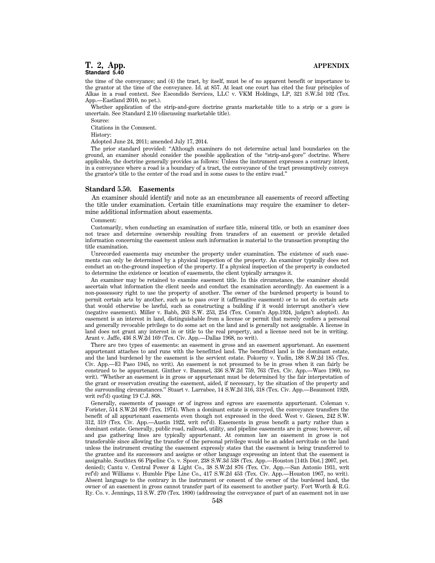# **T. 2, App. APPENDIX Standard 5.40**

the time of the conveyance; and (4) the tract, by itself, must be of no apparent benefit or importance to the grantor at the time of the conveyance. Id. at 857. At least one court has cited the four principles of Alkas in a road context. See Escondido Services, LLC v. VKM Holdings, LP, 321 S.W.3d 102 (Tex. App.—Eastland 2010, no pet.).

Whether application of the strip-and-gore doctrine grants marketable title to a strip or a gore is uncertain. See Standard 2.10 (discussing marketable title).

Source:

Citations in the Comment.

History:

Adopted June 24, 2011; amended July 17, 2014.

The prior standard provided: ''Although examiners do not determine actual land boundaries on the ground, an examiner should consider the possible application of the ''strip-and-gore'' doctrine. Where applicable, the doctrine generally provides as follows: Unless the instrument expresses a contrary intent, in a conveyance where a road is a boundary of a tract, the conveyance of the tract presumptively conveys the grantor's title to the center of the road and in some cases to the entire road.''

#### **Standard 5.50. Easements**

An examiner should identify and note as an encumbrance all easements of record affecting the title under examination. Certain title examinations may require the examiner to determine additional information about easements.

Comment:

Customarily, when conducting an examination of surface title, mineral title, or both an examiner does not trace and determine ownership resulting from transfers of an easement or provide detailed information concerning the easement unless such information is material to the transaction prompting the title examination.

Unrecorded easements may encumber the property under examination. The existence of such easements can only be determined by a physical inspection of the property. An examiner typically does not conduct an on-the-ground inspection of the property. If a physical inspection of the property is conducted to determine the existence or location of easements, the client typically arranges it.

An examiner may be retained to examine easement title. In this circumstance, the examiner should ascertain what information the client needs and conduct the examination accordingly. An easement is a non-possessory right to use the property of another. The owner of the burdened property is bound to permit certain acts by another, such as to pass over it (affirmative easement) or to not do certain acts that would otherwise be lawful, such as constructing a building if it would interrupt another's view (negative easement). Miller v. Babb, 263 S.W. 253, 254 (Tex. Comm'n App.1924, judgm't adopted). An easement is an interest in land, distinguishable from a license or permit that merely confers a personal and generally revocable privilege to do some act on the land and is generally not assignable. A license in land does not grant any interest in or title to the real property, and a license need not be in writing. Arant v. Jaffe, 436 S.W.2d 169 (Tex. Civ. App.—Dallas 1968, no writ).

There are two types of easements: an easement in gross and an easement appurtenant. An easement appurtenant attaches to and runs with the benefitted land. The benefitted land is the dominant estate, and the land burdened by the easement is the servient estate. Pokorny v. Yudin, 188 S.W.2d 185 (Tex. Civ. App.—El Paso 1945, no writ). An easement is not presumed to be in gross when it can fairly be construed to be appurtenant. Ginther v. Bammel, 336 S.W.2d 759, 763 (Tex. Civ. App.—Waco 1960, no writ). ''Whether an easement is in gross or appurtenant must be determined by the fair interpretation of the grant or reservation creating the easement, aided, if necessary, by the situation of the property and the surrounding circumstances.'' Stuart v. Larrabee, 14 S.W.2d 316, 318 (Tex. Civ. App.—Beaumont 1929, writ ref'd) quoting 19 C.J. 868.

Generally, easements of passage or of ingress and egress are easements appurtenant. Coleman v. Forister, 514 S.W.2d 899 (Tex. 1974). When a dominant estate is conveyed, the conveyance transfers the benefit of all appurtenant easements even though not expressed in the deed. West v. Giesen, 242 S.W. 312, 319 (Tex. Civ. App.—Austin 1922, writ ref'd). Easements in gross benefit a party rather than a dominant estate. Generally, public road, railroad, utility, and pipeline easements are in gross; however, oil and gas gathering lines are typically appurtenant. At common law an easement in gross is not transferable since allowing the transfer of the personal privilege would be an added servitude on the land unless the instrument creating the easement expressly states that the easement is being transferred to the grantee and its successors and assigns or other language expressing an intent that the easement is assignable. Southtex 66 Pipeline Co. v. Spoor, 238 S.W.3d 538 (Tex. App.—Houston [14th Dist.] 2007, pet. denied); Cantu v. Central Power & Light Co., 38 S.W.2d 876 (Tex. Civ. App.—San Antonio 1931, writ ref'd) and Williams v. Humble Pipe Line Co., 417 S.W.2d 453 (Tex. Civ. App.—Houston 1967, no writ). Absent language to the contrary in the instrument or consent of the owner of the burdened land, the owner of an easement in gross cannot transfer part of its easement to another party. Fort Worth & R.G. Ry. Co. v. Jennings, 13 S.W. 270 (Tex. 1890) (addressing the conveyance of part of an easement not in use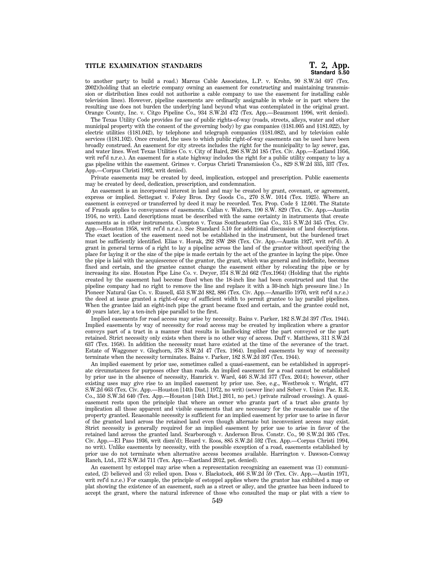# **Standard 5.50**

to another party to build a road.) Marcus Cable Associates, L.P. v. Krohn, 90 S.W.3d 697 (Tex. 2002)(holding that an electric company owning an easement for constructing and maintaining transmission or distribution lines could not authorize a cable company to use the easement for installing cable television lines). However, pipeline easements are ordinarily assignable in whole or in part where the resulting use does not burden the underlying land beyond what was contemplated in the original grant. Orange County, Inc. v. Citgo Pipeline Co., 934 S.W.2d 472 (Tex. App.—Beaumont 1996, writ denied).

The Texas Utility Code provides for use of public rights-of-way (roads, streets, alleys, water and other municipal property with the consent of the governing body) by gas companies (§181.005 and §181.022), by electric utilities (§181.042), by telephone and telegraph companies (§181.082), and by television cable services (§181.102). Once created, the uses to which public right-of-way easements can be used have been broadly construed. An easement for city streets includes the right for the municipality to lay sewer, gas, and water lines. West Texas Utilities Co. v. City of Baird, 286 S.W.2d 185 (Tex. Civ. App.—Eastland 1956, writ ref'd n.r.e.). An easement for a state highway includes the right for a public utility company to lay a gas pipeline within the easement. Grimes v. Corpus Christi Transmission Co., 829 S.W.2d 335, 337 (Tex. App.—Corpus Christi 1992, writ denied).

Private easements may be created by deed, implication, estoppel and prescription. Public easements may be created by deed, dedication, prescription, and condemnation.

An easement is an incorporeal interest in land and may be created by grant, covenant, or agreement, express or implied. Settegast v. Foley Bros. Dry Goods Co., 270 S.W. 1014 (Tex. 1925). Where an easement is conveyed or transferred by deed it may be recorded. Tex. Prop. Code § 12.001. The Statute of Frauds applies to conveyances of easements. Callan v. Walters, 190 S.W. 829 (Tex. Civ. App.—Austin 1916, no writ). Land descriptions must be described with the same certainty in instruments that create easements as in other instruments. Compton v. Texas Southeastern Gas Co., 315 S.W.2d 345 (Tex. Civ. App.—Houston 1958, writ ref'd n.r.e.). See Standard 5.10 for additional discussion of land descriptions. The exact location of the easement need not be established in the instrument, but the burdened tract must be sufficiently identified. Elias v. Horak, 292 SW 288 (Tex. Civ. App.—Austin 1927, writ ref'd). A grant in general terms of a right to lay a pipeline across the land of the grantor without specifying the place for laying it or the size of the pipe is made certain by the act of the grantee in laying the pipe. Once the pipe is laid with the acquiescence of the grantor, the grant, which was general and indefinite, becomes fixed and certain, and the grantee cannot change the easement either by relocating the pipe or by increasing its size. Houston Pipe Line Co. v. Dwyer, 374 S.W.2d 662 (Tex.1964) (Holding that the rights created by the easement had become fixed when the 18-inch line had been constructed and that the pipeline company had no right to remove the line and replace it with a 30-inch high pressure line.) In Pioneer Natural Gas Co. v. Russell, 453 S.W.2d 882, 886 (Tex. Civ. App.—Amarillo 1970, writ ref'd n.r.e.) the deed at issue granted a right-of-way of sufficient width to permit grantee to lay parallel pipelines. When the grantee laid an eight-inch pipe the grant became fixed and certain, and the grantee could not, 40 years later, lay a ten-inch pipe parallel to the first.

Implied easements for road access may arise by necessity. Bains v. Parker, 182 S.W.2d 397 (Tex. 1944). Implied easements by way of necessity for road access may be created by implication where a grantor conveys part of a tract in a manner that results in landlocking either the part conveyed or the part retained. Strict necessity only exists when there is no other way of access. Duff v. Matthews, 311 S.W.2d 637 (Tex. 1958). In addition the necessity must have existed at the time of the severance of the tract. Estate of Waggoner v. Gleghorn, 378 S.W.2d 47 (Tex. 1964). Implied easements by way of necessity terminate when the necessity terminates. Bains v. Parker, 182 S.W.2d 397 (Tex. 1944).

An implied easement by prior use, sometimes called a quasi-easement, can be established in appropriate circumstances for purposes other than roads. An implied easement for a road cannot be established by prior use in the absence of necessity, Hamrick v. Ward, 446 S.W.3d 377 (Tex. 2014); however, other existing uses may give rise to an implied easement by prior use. See, e.g., Westbrook v. Wright, 477 S.W.2d 663 (Tex. Civ. App.—Houston [14th Dist.] 1972, no writ) (sewer line) and Seber v. Union Pac. R.R. Co., 350 S.W.3d 640 (Tex. App.—Houston [14th Dist.] 2011, no pet.) (private railroad crossing). A quasieasement rests upon the principle that where an owner who grants part of a tract also grants by implication all those apparent and visible easements that are necessary for the reasonable use of the property granted. Reasonable necessity is sufficient for an implied easement by prior use to arise in favor of the granted land across the retained land even though alternate but inconvenient access may exist. Strict necessity is generally required for an implied easement by prior use to arise in favor of the retained land across the granted land. Scarborough v. Anderson Bros. Constr. Co., 90 S.W.2d 305 (Tex. Civ. App.—El Paso 1936, writ dism'd); Heard v. Roos, 885 S.W.2d 592 (Tex. App.—Corpus Christi 1994, no writ). Unlike easements by necessity, with the possible exception of a road, easements established by prior use do not terminate when alternative access becomes available. Harrington v. Dawson-Conway Ranch, Ltd., 372 S.W.3d 711 (Tex. App.—Eastland 2012, pet. denied).

An easement by estoppel may arise when a representation recognizing an easement was (1) communicated, (2) believed and (3) relied upon. Doss v. Blackstock, 466 S.W.2d 59 (Tex. Civ. App.—Austin 1971, writ ref'd n.r.e.) For example, the principle of estoppel applies where the grantor has exhibited a map or plat showing the existence of an easement, such as a street or alley, and the grantee has been induced to accept the grant, where the natural inference of those who consulted the map or plat with a view to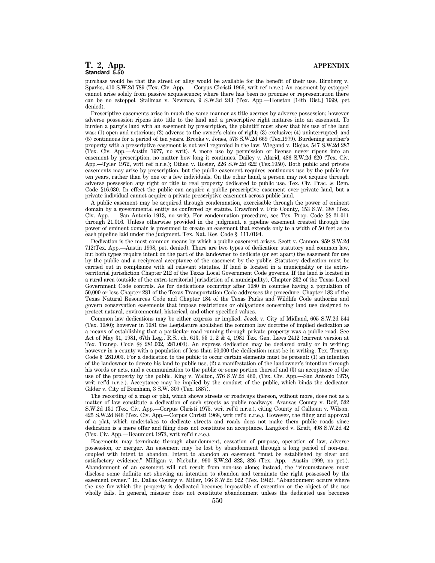# **T. 2, App. APPENDIX Standard 5.50**

purchase would be that the street or alley would be available for the benefit of their use. Birnberg v. Sparks, 410 S.W.2d 789 (Tex. Civ. App. — Corpus Christi 1966, writ ref n.r.e.) An easement by estoppel cannot arise solely from passive acquiescence; where there has been no promise or representation there can be no estoppel. Stallman v. Newman, 9 S.W.3d 243 (Tex. App.—Houston [14th Dist.] 1999, pet denied).

Prescriptive easements arise in much the same manner as title accrues by adverse possession; however adverse possession ripens into title to the land and a prescriptive right matures into an easement. To burden a party's land with an easement by prescription, the plaintiff must show that his use of the land was: (1) open and notorious; (2) adverse to the owner's claim of right; (3) exclusive; (4) uninterrupted; and (5) continuous for a period of ten years. Brooks v. Jones, 578 S.W.2d 669 (Tex.1979). Burdening another's property with a prescriptive easement is not well regarded in the law. Wiegand v. Riojas, 547 S.W.2d 287 (Tex. Civ. App.—Austin 1977, no writ). A mere use by permission or license never ripens into an easement by prescription, no matter how long it continues. Dailey v. Alarid, 486 S.W.2d 620 (Tex. Civ. App.—Tyler 1972, writ ref n.r.e.); Othen v. Rosier, 226 S.W.2d 622 (Tex.1950). Both public and private easements may arise by prescription, but the public easement requires continuous use by the public for ten years, rather than by one or a few individuals. On the other hand, a person may not acquire through adverse possession any right or title to real property dedicated to public use. Tex. Civ. Prac. & Rem. Code §16.030. In effect the public can acquire a public prescriptive easement over private land, but a private individual cannot acquire a private prescriptive easement across public land.

A public easement may be acquired through condemnation, exercisable through the power of eminent domain by a governmental entity as conferred by statute. Crawford v. Frio County, 153 S.W. 388 (Tex. Civ. App. — San Antonio 1913, no writ). For condemnation procedure, see Tex. Prop. Code §§ 21.011 through 21.016. Unless otherwise provided in the judgment, a pipeline easement created through the power of eminent domain is presumed to create an easement that extends only to a width of 50 feet as to each pipeline laid under the judgment. Tex. Nat. Res. Code § 111.0194.

Dedication is the most common means by which a public easement arises. Scott v. Cannon, 959 S.W.2d 712(Tex. App.—Austin 1998, pet. denied). There are two types of dedication: statutory and common law, but both types require intent on the part of the landowner to dedicate (or set apart) the easement for use by the public and a reciprocal acceptance of the easement by the public. Statutory dedication must be carried out in compliance with all relevant statutes. If land is located in a municipality or its extraterritorial jurisdiction Chapter 212 of the Texas Local Government Code governs. If the land is located in a rural area (outside of the extra-territorial jurisdiction of a municipality), Chapter 232 of the Texas Local Government Code controls. As for dedications occurring after 1980 in counties having a population of 50,000 or less Chapter 281 of the Texas Transportation Code addresses the procedure. Chapter 183 of the Texas Natural Resources Code and Chapter 184 of the Texas Parks and Wildlife Code authorize and govern conservation easements that impose restrictions or obligations concerning land use designed to protect natural, environmental, historical, and other specified values.

Common law dedications may be either express or implied. Jezek v. City of Midland, 605 S.W.2d 544 (Tex. 1980); however in 1981 the Legislature abolished the common law doctrine of implied dedication as a means of establishing that a particular road running through private property was a public road. See Act of May 31, 1981, 67th Leg., R.S., ch. 613, §§ 1, 2 & 4, 1981 Tex. Gen. Laws 2412 (current version at Tex. Transp. Code §§ 281.002, 281.003). An express dedication may be declared orally or in writing; however in a county with a population of less than 50,000 the dedication must be in writing. Tex. Transp. Code § 281.003. For a dedication to the public to occur certain elements must be present: (1) an intention of the landowner to devote his land to public use, (2) a manifestation of the landowner's intention through his words or acts, and a communication to the public or some portion thereof and (3) an acceptance of the use of the property by the public. King v. Walton, 576 S.W.2d 460, (Tex. Civ. App.—San Antonio 1979, writ ref'd n.r.e.). Acceptance may be implied by the conduct of the public, which binds the dedicator. Gilder v. City of Brenham, 3 S.W. 309 (Tex. 1887).

The recording of a map or plat, which shows streets or roadways thereon, without more, does not as a matter of law constitute a dedication of such streets as public roadways. Aransas County v. Reif, 532 S.W.2d 131 (Tex. Civ. App.—Corpus Christi 1975, writ ref'd n.r.e.), citing County of Calhoun v. Wilson, 425 S.W.2d 846 (Tex. Civ. App.—Corpus Christi 1968, writ ref'd n.r.e.). However, the filing and approval of a plat, which undertakes to dedicate streets and roads does not make them public roads since dedication is a mere offer and filing does not constitute an acceptance. Langford v. Kraft, 498 S.W.2d 42 (Tex. Civ. App.—Beaumont 1973, writ ref'd n.r.e.).

Easements may terminate through abandonment, cessation of purpose, operation of law, adverse possession, or merger. An easement may be lost by abandonment through a long period of non-use, coupled with intent to abandon. Intent to abandon an easement ''must be established by clear and satisfactory evidence.'' Milligan v. Niebuhr, 990 S.W.2d 823, 826 (Tex. App.—Austin 1999, no pet.). Abandonment of an easement will not result from non-use alone; instead, the "circumstances must disclose some definite act showing an intention to abandon and terminate the right possessed by the easement owner.'' Id. Dallas County v. Miller, 166 S.W.2d 922 (Tex. 1942). ''Abandonment occurs where the use for which the property is dedicated becomes impossible of execution or the object of the use wholly fails. In general, misuser does not constitute abandonment unless the dedicated use becomes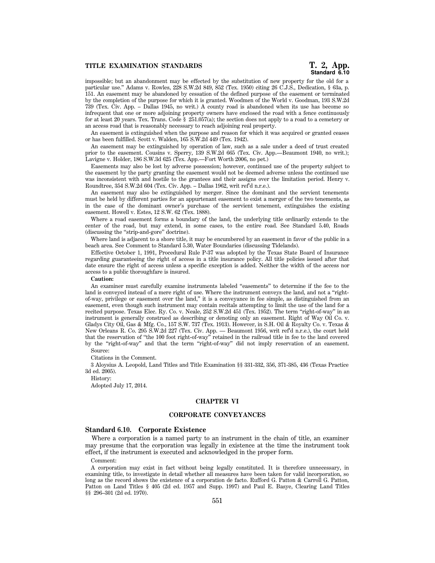impossible; but an abandonment may be effected by the substitution of new property for the old for a particular use.'' Adams v. Rowles, 228 S.W.2d 849, 852 (Tex. 1950) citing 26 C.J.S., Dedication, § 63a, p. 151. An easement may be abandoned by cessation of the defined purpose of the easement or terminated by the completion of the purpose for which it is granted. Woodmen of the World v. Goodman, 193 S.W.2d 739 (Tex. Civ. App. – Dallas 1945, no writ.) A county road is abandoned when its use has become so infrequent that one or more adjoining property owners have enclosed the road with a fence continuously for at least 20 years. Tex. Trans. Code § 251.057(a); the section does not apply to a road to a cemetery or an access road that is reasonably necessary to reach adjoining real property.

An easement is extinguished when the purpose and reason for which it was acquired or granted ceases or has been fulfilled. Scott v. Walden, 165 S.W.2d 449 (Tex. 1942).

An easement may be extinguished by operation of law, such as a sale under a deed of trust created prior to the easement. Cousins v. Sperry, 139 S.W.2d 665 (Tex. Civ. App.—Beaumont 1940, no writ.); Lavigne v. Holder, 186 S.W.3d 625 (Tex. App.—Fort Worth 2006, no pet.)

Easements may also be lost by adverse possession; however, continued use of the property subject to the easement by the party granting the easement would not be deemed adverse unless the continued use was inconsistent with and hostile to the grantees and their assigns over the limitation period. Henry v. Roundtree, 354 S.W.2d 604 (Tex. Civ. App. – Dallas 1962, writ ref'd n.r.e.).

An easement may also be extinguished by merger. Since the dominant and the servient tenements must be held by different parties for an appurtenant easement to exist a merger of the two tenements, as in the case of the dominant owner's purchase of the servient tenement, extinguishes the existing easement. Howell v. Estes, 12 S.W. 62 (Tex. 1888).

Where a road easement forms a boundary of the land, the underlying title ordinarily extends to the center of the road, but may extend, in some cases, to the entire road. See Standard 5.40, Roads (discussing the ''strip-and-gore'' doctrine).

Where land is adjacent to a shore title, it may be encumbered by an easement in favor of the public in a beach area. See Comment to Standard 5.30, Water Boundaries (discussing Tidelands).

Effective October 1, 1991, Procedural Rule P-37 was adopted by the Texas State Board of Insurance regarding guaranteeing the right of access in a title insurance policy. All title policies issued after that date ensure the right of access unless a specific exception is added. Neither the width of the access nor access to a public thoroughfare is insured.

#### **Caution:**

An examiner must carefully examine instruments labeled ''easements'' to determine if the fee to the land is conveyed instead of a mere right of use. Where the instrument conveys the land, and not a ''rightof-way, privilege or easement over the land,'' it is a conveyance in fee simple, as distinguished from an easement, even though such instrument may contain recitals attempting to limit the use of the land for a recited purpose. Texas Elec. Ry. Co. v. Neale, 252 S.W.2d 451 (Tex. 1952). The term ''right-of-way'' in an instrument is generally construed as describing or denoting only an easement. Right of Way Oil Co. v. Gladys City Oil, Gas & Mfg. Co., 157 S.W. 737 (Tex. 1913). However, in S.H. Oil & Royalty Co. v. Texas & New Orleans R. Co. 295 S.W.2d 227 (Tex. Civ. App. — Beaumont 1956, writ ref'd n.r.e.), the court held that the reservation of ''the 100 foot right-of-way'' retained in the railroad title in fee to the land covered by the ''right-of-way'' and that the term ''right-of-way'' did not imply reservation of an easement. Source:

Citations in the Comment.

3 Aloysius A. Leopold, Land Titles and Title Examination §§ 331-332, 356, 371-385, 436 (Texas Practice 3d ed. 2005).

History:

Adopted July 17, 2014.

#### **CHAPTER VI**

# **CORPORATE CONVEYANCES**

#### **Standard 6.10. Corporate Existence**

Where a corporation is a named party to an instrument in the chain of title, an examiner may presume that the corporation was legally in existence at the time the instrument took effect, if the instrument is executed and acknowledged in the proper form.

#### Comment:

A corporation may exist in fact without being legally constituted. It is therefore unnecessary, in examining title, to investigate in detail whether all measures have been taken for valid incorporation, so long as the record shows the existence of a corporation de facto. Rufford G. Patton & Carroll G. Patton, Patton on Land Titles § 405 (2d ed. 1957 and Supp. 1997) and Paul E. Basye, Clearing Land Titles §§ 296–301 (2d ed. 1970).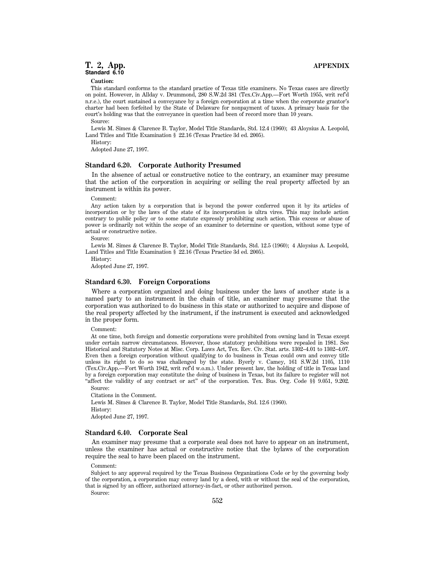**Caution:**

This standard conforms to the standard practice of Texas title examiners. No Texas cases are directly on point. However, in Allday v. Drummond, 280 S.W.2d 381 (Tex.Civ.App.—Fort Worth 1955, writ ref'd n.r.e.), the court sustained a conveyance by a foreign corporation at a time when the corporate grantor's charter had been forfeited by the State of Delaware for nonpayment of taxes. A primary basis for the court's holding was that the conveyance in question had been of record more than 10 years. Source:

Lewis M. Simes & Clarence B. Taylor, Model Title Standards, Std. 12.4 (1960); 43 Aloysius A. Leopold, Land Titles and Title Examination § 22.16 (Texas Practice 3d ed. 2005).

History:

Adopted June 27, 1997.

#### **Standard 6.20. Corporate Authority Presumed**

In the absence of actual or constructive notice to the contrary, an examiner may presume that the action of the corporation in acquiring or selling the real property affected by an instrument is within its power.

#### Comment:

Any action taken by a corporation that is beyond the power conferred upon it by its articles of incorporation or by the laws of the state of its incorporation is ultra vires. This may include action contrary to public policy or to some statute expressly prohibiting such action. This excess or abuse of power is ordinarily not within the scope of an examiner to determine or question, without some type of actual or constructive notice.

Source:

Lewis M. Simes & Clarence B. Taylor, Model Title Standards, Std. 12.5 (1960); 4 Aloysius A. Leopold, Land Titles and Title Examination § 22.16 (Texas Practice 3d ed. 2005).

History:

Adopted June 27, 1997.

# **Standard 6.30. Foreign Corporations**

Where a corporation organized and doing business under the laws of another state is a named party to an instrument in the chain of title, an examiner may presume that the corporation was authorized to do business in this state or authorized to acquire and dispose of the real property affected by the instrument, if the instrument is executed and acknowledged in the proper form.

Comment:

At one time, both foreign and domestic corporations were prohibited from owning land in Texas except under certain narrow circumstances. However, those statutory prohibitions were repealed in 1981. See Historical and Statutory Notes at Misc. Corp. Laws Act, Tex. Rev. Civ. Stat. arts. 1302–4.01 to 1302–4.07. Even then a foreign corporation without qualifying to do business in Texas could own and convey title unless its right to do so was challenged by the state. Byerly v. Camey, 161 S.W.2d 1105, 1110 (Tex.Civ.App.—Fort Worth 1942, writ ref'd w.o.m.). Under present law, the holding of title in Texas land by a foreign corporation may constitute the doing of business in Texas, but its failure to register will not ''affect the validity of any contract or act'' of the corporation. Tex. Bus. Org. Code §§ 9.051, 9.202. Source:

Citations in the Comment.

Lewis M. Simes & Clarence B. Taylor, Model Title Standards, Std. 12.6 (1960). History: Adopted June 27, 1997.

# **Standard 6.40. Corporate Seal**

An examiner may presume that a corporate seal does not have to appear on an instrument, unless the examiner has actual or constructive notice that the bylaws of the corporation require the seal to have been placed on the instrument.

Comment:

Subject to any approval required by the Texas Business Organizations Code or by the governing body of the corporation, a corporation may convey land by a deed, with or without the seal of the corporation, that is signed by an officer, authorized attorney-in-fact, or other authorized person.

Source: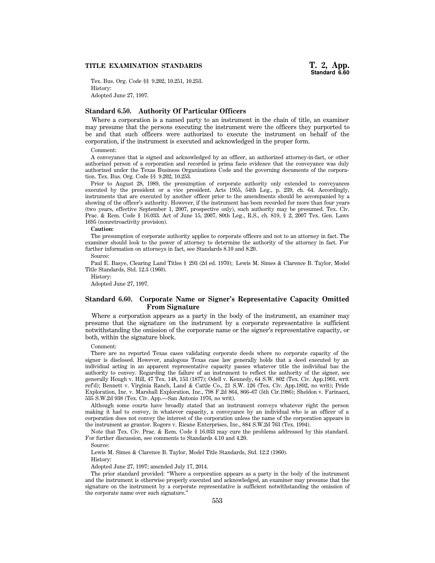## **TITLE EXAMINATION STANDARDS**

Tex. Bus. Org. Code §§ 9.202, 10.251, 10.253. History: Adopted June 27, 1997.

# **Standard 6.50. Authority Of Particular Officers**

Where a corporation is a named party to an instrument in the chain of title, an examiner may presume that the persons executing the instrument were the officers they purported to be and that such officers were authorized to execute the instrument on behalf of the corporation, if the instrument is executed and acknowledged in the proper form.

#### Comment:

A conveyance that is signed and acknowledged by an officer, an authorized attorney-in-fact, or other authorized person of a corporation and recorded is prima facie evidence that the conveyance was duly authorized under the Texas Business Organizations Code and the governing documents of the corporation. Tex. Bus. Org. Code §§ 9.202, 10.253.

Prior to August 28, 1989, the presumption of corporate authority only extended to conveyances executed by the president or a vice president. Acts 1955, 54th Leg., p. 239, ch. 64. Accordingly, instruments that are executed by another officer prior to the amendments should be accompanied by a showing of the officer's authority. However, if the instrument has been recorded for more than four years (two years, effective September 1, 2007, prospective only), such authority may be presumed. Tex. Civ. Prac. & Rem. Code § 16.033. Act of June 15, 2007, 80th Leg., R.S., ch. 819, § 2, 2007 Tex. Gen. Laws 1695 (nonretroactivity provision).

#### **Caution:**

The presumption of corporate authority applies to corporate officers and not to an attorney in fact. The examiner should look to the power of attorney to determine the authority of the attorney in fact. For further information on attorneys in fact, see Standards 8.10 and 8.20.

Source:

Paul E. Basye, Clearing Land Titles § 293 (2d ed. 1970); Lewis M. Simes & Clarence B. Taylor, Model Title Standards, Std. 12.3 (1960).

History:

Adopted June 27, 1997.

# **Standard 6.60. Corporate Name or Signer's Representative Capacity Omitted From Signature**

Where a corporation appears as a party in the body of the instrument, an examiner may presume that the signature on the instrument by a corporate representative is sufficient notwithstanding the omission of the corporate name or the signer's representative capacity, or both, within the signature block.

#### Comment:

There are no reported Texas cases validating corporate deeds where no corporate capacity of the signer is disclosed. However, analogous Texas case law generally holds that a deed executed by an individual acting in an apparent representative capacity passes whatever title the individual has the authority to convey. Regarding the failure of an instrument to reflect the authority of the signer, see generally Hough v. Hill, 47 Tex. 148, 153 (1877); Odell v. Kennedy, 64 S.W. 802 (Tex. Civ. App.1901, writ ref'd); Bennett v. Virginia Ranch, Land & Cattle Co., 21 S.W. 126 (Tex. Civ. App.1892, no writ); Pride Exploration, Inc. v. Marshall Exploration, Inc., 798 F.2d 864, 866–67 (5th Cir.1986); Sheldon v. Farinacci, 535 S.W.2d 938 (Tex. Civ. App.—San Antonio 1976, no writ).

Although some courts have broadly stated that an instrument conveys whatever right the person making it had to convey, in whatever capacity, a conveyance by an individual who is an officer of a corporation does not convey the interest of the corporation unless the name of the corporation appears in the instrument as grantor. Rogers v. Ricane Enterprises, Inc., 884 S.W.2d 763 (Tex. 1994).

Note that Tex. Civ. Prac. & Rem. Code § 16.033 may cure the problems addressed by this standard. For further discussion, see comments to Standards 4.10 and 4.20.

Source:

Lewis M. Simes & Clarence B. Taylor, Model Title Standards, Std. 12.2 (1960). History:

Adopted June 27, 1997; amended July 17, 2014.

The prior standard provided: ''Where a corporation appears as a party in the body of the instrument and the instrument is otherwise properly executed and acknowledged, an examiner may presume that the signature on the instrument by a corporate representative is sufficient notwithstanding the omission of the corporate name over such signature.''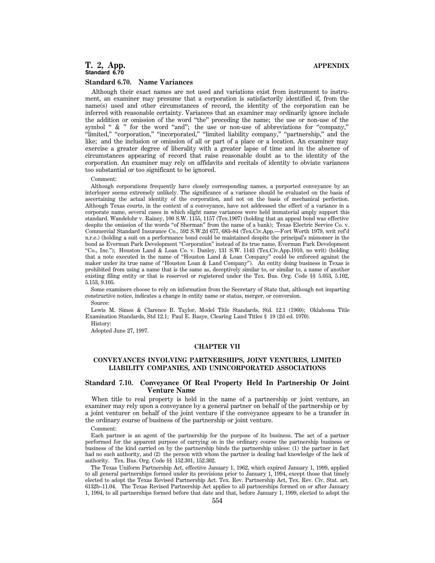# **T. 2, App. APPENDIX Standard 6.70**

#### **Standard 6.70. Name Variances**

Although their exact names are not used and variations exist from instrument to instrument, an examiner may presume that a corporation is satisfactorily identified if, from the name(s) used and other circumstances of record, the identity of the corporation can be inferred with reasonable certainty. Variances that an examiner may ordinarily ignore include the addition or omission of the word ''the'' preceding the name; the use or non-use of the symbol " & " for the word "and"; the use or non-use of abbreviations for "company," ''limited,'' ''corporation,'' ''incorporated,'' ''limited liability company,'' ''partnership,'' and the like; and the inclusion or omission of all or part of a place or a location. An examiner may exercise a greater degree of liberality with a greater lapse of time and in the absence of circumstances appearing of record that raise reasonable doubt as to the identity of the corporation. An examiner may rely on affidavits and recitals of identity to obviate variances too substantial or too significant to be ignored.

#### Comment:

Although corporations frequently have closely corresponding names, a purported conveyance by an interloper seems extremely unlikely. The significance of a variance should be evaluated on the basis of ascertaining the actual identity of the corporation, and not on the basis of mechanical perfection. Although Texas courts, in the context of a conveyance, have not addressed the effect of a variance in a corporate name, several cases in which slight name variances were held immaterial amply support this standard. Wandelohr v. Rainey, 100 S.W. 1155, 1157 (Tex.1907) (holding that an appeal bond was effective despite the omission of the words ''of Sherman'' from the name of a bank); Texas Electric Service Co. v. Commercial Standard Insurance Co., 592 S.W.2d 677, 683–84 (Tex.Civ.App.—Fort Worth 1979, writ ref'd n.r.e.) (holding a suit on a performance bond could be maintained despite the principal's misnomer in the bond as Everman Park Development ''Corporation'' instead of its true name, Everman Park Development ''Co., Inc.''); Houston Land & Loan Co. v. Danley, 131 S.W. 1143 (Tex.Civ.App.1910, no writ) (holding that a note executed in the name of ''Houston Land & Loan Company'' could be enforced against the maker under its true name of "Houston Loan & Land Company"). An entity doing business in Texas is prohibited from using a name that is the same as, deceptively similar to, or similar to, a name of another existing filing entity or that is reserved or registered under the Tex. Bus. Org. Code §§ 5.053, 5.102, 5.153, 9.105.

Some examiners choose to rely on information from the Secretary of State that, although not imparting constructive notice, indicates a change in entity name or status, merger, or conversion.

Source:

Lewis M. Simes & Clarence B. Taylor, Model Title Standards, Std. 12.1 (1960); Oklahoma Title Examination Standards, Std 12.1; Paul E. Basye, Clearing Land Titles § 19 (2d ed. 1970).

History:

Adopted June 27, 1997.

#### **CHAPTER VII**

# **CONVEYANCES INVOLVING PARTNERSHIPS, JOINT VENTURES, LIMITED LIABILITY COMPANIES, AND UNINCORPORATED ASSOCIATIONS**

# **Standard 7.10. Conveyance Of Real Property Held In Partnership Or Joint Venture Name**

When title to real property is held in the name of a partnership or joint venture, an examiner may rely upon a conveyance by a general partner on behalf of the partnership or by a joint venturer on behalf of the joint venture if the conveyance appears to be a transfer in the ordinary course of business of the partnership or joint venture.

Comment:

Each partner is an agent of the partnership for the purpose of its business. The act of a partner performed for the apparent purpose of carrying on in the ordinary course the partnership business or business of the kind carried on by the partnership binds the partnership unless: (1) the partner in fact had no such authority, and (2) the person with whom the partner is dealing had knowledge of the lack of authority. Tex. Bus. Org. Code §§ 152.301, 152.302.

The Texas Uniform Partnership Act, effective January 1, 1962, which expired January 1, 1999, applied to all general partnerships formed under its provisions prior to January 1, 1994, except those that timely elected to adopt the Texas Revised Partnership Act. Tex. Rev. Partnership Act, Tex. Rev. Civ. Stat. art. 6132b–11.04. The Texas Revised Partnership Act applies to all partnerships formed on or after January 1, 1994, to all partnerships formed before that date and that, before January 1, 1999, elected to adopt the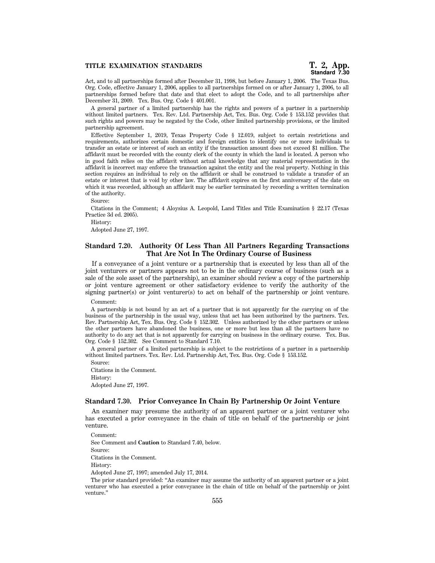### **TITLE EXAMINATION STANDARDS**

Act, and to all partnerships formed after December 31, 1998, but before January 1, 2006. The Texas Bus. Org. Code, effective January 1, 2006, applies to all partnerships formed on or after January 1, 2006, to all partnerships formed before that date and that elect to adopt the Code, and to all partnerships after December 31, 2009. Tex. Bus. Org. Code § 401.001.

A general partner of a limited partnership has the rights and powers of a partner in a partnership without limited partners. Tex. Rev. Ltd. Partnership Act, Tex. Bus. Org. Code § 153.152 provides that such rights and powers may be negated by the Code, other limited partnership provisions, or the limited partnership agreement.

Effective September 1, 2019, Texas Property Code § 12.019, subject to certain restrictions and requirements, authorizes certain domestic and foreign entities to identify one or more individuals to transfer an estate or interest of such an entity if the transaction amount does not exceed \$1 million. The affidavit must be recorded with the county clerk of the county in which the land is located. A person who in good faith relies on the affidavit without actual knowledge that any material representation in the affidavit is incorrect may enforce the transaction against the entity and the real property. Nothing in this section requires an individual to rely on the affidavit or shall be construed to validate a transfer of an estate or interest that is void by other law. The affidavit expires on the first anniversary of the date on which it was recorded, although an affidavit may be earlier terminated by recording a written termination of the authority.

Source:

Citations in the Comment; 4 Aloysius A. Leopold, Land Titles and Title Examination § 22.17 (Texas Practice 3d ed. 2005).

History:

Adopted June 27, 1997.

# **Standard 7.20. Authority Of Less Than All Partners Regarding Transactions That Are Not In The Ordinary Course of Business**

If a conveyance of a joint venture or a partnership that is executed by less than all of the joint venturers or partners appears not to be in the ordinary course of business (such as a sale of the sole asset of the partnership), an examiner should review a copy of the partnership or joint venture agreement or other satisfactory evidence to verify the authority of the signing partner(s) or joint venturer(s) to act on behalf of the partnership or joint venture.

#### Comment:

A partnership is not bound by an act of a partner that is not apparently for the carrying on of the business of the partnership in the usual way, unless that act has been authorized by the partners. Tex. Rev. Partnership Act, Tex. Bus. Org. Code § 152.302. Unless authorized by the other partners or unless the other partners have abandoned the business, one or more but less than all the partners have no authority to do any act that is not apparently for carrying on business in the ordinary course. Tex. Bus. Org. Code § 152.302. See Comment to Standard 7.10.

A general partner of a limited partnership is subject to the restrictions of a partner in a partnership without limited partners. Tex. Rev. Ltd. Partnership Act, Tex. Bus. Org. Code § 153.152.

Source: Citations in the Comment. History: Adopted June 27, 1997.

#### **Standard 7.30. Prior Conveyance In Chain By Partnership Or Joint Venture**

An examiner may presume the authority of an apparent partner or a joint venturer who has executed a prior conveyance in the chain of title on behalf of the partnership or joint venture.

Comment: See Comment and **Caution** to Standard 7.40, below. Source: Citations in the Comment. History: Adopted June 27, 1997; amended July 17, 2014.

The prior standard provided: ''An examiner may assume the authority of an apparent partner or a joint venturer who has executed a prior conveyance in the chain of title on behalf of the partnership or joint venture.''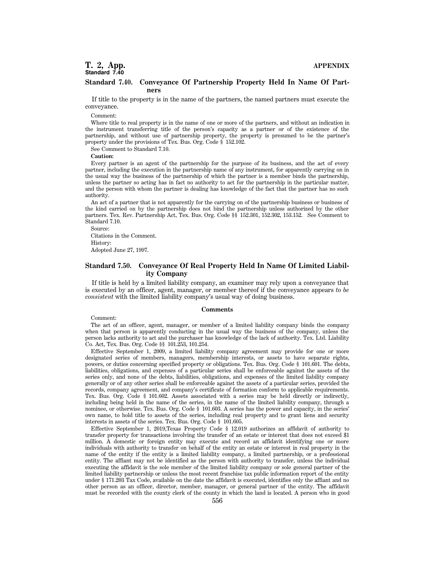# **T. 2, App. APPENDIX Standard 7.40**

#### **Standard 7.40. Conveyance Of Partnership Property Held In Name Of Partners**

If title to the property is in the name of the partners, the named partners must execute the conveyance.

Comment:

Where title to real property is in the name of one or more of the partners, and without an indication in the instrument transferring title of the person's capacity as a partner or of the existence of the partnership, and without use of partnership property, the property is presumed to be the partner's property under the provisions of Tex. Bus. Org. Code § 152.102.

See Comment to Standard 7.10.

**Caution:**

Every partner is an agent of the partnership for the purpose of its business, and the act of every partner, including the execution in the partnership name of any instrument, for apparently carrying on in the usual way the business of the partnership of which the partner is a member binds the partnership, unless the partner so acting has in fact no authority to act for the partnership in the particular matter, and the person with whom the partner is dealing has knowledge of the fact that the partner has no such authority.

An act of a partner that is not apparently for the carrying on of the partnership business or business of the kind carried on by the partnership does not bind the partnership unless authorized by the other partners. Tex. Rev. Partnership Act, Tex. Bus. Org. Code §§ 152.301, 152.302, 153.152. See Comment to Standard 7.10.

Source: Citations in the Comment. History: Adopted June 27, 1997.

# **Standard 7.50. Conveyance Of Real Property Held In Name Of Limited Liability Company**

If title is held by a limited liability company, an examiner may rely upon a conveyance that is executed by an officer, agent, manager, or member thereof if the conveyance appears *to be consistent* with the limited liability company's usual way of doing business.

#### **Comments**

Comment:

The act of an officer, agent, manager, or member of a limited liability company binds the company when that person is apparently conducting in the usual way the business of the company, unless the person lacks authority to act and the purchaser has knowledge of the lack of authority. Tex. Ltd. Liability Co. Act, Tex. Bus. Org. Code §§ 101.253, 101.254.

Effective September 1, 2009, a limited liability company agreement may provide for one or more designated series of members, managers, membership interests, or assets to have separate rights, powers, or duties concerning specified property or obligations. Tex. Bus. Org. Code § 101.601. The debts, liabilities, obligations, and expenses of a particular series shall be enforceable against the assets of the series only, and none of the debts, liabilities, obligations, and expenses of the limited liability company generally or of any other series shall be enforceable against the assets of a particular series, provided the records, company agreement, and company's certificate of formation conform to applicable requirements. Tex. Bus. Org. Code § 101.602. Assets associated with a series may be held directly or indirectly, including being held in the name of the series, in the name of the limited liability company, through a nominee, or otherwise. Tex. Bus. Org. Code § 101.603. A series has the power and capacity, in the series' own name, to hold title to assets of the series, including real property and to grant liens and security interests in assets of the series. Tex. Bus. Org. Code § 101.605.

Effective September 1, 2019,Texas Property Code § 12.019 authorizes an affidavit of authority to transfer property for transactions involving the transfer of an estate or interest that does not exceed \$1 million. A domestic or foreign entity may execute and record an affidavit identifying one or more individuals with authority to transfer on behalf of the entity an estate or interest in real property in the name of the entity if the entity is a limited liability company, a limited partnership, or a professional entity. The affiant may not be identified as the person with authority to transfer, unless the individual executing the affidavit is the sole member of the limited liability company or sole general partner of the limited liability partnership or unless the most recent franchise tax public information report of the entity under § 171.203 Tax Code, available on the date the affidavit is executed, identifies only the affiant and no other person as an officer, director, member, manager, or general partner of the entity. The affidavit must be recorded with the county clerk of the county in which the land is located. A person who in good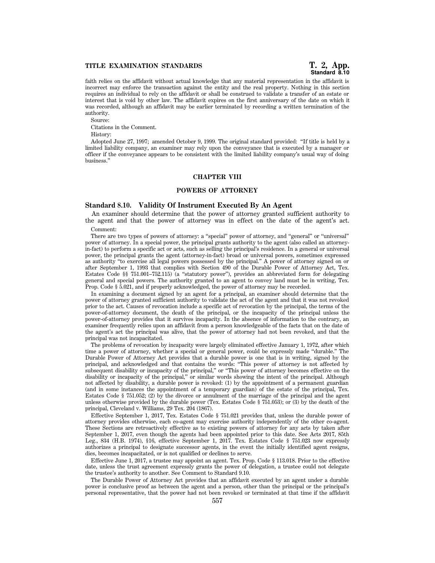# **Standard 8.10**

faith relies on the affidavit without actual knowledge that any material representation in the affidavit is incorrect may enforce the transaction against the entity and the real property. Nothing in this section requires an individual to rely on the affidavit or shall be construed to validate a transfer of an estate or interest that is void by other law. The affidavit expires on the first anniversary of the date on which it was recorded, although an affidavit may be earlier terminated by recording a written termination of the authority.

Source: Citations in the Comment.

History:

Adopted June 27, 1997; amended October 9, 1999. The original standard provided: ''If title is held by a limited liability company, an examiner may rely upon the conveyance that is executed by a manager or officer if the conveyance appears to be consistent with the limited liability company's usual way of doing business.''

### **CHAPTER VIII**

# **POWERS OF ATTORNEY**

# **Standard 8.10. Validity Of Instrument Executed By An Agent**

An examiner should determine that the power of attorney granted sufficient authority to the agent and that the power of attorney was in effect on the date of the agent's act.

Comment:

There are two types of powers of attorney: a ''special'' power of attorney, and ''general'' or ''universal'' power of attorney. In a special power, the principal grants authority to the agent (also called an attorneyin-fact) to perform a specific act or acts, such as selling the principal's residence. In a general or universal power, the principal grants the agent (attorney-in-fact) broad or universal powers, sometimes expressed as authority ''to exercise all legal powers possessed by the principal.'' A power of attorney signed on or after September 1, 1993 that complies with Section 490 of the Durable Power of Attorney Act, Tex. Estates Code §§ 751.001–752.115) (a ''statutory power''), provides an abbreviated form for delegating general and special powers. The authority granted to an agent to convey land must be in writing, Tex. Prop. Code § 5.021, and if properly acknowledged, the power of attorney may be recorded.

In examining a document signed by an agent for a principal, an examiner should determine that the power of attorney granted sufficient authority to validate the act of the agent and that it was not revoked prior to the act. Causes of revocation include a specific act of revocation by the principal, the terms of the power-of-attorney document, the death of the principal, or the incapacity of the principal unless the power-of-attorney provides that it survives incapacity. In the absence of information to the contrary, an examiner frequently relies upon an affidavit from a person knowledgeable of the facts that on the date of the agent's act the principal was alive, that the power of attorney had not been revoked, and that the principal was not incapacitated.

The problems of revocation by incapacity were largely eliminated effective January 1, 1972, after which time a power of attorney, whether a special or general power, could be expressly made ''durable.'' The Durable Power of Attorney Act provides that a durable power is one that is in writing, signed by the principal, and acknowledged and that contains the words: ''This power of attorney is not affected by subsequent disability or incapacity of the principal,'' or ''This power of attorney becomes effective on the disability or incapacity of the principal,'' or similar words showing the intent of the principal. Although not affected by disability, a durable power is revoked: (1) by the appointment of a permanent guardian (and in some instances the appointment of a temporary guardian) of the estate of the principal, Tex. Estates Code § 751.052; (2) by the divorce or annulment of the marriage of the principal and the agent unless otherwise provided by the durable power (Tex. Estates Code § 751.053); or (3) by the death of the principal, Cleveland v. Williams, 29 Tex. 204 (1867).

Effective September 1, 2017, Tex. Estates Code § 751.021 provides that, unless the durable power of attorney provides otherwise, each co-agent may exercise authority independently of the other co-agent. These Sections are retroactively effective as to existing powers of attorney for any acts by taken after September 1, 2017, even though the agents had been appointed prior to this date. See Acts 2017, 85th Leg., 834 (H.B. 1974), §16, effective September 1, 2017. Tex. Estates Code § 751.023 now expressly authorizes a principal to designate successor agents, in the event the initially identified agent resigns, dies, becomes incapacitated, or is not qualified or declines to serve.

Effective June 1, 2017, a trustee may appoint an agent. Tex. Prop. Code § 113.018. Prior to the effective date, unless the trust agreement expressly grants the power of delegation, a trustee could not delegate the trustee's authority to another. See Comment to Standard 9.10.

The Durable Power of Attorney Act provides that an affidavit executed by an agent under a durable power is conclusive proof as between the agent and a person, other than the principal or the principal's personal representative, that the power had not been revoked or terminated at that time if the affidavit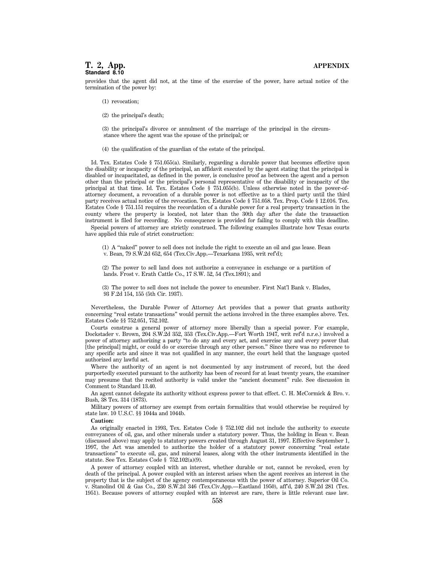# **T. 2, App. APPENDIX Standard 8.10**

provides that the agent did not, at the time of the exercise of the power, have actual notice of the termination of the power by:

- (1) revocation;
- (2) the principal's death;

(3) the principal's divorce or annulment of the marriage of the principal in the circumstance where the agent was the spouse of the principal; or

(4) the qualification of the guardian of the estate of the principal.

Id. Tex. Estates Code § 751.055(a). Similarly, regarding a durable power that becomes effective upon the disability or incapacity of the principal, an affidavit executed by the agent stating that the principal is disabled or incapacitated, as defined in the power, is conclusive proof as between the agent and a person other than the principal or the principal's personal representative of the disability or incapacity of the principal at that time. Id. Tex. Estates Code § 751.055(b). Unless otherwise noted in the power-ofattorney document, a revocation of a durable power is not effective as to a third party until the third party receives actual notice of the revocation. Tex. Estates Code § 751.058. Tex. Prop. Code § 12.016. Tex. Estates Code § 751.151 requires the recordation of a durable power for a real property transaction in the county where the property is located, not later than the 30th day after the date the transaction instrument is filed for recording. No consequence is provided for failing to comply with this deadline.

Special powers of attorney are strictly construed. The following examples illustrate how Texas courts have applied this rule of strict construction:

(1) A ''naked'' power to sell does not include the right to execute an oil and gas lease. Bean v. Bean, 79 S.W.2d 652, 654 (Tex.Civ.App.—Texarkana 1935, writ ref'd);

(2) The power to sell land does not authorize a conveyance in exchange or a partition of lands. Frost v. Erath Cattle Co., 17 S.W. 52, 54 (Tex.1891); and

(3) The power to sell does not include the power to encumber. First Nat'l Bank v. Blades, 93 F.2d 154, 155 (5th Cir. 1937).

Nevertheless, the Durable Power of Attorney Act provides that a power that grants authority concerning ''real estate transactions'' would permit the actions involved in the three examples above. Tex. Estates Code §§ 752.051, 752.102.

Courts construe a general power of attorney more liberally than a special power. For example, Dockstader v. Brown, 204 S.W.2d 352, 353 (Tex.Civ.App.—Fort Worth 1947, writ ref'd n.r.e.) involved a power of attorney authorizing a party ''to do any and every act, and exercise any and every power that [the principal] might, or could do or exercise through any other person.'' Since there was no reference to any specific acts and since it was not qualified in any manner, the court held that the language quoted authorized any lawful act.

Where the authority of an agent is not documented by any instrument of record, but the deed purportedly executed pursuant to the authority has been of record for at least twenty years, the examiner may presume that the recited authority is valid under the "ancient document" rule. See discussion in Comment to Standard 13.40.

An agent cannot delegate its authority without express power to that effect. C. H. McCormick & Bro. v. Bush, 38 Tex. 314 (1873).

Military powers of attorney are exempt from certain formalities that would otherwise be required by state law. 10 U.S.C. §§ 1044a and 1044b.

#### **Caution:**

As originally enacted in 1993, Tex. Estates Code § 752.102 did not include the authority to execute conveyances of oil, gas, and other minerals under a statutory power. Thus, the holding in Bean v. Bean (discussed above) may apply to statutory powers created through August 31, 1997. Effective September 1, 1997, the Act was amended to authorize the holder of a statutory power concerning ''real estate transactions'' to execute oil, gas, and mineral leases, along with the other instruments identified in the statute. See Tex. Estates Code § 752.102(a)(9).

A power of attorney coupled with an interest, whether durable or not, cannot be revoked, even by death of the principal. A power coupled with an interest arises when the agent receives an interest in the property that is the subject of the agency contemporaneous with the power of attorney. Superior Oil Co. v. Stanolind Oil & Gas Co., 230 S.W.2d 346 (Tex.Civ.App.—Eastland 1950), aff'd, 240 S.W.2d 281 (Tex. 1951). Because powers of attorney coupled with an interest are rare, there is little relevant case law.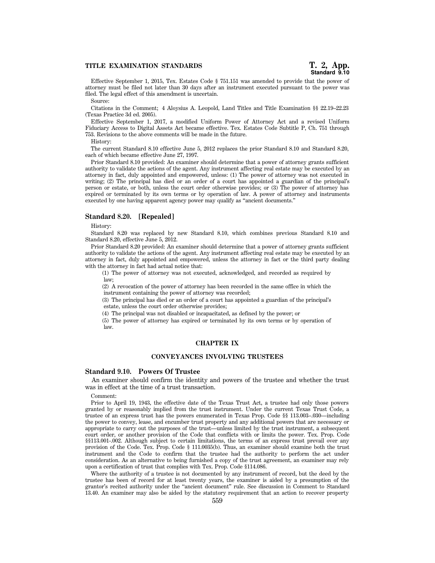Effective September 1, 2015, Tex. Estates Code § 751.151 was amended to provide that the power of attorney must be filed not later than 30 days after an instrument executed pursuant to the power was filed. The legal effect of this amendment is uncertain.

Source:

Citations in the Comment; 4 Aloysius A. Leopold, Land Titles and Title Examination §§ 22.19–22.23 (Texas Practice 3d ed. 2005).

Effective September 1, 2017, a modified Uniform Power of Attorney Act and a revised Uniform Fiduciary Access to Digital Assets Act became effective. Tex. Estates Code Subtitle P, Ch. 751 through 753. Revisions to the above comments will be made in the future.

History:

The current Standard 8.10 effective June 5, 2012 replaces the prior Standard 8.10 and Standard 8.20, each of which became effective June 27, 1997.

Prior Standard 8.10 provided: An examiner should determine that a power of attorney grants sufficient authority to validate the actions of the agent. Any instrument affecting real estate may be executed by an attorney in fact, duly appointed and empowered, unless: (1) The power of attorney was not executed in writing; (2) The principal has died or an order of a court has appointed a guardian of the principal's person or estate, or both, unless the court order otherwise provides; or (3) The power of attorney has expired or terminated by its own terms or by operation of law. A power of attorney and instruments executed by one having apparent agency power may qualify as ''ancient documents.''

# **Standard 8.20. [Repealed]**

History:

Standard 8.20 was replaced by new Standard 8.10, which combines previous Standard 8.10 and Standard 8.20, effective June 5, 2012.

Prior Standard 8.20 provided: An examiner should determine that a power of attorney grants sufficient authority to validate the actions of the agent. Any instrument affecting real estate may be executed by an attorney in fact, duly appointed and empowered, unless the attorney in fact or the third party dealing with the attorney in fact had actual notice that:

(1) The power of attorney was not executed, acknowledged, and recorded as required by law;

(2) A revocation of the power of attorney has been recorded in the same office in which the instrument containing the power of attorney was recorded;

(3) The principal has died or an order of a court has appointed a guardian of the principal's estate, unless the court order otherwise provides;

(4) The principal was not disabled or incapacitated, as defined by the power; or

(5) The power of attorney has expired or terminated by its own terms or by operation of law.

# **CHAPTER IX**

#### **CONVEYANCES INVOLVING TRUSTEES**

#### **Standard 9.10. Powers Of Trustee**

An examiner should confirm the identity and powers of the trustee and whether the trust was in effect at the time of a trust transaction.

Comment:

Prior to April 19, 1943, the effective date of the Texas Trust Act, a trustee had only those powers granted by or reasonably implied from the trust instrument. Under the current Texas Trust Code, a trustee of an express trust has the powers enumerated in Texas Prop. Code §§ 113.003–.030—including the power to convey, lease, and encumber trust property and any additional powers that are necessary or appropriate to carry out the purposes of the trust—unless limited by the trust instrument, a subsequent court order, or another provision of the Code that conflicts with or limits the power. Tex. Prop. Code §§113.001-.002. Although subject to certain limitations, the terms of an express trust prevail over any provision of the Code. Tex. Prop. Code § 111.0035(b). Thus, an examiner should examine both the trust instrument and the Code to confirm that the trustee had the authority to perform the act under consideration. As an alternative to being furnished a copy of the trust agreement, an examiner may rely upon a certification of trust that complies with Tex. Prop. Code §114.086.

Where the authority of a trustee is not documented by any instrument of record, but the deed by the trustee has been of record for at least twenty years, the examiner is aided by a presumption of the grantor's recited authority under the ''ancient document'' rule. See discussion in Comment to Standard 13.40. An examiner may also be aided by the statutory requirement that an action to recover property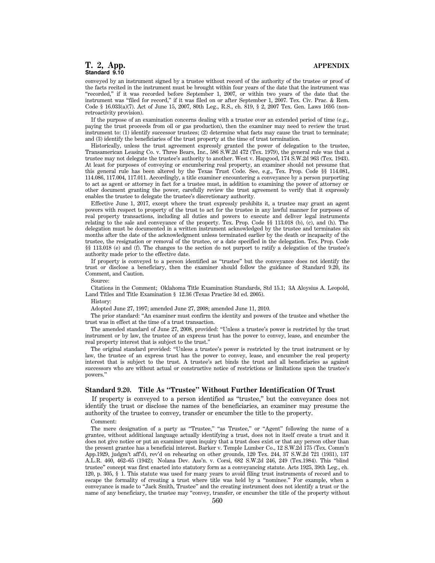# **T. 2, App. APPENDIX Standard 9.10**

conveyed by an instrument signed by a trustee without record of the authority of the trustee or proof of the facts recited in the instrument must be brought within four years of the date that the instrument was ''recorded,'' if it was recorded before September 1, 2007, or within two years of the date that the instrument was ''filed for record,'' if it was filed on or after September 1, 2007. Tex. Civ. Prac. & Rem. Code § 16.033(a)(7). Act of June 15, 2007, 80th Leg., R.S., ch. 819, § 2, 2007 Tex. Gen. Laws 1695 (nonretroactivity provision).

If the purpose of an examination concerns dealing with a trustee over an extended period of time (e.g., paying the trust proceeds from oil or gas production), then the examiner may need to review the trust instrument to: (1) identify successor trustees; (2) determine what facts may cause the trust to terminate; and (3) identify the beneficiaries of the trust property at the time of trust termination.

Historically, unless the trust agreement expressly granted the power of delegation to the trustee, Transamerican Leasing Co. v. Three Bears, Inc., 586 S.W.2d 472 (Tex. 1979), the general rule was that a trustee may not delegate the trustee's authority to another. West v. Hapgood, 174 S.W.2d 963 (Tex. 1943). At least for purposes of conveying or encumbering real property, an examiner should not presume that this general rule has been altered by the Texas Trust Code. See, e.g., Tex. Prop. Code §§ 114.081, 114.086, 117.004, 117.011. Accordingly, a title examiner encountering a conveyance by a person purporting to act as agent or attorney in fact for a trustee must, in addition to examining the power of attorney or other document granting the power, carefully review the trust agreement to verify that it expressly enables the trustee to delegate the trustee's discretionary authority.

Effective June 1, 2017, except where the trust expressly prohibits it, a trustee may grant an agent powers with respect to property of the trust to act for the trustee in any lawful manner for purposes of real property transactions, including all duties and powers to execute and deliver legal instruments relating to the sale and conveyance of the property. Tex. Prop. Code §§ 113.018 (b), (c), and (h). The delegation must be documented in a written instrument acknowledged by the trustee and terminates six months after the date of the acknowledgment unless terminated earlier by the death or incapacity of the trustee, the resignation or removal of the trustee, or a date specified in the delegation. Tex. Prop. Code §§ 113.018 (e) and (f). The changes to the section do not purport to ratify a delegation of the trustee's authority made prior to the effective date.

If property is conveyed to a person identified as ''trustee'' but the conveyance does not identify the trust or disclose a beneficiary, then the examiner should follow the guidance of Standard 9.20, its Comment, and Caution.

Source:

Citations in the Comment; Oklahoma Title Examination Standards, Std 15.1; 3A Aloysius A. Leopold, Land Titles and Title Examination § 12.36 (Texas Practice 3d ed. 2005).

History:

Adopted June 27, 1997; amended June 27, 2008; amended June 11, 2010.

The prior standard: ''An examiner must confirm the identity and powers of the trustee and whether the trust was in effect at the time of a trust transaction.

The amended standard of June 27, 2008, provided: ''Unless a trustee's power is restricted by the trust instrument or by law, the trustee of an express trust has the power to convey, lease, and encumber the real property interest that is subject to the trust.''

The original standard provided: ''Unless a trustee's power is restricted by the trust instrument or by law, the trustee of an express trust has the power to convey, lease, and encumber the real property interest that is subject to the trust. A trustee's act binds the trust and all beneficiaries as against successors who are without actual or constructive notice of restrictions or limitations upon the trustee's powers.''

#### **Standard 9.20. Title As ''Trustee'' Without Further Identification Of Trust**

If property is conveyed to a person identified as ''trustee,'' but the conveyance does not identify the trust or disclose the names of the beneficiaries, an examiner may presume the authority of the trustee to convey, transfer or encumber the title to the property.

#### Comment:

The mere designation of a party as "Trustee," "as Trustee," or "Agent" following the name of a grantee, without additional language actually identifying a trust, does not in itself create a trust and it does not give notice or put an examiner upon inquiry that a trust does exist or that any person other than the present grantee has a beneficial interest. Barker v. Temple Lumber Co., 12 S.W.2d 175 (Tex. Comm'n App.1929, judgm't aff'd), rev'd on rehearing on other grounds, 120 Tex. 244, 37 S.W.2d 721 (1931), 137 A.L.R. 460, 462–65 (1942); Nolana Dev. Ass'n. v. Corsi, 682 S.W.2d 246, 249 (Tex.1984). This ''blind trustee'' concept was first enacted into statutory form as a conveyancing statute. Acts 1925, 39th Leg., ch. 120, p. 305, § 1. This statute was used for many years to avoid filing trust instruments of record and to escape the formality of creating a trust where title was held by a ''nominee.'' For example, when a conveyance is made to ''Jack Smith, Trustee'' and the creating instrument does not identify a trust or the name of any beneficiary, the trustee may ''convey, transfer, or encumber the title of the property without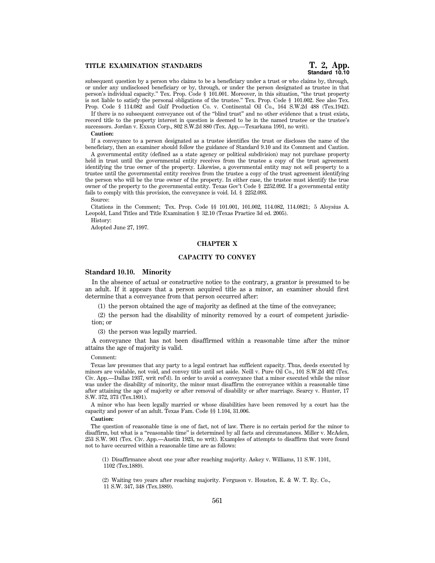# **Standard 10.10**

subsequent question by a person who claims to be a beneficiary under a trust or who claims by, through, or under any undisclosed beneficiary or by, through, or under the person designated as trustee in that person's individual capacity.'' Tex. Prop. Code § 101.001. Moreover, in this situation, ''the trust property is not liable to satisfy the personal obligations of the trustee.'' Tex. Prop. Code § 101.002. See also Tex. Prop. Code § 114.082 and Gulf Production Co. v. Continental Oil Co., 164 S.W.2d 488 (Tex.1942).

If there is no subsequent conveyance out of the ''blind trust'' and no other evidence that a trust exists, record title to the property interest in question is deemed to be in the named trustee or the trustee's successors. Jordan v. Exxon Corp., 802 S.W.2d 880 (Tex. App.—Texarkana 1991, no writ).

#### **Caution:**

If a conveyance to a person designated as a trustee identifies the trust or discloses the name of the beneficiary, then an examiner should follow the guidance of Standard 9.10 and its Comment and Caution.

A governmental entity (defined as a state agency or political subdivision) may not purchase property held in trust until the governmental entity receives from the trustee a copy of the trust agreement identifying the true owner of the property. Likewise, a governmental entity may not sell property to a trustee until the governmental entity receives from the trustee a copy of the trust agreement identifying the person who will be the true owner of the property. In either case, the trustee must identify the true owner of the property to the governmental entity. Texas Gov't Code § 2252.092. If a governmental entity fails to comply with this provision, the conveyance is void. Id. § 2252.093.

#### Source:

Citations in the Comment; Tex. Prop. Code §§ 101.001, 101.002, 114.082, 114.0821; 5 Aloysius A. Leopold, Land Titles and Title Examination § 32.10 (Texas Practice 3d ed. 2005).

History:

Adopted June 27, 1997.

### **CHAPTER X**

# **CAPACITY TO CONVEY**

#### **Standard 10.10. Minority**

In the absence of actual or constructive notice to the contrary, a grantor is presumed to be an adult. If it appears that a person acquired title as a minor, an examiner should first determine that a conveyance from that person occurred after:

(1) the person obtained the age of majority as defined at the time of the conveyance;

(2) the person had the disability of minority removed by a court of competent jurisdiction; or

(3) the person was legally married.

A conveyance that has not been disaffirmed within a reasonable time after the minor attains the age of majority is valid.

#### Comment:

Texas law presumes that any party to a legal contract has sufficient capacity. Thus, deeds executed by minors are voidable, not void, and convey title until set aside. Neill v. Pure Oil Co., 101 S.W.2d 402 (Tex. Civ. App.—Dallas 1937, writ ref'd). In order to avoid a conveyance that a minor executed while the minor was under the disability of minority, the minor must disaffirm the conveyance within a reasonable time after attaining the age of majority or after removal of disability or after marriage. Searcy v. Hunter, 17 S.W. 372, 373 (Tex.1891).

A minor who has been legally married or whose disabilities have been removed by a court has the capacity and power of an adult. Texas Fam. Code §§ 1.104, 31.006.

#### **Caution:**

The question of reasonable time is one of fact, not of law. There is no certain period for the minor to disaffirm, but what is a "reasonable time" is determined by all facts and circumstances. Miller v. McAden, 253 S.W. 901 (Tex. Civ. App.—Austin 1923, no writ). Examples of attempts to disaffirm that were found not to have occurred within a reasonable time are as follows:

(1) Disaffirmance about one year after reaching majority. Askey v. Williams, 11 S.W. 1101, 1102 (Tex.1889).

(2) Waiting two years after reaching majority. Ferguson v. Houston, E. & W. T. Ry. Co., 11 S.W. 347, 348 (Tex.1889).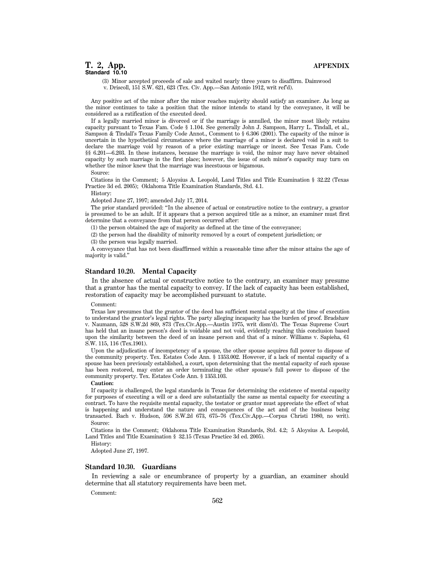# **T. 2, App. APPENDIX Standard 10.10**

(3) Minor accepted proceeds of sale and waited nearly three years to disaffirm. Daimwood v. Driscoll, 151 S.W. 621, 623 (Tex. Civ. App.—San Antonio 1912, writ ref'd).

Any positive act of the minor after the minor reaches majority should satisfy an examiner. As long as the minor continues to take a position that the minor intends to stand by the conveyance, it will be considered as a ratification of the executed deed.

If a legally married minor is divorced or if the marriage is annulled, the minor most likely retains capacity pursuant to Texas Fam. Code § 1.104. See generally John J. Sampson, Harry L. Tindall, et al., Sampson & Tindall's Texas Family Code Annot., Comment to § 6.306 (2001). The capacity of the minor is uncertain in the hypothetical circumstance where the marriage of a minor is declared void in a suit to declare the marriage void by reason of a prior existing marriage or incest. See Texas Fam. Code §§ 6.201—6.203. In these instances, because the marriage is void, the minor may have never obtained capacity by such marriage in the first place; however, the issue of such minor's capacity may turn on whether the minor knew that the marriage was incestuous or bigamous.

Source:

Citations in the Comment; 5 Aloysius A. Leopold, Land Titles and Title Examination § 32.22 (Texas Practice 3d ed. 2005); Oklahoma Title Examination Standards, Std. 4.1.

History:

Adopted June 27, 1997; amended July 17, 2014.

The prior standard provided: ''In the absence of actual or constructive notice to the contrary, a grantor is presumed to be an adult. If it appears that a person acquired title as a minor, an examiner must first determine that a conveyance from that person occurred after:

(1) the person obtained the age of majority as defined at the time of the conveyance;

(2) the person had the disability of minority removed by a court of competent jurisdiction; or

(3) the person was legally married.

A conveyance that has not been disaffirmed within a reasonable time after the minor attains the age of majority is valid.''

# **Standard 10.20. Mental Capacity**

In the absence of actual or constructive notice to the contrary, an examiner may presume that a grantor has the mental capacity to convey. If the lack of capacity has been established, restoration of capacity may be accomplished pursuant to statute.

#### Comment:

Texas law presumes that the grantor of the deed has sufficient mental capacity at the time of execution to understand the grantor's legal rights. The party alleging incapacity has the burden of proof. Bradshaw v. Naumann, 528 S.W.2d 869, 873 (Tex.Civ.App.—Austin 1975, writ dism'd). The Texas Supreme Court has held that an insane person's deed is voidable and not void, evidently reaching this conclusion based upon the similarity between the deed of an insane person and that of a minor. Williams v. Sapieha, 61 S.W. 115, 116 (Tex.1901).

Upon the adjudication of incompetency of a spouse, the other spouse acquires full power to dispose of the community property. Tex. Estates Code Ann. § 1353.002. However, if a lack of mental capacity of a spouse has been previously established, a court, upon determining that the mental capacity of such spouse has been restored, may enter an order terminating the other spouse's full power to dispose of the community property. Tex. Estates Code Ann. § 1353.103.

#### **Caution:**

If capacity is challenged, the legal standards in Texas for determining the existence of mental capacity for purposes of executing a will or a deed are substantially the same as mental capacity for executing a contract. To have the requisite mental capacity, the testator or grantor must appreciate the effect of what is happening and understand the nature and consequences of the act and of the business being transacted. Bach v. Hudson, 596 S.W.2d 673, 675–76 (Tex.Civ.App.—Corpus Christi 1980, no writ). Source:

Citations in the Comment; Oklahoma Title Examination Standards, Std. 4.2; 5 Aloysius A. Leopold, Land Titles and Title Examination § 32.15 (Texas Practice 3d ed. 2005).

History:

Adopted June 27, 1997.

#### **Standard 10.30. Guardians**

In reviewing a sale or encumbrance of property by a guardian, an examiner should determine that all statutory requirements have been met.

Comment: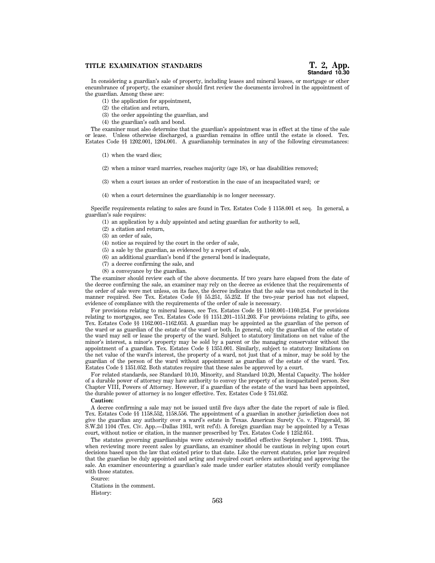#### **TITLE EXAMINATION STANDARDS**

In considering a guardian's sale of property, including leases and mineral leases, or mortgage or other encumbrance of property, the examiner should first review the documents involved in the appointment of the guardian. Among these are:

- (1) the application for appointment,
- (2) the citation and return,
- (3) the order appointing the guardian, and
- (4) the guardian's oath and bond.

The examiner must also determine that the guardian's appointment was in effect at the time of the sale or lease. Unless otherwise discharged, a guardian remains in office until the estate is closed. Tex. Estates Code §§ 1202.001, 1204.001. A guardianship terminates in any of the following circumstances:

- (1) when the ward dies;
- (2) when a minor ward marries, reaches majority (age 18), or has disabilities removed;
- (3) when a court issues an order of restoration in the case of an incapacitated ward; or
- (4) when a court determines the guardianship is no longer necessary.

Specific requirements relating to sales are found in Tex. Estates Code § 1158.001 et seq. In general, a guardian's sale requires:

- (1) an application by a duly appointed and acting guardian for authority to sell,
- (2) a citation and return,
- (3) an order of sale,
- (4) notice as required by the court in the order of sale,
- (5) a sale by the guardian, as evidenced by a report of sale,
- (6) an additional guardian's bond if the general bond is inadequate,
- (7) a decree confirming the sale, and
- (8) a conveyance by the guardian.

The examiner should review each of the above documents. If two years have elapsed from the date of the decree confirming the sale, an examiner may rely on the decree as evidence that the requirements of the order of sale were met unless, on its face, the decree indicates that the sale was not conducted in the manner required. See Tex. Estates Code §§ 55.251, 55.252. If the two-year period has not elapsed, evidence of compliance with the requirements of the order of sale is necessary.

For provisions relating to mineral leases, see Tex. Estates Code §§ 1160.001–1160.254. For provisions relating to mortgages, see Tex. Estates Code §§ 1151.201–1151.203. For provisions relating to gifts, see Tex. Estates Code §§ 1162.001–1162.053. A guardian may be appointed as the guardian of the person of the ward or as guardian of the estate of the ward or both. In general, only the guardian of the estate of the ward may sell or lease the property of the ward. Subject to statutory limitations on net value of the minor's interest, a minor's property may be sold by a parent or the managing conservator without the appointment of a guardian. Tex. Estates Code § 1351.001. Similarly, subject to statutory limitations on the net value of the ward's interest, the property of a ward, not just that of a minor, may be sold by the guardian of the person of the ward without appointment as guardian of the estate of the ward. Tex. Estates Code § 1351.052. Both statutes require that these sales be approved by a court.

For related standards, see Standard 10.10, Minority, and Standard 10.20, Mental Capacity. The holder of a durable power of attorney may have authority to convey the property of an incapacitated person. See Chapter VIII, Powers of Attorney. However, if a guardian of the estate of the ward has been appointed, the durable power of attorney is no longer effective. Tex. Estates Code § 751.052.

#### **Caution:**

A decree confirming a sale may not be issued until five days after the date the report of sale is filed. Tex. Estates Code §§ 1158.552, 1158.556. The appointment of a guardian in another jurisdiction does not give the guardian any authority over a ward's estate in Texas. American Surety Co. v. Fitzgerald, 36 S.W.2d 1104 (Tex. Civ. App.—Dallas 1931, writ ref'd). A foreign guardian may be appointed by a Texas court, without notice or citation, in the manner prescribed by Tex. Estates Code § 1252.051.

The statutes governing guardianships were extensively modified effective September 1, 1993. Thus, when reviewing more recent sales by guardians, an examiner should be cautious in relying upon court decisions based upon the law that existed prior to that date. Like the current statutes, prior law required that the guardian be duly appointed and acting and required court orders authorizing and approving the sale. An examiner encountering a guardian's sale made under earlier statutes should verify compliance with those statutes.

Source:

Citations in the comment. History: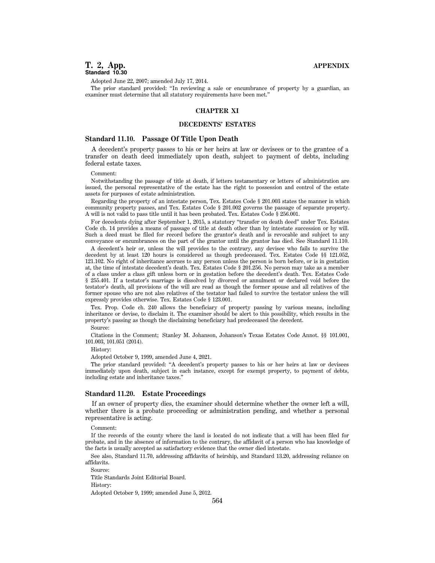Adopted June 22, 2007; amended July 17, 2014.

The prior standard provided: ''In reviewing a sale or encumbrance of property by a guardian, an examiner must determine that all statutory requirements have been met.''

# **CHAPTER XI**

# **DECEDENTS' ESTATES**

# **Standard 11.10. Passage Of Title Upon Death**

A decedent's property passes to his or her heirs at law or devisees or to the grantee of a transfer on death deed immediately upon death, subject to payment of debts, including federal estate taxes.

#### Comment:

Notwithstanding the passage of title at death, if letters testamentary or letters of administration are issued, the personal representative of the estate has the right to possession and control of the estate assets for purposes of estate administration.

Regarding the property of an intestate person, Tex. Estates Code § 201.003 states the manner in which community property passes, and Tex. Estates Code § 201.002 governs the passage of separate property. A will is not valid to pass title until it has been probated. Tex. Estates Code § 256.001.

For decedents dying after September 1, 2015, a statutory ''transfer on death deed'' under Tex. Estates Code ch. 14 provides a means of passage of title at death other than by intestate succession or by will. Such a deed must be filed for record before the grantor's death and is revocable and subject to any conveyance or encumbrances on the part of the grantor until the grantor has died. See Standard 11.110.

A decedent's heir or, unless the will provides to the contrary, any devisee who fails to survive the decedent by at least 120 hours is considered as though predeceased. Tex. Estates Code §§ 121.052, 121.102. No right of inheritance accrues to any person unless the person is born before, or is in gestation at, the time of intestate decedent's death. Tex. Estates Code § 201.256. No person may take as a member of a class under a class gift unless born or in gestation before the decedent's death. Tex. Estates Code § 255.401. If a testator's marriage is dissolved by divorced or annulment or declared void before the testator's death, all provisions of the will are read as though the former spouse and all relatives of the former spouse who are not also relatives of the testator had failed to survive the testator unless the will expressly provides otherwise. Tex. Estates Code § 123.001.

Tex. Prop. Code ch. 240 allows the beneficiary of property passing by various means, including inheritance or devise, to disclaim it. The examiner should be alert to this possibility, which results in the property's passing as though the disclaiming beneficiary had predeceased the decedent.

#### Source:

Citations in the Comment; Stanley M. Johanson, Johanson's Texas Estates Code Annot. §§ 101.001, 101.003, 101.051 (2014).

## History:

Adopted October 9, 1999, amended June 4, 2021.

The prior standard provided: ''A decedent's property passes to his or her heirs at law or devisees immediately upon death, subject in each instance, except for exempt property, to payment of debts, including estate and inheritance taxes.''

#### **Standard 11.20. Estate Proceedings**

If an owner of property dies, the examiner should determine whether the owner left a will, whether there is a probate proceeding or administration pending, and whether a personal representative is acting.

#### Comment:

If the records of the county where the land is located do not indicate that a will has been filed for probate, and in the absence of information to the contrary, the affidavit of a person who has knowledge of the facts is usually accepted as satisfactory evidence that the owner died intestate.

See also, Standard 11.70, addressing affidavits of heirship, and Standard 13.20, addressing reliance on affidavits.

Source:

Title Standards Joint Editorial Board.

History:

Adopted October 9, 1999; amended June 5, 2012.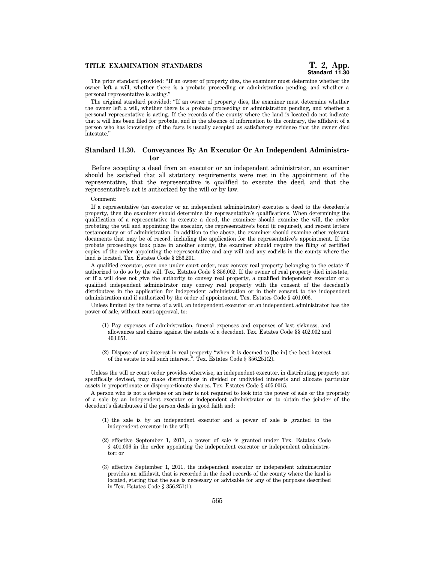The prior standard provided: ''If an owner of property dies, the examiner must determine whether the owner left a will, whether there is a probate proceeding or administration pending, and whether a personal representative is acting.''

The original standard provided: ''If an owner of property dies, the examiner must determine whether the owner left a will, whether there is a probate proceeding or administration pending, and whether a personal representative is acting. If the records of the county where the land is located do not indicate that a will has been filed for probate, and in the absence of information to the contrary, the affidavit of a person who has knowledge of the facts is usually accepted as satisfactory evidence that the owner died intestate.''

# **Standard 11.30. Conveyances By An Executor Or An Independent Administrator**

Before accepting a deed from an executor or an independent administrator, an examiner should be satisfied that all statutory requirements were met in the appointment of the representative, that the representative is qualified to execute the deed, and that the representative's act is authorized by the will or by law.

#### Comment:

If a representative (an executor or an independent administrator) executes a deed to the decedent's property, then the examiner should determine the representative's qualifications. When determining the qualification of a representative to execute a deed, the examiner should examine the will, the order probating the will and appointing the executor, the representative's bond (if required), and recent letters testamentary or of administration. In addition to the above, the examiner should examine other relevant documents that may be of record, including the application for the representative's appointment. If the probate proceedings took place in another county, the examiner should require the filing of certified copies of the order appointing the representative and any will and any codicils in the county where the land is located. Tex. Estates Code § 256.201.

A qualified executor, even one under court order, may convey real property belonging to the estate if authorized to do so by the will. Tex. Estates Code § 356.002. If the owner of real property died intestate, or if a will does not give the authority to convey real property, a qualified independent executor or a qualified independent administrator may convey real property with the consent of the decedent's distributees in the application for independent administration or in their consent to the independent administration and if authorized by the order of appointment. Tex. Estates Code § 401.006.

Unless limited by the terms of a will, an independent executor or an independent administrator has the power of sale, without court approval, to:

- (1) Pay expenses of administration, funeral expenses and expenses of last sickness, and allowances and claims against the estate of a decedent. Tex. Estates Code §§ 402.002 and 403.051.
- (2) Dispose of any interest in real property ''when it is deemed to [be in] the best interest of the estate to sell such interest.''. Tex. Estates Code § 356.251(2).

Unless the will or court order provides otherwise, an independent executor, in distributing property not specifically devised, may make distributions in divided or undivided interests and allocate particular assets in proportionate or disproportionate shares. Tex. Estates Code § 405.0015.

A person who is not a devisee or an heir is not required to look into the power of sale or the propriety of a sale by an independent executor or independent administrator or to obtain the joinder of the decedent's distributees if the person deals in good faith and:

- (1) the sale is by an independent executor and a power of sale is granted to the independent executor in the will;
- (2) effective September 1, 2011, a power of sale is granted under Tex. Estates Code § 401.006 in the order appointing the independent executor or independent administrator; or
- (3) effective September 1, 2011, the independent executor or independent administrator provides an affidavit, that is recorded in the deed records of the county where the land is located, stating that the sale is necessary or advisable for any of the purposes described in Tex. Estates Code § 356.251(1).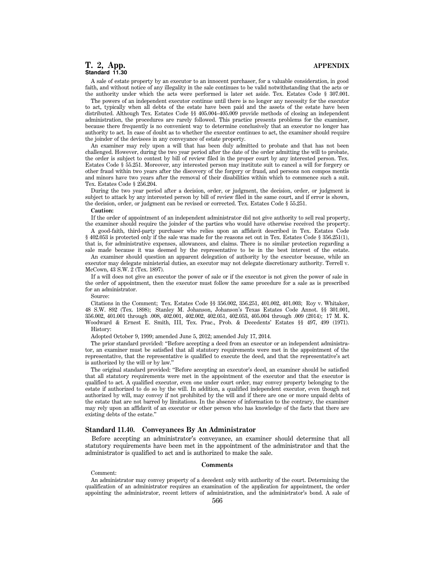# **T. 2, App. APPENDIX Standard 11.30**

A sale of estate property by an executor to an innocent purchaser, for a valuable consideration, in good faith, and without notice of any illegality in the sale continues to be valid notwithstanding that the acts or the authority under which the acts were performed is later set aside. Tex. Estates Code § 307.001.

The powers of an independent executor continue until there is no longer any necessity for the executor to act, typically when all debts of the estate have been paid and the assets of the estate have been distributed. Although Tex. Estates Code §§ 405.004–405.009 provide methods of closing an independent administration, the procedures are rarely followed. This practice presents problems for the examiner, because there frequently is no convenient way to determine conclusively that an executor no longer has authority to act. In case of doubt as to whether the executor continues to act, the examiner should require the joinder of the devisees in any conveyance of estate property.

An examiner may rely upon a will that has been duly admitted to probate and that has not been challenged. However, during the two year period after the date of the order admitting the will to probate, the order is subject to contest by bill of review filed in the proper court by any interested person. Tex. Estates Code § 55.251. Moreover, any interested person may institute suit to cancel a will for forgery or other fraud within two years after the discovery of the forgery or fraud, and persons non compos mentis and minors have two years after the removal of their disabilities within which to commence such a suit. Tex. Estates Code § 256.204.

During the two year period after a decision, order, or judgment, the decision, order, or judgment is subject to attack by any interested person by bill of review filed in the same court, and if error is shown, the decision, order, or judgment can be revised or corrected. Tex. Estates Code § 55.251.

#### **Caution:**

If the order of appointment of an independent administrator did not give authority to sell real property, the examiner should require the joinder of the parties who would have otherwise received the property.

A good-faith, third-party purchaser who relies upon an affidavit described in Tex. Estates Code § 402.053 is protected only if the sale was made for the reasons set out in Tex. Estates Code § 356.251(1), that is, for administrative expenses, allowances, and claims. There is no similar protection regarding a sale made because it was deemed by the representative to be in the best interest of the estate.

An examiner should question an apparent delegation of authority by the executor because, while an executor may delegate ministerial duties, an executor may not delegate discretionary authority. Terrell v. McCown, 43 S.W. 2 (Tex. 1897).

If a will does not give an executor the power of sale or if the executor is not given the power of sale in the order of appointment, then the executor must follow the same procedure for a sale as is prescribed for an administrator.

#### Source:

Citations in the Comment; Tex. Estates Code §§ 356.002, 356.251, 401.002, 401.003; Roy v. Whitaker, 48 S.W. 892 (Tex. 1898); Stanley M. Johanson, Johanson's Texas Estates Code Annot. §§ 301.001, 356.002, 401.001 through .008, 402.001, 402.002, 402.051, 402.053, 405.004 through .009 (2014); 17 M. K. Woodward & Ernest E. Smith, III, Tex. Prac., Prob. & Decedents' Estates §§ 497, 499 (1971). History:

Adopted October 9, 1999; amended June 5, 2012; amended July 17, 2014.

The prior standard provided: ''Before accepting a deed from an executor or an independent administrator, an examiner must be satisfied that all statutory requirements were met in the appointment of the representative, that the representative is qualified to execute the deed, and that the representative's act is authorized by the will or by law.''

The original standard provided: ''Before accepting an executor's deed, an examiner should be satisfied that all statutory requirements were met in the appointment of the executor and that the executor is qualified to act. A qualified executor, even one under court order, may convey property belonging to the estate if authorized to do so by the will. In addition, a qualified independent executor, even though not authorized by will, may convey if not prohibited by the will and if there are one or more unpaid debts of the estate that are not barred by limitations. In the absence of information to the contrary, the examiner may rely upon an affidavit of an executor or other person who has knowledge of the facts that there are existing debts of the estate.''

# **Standard 11.40. Conveyances By An Administrator**

Before accepting an administrator's conveyance, an examiner should determine that all statutory requirements have been met in the appointment of the administrator and that the administrator is qualified to act and is authorized to make the sale.

#### **Comments**

#### Comment:

An administrator may convey property of a decedent only with authority of the court. Determining the qualification of an administrator requires an examination of the application for appointment, the order appointing the administrator, recent letters of administration, and the administrator's bond. A sale of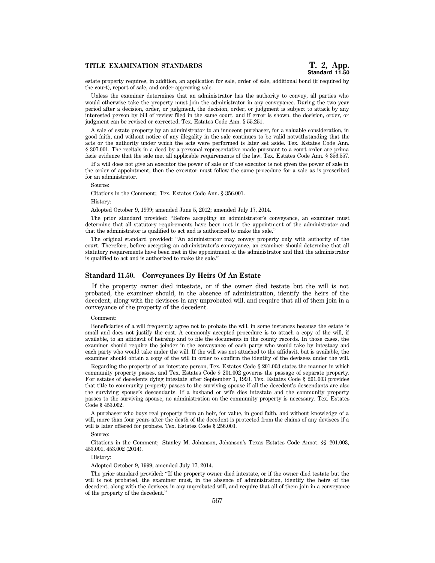estate property requires, in addition, an application for sale, order of sale, additional bond (if required by the court), report of sale, and order approving sale.

Unless the examiner determines that an administrator has the authority to convey, all parties who would otherwise take the property must join the administrator in any conveyance. During the two-year period after a decision, order, or judgment, the decision, order, or judgment is subject to attack by any interested person by bill of review filed in the same court, and if error is shown, the decision, order, or judgment can be revised or corrected. Tex. Estates Code Ann. § 55.251.

A sale of estate property by an administrator to an innocent purchaser, for a valuable consideration, in good faith, and without notice of any illegality in the sale continues to be valid notwithstanding that the acts or the authority under which the acts were performed is later set aside. Tex. Estates Code Ann. § 307.001. The recitals in a deed by a personal representative made pursuant to a court order are prima facie evidence that the sale met all applicable requirements of the law. Tex. Estates Code Ann. § 356.557.

If a will does not give an executor the power of sale or if the executor is not given the power of sale in the order of appointment, then the executor must follow the same procedure for a sale as is prescribed for an administrator.

Source:

Citations in the Comment; Tex. Estates Code Ann. § 356.001.

History:

Adopted October 9, 1999; amended June 5, 2012; amended July 17, 2014.

The prior standard provided: ''Before accepting an administrator's conveyance, an examiner must determine that all statutory requirements have been met in the appointment of the administrator and that the administrator is qualified to act and is authorized to make the sale.''

The original standard provided: ''An administrator may convey property only with authority of the court. Therefore, before accepting an administrator's conveyance, an examiner should determine that all statutory requirements have been met in the appointment of the administrator and that the administrator is qualified to act and is authorized to make the sale.''

## **Standard 11.50. Conveyances By Heirs Of An Estate**

If the property owner died intestate, or if the owner died testate but the will is not probated, the examiner should, in the absence of administration, identify the heirs of the decedent, along with the devisees in any unprobated will, and require that all of them join in a conveyance of the property of the decedent.

Comment:

Beneficiaries of a will frequently agree not to probate the will, in some instances because the estate is small and does not justify the cost. A commonly accepted procedure is to attach a copy of the will, if available, to an affidavit of heirship and to file the documents in the county records. In those cases, the examiner should require the joinder in the conveyance of each party who would take by intestacy and each party who would take under the will. If the will was not attached to the affidavit, but is available, the examiner should obtain a copy of the will in order to confirm the identity of the devisees under the will.

Regarding the property of an intestate person, Tex. Estates Code § 201.003 states the manner in which community property passes, and Tex. Estates Code § 201.002 governs the passage of separate property. For estates of decedents dying intestate after September 1, 1993, Tex. Estates Code § 201.003 provides that title to community property passes to the surviving spouse if all the decedent's descendants are also the surviving spouse's descendants. If a husband or wife dies intestate and the community property passes to the surviving spouse, no administration on the community property is necessary. Tex. Estates Code § 453.002.

A purchaser who buys real property from an heir, for value, in good faith, and without knowledge of a will, more than four years after the death of the decedent is protected from the claims of any devisees if a will is later offered for probate. Tex. Estates Code § 256.003.

Source:

Citations in the Comment; Stanley M. Johanson, Johanson's Texas Estates Code Annot. §§ 201.003, 453.001, 453.002 (2014).

History:

Adopted October 9, 1999; amended July 17, 2014.

The prior standard provided: ''If the property owner died intestate, or if the owner died testate but the will is not probated, the examiner must, in the absence of administration, identify the heirs of the decedent, along with the devisees in any unprobated will, and require that all of them join in a conveyance of the property of the decedent.''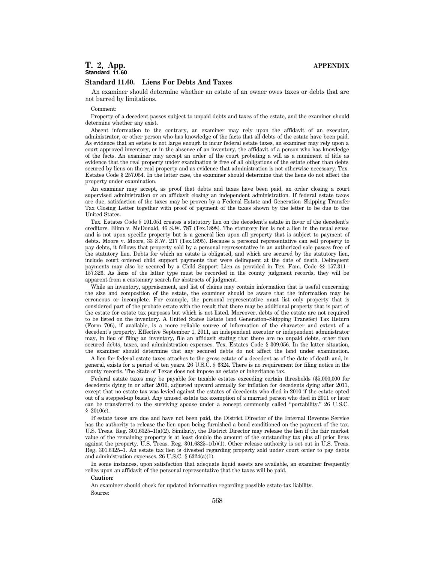# **T. 2, App. APPENDIX Standard 11.60**

#### **Standard 11.60. Liens For Debts And Taxes**

An examiner should determine whether an estate of an owner owes taxes or debts that are not barred by limitations.

#### Comment:

Property of a decedent passes subject to unpaid debts and taxes of the estate, and the examiner should determine whether any exist.

Absent information to the contrary, an examiner may rely upon the affidavit of an executor, administrator, or other person who has knowledge of the facts that all debts of the estate have been paid. As evidence that an estate is not large enough to incur federal estate taxes, an examiner may rely upon a court approved inventory, or in the absence of an inventory, the affidavit of a person who has knowledge of the facts. An examiner may accept an order of the court probating a will as a muniment of title as evidence that the real property under examination is free of all obligations of the estate other than debts secured by liens on the real property and as evidence that administration is not otherwise necessary. Tex. Estates Code § 257.054. In the latter case, the examiner should determine that the liens do not affect the property under examination.

An examiner may accept, as proof that debts and taxes have been paid, an order closing a court supervised administration or an affidavit closing an independent administration. If federal estate taxes are due, satisfaction of the taxes may be proven by a Federal Estate and Generation–Skipping Transfer Tax Closing Letter together with proof of payment of the taxes shown by the letter to be due to the United States.

Tex. Estates Code § 101.051 creates a statutory lien on the decedent's estate in favor of the decedent's creditors. Blinn v. McDonald, 46 S.W. 787 (Tex.1898). The statutory lien is not a lien in the usual sense and is not upon specific property but is a general lien upon all property that is subject to payment of debts. Moore v. Moore, 33 S.W. 217 (Tex.1895). Because a personal representative can sell property to pay debts, it follows that property sold by a personal representative in an authorized sale passes free of the statutory lien. Debts for which an estate is obligated, and which are secured by the statutory lien, include court ordered child support payments that were delinquent at the date of death. Delinquent payments may also be secured by a Child Support Lien as provided in Tex. Fam. Code §§ 157.311– 157.326. As liens of the latter type must be recorded in the county judgment records, they will be apparent from a customary search for abstracts of judgment.

While an inventory, appraisement, and list of claims may contain information that is useful concerning the size and composition of the estate, the examiner should be aware that the information may be erroneous or incomplete. For example, the personal representative must list only property that is considered part of the probate estate with the result that there may be additional property that is part of the estate for estate tax purposes but which is not listed. Moreover, debts of the estate are not required to be listed on the inventory. A United States Estate (and Generation–Skipping Transfer) Tax Return (Form 706), if available, is a more reliable source of information of the character and extent of a decedent's property. Effective September 1, 2011, an independent executor or independent administrator may, in lieu of filing an inventory, file an affidavit stating that there are no unpaid debts, other than secured debts, taxes, and administration expenses. Tex. Estates Code § 309.056. In the latter situation, the examiner should determine that any secured debts do not affect the land under examination.

A lien for federal estate taxes attaches to the gross estate of a decedent as of the date of death and, in general, exists for a period of ten years. 26 U.S.C. § 6324. There is no requirement for filing notice in the county records. The State of Texas does not impose an estate or inheritance tax.

Federal estate taxes may be payable for taxable estates exceeding certain thresholds (\$5,000,000 for decedents dying in or after 2010, adjusted upward annually for inflation for decedents dying after 2011, except that no estate tax was levied against the estates of decedents who died in 2010 if the estate opted out of a stepped-up basis). Any unused estate tax exemption of a married person who died in 2011 or later can be transferred to the surviving spouse under a concept commonly called ''portability.'' 26 U.S.C. § 2010(c).

If estate taxes are due and have not been paid, the District Director of the Internal Revenue Service has the authority to release the lien upon being furnished a bond conditioned on the payment of the tax. U.S. Treas. Reg. 301.6325–1(a)(2). Similarly, the District Director may release the lien if the fair market value of the remaining property is at least double the amount of the outstanding tax plus all prior liens against the property. U.S. Treas. Reg. 301.6325–1(b)(1). Other release authority is set out in U.S. Treas. Reg. 301.6325–1. An estate tax lien is divested regarding property sold under court order to pay debts and administration expenses. 26 U.S.C. § 6324(a)(1).

In some instances, upon satisfaction that adequate liquid assets are available, an examiner frequently relies upon an affidavit of the personal representative that the taxes will be paid.

#### **Caution:**

An examiner should check for updated information regarding possible estate-tax liability. Source: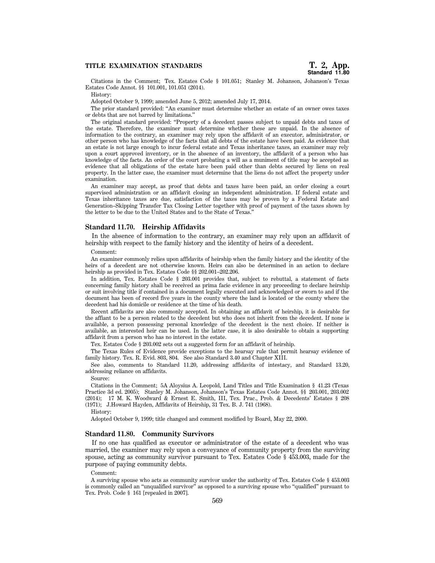Citations in the Comment; Tex. Estates Code § 101.051; Stanley M. Johanson, Johanson's Texas Estates Code Annot. §§ 101.001, 101.051 (2014).

History:

Adopted October 9, 1999; amended June 5, 2012; amended July 17, 2014.

The prior standard provided: ''An examiner must determine whether an estate of an owner owes taxes or debts that are not barred by limitations.''

The original standard provided: ''Property of a decedent passes subject to unpaid debts and taxes of the estate. Therefore, the examiner must determine whether these are unpaid. In the absence of information to the contrary, an examiner may rely upon the affidavit of an executor, administrator, or other person who has knowledge of the facts that all debts of the estate have been paid. As evidence that an estate is not large enough to incur federal estate and Texas inheritance taxes, an examiner may rely upon a court approved inventory, or in the absence of an inventory, the affidavit of a person who has knowledge of the facts. An order of the court probating a will as a muniment of title may be accepted as evidence that all obligations of the estate have been paid other than debts secured by liens on real property. In the latter case, the examiner must determine that the liens do not affect the property under examination.

An examiner may accept, as proof that debts and taxes have been paid, an order closing a court supervised administration or an affidavit closing an independent administration. If federal estate and Texas inheritance taxes are due, satisfaction of the taxes may be proven by a Federal Estate and Generation–Skipping Transfer Tax Closing Letter together with proof of payment of the taxes shown by the letter to be due to the United States and to the State of Texas.''

# **Standard 11.70. Heirship Affidavits**

In the absence of information to the contrary, an examiner may rely upon an affidavit of heirship with respect to the family history and the identity of heirs of a decedent.

Comment:

An examiner commonly relies upon affidavits of heirship when the family history and the identity of the heirs of a decedent are not otherwise known. Heirs can also be determined in an action to declare heirship as provided in Tex. Estates Code §§ 202.001–202.206.

In addition, Tex. Estates Code § 203.001 provides that, subject to rebuttal, a statement of facts concerning family history shall be received as prima facie evidence in any proceeding to declare heirship or suit involving title if contained in a document legally executed and acknowledged or sworn to and if the document has been of record five years in the county where the land is located or the county where the decedent had his domicile or residence at the time of his death.

Recent affidavits are also commonly accepted. In obtaining an affidavit of heirship, it is desirable for the affiant to be a person related to the decedent but who does not inherit from the decedent. If none is available, a person possessing personal knowledge of the decedent is the next choice. If neither is available, an interested heir can be used. In the latter case, it is also desirable to obtain a supporting affidavit from a person who has no interest in the estate.

Tex. Estates Code § 203.002 sets out a suggested form for an affidavit of heirship.

The Texas Rules of Evidence provide exceptions to the hearsay rule that permit hearsay evidence of family history. Tex. R. Evid. 803, 804. See also Standard 3.40 and Chapter XIII.

See also, comments to Standard 11.20, addressing affidavits of intestacy, and Standard 13.20, addressing reliance on affidavits.

Source:

Citations in the Comment; 5A Aloysius A. Leopold, Land Titles and Title Examination § 41.23 (Texas Practice 3d ed. 2005); Stanley M. Johanson, Johanson's Texas Estates Code Annot. §§ 203.001, 203.002 (2014); 17 M. K. Woodward & Ernest E. Smith, III, Tex. Prac., Prob. & Decedents' Estates § 208 (1971); J.Howard Hayden, Affidavits of Heirship, 31 Tex. B. J. 741 (1968).

History:

Adopted October 9, 1999; title changed and comment modified by Board, May 22, 2000.

# **Standard 11.80. Community Survivors**

If no one has qualified as executor or administrator of the estate of a decedent who was married, the examiner may rely upon a conveyance of community property from the surviving spouse, acting as community survivor pursuant to Tex. Estates Code § 453.003, made for the purpose of paying community debts.

#### Comment:

A surviving spouse who acts as community survivor under the authority of Tex. Estates Code § 453.003 is commonly called an ''unqualified survivor'' as opposed to a surviving spouse who ''qualified'' pursuant to Tex. Prob. Code § 161 [repealed in 2007].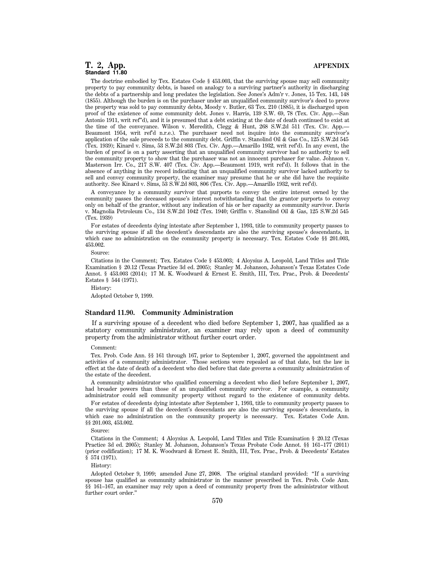# **T. 2, App. APPENDIX Standard 11.80**

The doctrine embodied by Tex. Estates Code § 453.003, that the surviving spouse may sell community property to pay community debts, is based on analogy to a surviving partner's authority in discharging the debts of a partnership and long predates the legislation. See Jones's Adm'r v. Jones, 15 Tex. 143, 148 (1855). Although the burden is on the purchaser under an unqualified community survivor's deed to prove the property was sold to pay community debts, Moody v. Butler, 63 Tex. 210 (1885), it is discharged upon proof of the existence of some community debt. Jones v. Harris, 139 S.W. 69, 78 (Tex. Civ. App.—San Antonio 1911, writ ref''d), and it is presumed that a debt existing at the date of death continued to exist at the time of the conveyance. Wilson v. Meredith, Clegg & Hunt, 268 S.W.2d 511 (Tex. Civ. App.— Beaumont 1954, writ ref'd n.r.e.). The purchaser need not inquire into the community survivor's application of the sale proceeds to the community debt. Griffin v. Stanolind Oil & Gas Co., 125 S.W.2d 545 (Tex. 1939); Kinard v. Sims, 53 S.W.2d 803 (Tex. Civ. App.—Amarillo 1932, writ ref'd). In any event, the burden of proof is on a party asserting that an unqualified community survivor had no authority to sell the community property to show that the purchaser was not an innocent purchaser for value. Johnson v. Masterson Irr. Co., 217 S.W. 407 (Tex. Civ. App.—Beaumont 1919, writ ref'd). It follows that in the absence of anything in the record indicating that an unqualified community survivor lacked authority to sell and convey community property, the examiner may presume that he or she did have the requisite authority. See Kinard v. Sims, 53 S.W.2d 803, 806 (Tex. Civ. App.—Amarillo 1932, writ ref'd).

A conveyance by a community survivor that purports to convey the entire interest owned by the community passes the deceased spouse's interest notwithstanding that the grantor purports to convey only on behalf of the grantor, without any indication of his or her capacity as community survivor. Davis v. Magnolia Petroleum Co., 134 S.W.2d 1042 (Tex. 1940; Griffin v. Stanolind Oil & Gas, 125 S.W.2d 545 (Tex. 1939)

For estates of decedents dying intestate after September 1, 1993, title to community property passes to the surviving spouse if all the decedent's descendants are also the surviving spouse's descendants, in which case no administration on the community property is necessary. Tex. Estates Code §§ 201.003, 453.002.

Source:

Citations in the Comment; Tex. Estates Code § 453.003; 4 Aloysius A. Leopold, Land Titles and Title Examination § 20.12 (Texas Practice 3d ed. 2005); Stanley M. Johanson, Johanson's Texas Estates Code Annot. § 453.003 (2014); 17 M. K. Woodward & Ernest E. Smith, III, Tex. Prac., Prob. & Decedents' Estates § 544 (1971).

History:

Adopted October 9, 1999.

### **Standard 11.90. Community Administration**

If a surviving spouse of a decedent who died before September 1, 2007, has qualified as a statutory community administrator, an examiner may rely upon a deed of community property from the administrator without further court order.

#### Comment:

Tex. Prob. Code Ann. §§ 161 through 167, prior to September 1, 2007, governed the appointment and activities of a community administrator. Those sections were repealed as of that date, but the law in effect at the date of death of a decedent who died before that date governs a community administration of the estate of the decedent.

A community administrator who qualified concerning a decedent who died before September 1, 2007, had broader powers than those of an unqualified community survivor. For example, a community administrator could sell community property without regard to the existence of community debts.

For estates of decedents dying intestate after September 1, 1993, title to community property passes to the surviving spouse if all the decedent's descendants are also the surviving spouse's descendants, in which case no administration on the community property is necessary. Tex. Estates Code Ann. §§ 201.003, 453.002.

Source:

Citations in the Comment; 4 Aloysius A. Leopold, Land Titles and Title Examination § 20.12 (Texas Practice 3d ed. 2005); Stanley M. Johanson, Johanson's Texas Probate Code Annot. §§ 161–177 (2011) (prior codification); 17 M. K. Woodward & Ernest E. Smith, III, Tex. Prac., Prob. & Decedents' Estates § 574 (1971).

History:

Adopted October 9, 1999; amended June 27, 2008. The original standard provided: ''If a surviving spouse has qualified as community administrator in the manner prescribed in Tex. Prob. Code Ann. §§ 161–167, an examiner may rely upon a deed of community property from the administrator without further court order.''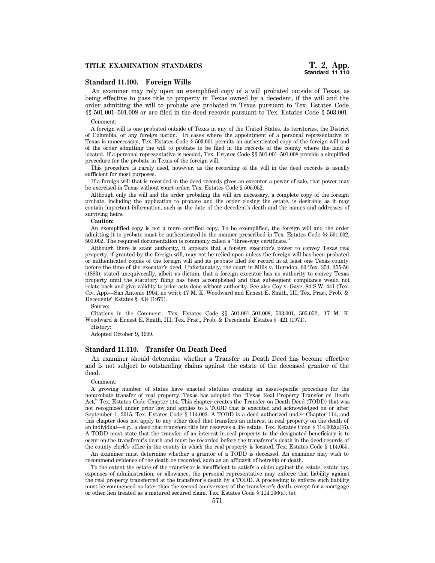# **Standard 11.100. Foreign Wills**

An examiner may rely upon an exemplified copy of a will probated outside of Texas, as being effective to pass title to property in Texas owned by a decedent, if the will and the order admitting the will to probate are probated in Texas pursuant to Tex. Estates Code §§ 501.001–501.008 or are filed in the deed records pursuant to Tex. Estates Code § 503.001.

#### Comment:

A foreign will is one probated outside of Texas in any of the United States, its territories, the District of Columbia, or any foreign nation. In cases where the appointment of a personal representative in Texas is unnecessary, Tex. Estates Code § 503.001 permits an authenticated copy of the foreign will and of the order admitting the will to probate to be filed in the records of the county where the land is located. If a personal representative is needed, Tex. Estates Code §§ 501.001–501.008 provide a simplified procedure for the probate in Texas of the foreign will.

This procedure is rarely used, however, as the recording of the will in the deed records is usually sufficient for most purposes.

If a foreign will that is recorded in the deed records gives an executor a power of sale, that power may be exercised in Texas without court order. Tex. Estates Code § 505.052.

Although only the will and the order probating the will are necessary, a complete copy of the foreign probate, including the application to probate and the order closing the estate, is desirable as it may contain important information, such as the date of the decedent's death and the names and addresses of surviving heirs.

#### **Caution:**

An exemplified copy is not a mere certified copy. To be exemplified, the foreign will and the order admitting it to probate must be authenticated in the manner prescribed in Tex. Estates Code §§ 501.002, 503.002. The required documentation is commonly called a ''three-way certificate.''

Although there is scant authority, it appears that a foreign executor's power to convey Texas real property, if granted by the foreign will, may not be relied upon unless the foreign will has been probated or authenticated copies of the foreign will and its probate filed for record in at least one Texas county before the time of the executor's deed. Unfortunately, the court in Mills v. Herndon, 60 Tex. 353, 355-56 (1883), stated unequivocally, albeit as dictum, that a foreign executor has no authority to convey Texas property until the statutory filing has been accomplished and that subsequent compliance would not relate back and give validity to prior acts done without authority. See also Coy v. Gaye, 84 S.W. 441 (Tex. Civ. App.—San Antonio 1904, no writ); 17 M. K. Woodward and Ernest E. Smith, III, Tex. Prac., Prob. & Decedents' Estates § 434 (1971).

Source:

Citations in the Comment; Tex. Estates Code §§ 501.001–501.008, 503.001, 505.052; 17 M. K. Woodward & Ernest E. Smith, III, Tex. Prac., Prob. & Decedents' Estates § 421 (1971).

History:

Adopted October 9, 1999.

# **Standard 11.110. Transfer On Death Deed**

An examiner should determine whether a Transfer on Death Deed has become effective and is not subject to outstanding claims against the estate of the deceased grantor of the deed.

#### Comment:

A growing number of states have enacted statutes creating an asset-specific procedure for the nonprobate transfer of real property. Texas has adopted the ''Texas Real Property Transfer on Death Act,'' Tex. Estates Code Chapter 114. This chapter creates the Transfer on Death Deed (TODD) that was not recognized under prior law and applies to a TODD that is executed and acknowledged on or after September 1, 2015. Tex. Estates Code § 114.003. A TODD is a deed authorized under Chapter 114, and this chapter does not apply to any other deed that transfers an interest in real property on the death of an individual—e.g., a deed that transfers title but reserves a life estate. Tex. Estates Code § 114.002(a)(6). A TODD must state that the transfer of an interest in real property to the designated beneficiary is to occur on the transferor's death and must be recorded before the transferor's death in the deed records of the county clerk's office in the county in which the real property is located. Tex. Estates Code § 114.055.

An examiner must determine whether a grantor of a TODD is deceased. An examiner may wish to recommend evidence of the death be recorded, such as an affidavit of heirship or death.

To the extent the estate of the transferor is insufficient to satisfy a claim against the estate, estate tax, expenses of administration, or allowance, the personal representative may enforce that liability against the real property transferred at the transferor's death by a TODD. A proceeding to enforce such liability must be commenced no later than the second anniversary of the transferor's death, except for a mortgage or other lien treated as a matured secured claim. Tex. Estates Code § 114.106(a), (e).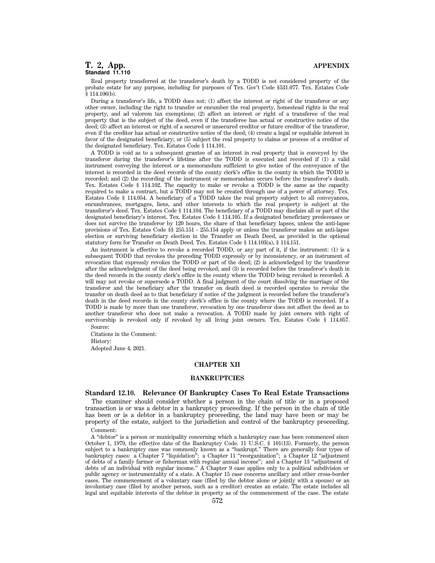# **T. 2, App. APPENDIX Standard 11.110**

Real property transferred at the transferor's death by a TODD is not considered property of the probate estate for any purpose, including for purposes of Tex. Gov't Code §531.077. Tex. Estates Code  $§$  114.106(b).

During a transferor's life, a TODD does not: (1) affect the interest or right of the transferor or any other owner, including the right to transfer or encumber the real property, homestead rights in the real property, and ad valorem tax exemptions; (2) affect an interest or right of a transferee of the real property that is the subject of the deed, even if the transferee has actual or constructive notice of the deed; (3) affect an interest or right of a secured or unsecured creditor or future creditor of the transferor, even if the creditor has actual or constructive notice of the deed; (4) create a legal or equitable interest in favor of the designated beneficiary; or (5) subject the real property to claims or process of a creditor of the designated beneficiary. Tex. Estates Code § 114.101.

A TODD is void as to a subsequent grantee of an interest in real property that is conveyed by the transferor during the transferor's lifetime after the TODD is executed and recorded if (1) a valid instrument conveying the interest or a memorandum sufficient to give notice of the conveyance of the interest is recorded in the deed records of the county clerk's office in the county in which the TODD is recorded; and (2) the recording of the instrument or memorandum occurs before the transferor's death. Tex. Estates Code § 114.102. The capacity to make or revoke a TODD is the same as the capacity required to make a contract, but a TODD may not be created through use of a power of attorney. Tex. Estates Code § 114.054. A beneficiary of a TODD takes the real property subject to all conveyances, encumbrances, mortgages, liens, and other interests to which the real property is subject at the transferor's deed. Tex. Estates Code § 114.104. The beneficiary of a TODD may disclaim all or part of the designated beneficiary's interest. Tex. Estates Code § 114.105. If a designated beneficiary predeceases or does not survive the transferor by 120 hours, the share of that beneficiary lapses, unless the anti-lapse provisions of Tex. Estates Code §§ 255.151 - 255.154 apply or unless the transferor makes an anti-lapse election or surviving beneficiary election in the Transfer on Death Deed, as provided in the optional statutory form for Transfer on Death Deed. Tex. Estates Code § 114.103(a), § 114.151.

An instrument is effective to revoke a recorded TODD, or any part of it, if the instrument: (1) is a subsequent TODD that revokes the preceding TODD expressly or by inconsistency, or an instrument of revocation that expressly revokes the TODD or part of the deed; (2) is acknowledged by the transferor after the acknowledgment of the deed being revoked; and (3) is recorded before the transferor's death in the deed records in the county clerk's office in the county where the TODD being revoked is recorded. A will may not revoke or supersede a TODD. A final judgment of the court dissolving the marriage of the transferor and the beneficiary after the transfer on death deed is recorded operates to revoke the transfer on death deed as to that beneficiary if notice of the judgment is recorded before the transferor's death in the deed records in the county clerk's office in the county where the TODD is recorded. If a TODD is made by more than one transferor, revocation by one transferor does not affect the deed as to another transferor who does not make a revocation. A TODD made by joint owners with right of survivorship is revoked only if revoked by all living joint owners. Tex. Estates Code § 114.057. Source:

Citations in the Comment: History: Adopted June 4, 2021.

# **CHAPTER XII**

# **BANKRUPTCIES**

# **Standard 12.10. Relevance Of Bankruptcy Cases To Real Estate Transactions**

The examiner should consider whether a person in the chain of title or in a proposed transaction is or was a debtor in a bankruptcy proceeding. If the person in the chain of title has been or is a debtor in a bankruptcy proceeding, the land may have been or may be property of the estate, subject to the jurisdiction and control of the bankruptcy proceeding.

Comment:

A ''debtor'' is a person or municipality concerning which a bankruptcy case has been commenced since October 1, 1979, the effective date of the Bankruptcy Code. 11 U.S.C. § 101(13). Formerly, the person subject to a bankruptcy case was commonly known as a "bankrupt." There are generally four types of bankruptcy cases: a Chapter 7 "liquidation"; a Chapter 11 "reorganization"; a Chapter 12 "adjustment of debts of a family farmer or fisherman with regular annual income''; and a Chapter 13 ''adjustment of debts of an individual with regular income.'' A Chapter 9 case applies only to a political subdivision or public agency or instrumentality of a state. A Chapter 15 case concerns ancillary and other cross-border cases. The commencement of a voluntary case (filed by the debtor alone or jointly with a spouse) or an involuntary case (filed by another person, such as a creditor) creates an estate. The estate includes all legal and equitable interests of the debtor in property as of the commencement of the case. The estate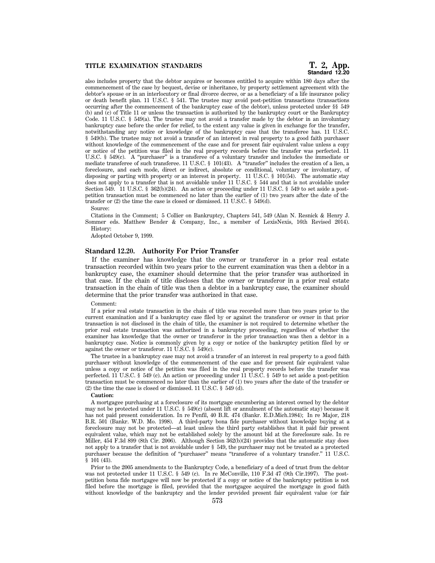# **Standard 12.20**

also includes property that the debtor acquires or becomes entitled to acquire within 180 days after the commencement of the case by bequest, devise or inheritance, by property settlement agreement with the debtor's spouse or in an interlocutory or final divorce decree, or as a beneficiary of a life insurance policy or death benefit plan. 11 U.S.C. § 541. The trustee may avoid post-petition transactions (transactions occurring after the commencement of the bankruptcy case of the debtor), unless protected under §§ 549 (b) and (c) of Title 11 or unless the transaction is authorized by the bankruptcy court or the Bankruptcy Code. 11 U.S.C. § 549(a). The trustee may not avoid a transfer made by the debtor in an involuntary bankruptcy case before the order for relief, to the extent any value is given in exchange for the transfer, notwithstanding any notice or knowledge of the bankruptcy case that the transferee has. 11 U.S.C. § 549(b). The trustee may not avoid a transfer of an interest in real property to a good faith purchaser without knowledge of the commencement of the case and for present fair equivalent value unless a copy or notice of the petition was filed in the real property records before the transfer was perfected. 11 U.S.C. § 549(c). A "purchaser" is a transferee of a voluntary transfer and includes the immediate or mediate transferee of such transferee. 11 U.S.C. § 101(43). A ''transfer'' includes the creation of a lien, a foreclosure, and each mode, direct or indirect, absolute or conditional, voluntary or involuntary, of disposing or parting with property or an interest in property. 11 U.S.C. § 101(54). The automatic stay does not apply to a transfer that is not avoidable under 11 U.S.C. § 544 and that is not avoidable under Section 549. 11 U.S.C. § 362(b)(24). An action or proceeding under 11 U.S.C. § 549 to set aside a postpetition transaction must be commenced no later than the earlier of (1) two years after the date of the transfer or (2) the time the case is closed or dismissed. 11 U.S.C. § 549(d).

Source:

Citations in the Comment; 5 Collier on Bankruptcy, Chapters 541, 549 (Alan N. Resnick & Henry J. Sommer eds. Matthew Bender & Company, Inc., a member of LexisNexis, 16th Revised 2014). History:

Adopted October 9, 1999.

#### **Standard 12.20. Authority For Prior Transfer**

If the examiner has knowledge that the owner or transferor in a prior real estate transaction recorded within two years prior to the current examination was then a debtor in a bankruptcy case, the examiner should determine that the prior transfer was authorized in that case. If the chain of title discloses that the owner or transferor in a prior real estate transaction in the chain of title was then a debtor in a bankruptcy case, the examiner should determine that the prior transfer was authorized in that case.

#### Comment:

If a prior real estate transaction in the chain of title was recorded more than two years prior to the current examination and if a bankruptcy case filed by or against the transferor or owner in that prior transaction is not disclosed in the chain of title, the examiner is not required to determine whether the prior real estate transaction was authorized in a bankruptcy proceeding, regardless of whether the examiner has knowledge that the owner or transferor in the prior transaction was then a debtor in a bankruptcy case. Notice is commonly given by a copy or notice of the bankruptcy petition filed by or against the owner or transferor. 11 U.S.C. § 549(c).

The trustee in a bankruptcy case may not avoid a transfer of an interest in real property to a good faith purchaser without knowledge of the commencement of the case and for present fair equivalent value unless a copy or notice of the petition was filed in the real property records before the transfer was perfected. 11 U.S.C. § 549 (c). An action or proceeding under 11 U.S.C. § 549 to set aside a post-petition transaction must be commenced no later than the earlier of (1) two years after the date of the transfer or (2) the time the case is closed or dismissed. 11 U.S.C. § 549 (d).

#### **Caution:**

A mortgagee purchasing at a foreclosure of its mortgage encumbering an interest owned by the debtor may not be protected under 11 U.S.C. § 549(c) (absent lift or annulment of the automatic stay) because it has not paid present consideration. In re Penfil, 40 B.R. 474 (Bankr. E.D.Mich.1984); In re Major, 218 B.R. 501 (Bankr. W.D. Mo. 1998). A third-party bona fide purchaser without knowledge buying at a foreclosure may not be protected—at least unless the third party establishes that it paid fair present equivalent value, which may not be established solely by the amount bid at the foreclosure sale. In re Miller, 454 F.3d 899 (8th Cir. 2006). Although Section 362(b)(24) provides that the automatic stay does not apply to a transfer that is not avoidable under § 549, the purchaser may not be treated as a protected purchaser because the definition of "purchaser" means "transferee of a voluntary transfer." 11 U.S.C. § 101 (43).

Prior to the 2005 amendments to the Bankruptcy Code, a beneficiary of a deed of trust from the debtor was not protected under 11 U.S.C. § 549 (c). In re McConville, 110 F.3d 47 (9th Cir.1997). The postpetition bona fide mortgagee will now be protected if a copy or notice of the bankruptcy petition is not filed before the mortgage is filed, provided that the mortgagee acquired the mortgage in good faith without knowledge of the bankruptcy and the lender provided present fair equivalent value (or fair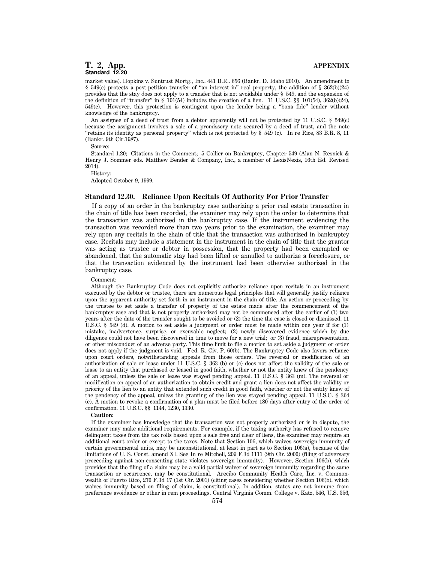# **T. 2, App. APPENDIX Standard 12.20**

market value). Hopkins v. Suntrust Mortg., Inc., 441 B.R.. 656 (Bankr. D. Idaho 2010). An amendment to § 549(c) protects a post-petition transfer of "an interest in" real property, the addition of § 362(b)(24) provides that the stay does not apply to a transfer that is not avoidable under § 549, and the expansion of the definition of "transfer" in § 101(54) includes the creation of a lien. 11 U.S.C. §§ 101(54),  $\frac{362(b)(24)}{24}$ , 549(c). However, this protection is contingent upon the lender being a ''bona fide'' lender without knowledge of the bankruptcy.

An assignee of a deed of trust from a debtor apparently will not be protected by 11 U.S.C. § 549(c) because the assignment involves a sale of a promissory note secured by a deed of trust, and the note ''retains its identity as personal property'' which is not protected by § 549 (c). In re Rice, 83 B.R. 8, 11 (Bankr. 9th Cir.1987).

Source:

Standard 1.20; Citations in the Comment; 5 Collier on Bankruptcy, Chapter 549 (Alan N. Resnick & Henry J. Sommer eds. Matthew Bender & Company, Inc., a member of LexisNexis, 16th Ed. Revised 2014).

History:

Adopted October 9, 1999.

## **Standard 12.30. Reliance Upon Recitals Of Authority For Prior Transfer**

If a copy of an order in the bankruptcy case authorizing a prior real estate transaction in the chain of title has been recorded, the examiner may rely upon the order to determine that the transaction was authorized in the bankruptcy case. If the instrument evidencing the transaction was recorded more than two years prior to the examination, the examiner may rely upon any recitals in the chain of title that the transaction was authorized in bankruptcy case. Recitals may include a statement in the instrument in the chain of title that the grantor was acting as trustee or debtor in possession, that the property had been exempted or abandoned, that the automatic stay had been lifted or annulled to authorize a foreclosure, or that the transaction evidenced by the instrument had been otherwise authorized in the bankruptcy case.

#### Comment:

Although the Bankruptcy Code does not explicitly authorize reliance upon recitals in an instrument executed by the debtor or trustee, there are numerous legal principles that will generally justify reliance upon the apparent authority set forth in an instrument in the chain of title. An action or proceeding by the trustee to set aside a transfer of property of the estate made after the commencement of the bankruptcy case and that is not properly authorized may not be commenced after the earlier of (1) two years after the date of the transfer sought to be avoided or (2) the time the case is closed or dismissed. 11 U.S.C. § 549 (d). A motion to set aside a judgment or order must be made within one year if for (1) mistake, inadvertence, surprise, or excusable neglect; (2) newly discovered evidence which by due diligence could not have been discovered in time to move for a new trial; or (3) fraud, misrepresentation, or other misconduct of an adverse party. This time limit to file a motion to set aside a judgment or order does not apply if the judgment is void. Fed. R. Civ. P. 60(b). The Bankruptcy Code also favors reliance upon court orders, notwithstanding appeals from those orders. The reversal or modification of an authorization of sale or lease under 11 U.S.C. § 363 (b) or (c) does not affect the validity of the sale or lease to an entity that purchased or leased in good faith, whether or not the entity knew of the pendency of an appeal, unless the sale or lease was stayed pending appeal. 11 U.S.C. § 363 (m). The reversal or modification on appeal of an authorization to obtain credit and grant a lien does not affect the validity or priority of the lien to an entity that extended such credit in good faith, whether or not the entity knew of the pendency of the appeal, unless the granting of the lien was stayed pending appeal. 11 U.S.C. § 364 (e). A motion to revoke a confirmation of a plan must be filed before 180 days after entry of the order of confirmation. 11 U.S.C. §§ 1144, 1230, 1330.

#### **Caution:**

If the examiner has knowledge that the transaction was not properly authorized or is in dispute, the examiner may make additional requirements. For example, if the taxing authority has refused to remove delinquent taxes from the tax rolls based upon a sale free and clear of liens, the examiner may require an additional court order or except to the taxes. Note that Section 106, which waives sovereign immunity of certain governmental units, may be unconstitutional, at least in part as to Section 106(a), because of the limitations of U. S. Const. amend XI. See In re Mitchell, 209 F.3d 1111 (9th Cir. 2000) (filing of adversary proceeding against non-consenting state violates sovereign immunity). However, Section 106(b), which provides that the filing of a claim may be a valid partial waiver of sovereign immunity regarding the same transaction or occurrence, may be constitutional. Arecibo Community Health Care, Inc. v. Commonwealth of Puerto Rico, 270 F.3d 17 (1st Cir. 2001) (citing cases considering whether Section 106(b), which waives immunity based on filing of claim, is constitutional). In addition, states are not immune from preference avoidance or other in rem proceedings. Central Virginia Comm. College v. Katz, 546, U.S. 356,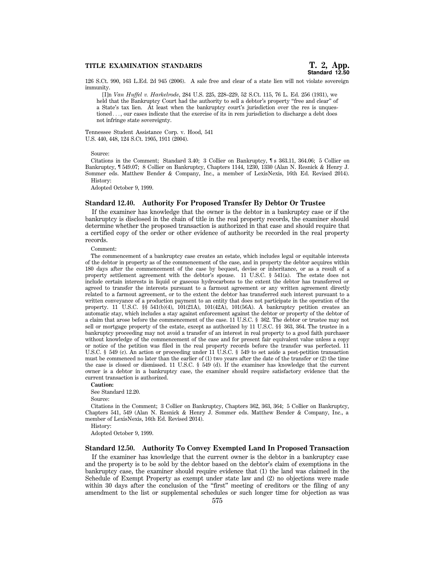126 S.Ct. 990, 163 L.Ed. 2d 945 (2006). A sale free and clear of a state lien will not violate sovereign immunity.

[I]n *Van Huffel v. Harkelrode*, 284 U.S. 225, 228–229, 52 S.Ct. 115, 76 L. Ed. 256 (1931), we held that the Bankruptcy Court had the authority to sell a debtor's property "free and clear" of a State's tax lien. At least when the bankruptcy court's jurisdiction over the res is unquestioned..., our cases indicate that the exercise of its in rem jurisdiction to discharge a debt does not infringe state sovereignty.

Tennessee Student Assistance Corp. v. Hood, 541 U.S. 440, 448, 124 S.Ct. 1905, 1911 (2004).

Source:

Citations in the Comment; Standard 3.40; 3 Collier on Bankruptcy, ¶ s 363.11, 364.06; 5 Collier on Bankruptcy, ¶ 549.07; 8 Collier on Bankruptcy, Chapters 1144, 1230, 1330 (Alan N. Resnick & Henry J. Sommer eds. Matthew Bender & Company, Inc., a member of LexisNexis, 16th Ed. Revised 2014). History:

Adopted October 9, 1999.

# **Standard 12.40. Authority For Proposed Transfer By Debtor Or Trustee**

If the examiner has knowledge that the owner is the debtor in a bankruptcy case or if the bankruptcy is disclosed in the chain of title in the real property records, the examiner should determine whether the proposed transaction is authorized in that case and should require that a certified copy of the order or other evidence of authority be recorded in the real property records.

Comment:

The commencement of a bankruptcy case creates an estate, which includes legal or equitable interests of the debtor in property as of the commencement of the case, and in property the debtor acquires within 180 days after the commencement of the case by bequest, devise or inheritance, or as a result of a property settlement agreement with the debtor's spouse. 11 U.S.C. § 541(a). The estate does not include certain interests in liquid or gaseous hydrocarbons to the extent the debtor has transferred or agreed to transfer the interests pursuant to a farmout agreement or any written agreement directly related to a farmout agreement, or to the extent the debtor has transferred such interest pursuant to a written conveyance of a production payment to an entity that does not participate in the operation of the property. 11 U.S.C. §§ 541(b)(4), 101(21A), 101(42A), 101(56A). A bankruptcy petition creates an automatic stay, which includes a stay against enforcement against the debtor or property of the debtor of a claim that arose before the commencement of the case. 11 U.S.C. § 362. The debtor or trustee may not sell or mortgage property of the estate, except as authorized by 11 U.S.C. §§ 363, 364. The trustee in a bankruptcy proceeding may not avoid a transfer of an interest in real property to a good faith purchaser without knowledge of the commencement of the case and for present fair equivalent value unless a copy or notice of the petition was filed in the real property records before the transfer was perfected. 11 U.S.C. § 549 (c). An action or proceeding under 11 U.S.C. § 549 to set aside a post-petition transaction must be commenced no later than the earlier of  $(1)$  two years after the date of the transfer or  $(2)$  the time the case is closed or dismissed. 11 U.S.C. § 549 (d). If the examiner has knowledge that the current owner is a debtor in a bankruptcy case, the examiner should require satisfactory evidence that the current transaction is authorized.

#### **Caution:**

See Standard 12.20.

Source:

Citations in the Comment; 3 Collier on Bankruptcy, Chapters 362, 363, 364; 5 Collier on Bankruptcy, Chapters 541, 549 (Alan N. Resnick & Henry J. Sommer eds. Matthew Bender & Company, Inc., a member of LexisNexis, 16th Ed. Revised 2014).

History:

Adopted October 9, 1999.

#### **Standard 12.50. Authority To Convey Exempted Land In Proposed Transaction**

If the examiner has knowledge that the current owner is the debtor in a bankruptcy case and the property is to be sold by the debtor based on the debtor's claim of exemptions in the bankruptcy case, the examiner should require evidence that (1) the land was claimed in the Schedule of Exempt Property as exempt under state law and (2) no objections were made within 30 days after the conclusion of the "first" meeting of creditors or the filing of any amendment to the list or supplemental schedules or such longer time for objection as was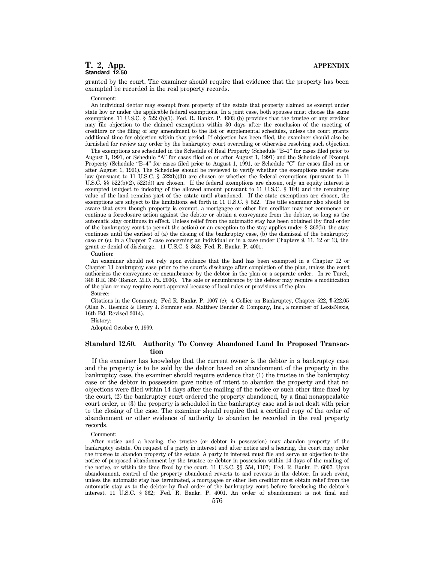# **T. 2, App. APPENDIX Standard 12.50**

granted by the court. The examiner should require that evidence that the property has been exempted be recorded in the real property records.

#### Comment:

An individual debtor may exempt from property of the estate that property claimed as exempt under state law or under the applicable federal exemptions. In a joint case, both spouses must choose the same exemptions. 11 U.S.C.  $\frac{5}{22}$  (b)(1). Fed. R. Bankr. P. 4003 (b) provides that the trustee or any creditor may file objection to the claimed exemptions within 30 days after the conclusion of the meeting of creditors or the filing of any amendment to the list or supplemental schedules, unless the court grants additional time for objection within that period. If objection has been filed, the examiner should also be furnished for review any order by the bankruptcy court overruling or otherwise resolving such objection.

The exemptions are scheduled in the Schedule of Real Property (Schedule "B-1" for cases filed prior to August 1, 1991, or Schedule "A" for cases filed on or after August 1, 1991) and the Schedule of Exempt Property (Schedule "B-4" for cases filed prior to August 1, 1991, or Schedule "C" for cases filed on or after August 1, 1991). The Schedules should be reviewed to verify whether the exemptions under state law (pursuant to 11 U.S.C. § 522(b)(3)) are chosen or whether the federal exemptions (pursuant to 11 U.S.C. §§ 522(b)(2), 522(d)) are chosen. If the federal exemptions are chosen, only an equity interest is exempted (subject to indexing of the allowed amount pursuant to 11 U.S.C. § 104) and the remaining value of the land remains part of the estate until abandoned. If the state exemptions are chosen, the exemptions are subject to the limitations set forth in 11 U.S.C. § 522. The title examiner also should be aware that even though property is exempt, a mortgagee or other lien creditor may not commence or continue a foreclosure action against the debtor or obtain a conveyance from the debtor, so long as the automatic stay continues in effect. Unless relief from the automatic stay has been obtained (by final order of the bankruptcy court to permit the action) or an exception to the stay applies under § 362(b), the stay continues until the earliest of (a) the closing of the bankruptcy case, (b) the dismissal of the bankruptcy case or (c), in a Chapter 7 case concerning an individual or in a case under Chapters 9, 11, 12 or 13, the grant or denial of discharge. 11 U.S.C. § 362; Fed. R. Bankr. P. 4001.

#### **Caution:**

An examiner should not rely upon evidence that the land has been exempted in a Chapter 12 or Chapter 13 bankruptcy case prior to the court's discharge after completion of the plan, unless the court authorizes the conveyance or encumbrance by the debtor in the plan or a separate order. In re Turek, 346 B.R. 350 (Bankr. M.D. Pa. 2006). The sale or encumbrance by the debtor may require a modification of the plan or may require court approval because of local rules or provisions of the plan.

Source:

Citations in the Comment; Fed R. Bankr. P. 1007 (c); 4 Collier on Bankruptcy, Chapter 522, ¶ 522.05 (Alan N. Resnick & Henry J. Sommer eds. Matthew Bender & Company, Inc., a member of LexisNexis, 16th Ed. Revised 2014).

History:

Adopted October 9, 1999.

# **Standard 12.60. Authority To Convey Abandoned Land In Proposed Transaction**

If the examiner has knowledge that the current owner is the debtor in a bankruptcy case and the property is to be sold by the debtor based on abandonment of the property in the bankruptcy case, the examiner should require evidence that (1) the trustee in the bankruptcy case or the debtor in possession gave notice of intent to abandon the property and that no objections were filed within 14 days after the mailing of the notice or such other time fixed by the court, (2) the bankruptcy court ordered the property abandoned, by a final nonappealable court order, or (3) the property is scheduled in the bankruptcy case and is not dealt with prior to the closing of the case. The examiner should require that a certified copy of the order of abandonment or other evidence of authority to abandon be recorded in the real property records.

#### Comment:

After notice and a hearing, the trustee (or debtor in possession) may abandon property of the bankruptcy estate. On request of a party in interest and after notice and a hearing, the court may order the trustee to abandon property of the estate. A party in interest must file and serve an objection to the notice of proposed abandonment by the trustee or debtor in possession within 14 days of the mailing of the notice, or within the time fixed by the court. 11 U.S.C. §§ 554, 1107; Fed. R. Bankr. P. 6007. Upon abandonment, control of the property abandoned reverts to and revests in the debtor. In such event, unless the automatic stay has terminated, a mortgagee or other lien creditor must obtain relief from the automatic stay as to the debtor by final order of the bankruptcy court before foreclosing the debtor's interest. 11 U.S.C. § 362; Fed. R. Bankr. P. 4001. An order of abandonment is not final and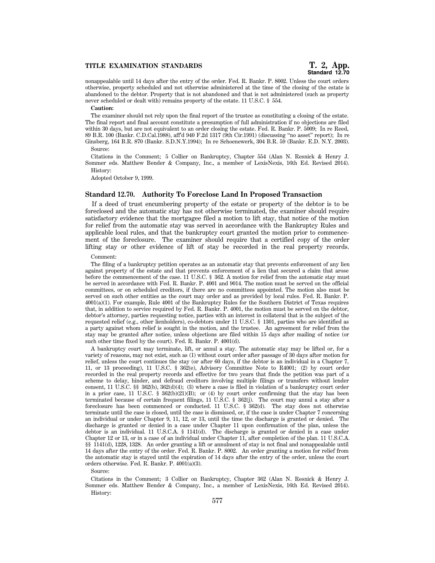nonappealable until 14 days after the entry of the order. Fed. R. Bankr. P. 8002. Unless the court orders otherwise, property scheduled and not otherwise administered at the time of the closing of the estate is abandoned to the debtor. Property that is not abandoned and that is not administered (such as property never scheduled or dealt with) remains property of the estate. 11 U.S.C. § 554.

#### **Caution:**

The examiner should not rely upon the final report of the trustee as constituting a closing of the estate. The final report and final account constitute a presumption of full administration if no objections are filed within 30 days, but are not equivalent to an order closing the estate. Fed. R. Bankr. P. 5009; In re Reed, 89 B.R. 100 (Bankr. C.D.Cal.1988), aff'd 940 F.2d 1317 (9th Cir.1991) (discussing ''no asset'' report); In re Ginsberg, 164 B.R. 870 (Bankr. S.D.N.Y.1994); In re Schoenewerk, 304 B.R. 59 (Bankr. E.D. N.Y. 2003). Source:

Citations in the Comment; 5 Collier on Bankruptcy, Chapter 554 (Alan N. Resnick & Henry J. Sommer eds. Matthew Bender & Company, Inc., a member of LexisNexis, 16th Ed. Revised 2014). History:

Adopted October 9, 1999.

# **Standard 12.70. Authority To Foreclose Land In Proposed Transaction**

If a deed of trust encumbering property of the estate or property of the debtor is to be foreclosed and the automatic stay has not otherwise terminated, the examiner should require satisfactory evidence that the mortgagee filed a motion to lift stay, that notice of the motion for relief from the automatic stay was served in accordance with the Bankruptcy Rules and applicable local rules, and that the bankruptcy court granted the motion prior to commencement of the foreclosure. The examiner should require that a certified copy of the order lifting stay or other evidence of lift of stay be recorded in the real property records.

#### Comment:

The filing of a bankruptcy petition operates as an automatic stay that prevents enforcement of any lien against property of the estate and that prevents enforcement of a lien that secured a claim that arose before the commencement of the case. 11 U.S.C. § 362. A motion for relief from the automatic stay must be served in accordance with Fed. R. Bankr. P. 4001 and 9014. The motion must be served on the official committees, or on scheduled creditors, if there are no committees appointed. The motion also must be served on such other entities as the court may order and as provided by local rules. Fed. R. Bankr. P. 4001(a)(1). For example, Rule 4001 of the Bankruptcy Rules for the Southern District of Texas requires that, in addition to service required by Fed. R. Bankr. P. 4001, the motion must be served on the debtor, debtor's attorney, parties requesting notice, parties with an interest in collateral that is the subject of the requested relief (e.g., other lienholders), co-debtors under 11 U.S.C. § 1301, parties who are identified as a party against whom relief is sought in the motion, and the trustee. An agreement for relief from the stay may be granted after notice, unless objections are filed within 15 days after mailing of notice (or such other time fixed by the court). Fed. R. Bankr. P. 4001(d).

A bankruptcy court may terminate, lift, or annul a stay. The automatic stay may be lifted or, for a variety of reasons, may not exist, such as (1) without court order after passage of 30 days after motion for relief, unless the court continues the stay (or after 60 days, if the debtor is an individual in a Chapter 7, 11, or 13 proceeding), 11 U.S.C. § 362(e), Advisory Committee Note to R4001; (2) by court order recorded in the real property records and effective for two years that finds the petition was part of a scheme to delay, hinder, and defraud creditors involving multiple filings or transfers without lender consent, 11 U.S.C. §§ 362(b), 362(d)(4); (3) where a case is filed in violation of a bankruptcy court order in a prior case, 11 U.S.C. §  $362(b)(21)(B)$ ; or (4) by court order confirming that the stay has been terminated because of certain frequent filings, 11 U.S.C. § 362(j). The court may annul a stay after a foreclosure has been commenced or conducted. 11 U.S.C. § 362(d). The stay does not otherwise terminate until the case is closed, until the case is dismissed, or, if the case is under Chapter 7 concerning an individual or under Chapter 9, 11, 12, or 13, until the time the discharge is granted or denied. The discharge is granted or denied in a case under Chapter 11 upon confirmation of the plan, unless the debtor is an individual. 11 U.S.C.A. § 1141(d). The discharge is granted or denied in a case under Chapter 12 or 13, or in a case of an individual under Chapter 11, after completion of the plan. 11 U.S.C.A. §§ 1141(d), 1228, 1328. An order granting a lift or annulment of stay is not final and nonappealable until 14 days after the entry of the order. Fed. R. Bankr. P. 8002. An order granting a motion for relief from the automatic stay is stayed until the expiration of 14 days after the entry of the order, unless the court orders otherwise. Fed. R. Bankr. P. 4001(a)(3).

Source:

Citations in the Comment; 3 Collier on Bankruptcy, Chapter 362 (Alan N. Resnick & Henry J. Sommer eds. Matthew Bender & Company, Inc., a member of LexisNexis, 16th Ed. Revised 2014). History: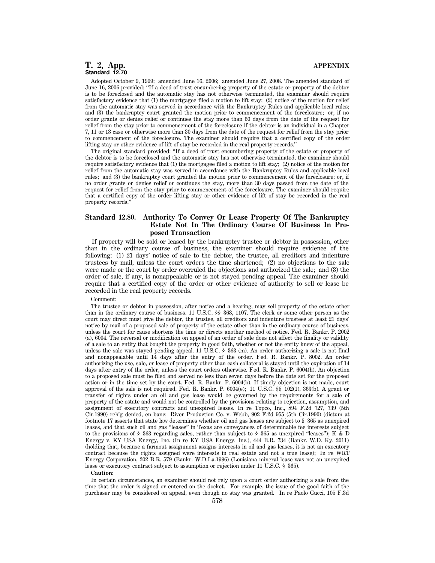# **T. 2, App. APPENDIX Standard 12.70**

Adopted October 9, 1999; amended June 16, 2006; amended June 27, 2008. The amended standard of June 16, 2006 provided: ''If a deed of trust encumbering property of the estate or property of the debtor is to be foreclosed and the automatic stay has not otherwise terminated, the examiner should require satisfactory evidence that (1) the mortgagee filed a motion to lift stay; (2) notice of the motion for relief from the automatic stay was served in accordance with the Bankruptcy Rules and applicable local rules; and (3) the bankruptcy court granted the motion prior to commencement of the foreclosure; or, if no order grants or denies relief or continues the stay more than 60 days from the date of the request for relief from the stay prior to commencement of the foreclosure if the debtor is an individual in a Chapter 7, 11 or 13 case or otherwise more than 30 days from the date of the request for relief from the stay prior to commencement of the foreclosure. The examiner should require that a certified copy of the order lifting stay or other evidence of lift of stay be recorded in the real property records.''

The original standard provided: ''If a deed of trust encumbering property of the estate or property of the debtor is to be foreclosed and the automatic stay has not otherwise terminated, the examiner should require satisfactory evidence that (1) the mortgagee filed a motion to lift stay; (2) notice of the motion for relief from the automatic stay was served in accordance with the Bankruptcy Rules and applicable local rules; and (3) the bankruptcy court granted the motion prior to commencement of the foreclosure; or, if no order grants or denies relief or continues the stay, more than 30 days passed from the date of the request for relief from the stay prior to commencement of the foreclosure. The examiner should require that a certified copy of the order lifting stay or other evidence of lift of stay be recorded in the real property records.''

# **Standard 12.80. Authority To Convey Or Lease Property Of The Bankruptcy Estate Not In The Ordinary Course Of Business In Proposed Transaction**

If property will be sold or leased by the bankruptcy trustee or debtor in possession, other than in the ordinary course of business, the examiner should require evidence of the following: (1) 21 days' notice of sale to the debtor, the trustee, all creditors and indenture trustees by mail, unless the court orders the time shortened; (2) no objections to the sale were made or the court by order overruled the objections and authorized the sale; and (3) the order of sale, if any, is nonappealable or is not stayed pending appeal. The examiner should require that a certified copy of the order or other evidence of authority to sell or lease be recorded in the real property records.

#### Comment:

The trustee or debtor in possession, after notice and a hearing, may sell property of the estate other than in the ordinary course of business. 11 U.S.C. §§ 363, 1107. The clerk or some other person as the court may direct must give the debtor, the trustee, all creditors and indenture trustees at least 21 days' notice by mail of a proposed sale of property of the estate other than in the ordinary course of business, unless the court for cause shortens the time or directs another method of notice. Fed. R. Bankr. P. 2002 (a), 6004. The reversal or modification on appeal of an order of sale does not affect the finality or validity of a sale to an entity that bought the property in good faith, whether or not the entity knew of the appeal, unless the sale was stayed pending appeal. 11 U.S.C. § 363 (m). An order authorizing a sale is not final and nonappealable until 14 days after the entry of the order. Fed. R. Bankr. P. 8002. An order authorizing the use, sale, or lease of property other than cash collateral is stayed until the expiration of 14 days after entry of the order, unless the court orders otherwise. Fed. R. Bankr. P. 6004(h). An objection to a proposed sale must be filed and served no less than seven days before the date set for the proposed action or in the time set by the court. Fed. R. Bankr. P. 6004(b). If timely objection is not made, court approval of the sale is not required. Fed. R. Bankr. P. 6004(e); 11 U.S.C. §§ 102(1), 363(b). A grant or transfer of rights under an oil and gas lease would be governed by the requirements for a sale of property of the estate and would not be controlled by the provisions relating to rejection, assumption, and assignment of executory contracts and unexpired leases. In re Topco, Inc., 894 F.2d 727, 739 (5th Cir.1990) reh'g denied, en banc; River Production Co. v. Webb, 902 F.2d 955 (5th Cir.1990) (dictum at footnote 17 asserts that state law determines whether oil and gas leases are subject to § 365 as unexpired leases, and that such oil and gas ''leases'' in Texas are conveyances of determinable fee interests subject to the provisions of § 363 regarding sales, rather than subject to § 365 as unexpired "leases"); K  $\&$  D Energy v. KY USA Energy, Inc. (In re KY USA Energy, Inc.), 444 B.R. 734 (Bankr. W.D. Ky. 2011) (holding that, because a farmout assignment assigns interests in oil and gas leases, it is not an executory contract because the rights assigned were interests in real estate and not a true lease); In re WRT Energy Corporation, 202 B.R. 579 (Bankr. W.D.La.1996) (Louisiana mineral lease was not an unexpired lease or executory contract subject to assumption or rejection under 11 U.S.C. § 365).

#### **Caution:**

In certain circumstances, an examiner should not rely upon a court order authorizing a sale from the time that the order is signed or entered on the docket. For example, the issue of the good faith of the purchaser may be considered on appeal, even though no stay was granted. In re Paolo Gucci, 105 F.3d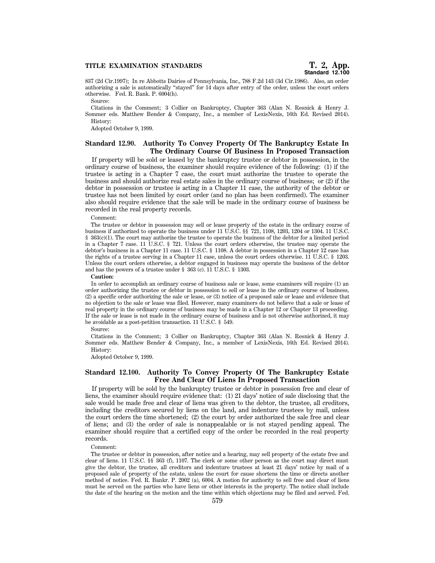837 (2d Cir.1997); In re Abbotts Dairies of Pennsylvania, Inc., 788 F.2d 143 (3d Cir.1986). Also, an order authorizing a sale is automatically ''stayed'' for 14 days after entry of the order, unless the court orders otherwise. Fed. R. Bank. P. 6004(h).

Source:

Citations in the Comment; 3 Collier on Bankruptcy, Chapter 363 (Alan N. Resnick & Henry J. Sommer eds. Matthew Bender & Company, Inc., a member of LexisNexis, 16th Ed. Revised 2014). History:

Adopted October 9, 1999.

# **Standard 12.90. Authority To Convey Property Of The Bankruptcy Estate In The Ordinary Course Of Business In Proposed Transaction**

If property will be sold or leased by the bankruptcy trustee or debtor in possession, in the ordinary course of business, the examiner should require evidence of the following: (1) if the trustee is acting in a Chapter 7 case, the court must authorize the trustee to operate the business and should authorize real estate sales in the ordinary course of business; or (2) if the debtor in possession or trustee is acting in a Chapter 11 case, the authority of the debtor or trustee has not been limited by court order (and no plan has been confirmed). The examiner also should require evidence that the sale will be made in the ordinary course of business be recorded in the real property records.

#### Comment:

The trustee or debtor in possession may sell or lease property of the estate in the ordinary course of business if authorized to operate the business under 11 U.S.C. §§ 721, 1108, 1203, 1204 or 1304. 11 U.S.C. § 363(c)(1). The court may authorize the trustee to operate the business of the debtor for a limited period in a Chapter 7 case. 11 U.S.C. § 721. Unless the court orders otherwise, the trustee may operate the debtor's business in a Chapter 11 case. 11 U.S.C. § 1108. A debtor in possession in a Chapter 12 case has the rights of a trustee serving in a Chapter 11 case, unless the court orders otherwise. 11 U.S.C. § 1203. Unless the court orders otherwise, a debtor engaged in business may operate the business of the debtor and has the powers of a trustee under § 363 (c). 11 U.S.C. § 1303.

#### **Caution:**

In order to accomplish an ordinary course of business sale or lease, some examiners will require (1) an order authorizing the trustee or debtor in possession to sell or lease in the ordinary course of business, (2) a specific order authorizing the sale or lease, or (3) notice of a proposed sale or lease and evidence that no objection to the sale or lease was filed. However, many examiners do not believe that a sale or lease of real property in the ordinary course of business may be made in a Chapter 12 or Chapter 13 proceeding. If the sale or lease is not made in the ordinary course of business and is not otherwise authorized, it may be avoidable as a post-petition transaction. 11 U.S.C. § 549.

#### Source:

Citations in the Comment; 3 Collier on Bankruptcy, Chapter 363 (Alan N. Resnick & Henry J. Sommer eds. Matthew Bender & Company, Inc., a member of LexisNexis, 16th Ed. Revised 2014). History:

Adopted October 9, 1999.

# **Standard 12.100. Authority To Convey Property Of The Bankruptcy Estate Free And Clear Of Liens In Proposed Transaction**

If property will be sold by the bankruptcy trustee or debtor in possession free and clear of liens, the examiner should require evidence that: (1) 21 days' notice of sale disclosing that the sale would be made free and clear of liens was given to the debtor, the trustee, all creditors, including the creditors secured by liens on the land, and indenture trustees by mail, unless the court orders the time shortened; (2) the court by order authorized the sale free and clear of liens; and (3) the order of sale is nonappealable or is not stayed pending appeal. The examiner should require that a certified copy of the order be recorded in the real property records.

#### Comment:

The trustee or debtor in possession, after notice and a hearing, may sell property of the estate free and clear of liens. 11 U.S.C. §§ 363 (f), 1107. The clerk or some other person as the court may direct must give the debtor, the trustee, all creditors and indenture trustees at least 21 days' notice by mail of a proposed sale of property of the estate, unless the court for cause shortens the time or directs another method of notice. Fed. R. Bankr. P. 2002 (a), 6004. A motion for authority to sell free and clear of liens must be served on the parties who have liens or other interests in the property. The notice shall include the date of the hearing on the motion and the time within which objections may be filed and served. Fed.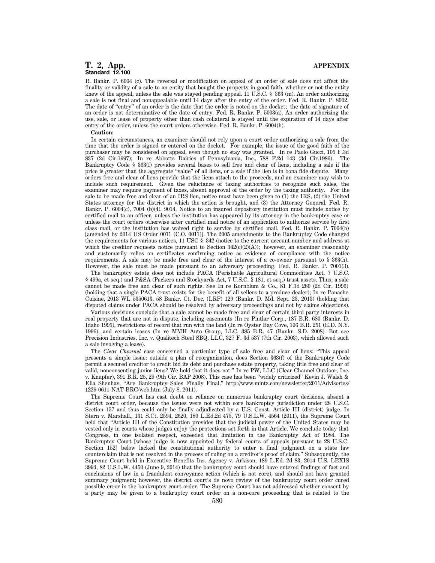R. Bankr. P. 6004 (c). The reversal or modification on appeal of an order of sale does not affect the finality or validity of a sale to an entity that bought the property in good faith, whether or not the entity knew of the appeal, unless the sale was stayed pending appeal. 11 U.S.C. § 363 (m). An order authorizing a sale is not final and nonappealable until 14 days after the entry of the order. Fed. R. Bankr. P. 8002. The date of "entry" of an order is the date that the order is noted on the docket; the date of signature of an order is not determinative of the date of entry. Fed. R. Bankr. P. 5003(a). An order authorizing the use, sale, or lease of property other than cash collateral is stayed until the expiration of 14 days after entry of the order, unless the court orders otherwise. Fed. R. Bankr. P. 6004(h).

#### **Caution:**

In certain circumstances, an examiner should not rely upon a court order authorizing a sale from the time that the order is signed or entered on the docket. For example, the issue of the good faith of the purchaser may be considered on appeal, even though no stay was granted. In re Paolo Gucci, 105 F.3d 837 (2d Cir.1997); In re Abbotts Dairies of Pennsylvania, Inc., 788 F.2d 143 (3d Cir.1986). The Bankruptcy Code § 363(f) provides several bases to sell free and clear of liens, including a sale if the price is greater than the aggregate ''value'' of all liens, or a sale if the lien is in bona fide dispute. Many orders free and clear of liens provide that the liens attach to the proceeds, and an examiner may wish to include such requirement. Given the reluctance of taxing authorities to recognize such sales, the examiner may require payment of taxes, absent approval of the order by the taxing authority. For the sale to be made free and clear of an IRS lien, notice must have been given to (1) the IRS, (2) the United States attorney for the district in which the action is brought, and (3) the Attorney General. Fed. R. Bankr. P. 6004(c), 7004 (b)(4), 9014. Notice to an insured depository institution must include notice by certified mail to an officer, unless the institution has appeared by its attorney in the bankruptcy case or unless the court orders otherwise after certified mail notice of an application to authorize service by first class mail, or the institution has waived right to service by certified mail. Fed. R. Bankr. P. 7004(h) [amended by 2014 US Order 0011 (C.O. 0011)]. The 2005 amendments to the Bankruptcy Code changed the requirements for various notices, 11 USC § 342 (notice to the current account number and address at which the creditor requests notice pursuant to Section  $342(c)(2)(A))$ ; however, an examiner reasonably and customarily relies on certificates confirming notice as evidence of compliance with the notice requirements. A sale may be made free and clear of the interest of a co-owner pursuant to § 363(h). However, the sale must be made pursuant to an adversary proceeding. Fed. R. Bankr. P. 7001(3).

The bankruptcy estate does not include PACA (Perishable Agricultural Commodities Act, 7 U.S.C. § 499a, et seq.) and P&SA (Packers and Stockyards Act, 7 U.S.C. § 181, et seq.) trust assets. Thus, a sale cannot be made free and clear of such rights. See In re Kornblum & Co., 81 F.3d 280 (2d Cir. 1996) (holding that a single PACA trust exists for the benefit of all sellers to a produce dealer); In re Panache Cuisine, 2013 WL 5350613, 58 Bankr. Ct. Dec. (LRP) 129 (Bankr. D. Md. Sept. 23, 2013) (holding that disputed claims under PACA should be resolved by adversary proceedings and not by claims objections).

Various decisions conclude that a sale cannot be made free and clear of certain third party interests in real property that are not in dispute, including easements (In re Pintlar Corp., 187 B.R. 680 (Bankr. D. Idaho 1995), restrictions of record that run with the land (In re Oyster Bay Cove, 196 B.R. 251 (E.D. N.Y. 1996), and certain leases (In re MMH Auto Group, LLC, 385 B.R. 47 (Bankr. S.D. 2008). But see Precision Industries, Inc. v. Qualitech Steel SBQ, LLC, 327 F. 3d 537 (7th Cir. 2003), which allowed such a sale involving a lease).

The *Clear Channel* case concerned a particular type of sale free and clear of liens: ''This appeal presents a simple issue: outside a plan of reorganization, does Section 363(f) of the Bankruptcy Code permit a secured creditor to credit bid its debt and purchase estate property, taking title free and clear of valid, nonconsenting junior liens? We hold that it does not.'' In re PW, LLC (Clear Channel Outdoor, Inc. v. Knupfer), 391 B.R. 25, 29 (9th Cir. BAP 2008). This case has been ''widely criticized'' Kevin J. Walsh & Ella Shenhav, ''Are Bankruptcy Sales Finally Final,'' http://www.mintz.com/newsletter/2011/Advisories/ 1229-0611-NAT-BRC/web.htm (July 8, 2011).

The Supreme Court has cast doubt on reliance on numerous bankruptcy court decisions, absent a district court order, because the issues were not within core bankruptcy jurisdiction under 28 U.S.C. Section 157 and thus could only be finally adjudicated by a U.S. Const. Article III (district) judge. In Stern v. Marshall., 131 S.Ct. 2594, 2620, 180 L.Ed.2d 475, 79 U.S.L.W. 4564 (2011), the Supreme Court held that "Article III of the Constitution provides that the judicial power of the United States may be vested only in courts whose judges enjoy the protections set forth in that Article. We conclude today that Congress, in one isolated respect, exceeded that limitation in the Bankruptcy Act of 1984. The Bankruptcy Court [whose judge is now appointed by federal courts of appeals pursuant to 28 U.S.C. Section 152] below lacked the constitutional authority to enter a final judgment on a state law counterclaim that is not resolved in the process of ruling on a creditor's proof of claim.'' Subsequently, the Supreme Court held in Executive Benefits Ins. Agency v. Arkison, 189 L.Ed. 2d 83, 2014 U.S. LEXIS 3993, 82 U.S.L.W. 4450 (June 9, 2014) that the bankruptcy court should have entered findings of fact and conclusions of law in a fraudulent conveyance action (which is not core), and should not have granted summary judgment; however, the district court's de novo review of the bankruptcy court order cured possible error in the bankruptcy court order. The Supreme Court has not addressed whether consent by a party may be given to a bankruptcy court order on a non-core proceeding that is related to the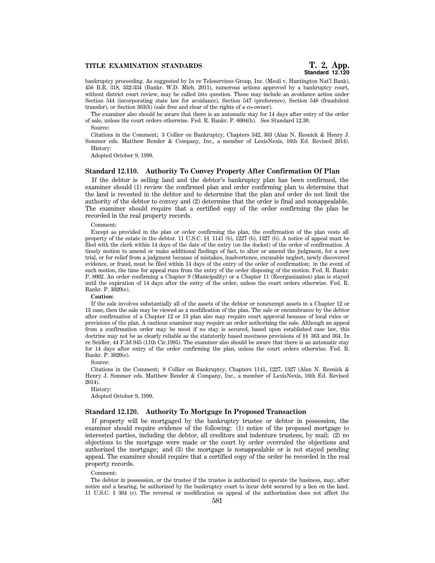bankruptcy proceeding. As suggested by In re Teleservices Group, Inc. (Meoli v. Huntington Nat'l Bank), 456 B.R. 318, 332-334 (Bankr. W.D. Mich. 2011), numerous actions approved by a bankruptcy court, without district court review, may be called into question. Those may include an avoidance action under Section 544 (incorporating state law for avoidance), Section 547 (preference), Section 548 (fraudulent transfer), or Section 363(h) (sale free and clear of the rights of a co-owner).

The examiner also should be aware that there is an automatic stay for 14 days after entry of the order of sale, unless the court orders otherwise. Fed. R. Bankr. P. 6004(h). See Standard 12.30. Source:

Citations in the Comment; 3 Collier on Bankruptcy, Chapters 342, 363 (Alan N. Resnick & Henry J. Sommer eds. Matthew Bender & Company, Inc., a member of LexisNexis, 16th Ed. Revised 2014). History:

Adopted October 9, 1999.

# **Standard 12.110. Authority To Convey Property After Confirmation Of Plan**

If the debtor is selling land and the debtor's bankruptcy plan has been confirmed, the examiner should (1) review the confirmed plan and order confirming plan to determine that the land is revested in the debtor and to determine that the plan and order do not limit the authority of the debtor to convey and (2) determine that the order is final and nonappealable. The examiner should require that a certified copy of the order confirming the plan be recorded in the real property records.

#### Comment:

Except as provided in the plan or order confirming the plan, the confirmation of the plan vests all property of the estate in the debtor. 11 U.S.C. §§ 1141 (b), 1227 (b), 1327 (b). A notice of appeal must be filed with the clerk within 14 days of the date of the entry (on the docket) of the order of confirmation. A timely motion to amend or make additional findings of fact, to alter or amend the judgment, for a new trial, or for relief from a judgment because of mistakes, inadvertence, excusable neglect, newly discovered evidence, or fraud, must be filed within 14 days of the entry of the order of confirmation; in the event of such motion, the time for appeal runs from the entry of the order disposing of the motion. Fed. R. Bankr. P. 8002. An order confirming a Chapter 9 (Municipality) or a Chapter 11 (Reorganization) plan is stayed until the expiration of 14 days after the entry of the order, unless the court orders otherwise. Fed. R. Bankr. P. 3020(e).

#### **Caution:**

If the sale involves substantially all of the assets of the debtor or nonexempt assets in a Chapter 12 or 13 case, then the sale may be viewed as a modification of the plan. The sale or encumbrance by the debtor after confirmation of a Chapter 12 or 13 plan also may require court approval because of local rules or provisions of the plan. A cautious examiner may require an order authorizing the sale. Although an appeal from a confirmation order may be moot if no stay is secured, based upon established case law, this doctrine may not be as clearly reliable as the statutorily based mootness provisions of §§ 363 and 364. In re Seidler, 44 F.3d 945 (11th Cir.1995). The examiner also should be aware that there is an automatic stay for 14 days after entry of the order confirming the plan, unless the court orders otherwise. Fed. R. Bankr. P. 3020(e).

Source:

Citations in the Comment; 8 Collier on Bankruptcy, Chapters 1141, 1227, 1327 (Alan N. Resnick & Henry J. Sommer eds. Matthew Bender & Company, Inc., a member of LexisNexis, 16th Ed. Revised 2014).

#### History:

Adopted October 9, 1999.

### **Standard 12.120. Authority To Mortgage In Proposed Transaction**

If property will be mortgaged by the bankruptcy trustee or debtor in possession, the examiner should require evidence of the following: (1) notice of the proposed mortgage to interested parties, including the debtor, all creditors and indenture trustees, by mail; (2) no objections to the mortgage were made or the court by order overruled the objections and authorized the mortgage; and (3) the mortgage is nonappealable or is not stayed pending appeal. The examiner should require that a certified copy of the order be recorded in the real property records.

#### Comment:

The debtor in possession, or the trustee if the trustee is authorized to operate the business, may, after notice and a hearing, be authorized by the bankruptcy court to incur debt secured by a lien on the land. 11 U.S.C. § 364 (c). The reversal or modification on appeal of the authorization does not affect the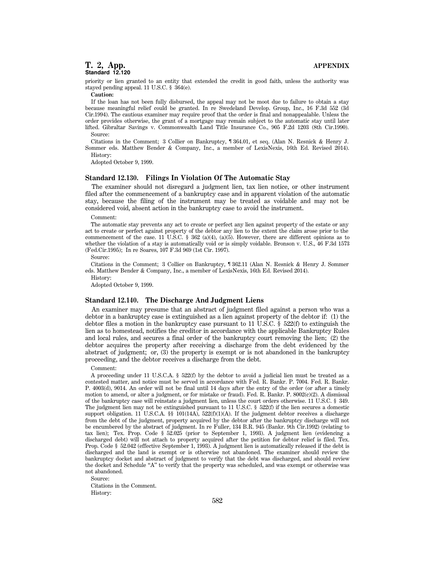priority or lien granted to an entity that extended the credit in good faith, unless the authority was stayed pending appeal. 11 U.S.C. § 364(e).

**Caution:**

If the loan has not been fully disbursed, the appeal may not be moot due to failure to obtain a stay because meaningful relief could be granted. In re Swedeland Develop. Group, Inc., 16 F.3d 552 (3d Cir.1994). The cautious examiner may require proof that the order is final and nonappealable. Unless the order provides otherwise, the grant of a mortgage may remain subject to the automatic stay until later lifted. Gibraltar Savings v. Commonwealth Land Title Insurance Co., 905 F.2d 1203 (8th Cir.1990). Source:

Citations in the Comment; 3 Collier on Bankruptcy, ¶ 364.01, et seq. (Alan N. Resnick & Henry J. Sommer eds. Matthew Bender & Company, Inc., a member of LexisNexis, 16th Ed. Revised 2014). History:

Adopted October 9, 1999.

#### **Standard 12.130. Filings In Violation Of The Automatic Stay**

The examiner should not disregard a judgment lien, tax lien notice, or other instrument filed after the commencement of a bankruptcy case and in apparent violation of the automatic stay, because the filing of the instrument may be treated as voidable and may not be considered void, absent action in the bankruptcy case to avoid the instrument.

#### Comment:

The automatic stay prevents any act to create or perfect any lien against property of the estate or any act to create or perfect against property of the debtor any lien to the extent the claim arose prior to the commencement of the case. 11 U.S.C. § 362 (a)(4), (a)(5). However, there are different opinions as to whether the violation of a stay is automatically void or is simply voidable. Bronson v. U.S., 46 F.3d 1573 (Fed.Cir.1995); In re Soares, 107 F.3d 969 (1st Cir. 1997).

#### Source:

Citations in the Comment; 3 Collier on Bankruptcy, ¶ 362.11 (Alan N. Resnick & Henry J. Sommer eds. Matthew Bender & Company, Inc., a member of LexisNexis, 16th Ed. Revised 2014).

History:

Adopted October 9, 1999.

## **Standard 12.140. The Discharge And Judgment Liens**

An examiner may presume that an abstract of judgment filed against a person who was a debtor in a bankruptcy case is extinguished as a lien against property of the debtor if: (1) the debtor files a motion in the bankruptcy case pursuant to 11 U.S.C. § 522(f) to extinguish the lien as to homestead, notifies the creditor in accordance with the applicable Bankruptcy Rules and local rules, and secures a final order of the bankruptcy court removing the lien; (2) the debtor acquires the property after receiving a discharge from the debt evidenced by the abstract of judgment; or, (3) the property is exempt or is not abandoned in the bankruptcy proceeding, and the debtor receives a discharge from the debt.

#### Comment:

A proceeding under 11 U.S.C.A. § 522(f) by the debtor to avoid a judicial lien must be treated as a contested matter, and notice must be served in accordance with Fed. R. Bankr. P. 7004. Fed. R. Bankr. P. 4003(d), 9014. An order will not be final until 14 days after the entry of the order (or after a timely motion to amend, or alter a judgment, or for mistake or fraud). Fed. R. Bankr. P. 8002(c)(2). A dismissal of the bankruptcy case will reinstate a judgment lien, unless the court orders otherwise. 11 U.S.C. § 349. The judgment lien may not be extinguished pursuant to 11 U.S.C. § 522(f) if the lien secures a domestic support obligation. 11 U.S.C.A. §§ 101(14A),  $522(f)(1)(A)$ . If the judgment debtor receives a discharge from the debt of the judgment, property acquired by the debtor after the bankruptcy discharge will not be encumbered by the abstract of judgment. In re Fuller, 134 B.R. 945 (Bankr. 9th Cir.1992) (relating to tax lien); Tex. Prop. Code § 52.025 (prior to September 1, 1993). A judgment lien (evidencing a discharged debt) will not attach to property acquired after the petition for debtor relief is filed. Tex. Prop. Code § 52.042 (effective September 1, 1993). A judgment lien is automatically released if the debt is discharged and the land is exempt or is otherwise not abandoned. The examiner should review the bankruptcy docket and abstract of judgment to verify that the debt was discharged, and should review the docket and Schedule "A" to verify that the property was scheduled, and was exempt or otherwise was not abandoned.

Source:

Citations in the Comment. History: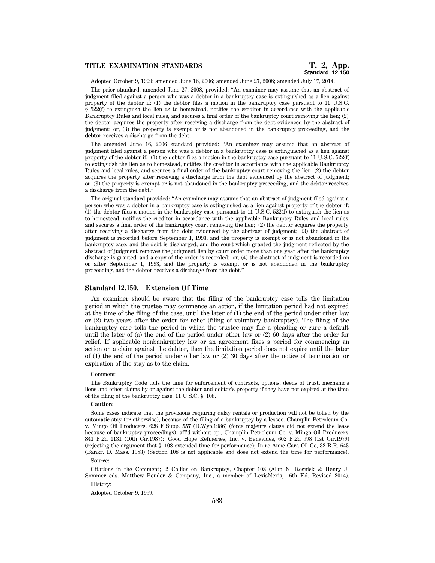# **Standard 12.150**

Adopted October 9, 1999; amended June 16, 2006; amended June 27, 2008; amended July 17, 2014.

The prior standard, amended June 27, 2008, provided: ''An examiner may assume that an abstract of judgment filed against a person who was a debtor in a bankruptcy case is extinguished as a lien against property of the debtor if: (1) the debtor files a motion in the bankruptcy case pursuant to 11 U.S.C.  $\S$  522(f) to extinguish the lien as to homestead, notifies the creditor in accordance with the applicable Bankruptcy Rules and local rules, and secures a final order of the bankruptcy court removing the lien; (2) the debtor acquires the property after receiving a discharge from the debt evidenced by the abstract of judgment; or, (3) the property is exempt or is not abandoned in the bankruptcy proceeding, and the debtor receives a discharge from the debt.

The amended June 16, 2006 standard provided: ''An examiner may assume that an abstract of judgment filed against a person who was a debtor in a bankruptcy case is extinguished as a lien against property of the debtor if: (1) the debtor files a motion in the bankruptcy case pursuant to 11 U.S.C. 522(f) to extinguish the lien as to homestead, notifies the creditor in accordance with the applicable Bankruptcy Rules and local rules, and secures a final order of the bankruptcy court removing the lien; (2) the debtor acquires the property after receiving a discharge from the debt evidenced by the abstract of judgment; or, (3) the property is exempt or is not abandoned in the bankruptcy proceeding, and the debtor receives a discharge from the debt.''

The original standard provided: ''An examiner may assume that an abstract of judgment filed against a person who was a debtor in a bankruptcy case is extinguished as a lien against property of the debtor if:  $(1)$  the debtor files a motion in the bankruptcy case pursuant to 11 U.S.C. 522(f) to extinguish the lien as to homestead, notifies the creditor in accordance with the applicable Bankruptcy Rules and local rules, and secures a final order of the bankruptcy court removing the lien; (2) the debtor acquires the property after receiving a discharge from the debt evidenced by the abstract of judgment; (3) the abstract of judgment is recorded before September 1, 1993, and the property is exempt or is not abandoned in the bankruptcy case, and the debt is discharged, and the court which granted the judgment reflected by the abstract of judgment removes the judgment lien by court order more than one year after the bankruptcy discharge is granted, and a copy of the order is recorded; or, (4) the abstract of judgment is recorded on or after September 1, 1993, and the property is exempt or is not abandoned in the bankruptcy proceeding, and the debtor receives a discharge from the debt.''

### **Standard 12.150. Extension Of Time**

An examiner should be aware that the filing of the bankruptcy case tolls the limitation period in which the trustee may commence an action, if the limitation period had not expired at the time of the filing of the case, until the later of (1) the end of the period under other law or (2) two years after the order for relief (filing of voluntary bankruptcy). The filing of the bankruptcy case tolls the period in which the trustee may file a pleading or cure a default until the later of (a) the end of the period under other law or (2) 60 days after the order for relief. If applicable nonbankruptcy law or an agreement fixes a period for commencing an action on a claim against the debtor, then the limitation period does not expire until the later of (1) the end of the period under other law or (2) 30 days after the notice of termination or expiration of the stay as to the claim.

#### Comment:

The Bankruptcy Code tolls the time for enforcement of contracts, options, deeds of trust, mechanic's liens and other claims by or against the debtor and debtor's property if they have not expired at the time of the filing of the bankruptcy case. 11 U.S.C. § 108.

#### **Caution:**

Some cases indicate that the provisions requiring delay rentals or production will not be tolled by the automatic stay (or otherwise), because of the filing of a bankruptcy by a lessee. Champlin Petroleum Co. v. Mingo Oil Producers, 628 F.Supp. 557 (D.Wyo.1986) (force majeure clause did not extend the lease because of bankruptcy proceedings), aff'd without op., Champlin Petroleum Co. v. Mingo Oil Producers, 841 F.2d 1131 (10th Cir.1987); Good Hope Refineries, Inc. v. Benavides, 602 F.2d 998 (1st Cir.1979) (rejecting the argument that § 108 extended time for performance); In re Anne Cara Oil Co, 32 B.R. 643 (Bankr. D. Mass. 1983) (Section 108 is not applicable and does not extend the time for performance).

#### Source:

Citations in the Comment; 2 Collier on Bankruptcy, Chapter 108 (Alan N. Resnick & Henry J. Sommer eds. Matthew Bender & Company, Inc., a member of LexisNexis, 16th Ed. Revised 2014). History:

### Adopted October 9, 1999.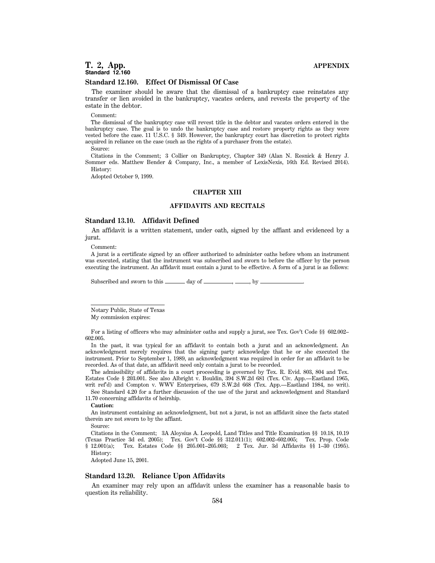#### **Standard 12.160. Effect Of Dismissal Of Case**

The examiner should be aware that the dismissal of a bankruptcy case reinstates any transfer or lien avoided in the bankruptcy, vacates orders, and revests the property of the estate in the debtor.

#### Comment:

The dismissal of the bankruptcy case will revest title in the debtor and vacates orders entered in the bankruptcy case. The goal is to undo the bankruptcy case and restore property rights as they were vested before the case. 11 U.S.C. § 349. However, the bankruptcy court has discretion to protect rights acquired in reliance on the case (such as the rights of a purchaser from the estate).

Source:

Citations in the Comment; 3 Collier on Bankruptcy, Chapter 349 (Alan N. Resnick & Henry J. Sommer eds. Matthew Bender & Company, Inc., a member of LexisNexis, 16th Ed. Revised 2014). History:

Adopted October 9, 1999.

# **CHAPTER XIII**

# **AFFIDAVITS AND RECITALS**

# **Standard 13.10. Affidavit Defined**

An affidavit is a written statement, under oath, signed by the affiant and evidenced by a jurat.

Comment:

A jurat is a certificate signed by an officer authorized to administer oaths before whom an instrument was executed, stating that the instrument was subscribed and sworn to before the officer by the person executing the instrument. An affidavit must contain a jurat to be effective. A form of a jurat is as follows:

Subscribed and sworn to this  $\_\_\_\_\$  day of  $\_\_\_\_\_\,, \_\_\_\$ 

Notary Public, State of Texas

My commission expires:

For a listing of officers who may administer oaths and supply a jurat, see Tex. Gov't Code §§ 602.002– 602.005.

In the past, it was typical for an affidavit to contain both a jurat and an acknowledgment. An acknowledgment merely requires that the signing party acknowledge that he or she executed the instrument. Prior to September 1, 1989, an acknowledgment was required in order for an affidavit to be recorded. As of that date, an affidavit need only contain a jurat to be recorded.

The admissibility of affidavits in a court proceeding is governed by Tex. R. Evid. 803, 804 and Tex. Estates Code § 203.001. See also Albright v. Bouldin, 394 S.W.2d 681 (Tex. Civ. App.—Eastland 1965, writ ref'd) and Compton v. WWV Enterprises, 679 S.W.2d 668 (Tex. App.—Eastland 1984, no writ).

See Standard 4.20 for a further discussion of the use of the jurat and acknowledgment and Standard 11.70 concerning affidavits of heirship.

#### **Caution:**

An instrument containing an acknowledgment, but not a jurat, is not an affidavit since the facts stated therein are not sworn to by the affiant.

Source:

Citations in the Comment; 3A Aloysius A. Leopold, Land Titles and Title Examination §§ 10.18, 10.19 (Texas Practice 3d ed. 2005); Tex. Gov't Code §§ 312.011(1); 602.002–602.005; Tex. Prop. Code § 12.001(a); Tex. Estates Code §§ 205.001–205.003; 2 Tex. Jur. 3d Affidavits §§ 1–30 (1995).

History:

Adopted June 15, 2001.

# **Standard 13.20. Reliance Upon Affidavits**

An examiner may rely upon an affidavit unless the examiner has a reasonable basis to question its reliability.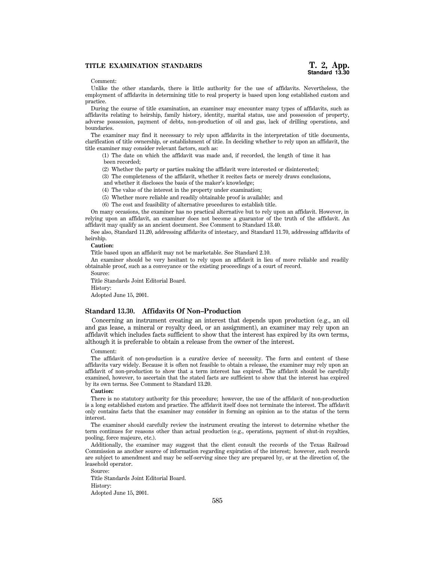# **TITLE EXAMINATION STANDARDS**

#### Comment:

Unlike the other standards, there is little authority for the use of affidavits. Nevertheless, the employment of affidavits in determining title to real property is based upon long established custom and practice.

During the course of title examination, an examiner may encounter many types of affidavits, such as affidavits relating to heirship, family history, identity, marital status, use and possession of property, adverse possession, payment of debts, non-production of oil and gas, lack of drilling operations, and boundaries.

The examiner may find it necessary to rely upon affidavits in the interpretation of title documents, clarification of title ownership, or establishment of title. In deciding whether to rely upon an affidavit, the title examiner may consider relevant factors, such as:

(1) The date on which the affidavit was made and, if recorded, the length of time it has been recorded;

(2) Whether the party or parties making the affidavit were interested or disinterested;

(3) The completeness of the affidavit, whether it recites facts or merely draws conclusions,

and whether it discloses the basis of the maker's knowledge;

(4) The value of the interest in the property under examination;

(5) Whether more reliable and readily obtainable proof is available; and

(6) The cost and feasibility of alternative procedures to establish title.

On many occasions, the examiner has no practical alternative but to rely upon an affidavit. However, in relying upon an affidavit, an examiner does not become a guarantor of the truth of the affidavit. An affidavit may qualify as an ancient document. See Comment to Standard 13.40.

See also, Standard 11.20, addressing affidavits of intestacy, and Standard 11.70, addressing affidavits of heirship.

# **Caution:**

Title based upon an affidavit may not be marketable. See Standard 2.10.

An examiner should be very hesitant to rely upon an affidavit in lieu of more reliable and readily obtainable proof, such as a conveyance or the existing proceedings of a court of record.

Source:

Title Standards Joint Editorial Board.

History:

Adopted June 15, 2001.

#### **Standard 13.30. Affidavits Of Non–Production**

Concerning an instrument creating an interest that depends upon production (e.g., an oil and gas lease, a mineral or royalty deed, or an assignment), an examiner may rely upon an affidavit which includes facts sufficient to show that the interest has expired by its own terms, although it is preferable to obtain a release from the owner of the interest.

#### Comment:

The affidavit of non-production is a curative device of necessity. The form and content of these affidavits vary widely. Because it is often not feasible to obtain a release, the examiner may rely upon an affidavit of non-production to show that a term interest has expired. The affidavit should be carefully examined, however, to ascertain that the stated facts are sufficient to show that the interest has expired by its own terms. See Comment to Standard 13.20.

#### **Caution:**

There is no statutory authority for this procedure; however, the use of the affidavit of non-production is a long established custom and practice. The affidavit itself does not terminate the interest. The affidavit only contains facts that the examiner may consider in forming an opinion as to the status of the term interest.

The examiner should carefully review the instrument creating the interest to determine whether the term continues for reasons other than actual production (e.g., operations, payment of shut-in royalties, pooling, force majeure, etc.).

Additionally, the examiner may suggest that the client consult the records of the Texas Railroad Commission as another source of information regarding expiration of the interest; however, such records are subject to amendment and may be self-serving since they are prepared by, or at the direction of, the leasehold operator.

Source: Title Standards Joint Editorial Board. History: Adopted June 15, 2001.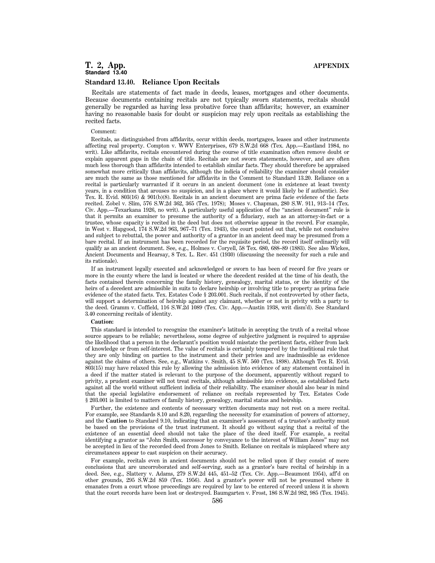#### **Standard 13.40. Reliance Upon Recitals**

Recitals are statements of fact made in deeds, leases, mortgages and other documents. Because documents containing recitals are not typically sworn statements, recitals should generally be regarded as having less probative force than affidavits; however, an examiner having no reasonable basis for doubt or suspicion may rely upon recitals as establishing the recited facts.

#### Comment:

Recitals, as distinguished from affidavits, occur within deeds, mortgages, leases and other instruments affecting real property. Compton v. WWV Enterprises, 679 S.W.2d 668 (Tex. App.—Eastland 1984, no writ). Like affidavits, recitals encountered during the course of title examination often remove doubt or explain apparent gaps in the chain of title. Recitals are not sworn statements, however, and are often much less thorough than affidavits intended to establish similar facts. They should therefore be appraised somewhat more critically than affidavits, although the indicia of reliability the examiner should consider are much the same as those mentioned for affidavits in the Comment to Standard 13.20. Reliance on a recital is particularly warranted if it occurs in an ancient document (one in existence at least twenty years, in a condition that arouses no suspicion, and in a place where it would likely be if authentic). See Tex. R. Evid. 803(16) & 901(b)(8). Recitals in an ancient document are prima facie evidence of the facts recited. Zobel v. Slim, 576 S.W.2d 362, 365 (Tex. 1978); Moses v. Chapman, 280 S.W. 911, 913–14 (Tex. Civ. App.—Texarkana 1926, no writ). A particularly useful application of the ''ancient document'' rule is that it permits an examiner to presume the authority of a fiduciary, such as an attorney-in-fact or a trustee, whose capacity is recited in the deed but does not otherwise appear in the record. For example, in West v. Hapgood, 174 S.W.2d 963, 967–71 (Tex. 1943), the court pointed out that, while not conclusive and subject to rebuttal, the power and authority of a grantor in an ancient deed may be presumed from a bare recital. If an instrument has been recorded for the requisite period, the record itself ordinarily will qualify as an ancient document. See, e.g., Holmes v. Coryell, 58 Tex. 680, 688–89 (1883). See also Wickes, Ancient Documents and Hearsay, 8 Tex. L. Rev. 451 (1930) (discussing the necessity for such a rule and its rationale).

If an instrument legally executed and acknowledged or sworn to has been of record for five years or more in the county where the land is located or where the decedent resided at the time of his death, the facts contained therein concerning the family history, genealogy, marital status, or the identity of the heirs of a decedent are admissible in suits to declare heirship or involving title to property as prima facie evidence of the stated facts. Tex. Estates Code § 203.001. Such recitals, if not controverted by other facts, will support a determination of heirship against any claimant, whether or not in privity with a party to the deed. Gramm v. Coffield, 116 S.W.2d 1089 (Tex. Civ. App.—Austin 1938, writ dism'd). See Standard 3.40 concerning recitals of identity.

# **Caution:**

This standard is intended to recognize the examiner's latitude in accepting the truth of a recital whose source appears to be reliable; nevertheless, some degree of subjective judgment is required to appraise the likelihood that a person in the declarant's position would misstate the pertinent facts, either from lack of knowledge or from self-interest. The value of recitals is certainly tempered by the traditional rule that they are only binding on parties to the instrument and their privies and are inadmissible as evidence against the claims of others. See, e.g., Watkins v. Smith, 45 S.W. 560 (Tex. 1898). Although Tex R. Evid. 803(15) may have relaxed this rule by allowing the admission into evidence of any statement contained in a deed if the matter stated is relevant to the purpose of the document, apparently without regard to privity, a prudent examiner will not treat recitals, although admissible into evidence, as established facts against all the world without sufficient indicia of their reliability. The examiner should also bear in mind that the special legislative endorsement of reliance on recitals represented by Tex. Estates Code § 203.001 is limited to matters of family history, genealogy, marital status and heirship.

Further, the existence and contents of necessary written documents may not rest on a mere recital. For example, see Standards 8.10 and 8.20, regarding the necessity for examination of powers of attorney, and the **Caution** to Standard 9.10, indicating that an examiner's assessment of a trustee's authority must be based on the provisions of the trust instrument. It should go without saying that a recital of the existence of an essential deed should not take the place of the deed itself. For example, a recital identifying a grantor as ''John Smith, successor by conveyance to the interest of William Jones'' may not be accepted in lieu of the recorded deed from Jones to Smith. Reliance on recitals is misplaced where any circumstances appear to cast suspicion on their accuracy.

For example, recitals even in ancient documents should not be relied upon if they consist of mere conclusions that are uncorroborated and self-serving, such as a grantor's bare recital of heirship in a deed. See, e.g., Slattery v. Adams, 279 S.W.2d 445, 451–52 (Tex. Civ. App.—Beaumont 1954), aff'd on other grounds, 295 S.W.2d 859 (Tex. 1956). And a grantor's power will not be presumed where it emanates from a court whose proceedings are required by law to be entered of record unless it is shown that the court records have been lost or destroyed. Baumgarten v. Frost, 186 S.W.2d 982, 985 (Tex. 1945).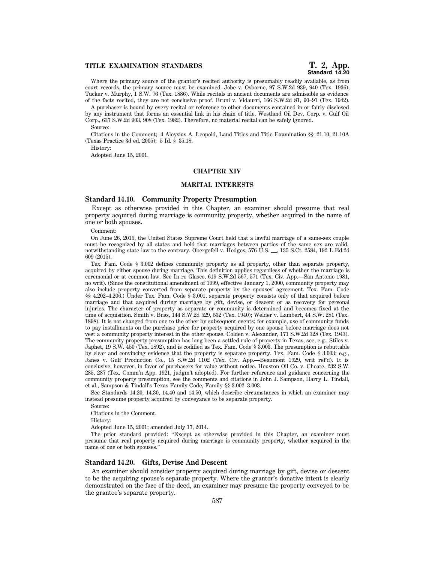Where the primary source of the grantor's recited authority is presumably readily available, as from court records, the primary source must be examined. Jobe v. Osborne, 97 S.W.2d 939, 940 (Tex. 1936); Tucker v. Murphy, 1 S.W. 76 (Tex. 1886). While recitals in ancient documents are admissible as evidence of the facts recited, they are not conclusive proof. Bruni v. Vidaurri, 166 S.W.2d 81, 90–91 (Tex. 1942).

A purchaser is bound by every recital or reference to other documents contained in or fairly disclosed by any instrument that forms an essential link in his chain of title. Westland Oil Dev. Corp. v. Gulf Oil Corp., 637 S.W.2d 903, 908 (Tex. 1982). Therefore, no material recital can be safely ignored.

Source:

Citations in the Comment; 4 Aloysius A. Leopold, Land Titles and Title Examination §§ 21.10, 21.10A (Texas Practice 3d ed. 2005); 5 Id. § 35.18.

History:

Adopted June 15, 2001.

# **CHAPTER XIV**

#### **MARITAL INTERESTS**

# **Standard 14.10. Community Property Presumption**

Except as otherwise provided in this Chapter, an examiner should presume that real property acquired during marriage is community property, whether acquired in the name of one or both spouses.

Comment:

On June 26, 2015, the United States Supreme Court held that a lawful marriage of a same-sex couple must be recognized by all states and held that marriages between parties of the same sex are valid, notwithstanding state law to the contrary. Obergefell v. Hodges, 576 U.S.  $\_\_$ , 135 S.Ct. 2584, 192 L.Ed.2d 609 (2015).

Tex. Fam. Code § 3.002 defines community property as all property, other than separate property, acquired by either spouse during marriage. This definition applies regardless of whether the marriage is ceremonial or at common law. See In re Glasco, 619 S.W.2d 567, 571 (Tex. Civ. App.—San Antonio 1981, no writ). (Since the constitutional amendment of 1999, effective January 1, 2000, community property may also include property converted from separate property by the spouses' agreement. Tex. Fam. Code §§ 4.202–4.206.) Under Tex. Fam. Code § 3.001, separate property consists only of that acquired before marriage and that acquired during marriage by gift, devise, or descent or as recovery for personal injuries. The character of property as separate or community is determined and becomes fixed at the time of acquisition. Smith v. Buss, 144 S.W.2d 529, 532 (Tex. 1940); Welder v. Lambert, 44 S.W. 281 (Tex. 1898). It is not changed from one to the other by subsequent events; for example, use of community funds to pay installments on the purchase price for property acquired by one spouse before marriage does not vest a community property interest in the other spouse. Colden v. Alexander, 171 S.W.2d 328 (Tex. 1943). The community property presumption has long been a settled rule of property in Texas, see, e.g., Stiles v. Japhet, 19 S.W. 450 (Tex. 1892), and is codified as Tex. Fam. Code § 3.003. The presumption is rebuttable by clear and convincing evidence that the property is separate property. Tex. Fam. Code § 3.003; e.g., Janes v. Gulf Production Co., 15 S.W.2d 1102 (Tex. Civ. App.—Beaumont 1929, writ ref'd). It is conclusive, however, in favor of purchasers for value without notice. Houston Oil Co. v. Choate, 232 S.W. 285, 287 (Tex. Comm'n App. 1921, judgm't adopted). For further reference and guidance concerning the community property presumption, see the comments and citations in John J. Sampson, Harry L. Tindall, et al., Sampson & Tindall's Texas Family Code, Family §§ 3.002–3.003.

See Standards 14.20, 14.30, 14.40 and 14.50, which describe circumstances in which an examiner may instead presume property acquired by conveyance to be separate property.

Source:

Citations in the Comment.

History:

Adopted June 15, 2001; amended July 17, 2014.

The prior standard provided: ''Except as otherwise provided in this Chapter, an examiner must presume that real property acquired during marriage is community property, whether acquired in the name of one or both spouses.''

# **Standard 14.20. Gifts, Devise And Descent**

An examiner should consider property acquired during marriage by gift, devise or descent to be the acquiring spouse's separate property. Where the grantor's donative intent is clearly demonstrated on the face of the deed, an examiner may presume the property conveyed to be the grantee's separate property.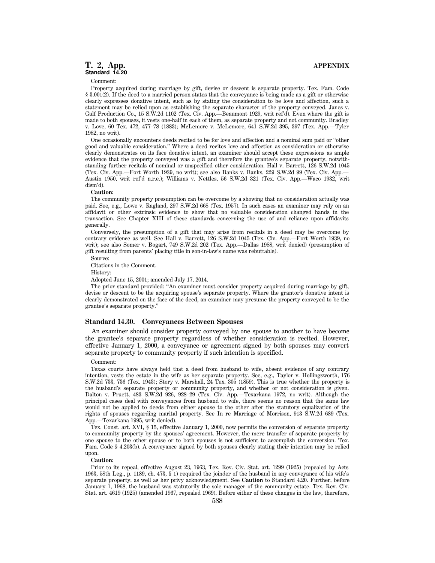Comment:

Property acquired during marriage by gift, devise or descent is separate property. Tex. Fam. Code § 3.001(2). If the deed to a married person states that the conveyance is being made as a gift or otherwise clearly expresses donative intent, such as by stating the consideration to be love and affection, such a statement may be relied upon as establishing the separate character of the property conveyed. Janes v. Gulf Production Co., 15 S.W.2d 1102 (Tex. Civ. App.—Beaumont 1929, writ ref'd). Even where the gift is made to both spouses, it vests one-half in each of them, as separate property and not community. Bradley v. Love, 60 Tex. 472, 477–78 (1883); McLemore v. McLemore, 641 S.W.2d 395, 397 (Tex. App.—Tyler 1982, no writ).

One occasionally encounters deeds recited to be for love and affection and a nominal sum paid or ''other good and valuable consideration.'' Where a deed recites love and affection as consideration or otherwise clearly demonstrates on its face donative intent, an examiner should accept these expressions as ample evidence that the property conveyed was a gift and therefore the grantee's separate property, notwithstanding further recitals of nominal or unspecified other consideration. Hall v. Barrett, 126 S.W.2d 1045 (Tex. Civ. App.—Fort Worth 1939, no writ); see also Banks v. Banks, 229 S.W.2d 99 (Tex. Civ. App.— Austin 1950, writ ref'd n.r.e.); Williams v. Nettles, 56 S.W.2d 321 (Tex. Civ. App.—Waco 1932, writ dism'd).

# **Caution:**

The community property presumption can be overcome by a showing that no consideration actually was paid. See, e.g., Lowe v. Ragland, 297 S.W.2d 668 (Tex. 1957). In such cases an examiner may rely on an affidavit or other extrinsic evidence to show that no valuable consideration changed hands in the transaction. See Chapter XIII of these standards concerning the use of and reliance upon affidavits generally.

Conversely, the presumption of a gift that may arise from recitals in a deed may be overcome by contrary evidence as well. See Hall v. Barrett, 126 S.W.2d 1045 (Tex. Civ. App.—Fort Worth 1939, no writ); see also Somer v. Bogart, 749 S.W.2d 202 (Tex. App.—Dallas 1988, writ denied) (presumption of gift resulting from parents' placing title in son-in-law's name was rebuttable).

Source:

Citations in the Comment.

History:

Adopted June 15, 2001; amended July 17, 2014.

The prior standard provided: ''An examiner must consider property acquired during marriage by gift, devise or descent to be the acquiring spouse's separate property. Where the grantor's donative intent is clearly demonstrated on the face of the deed, an examiner may presume the property conveyed to be the grantee's separate property.''

# **Standard 14.30. Conveyances Between Spouses**

An examiner should consider property conveyed by one spouse to another to have become the grantee's separate property regardless of whether consideration is recited. However, effective January 1, 2000, a conveyance or agreement signed by both spouses may convert separate property to community property if such intention is specified.

#### Comment:

Texas courts have always held that a deed from husband to wife, absent evidence of any contrary intention, vests the estate in the wife as her separate property. See, e.g., Taylor v. Hollingsworth, 176 S.W.2d 733, 736 (Tex. 1943); Story v. Marshall, 24 Tex. 305 (1859). This is true whether the property is the husband's separate property or community property, and whether or not consideration is given. Dalton v. Pruett, 483 S.W.2d 926, 928–29 (Tex. Civ. App.—Texarkana 1972, no writ). Although the principal cases deal with conveyances from husband to wife, there seems no reason that the same law would not be applied to deeds from either spouse to the other after the statutory equalization of the rights of spouses regarding marital property. See In re Marriage of Morrison, 913 S.W.2d 689 (Tex. App.—Texarkana 1995, writ denied).

Tex. Const. art. XVI, § 15, effective January 1, 2000, now permits the conversion of separate property to community property by the spouses' agreement. However, the mere transfer of separate property by one spouse to the other spouse or to both spouses is not sufficient to accomplish the conversion. Tex. Fam. Code § 4.203(b). A conveyance signed by both spouses clearly stating their intention may be relied upon.

#### **Caution:**

Prior to its repeal, effective August 23, 1963, Tex. Rev. Civ. Stat. art. 1299 (1925) (repealed by Acts 1963, 58th Leg., p. 1189, ch. 473, § 1) required the joinder of the husband in any conveyance of his wife's separate property, as well as her privy acknowledgment. See **Caution** to Standard 4.20. Further, before January 1, 1968, the husband was statutorily the sole manager of the community estate. Tex. Rev. Civ. Stat. art. 4619 (1925) (amended 1967, repealed 1969). Before either of these changes in the law, therefore,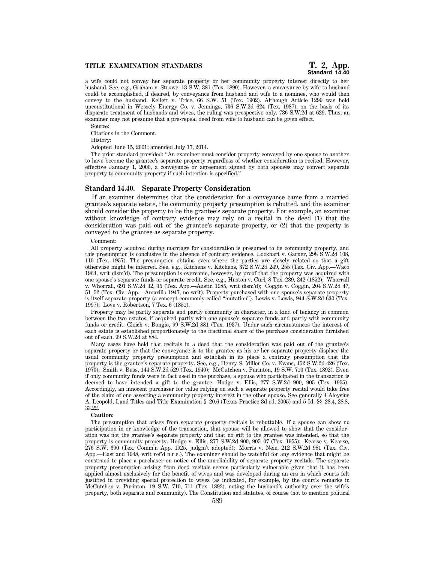# **Standard 14.40**

a wife could not convey her separate property or her community property interest directly to her husband. See, e.g., Graham v. Struwe, 13 S.W. 381 (Tex. 1890). However, a conveyance by wife to husband could be accomplished, if desired, by conveyance from husband and wife to a nominee, who would then convey to the husband. Kellett v. Trice, 66 S.W. 51 (Tex. 1902). Although Article 1299 was held unconstitutional in Wessely Energy Co. v. Jennings, 736 S.W.2d 624 (Tex. 1987), on the basis of its disparate treatment of husbands and wives, the ruling was prospective only. 736 S.W.2d at 629. Thus, an examiner may not presume that a pre-repeal deed from wife to husband can be given effect.

Source:

Citations in the Comment.

History:

Adopted June 15, 2001; amended July 17, 2014.

The prior standard provided: ''An examiner must consider property conveyed by one spouse to another to have become the grantee's separate property regardless of whether consideration is recited. However, effective January 1, 2000, a conveyance or agreement signed by both spouses may convert separate property to community property if such intention is specified.''

# **Standard 14.40. Separate Property Consideration**

If an examiner determines that the consideration for a conveyance came from a married grantee's separate estate, the community property presumption is rebutted, and the examiner should consider the property to be the grantee's separate property. For example, an examiner without knowledge of contrary evidence may rely on a recital in the deed (1) that the consideration was paid out of the grantee's separate property, or (2) that the property is conveyed to the grantee as separate property.

Comment:

All property acquired during marriage for consideration is presumed to be community property, and this presumption is conclusive in the absence of contrary evidence. Lockhart v. Garner, 298 S.W.2d 108, 110 (Tex. 1957). The presumption obtains even where the parties are closely related so that a gift otherwise might be inferred. See, e.g., Kitchens v. Kitchens, 372 S.W.2d 249, 255 (Tex. Civ. App.—Waco 1963, writ dism'd). The presumption is overcome, however, by proof that the property was acquired with one spouse's separate funds or separate credit. See, e.g., Huston v. Curl, 8 Tex. 239, 242 (1852); Whorrall v. Whorrall, 691 S.W.2d 32, 35 (Tex. App.—Austin 1985, writ dism'd); Coggin v. Coggin, 204 S.W.2d 47, 51–52 (Tex. Civ. App.—Amarillo 1947, no writ). Property purchased with one spouse's separate property is itself separate property (a concept commonly called "mutation"). Lewis v. Lewis, 944 S.W.2d 630 (Tex. 1997); Love v. Robertson, 7 Tex. 6 (1851).

Property may be partly separate and partly community in character, in a kind of tenancy in common between the two estates, if acquired partly with one spouse's separate funds and partly with community funds or credit. Gleich v. Bongio, 99 S.W.2d 881 (Tex. 1937). Under such circumstances the interest of each estate is established proportionately to the fractional share of the purchase consideration furnished out of each. 99 S.W.2d at 884.

Many cases have held that recitals in a deed that the consideration was paid out of the grantee's separate property or that the conveyance is to the grantee as his or her separate property displace the usual community property presumption and establish in its place a contrary presumption that the property is the grantee's separate property. See, e.g., Henry S. Miller Co. v. Evans, 452 S.W.2d 426 (Tex. 1970); Smith v. Buss, 144 S.W.2d 529 (Tex. 1940); McCutchen v. Purinton, 19 S.W. 710 (Tex. 1892). Even if only community funds were in fact used in the purchase, a spouse who participated in the transaction is deemed to have intended a gift to the grantee. Hodge v. Ellis, 277 S.W.2d 900, 905 (Tex. 1955). Accordingly, an innocent purchaser for value relying on such a separate property recital would take free of the claim of one asserting a community property interest in the other spouse. See generally 4 Aloysius A. Leopold, Land Titles and Title Examination § 20.6 (Texas Practice 3d ed. 2005) and 5 Id. §§ 28.4, 28.8, 33.22.

#### **Caution:**

The presumption that arises from separate property recitals is rebuttable. If a spouse can show no participation in or knowledge of the transaction, that spouse will be allowed to show that the consideration was not the grantee's separate property and that no gift to the grantee was intended, so that the property is community property. Hodge v. Ellis, 277 S.W.2d 900, 905–07 (Tex. 1955); Kearse v. Kearse, 276 S.W. 690 (Tex. Comm'n App. 1925, judgm't adopted); Morris v. Neie, 212 S.W.2d 981 (Tex. Civ. App.—Eastland 1948, writ ref'd n.r.e.). The examiner should be watchful for any evidence that might be construed to place a purchaser on notice of the unreliability of separate property recitals. The separate property presumption arising from deed recitals seems particularly vulnerable given that it has been applied almost exclusively for the benefit of wives and was developed during an era in which courts felt justified in providing special protection to wives (as indicated, for example, by the court's remarks in McCutchen v. Purinton, 19 S.W. 710, 711 (Tex. 1892), noting the husband's authority over the wife's property, both separate and community). The Constitution and statutes, of course (not to mention political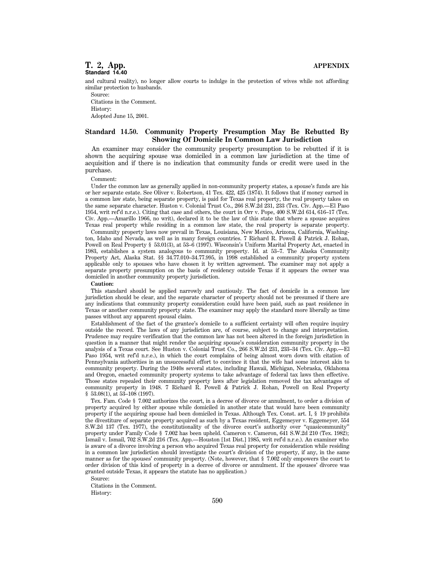and cultural reality), no longer allow courts to indulge in the protection of wives while not affording similar protection to husbands.

Source: Citations in the Comment. History: Adopted June 15, 2001.

# **Standard 14.50. Community Property Presumption May Be Rebutted By Showing Of Domicile In Common Law Jurisdiction**

An examiner may consider the community property presumption to be rebutted if it is shown the acquiring spouse was domiciled in a common law jurisdiction at the time of acquisition and if there is no indication that community funds or credit were used in the purchase.

#### Comment:

Under the common law as generally applied in non-community property states, a spouse's funds are his or her separate estate. See Oliver v. Robertson, 41 Tex. 422, 425 (1874). It follows that if money earned in a common law state, being separate property, is paid for Texas real property, the real property takes on the same separate character. Huston v. Colonial Trust Co., 266 S.W.2d 231, 233 (Tex. Civ. App.—El Paso 1954, writ ref'd n.r.e.). Citing that case and others, the court in Orr v. Pope, 400 S.W.2d 614, 616–17 (Tex. Civ. App.—Amarillo 1966, no writ), declared it to be the law of this state that where a spouse acquires Texas real property while residing in a common law state, the real property is separate property.

Community property laws now prevail in Texas, Louisiana, New Mexico, Arizona, California, Washington, Idaho and Nevada, as well as in many foreign countries. 7 Richard R. Powell & Patrick J. Rohan, Powell on Real Property § 53.01(3), at 53–6 (1997). Wisconsin's Uniform Marital Property Act, enacted in 1983, establishes a system analogous to community property. Id. at 53–7. The Alaska Community Property Act, Alaska Stat. §§ 34.77.010–34.77.995, in 1998 established a community property system applicable only to spouses who have chosen it by written agreement. The examiner may not apply a separate property presumption on the basis of residency outside Texas if it appears the owner was domiciled in another community property jurisdiction.

#### **Caution:**

This standard should be applied narrowly and cautiously. The fact of domicile in a common law jurisdiction should be clear, and the separate character of property should not be presumed if there are any indications that community property consideration could have been paid, such as past residence in Texas or another community property state. The examiner may apply the standard more liberally as time passes without any apparent spousal claim.

Establishment of the fact of the grantee's domicile to a sufficient certainty will often require inquiry outside the record. The laws of any jurisdiction are, of course, subject to change and interpretation. Prudence may require verification that the common law has not been altered in the foreign jurisdiction in question in a manner that might render the acquiring spouse's consideration community property in the analysis of a Texas court. See Huston v. Colonial Trust Co., 266 S.W.2d 231, 233–34 (Tex. Civ. App.—El Paso 1954, writ ref'd n.r.e.), in which the court complains of being almost worn down with citation of Pennsylvania authorities in an unsuccessful effort to convince it that the wife had some interest akin to community property. During the 1940s several states, including Hawaii, Michigan, Nebraska, Oklahoma and Oregon, enacted community property systems to take advantage of federal tax laws then effective. Those states repealed their community property laws after legislation removed the tax advantages of community property in 1948. 7 Richard R. Powell & Patrick J. Rohan, Powell on Real Property § 53.08(1), at 53-108 (1997).

Tex. Fam. Code § 7.002 authorizes the court, in a decree of divorce or annulment, to order a division of property acquired by either spouse while domiciled in another state that would have been community property if the acquiring spouse had been domiciled in Texas. Although Tex. Const. art. I, § 19 prohibits the divestiture of separate property acquired as such by a Texas resident, Eggemeyer v. Eggemeyer, 554 S.W.2d 137 (Tex. 1977), the constitutionality of the divorce court's authority over ''quasicommunity'' property under Family Code § 7.002 has been upheld. Cameron v. Cameron, 641 S.W.2d 210 (Tex. 1982); Ismail v. Ismail, 702 S.W.2d 216 (Tex. App.—Houston [1st Dist.] 1985, writ ref'd n.r.e.). An examiner who is aware of a divorce involving a person who acquired Texas real property for consideration while residing in a common law jurisdiction should investigate the court's division of the property, if any, in the same manner as for the spouses' community property. (Note, however, that § 7.002 only empowers the court to order division of this kind of property in a decree of divorce or annulment. If the spouses' divorce was granted outside Texas, it appears the statute has no application.)

Citations in the Comment. History:

Source: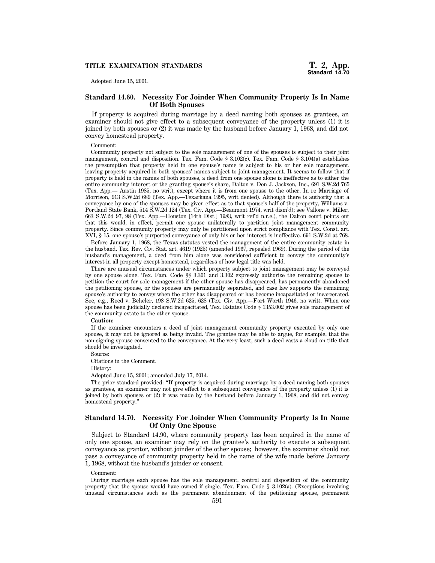# **TITLE EXAMINATION STANDARDS**

Adopted June 15, 2001.

# **Standard 14.60. Necessity For Joinder When Community Property Is In Name Of Both Spouses**

If property is acquired during marriage by a deed naming both spouses as grantees, an examiner should not give effect to a subsequent conveyance of the property unless (1) it is joined by both spouses or (2) it was made by the husband before January 1, 1968, and did not convey homestead property.

Comment:

Community property not subject to the sole management of one of the spouses is subject to their joint management, control and disposition. Tex. Fam. Code § 3.102(c). Tex. Fam. Code § 3.104(a) establishes the presumption that property held in one spouse's name is subject to his or her sole management, leaving property acquired in both spouses' names subject to joint management. It seems to follow that if property is held in the names of both spouses, a deed from one spouse alone is ineffective as to either the entire community interest or the granting spouse's share, Dalton v. Don J. Jackson, Inc., 691 S.W.2d 765 (Tex. App.— Austin 1985, no writ), except where it is from one spouse to the other. In re Marriage of Morrison, 913 S.W.2d 689 (Tex. App.—Texarkana 1995, writ denied). Although there is authority that a conveyance by one of the spouses may be given effect as to that spouse's half of the property, Williams v. Portland State Bank, 514 S.W.2d 124 (Tex. Civ. App.—Beaumont 1974, writ dism'd); see Vallone v. Miller, 663 S.W.2d 97, 98 (Tex. App.—Houston [14th Dist.] 1983, writ ref'd n.r.e.), the Dalton court points out that this would, in effect, permit one spouse unilaterally to partition joint management community property. Since community property may only be partitioned upon strict compliance with Tex. Const. art. XVI, § 15, one spouse's purported conveyance of only his or her interest is ineffective. 691 S.W.2d at 768.

Before January 1, 1968, the Texas statutes vested the management of the entire community estate in the husband. Tex. Rev. Civ. Stat. art. 4619 (1925) (amended 1967, repealed 1969). During the period of the husband's management, a deed from him alone was considered sufficient to convey the community's interest in all property except homestead, regardless of how legal title was held.

There are unusual circumstances under which property subject to joint management may be conveyed by one spouse alone. Tex. Fam. Code §§ 3.301 and 3.302 expressly authorize the remaining spouse to petition the court for sole management if the other spouse has disappeared, has permanently abandoned the petitioning spouse, or the spouses are permanently separated, and case law supports the remaining spouse's authority to convey when the other has disappeared or has become incapacitated or incarcerated. See, e.g., Reed v. Beheler, 198 S.W.2d 625, 628 (Tex. Civ. App.—Fort Worth 1946, no writ). When one spouse has been judicially declared incapacitated, Tex. Estates Code § 1353.002 gives sole management of the community estate to the other spouse.

# **Caution:**

If the examiner encounters a deed of joint management community property executed by only one spouse, it may not be ignored as being invalid. The grantee may be able to argue, for example, that the non-signing spouse consented to the conveyance. At the very least, such a deed casts a cloud on title that should be investigated.

Source: Citations in the Comment.

History:

Adopted June 15, 2001; amended July 17, 2014.

The prior standard provided: ''If property is acquired during marriage by a deed naming both spouses as grantees, an examiner may not give effect to a subsequent conveyance of the property unless (1) it is joined by both spouses or (2) it was made by the husband before January 1, 1968, and did not convey homestead property.''

# **Standard 14.70. Necessity For Joinder When Community Property Is In Name Of Only One Spouse**

Subject to Standard 14.90, where community property has been acquired in the name of only one spouse, an examiner may rely on the grantee's authority to execute a subsequent conveyance as grantor, without joinder of the other spouse; however, the examiner should not pass a conveyance of community property held in the name of the wife made before January 1, 1968, without the husband's joinder or consent.

#### Comment:

During marriage each spouse has the sole management, control and disposition of the community property that the spouse would have owned if single. Tex. Fam. Code § 3.102(a). (Exceptions involving unusual circumstances such as the permanent abandonment of the petitioning spouse, permanent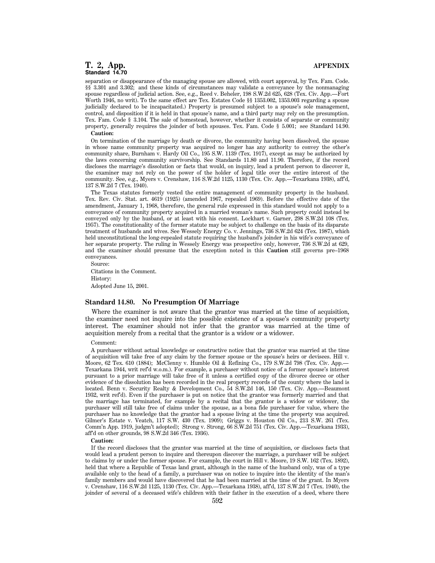separation or disappearance of the managing spouse are allowed, with court approval, by Tex. Fam. Code. §§ 3.301 and 3.302; and these kinds of circumstances may validate a conveyance by the nonmanaging spouse regardless of judicial action. See, e.g., Reed v. Beheler, 198 S.W.2d 625, 628 (Tex. Civ. App.—Fort Worth 1946, no writ). To the same effect are Tex. Estates Code §§ 1353.002, 1353.003 regarding a spouse judicially declared to be incapacitated.) Property is presumed subject to a spouse's sole management, control, and disposition if it is held in that spouse's name, and a third party may rely on the presumption. Tex. Fam. Code § 3.104. The sale of homestead, however, whether it consists of separate or community property, generally requires the joinder of both spouses. Tex. Fam. Code § 5.001; see Standard 14.90. **Caution:**

On termination of the marriage by death or divorce, the community having been dissolved, the spouse in whose name community property was acquired no longer has any authority to convey the other's community share, Burnham v. Hardy Oil Co., 195 S.W. 1139 (Tex. 1917), except as may be authorized by the laws concerning community survivorship. See Standards 11.80 and 11.90. Therefore, if the record discloses the marriage's dissolution or facts that would, on inquiry, lead a prudent person to discover it, the examiner may not rely on the power of the holder of legal title over the entire interest of the community. See, e.g., Myers v. Crenshaw, 116 S.W.2d 1125, 1130 (Tex. Civ. App.—Texarkana 1938), aff'd, 137 S.W.2d 7 (Tex. 1940).

The Texas statutes formerly vested the entire management of community property in the husband. Tex. Rev. Civ. Stat. art. 4619 (1925) (amended 1967, repealed 1969). Before the effective date of the amendment, January 1, 1968, therefore, the general rule expressed in this standard would not apply to a conveyance of community property acquired in a married woman's name. Such property could instead be conveyed only by the husband, or at least with his consent. Lockhart v. Garner, 298 S.W.2d 108 (Tex. 1957). The constitutionality of the former statute may be subject to challenge on the basis of its disparate treatment of husbands and wives. See Wessely Energy Co. v. Jennings, 736 S.W.2d 624 (Tex. 1987), which held unconstitutional the long-repealed statute requiring the husband's joinder in his wife's conveyance of her separate property. The ruling in Wessely Energy was prospective only, however, 736 S.W.2d at 629, and the examiner should presume that the exception noted in this **Caution** still governs pre–1968 conveyances.

Source: Citations in the Comment. History: Adopted June 15, 2001.

# **Standard 14.80. No Presumption Of Marriage**

Where the examiner is not aware that the grantor was married at the time of acquisition, the examiner need not inquire into the possible existence of a spouse's community property interest. The examiner should not infer that the grantor was married at the time of acquisition merely from a recital that the grantor is a widow or a widower.

#### Comment:

A purchaser without actual knowledge or constructive notice that the grantor was married at the time of acquisition will take free of any claim by the former spouse or the spouse's heirs or devisees. Hill v. Moore, 62 Tex. 610 (1884); McClenny v. Humble Oil & Refining Co., 179 S.W.2d 798 (Tex. Civ. App.— Texarkana 1944, writ ref'd w.o.m.). For example, a purchaser without notice of a former spouse's interest pursuant to a prior marriage will take free of it unless a certified copy of the divorce decree or other evidence of the dissolution has been recorded in the real property records of the county where the land is located. Benn v. Security Realty & Development Co., 54 S.W.2d 146, 150 (Tex. Civ. App.—Beaumont 1932, writ ref'd). Even if the purchaser is put on notice that the grantor was formerly married and that the marriage has terminated, for example by a recital that the grantor is a widow or widower, the purchaser will still take free of claims under the spouse, as a bona fide purchaser for value, where the purchaser has no knowledge that the grantor had a spouse living at the time the property was acquired. Gilmer's Estate v. Veatch, 117 S.W. 430 (Tex. 1909); Griggs v. Houston Oil Co., 213 S.W. 261 (Tex. Comm'n App. 1919, judgm't adopted); Strong v. Strong, 66 S.W.2d 751 (Tex. Civ. App.—Texarkana 1933), aff'd on other grounds, 98 S.W.2d 346 (Tex. 1936).

#### **Caution:**

If the record discloses that the grantor was married at the time of acquisition, or discloses facts that would lead a prudent person to inquire and thereupon discover the marriage, a purchaser will be subject to claims by or under the former spouse. For example, the court in Hill v. Moore, 19 S.W. 162 (Tex. 1892), held that where a Republic of Texas land grant, although in the name of the husband only, was of a type available only to the head of a family, a purchaser was on notice to inquire into the identity of the man's family members and would have discovered that he had been married at the time of the grant. In Myers v. Crenshaw, 116 S.W.2d 1125, 1130 (Tex. Civ. App.—Texarkana 1938), aff'd, 137 S.W.2d 7 (Tex. 1940), the joinder of several of a deceased wife's children with their father in the execution of a deed, where there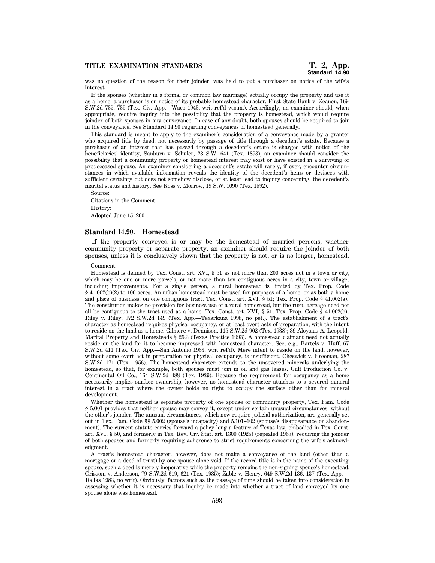was no question of the reason for their joinder, was held to put a purchaser on notice of the wife's interest.

If the spouses (whether in a formal or common law marriage) actually occupy the property and use it as a home, a purchaser is on notice of its probable homestead character. First State Bank v. Zeanon, 169 S.W.2d 735, 739 (Tex. Civ. App.—Waco 1943, writ ref'd w.o.m.). Accordingly, an examiner should, when appropriate, require inquiry into the possibility that the property is homestead, which would require joinder of both spouses in any conveyance. In case of any doubt, both spouses should be required to join in the conveyance. See Standard 14.90 regarding conveyances of homestead generally.

This standard is meant to apply to the examiner's consideration of a conveyance made by a grantor who acquired title by deed, not necessarily by passage of title through a decedent's estate. Because a purchaser of an interest that has passed through a decedent's estate is charged with notice of the beneficiaries' identity, Sanburn v. Schuler, 23 S.W. 641 (Tex. 1893), an examiner should consider the possibility that a community property or homestead interest may exist or have existed in a surviving or predeceased spouse. An examiner considering a decedent's estate will rarely, if ever, encounter circumstances in which available information reveals the identity of the decedent's heirs or devisees with sufficient certainty but does not somehow disclose, or at least lead to inquiry concerning, the decedent's marital status and history. See Ross v. Morrow, 19 S.W. 1090 (Tex. 1892).

Source: Citations in the Comment. History: Adopted June 15, 2001.

### **Standard 14.90. Homestead**

If the property conveyed is or may be the homestead of married persons, whether community property or separate property, an examiner should require the joinder of both spouses, unless it is conclusively shown that the property is not, or is no longer, homestead.

### Comment:

Homestead is defined by Tex. Const. art. XVI, § 51 as not more than 200 acres not in a town or city, which may be one or more parcels, or not more than ten contiguous acres in a city, town or village, including improvements. For a single person, a rural homestead is limited by Tex. Prop. Code § 41.002(b)(2) to 100 acres. An urban homestead must be used for purposes of a home, or as both a home and place of business, on one contiguous tract. Tex. Const. art. XVI, § 51; Tex. Prop. Code § 41.002(a). The constitution makes no provision for business use of a rural homestead, but the rural acreage need not all be contiguous to the tract used as a home. Tex. Const. art. XVI, § 51; Tex. Prop. Code § 41.002(b); Riley v. Riley, 972 S.W.2d 149 (Tex. App.—Texarkana 1998, no pet.). The establishment of a tract's character as homestead requires physical occupancy, or at least overt acts of preparation, with the intent to reside on the land as a home. Gilmore v. Dennison, 115 S.W.2d 902 (Tex. 1938); 39 Aloysius A. Leopold, Marital Property and Homesteads § 25.3 (Texas Practice 1993). A homestead claimant need not actually reside on the land for it to become impressed with homestead character. See, e.g., Bartels v. Huff, 67 S.W.2d 411 (Tex. Civ. App.—San Antonio 1933, writ ref'd). Mere intent to reside on the land, however, without some overt act in preparation for physical occupancy, is insufficient. Cheswick v. Freeman, 287 S.W.2d 171 (Tex. 1956). The homestead character extends to the unsevered minerals underlying the homestead, so that, for example, both spouses must join in oil and gas leases. Gulf Production Co. v. Continental Oil Co., 164 S.W.2d 488 (Tex. 1939). Because the requirement for occupancy as a home necessarily implies surface ownership, however, no homestead character attaches to a severed mineral interest in a tract where the owner holds no right to occupy the surface other than for mineral development.

Whether the homestead is separate property of one spouse or community property, Tex. Fam. Code § 5.001 provides that neither spouse may convey it, except under certain unusual circumstances, without the other's joinder. The unusual circumstances, which now require judicial authorization, are generally set out in Tex. Fam. Code §§ 5.002 (spouse's incapacity) and 5.101–102 (spouse's disappearance or abandonment). The current statute carries forward a policy long a feature of Texas law, embodied in Tex. Const. art. XVI, § 50, and formerly in Tex. Rev. Civ. Stat. art. 1300 (1925) (repealed 1967), requiring the joinder of both spouses and formerly requiring adherence to strict requirements concerning the wife's acknowledgment.

A tract's homestead character, however, does not make a conveyance of the land (other than a mortgage or a deed of trust) by one spouse alone void. If the record title is in the name of the executing spouse, such a deed is merely inoperative while the property remains the non-signing spouse's homestead. Grissom v. Anderson, 79 S.W.2d 619, 621 (Tex. 1935); Zable v. Henry, 649 S.W.2d 136, 137 (Tex. App.— Dallas 1983, no writ). Obviously, factors such as the passage of time should be taken into consideration in assessing whether it is necessary that inquiry be made into whether a tract of land conveyed by one spouse alone was homestead.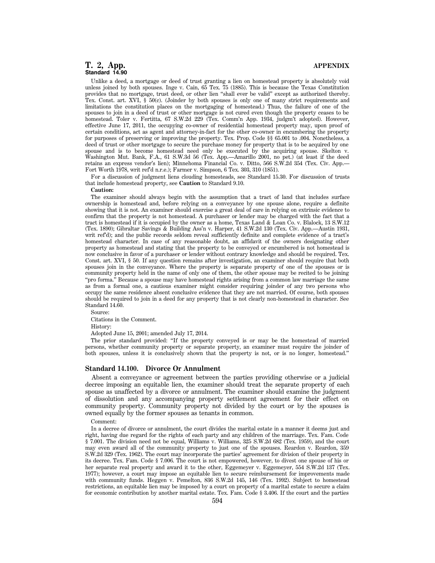Unlike a deed, a mortgage or deed of trust granting a lien on homestead property is absolutely void unless joined by both spouses. Inge v. Cain, 65 Tex. 75 (1885). This is because the Texas Constitution provides that no mortgage, trust deed, or other lien ''shall ever be valid'' except as authorized thereby. Tex. Const. art. XVI, § 50(c). (Joinder by both spouses is only one of many strict requirements and limitations the constitution places on the mortgaging of homestead.) Thus, the failure of one of the spouses to join in a deed of trust or other mortgage is not cured even though the property ceases to be homestead. Toler v. Fertitta, 67 S.W.2d 229 (Tex. Comm'n App. 1934, judgm't adopted). However, effective June 17, 2011, the occupying co-owner of residential homestead property may, upon proof of certain conditions, act as agent and attorney-in-fact for the other co-owner in encumbering the property for purposes of preserving or improving the property. Tex. Prop. Code §§ 65.001 to .004. Nonetheless, a deed of trust or other mortgage to secure the purchase money for property that is to be acquired by one spouse and is to become homestead need only be executed by the acquiring spouse. Skelton v. Washington Mut. Bank, F.A., 61 S.W.3d 56 (Tex. App.—Amarillo 2001, no pet.) (at least if the deed retains an express vendor's lien); Minnehoma Financial Co. v. Ditto, 566 S.W.2d 354 (Tex. Civ. App.— Fort Worth 1978, writ ref'd n.r.e.); Farmer v. Simpson, 6 Tex. 303, 310 (1851).

For a discussion of judgment liens clouding homesteads, see Standard 15.30. For discussion of trusts that include homestead property, see **Caution** to Standard 9.10.

#### **Caution:**

The examiner should always begin with the assumption that a tract of land that includes surface ownership is homestead and, before relying on a conveyance by one spouse alone, require a definite showing that it is not. An examiner should exercise a great deal of care in relying on extrinsic evidence to confirm that the property is not homestead. A purchaser or lender may be charged with the fact that a tract is homestead if it is occupied by the owner as a home, Texas Land & Loan Co. v. Blalock, 13 S.W.12 (Tex. 1890); Gibraltar Savings & Building Ass'n v. Harper, 41 S.W.2d 130 (Tex. Civ. App.—Austin 1931, writ ref'd); and the public records seldom reveal sufficiently definite and complete evidence of a tract's homestead character. In case of any reasonable doubt, an affidavit of the owners designating other property as homestead and stating that the property to be conveyed or encumbered is not homestead is now conclusive in favor of a purchaser or lender without contrary knowledge and should be required. Tex. Const. art. XVI, § 50. If any question remains after investigation, an examiner should require that both spouses join in the conveyance. Where the property is separate property of one of the spouses or is community property held in the name of only one of them, the other spouse may be recited to be joining ''pro forma.'' Because a spouse may have homestead rights arising from a common law marriage the same as from a formal one, a cautious examiner might consider requiring joinder of any two persons who occupy the same residence absent conclusive evidence that they are not married. Of course, both spouses should be required to join in a deed for any property that is not clearly non-homestead in character. See Standard 14.60.

Source:

Citations in the Comment.

History:

Adopted June 15, 2001; amended July 17, 2014.

The prior standard provided: ''If the property conveyed is or may be the homestead of married persons, whether community property or separate property, an examiner must require the joinder of both spouses, unless it is conclusively shown that the property is not, or is no longer, homestead.''

#### **Standard 14.100. Divorce Or Annulment**

Absent a conveyance or agreement between the parties providing otherwise or a judicial decree imposing an equitable lien, the examiner should treat the separate property of each spouse as unaffected by a divorce or annulment. The examiner should examine the judgment of dissolution and any accompanying property settlement agreement for their effect on community property. Community property not divided by the court or by the spouses is owned equally by the former spouses as tenants in common.

Comment:

In a decree of divorce or annulment, the court divides the marital estate in a manner it deems just and right, having due regard for the rights of each party and any children of the marriage. Tex. Fam. Code § 7.001. The division need not be equal, Williams v. Williams, 325 S.W.2d 682 (Tex. 1959), and the court may even award all of the community property to just one of the spouses. Reardon v. Reardon, 359 S.W.2d 329 (Tex. 1962). The court may incorporate the parties' agreement for division of their property in its decree. Tex. Fam. Code § 7.006. The court is not empowered, however, to divest one spouse of his or her separate real property and award it to the other, Eggemeyer v. Eggemeyer, 554 S.W.2d 137 (Tex. 1977); however, a court may impose an equitable lien to secure reimbursement for improvements made with community funds. Heggen v. Pemelton, 836 S.W.2d 145, 146 (Tex. 1992). Subject to homestead restrictions, an equitable lien may be imposed by a court on property of a marital estate to secure a claim for economic contribution by another marital estate. Tex. Fam. Code § 3.406. If the court and the parties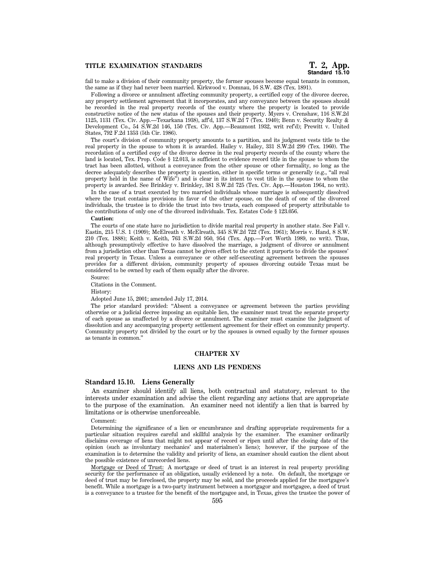fail to make a division of their community property, the former spouses become equal tenants in common, the same as if they had never been married. Kirkwood v. Domnau, 16 S.W. 428 (Tex. 1891).

Following a divorce or annulment affecting community property, a certified copy of the divorce decree, any property settlement agreement that it incorporates, and any conveyance between the spouses should be recorded in the real property records of the county where the property is located to provide constructive notice of the new status of the spouses and their property. Myers v. Crenshaw, 116 S.W.2d 1125, 1131 (Tex. Civ. App.—Texarkana 1938), aff'd, 137 S.W.2d 7 (Tex. 1940); Benn v. Security Realty & Development Co., 54 S.W.2d 146, 150 (Tex. Civ. App.—Beaumont 1932, writ ref'd); Prewitt v. United States, 792 F.2d 1353 (5th Cir. 1986).

The court's division of community property amounts to a partition, and its judgment vests title to the real property in the spouse to whom it is awarded. Hailey v. Hailey, 331 S.W.2d 299 (Tex. 1960). The recordation of a certified copy of the divorce decree in the real property records of the county where the land is located, Tex. Prop. Code § 12.013, is sufficient to evidence record title in the spouse to whom the tract has been allotted, without a conveyance from the other spouse or other formality, so long as the decree adequately describes the property in question, either in specific terms or generally (e.g., "all real property held in the name of Wife'') and is clear in its intent to vest title in the spouse to whom the property is awarded. See Brinkley v. Brinkley, 381 S.W.2d 725 (Tex. Civ. App.—Houston 1964, no writ).

In the case of a trust executed by two married individuals whose marriage is subsequently dissolved where the trust contains provisions in favor of the other spouse, on the death of one of the divorced individuals, the trustee is to divide the trust into two trusts, each composed of property attributable to the contributions of only one of the divorced individuals. Tex. Estates Code § 123.056.

# **Caution:**

The courts of one state have no jurisdiction to divide marital real property in another state. See Fall v. Eastin, 215 U.S. 1 (1909); McElreath v. McElreath, 345 S.W.2d 722 (Tex. 1961); Morris v. Hand, 8 S.W. 210 (Tex. 1888); Keith v. Keith, 763 S.W.2d 950, 954 (Tex. App.—Fort Worth 1989, no writ). Thus, although presumptively effective to have dissolved the marriage, a judgment of divorce or annulment from a jurisdiction other than Texas cannot be given effect to the extent it purports to divide the spouses' real property in Texas. Unless a conveyance or other self-executing agreement between the spouses provides for a different division, community property of spouses divorcing outside Texas must be considered to be owned by each of them equally after the divorce.

Source:

Citations in the Comment.

History:

Adopted June 15, 2001; amended July 17, 2014.

The prior standard provided: ''Absent a conveyance or agreement between the parties providing otherwise or a judicial decree imposing an equitable lien, the examiner must treat the separate property of each spouse as unaffected by a divorce or annulment. The examiner must examine the judgment of dissolution and any accompanying property settlement agreement for their effect on community property. Community property not divided by the court or by the spouses is owned equally by the former spouses as tenants in common.''

# **CHAPTER XV**

### **LIENS AND LIS PENDENS**

# **Standard 15.10. Liens Generally**

An examiner should identify all liens, both contractual and statutory, relevant to the interests under examination and advise the client regarding any actions that are appropriate to the purpose of the examination. An examiner need not identify a lien that is barred by limitations or is otherwise unenforceable.

#### Comment:

Determining the significance of a lien or encumbrance and drafting appropriate requirements for a particular situation requires careful and skillful analysis by the examiner. The examiner ordinarily disclaims coverage of liens that might not appear of record or ripen until after the closing date of the opinion (such as involuntary mechanics' and materialmen's liens); however, if the purpose of the examination is to determine the validity and priority of liens, an examiner should caution the client about the possible existence of unrecorded liens.

Mortgage or Deed of Trust: A mortgage or deed of trust is an interest in real property providing security for the performance of an obligation, usually evidenced by a note. On default, the mortgage or deed of trust may be foreclosed, the property may be sold, and the proceeds applied for the mortgagee's benefit. While a mortgage is a two-party instrument between a mortgagor and mortgagee, a deed of trust is a conveyance to a trustee for the benefit of the mortgagee and, in Texas, gives the trustee the power of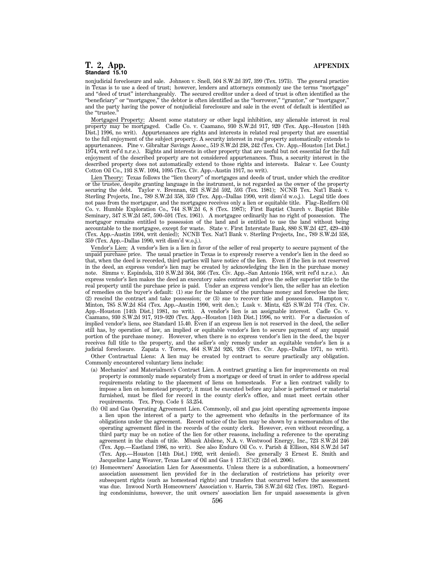nonjudicial foreclosure and sale. Johnson v. Snell, 504 S.W.2d 397, 399 (Tex. 1973). The general practice in Texas is to use a deed of trust; however, lenders and attorneys commonly use the terms ''mortgage'' and ''deed of trust'' interchangeably. The secured creditor under a deed of trust is often identified as the "beneficiary" or "mortgagee," the debtor is often identified as the "borrower," "grantor," or "mortgagor,' and the party having the power of nonjudicial foreclosure and sale in the event of default is identified as the "trustee."

Mortgaged Property: Absent some statutory or other legal inhibition, any alienable interest in real property may be mortgaged. Cadle Co. v. Caamano, 930 S.W.2d 917, 920 (Tex. App.–Houston [14th] Dist.] 1996, no writ). Appurtenances are rights and interests in related real property that are essential to the full enjoyment of the subject property. A security interest in real property automatically extends to appurtenances. Pine v. Gibraltar Savings Assoc., 519 S.W.2d 238, 242 (Tex. Civ. App.–Houston [1st Dist.] 1974, writ ref'd n.r.e.). Rights and interests in other property that are useful but not essential for the full enjoyment of the described property are not considered appurtenances. Thus, a security interest in the described property does not automatically extend to those rights and interests. Balcar v. Lee County Cotton Oil Co., 193 S.W. 1094, 1095 (Tex. Civ. App.–Austin 1917, no writ).

Lien Theory: Texas follows the ''lien theory'' of mortgages and deeds of trust, under which the creditor or the trustee, despite granting language in the instrument, is not regarded as the owner of the property securing the debt. Taylor v. Brennan, 621 S.W.2d 592, 593 (Tex. 1981); NCNB Tex. Nat'l Bank v. Sterling Projects, Inc., 789 S.W.2d 358, 359 (Tex. App.–Dallas 1990, writ dism'd w.o.j.). Legal title does not pass from the mortgagor, and the mortgagee receives only a lien or equitable title. Flag–Redfern Oil Co. v. Humble Exploration Co., 744 S.W.2d 6, 8 (Tex. 1987); First Baptist Church v. Baptist Bible Seminary, 347 S.W.2d 587, 590–591 (Tex. 1961). A mortgagee ordinarily has no right of possession. The mortgagor remains entitled to possession of the land and is entitled to use the land without being accountable to the mortgagee, except for waste. State v. First Interstate Bank, 880 S.W.2d 427, 429–430 (Tex. App.–Austin 1994, writ denied); NCNB Tex. Nat'l Bank v. Sterling Projects, Inc., 789 S.W.2d 358, 359 (Tex. App.–Dallas 1990, writ dism'd w.o.j.).

Vendor's Lien: A vendor's lien is a lien in favor of the seller of real property to secure payment of the unpaid purchase price. The usual practice in Texas is to expressly reserve a vendor's lien in the deed so that, when the deed is recorded, third parties will have notice of the lien. Even if the lien is not reserved in the deed, an express vendor's lien may be created by acknowledging the lien in the purchase money note. Simms v. Espindola, 310 S.W.2d 364, 366 (Tex. Civ. App.–San Antonio 1958, writ ref'd n.r.e.). An express vendor's lien makes the deed an executory sales contract and gives the seller superior title to the real property until the purchase price is paid. Under an express vendor's lien, the seller has an election of remedies on the buyer's default: (1) sue for the balance of the purchase money and foreclose the lien; (2) rescind the contract and take possession; or (3) sue to recover title and possession. Hampton v. Minton, 785 S.W.2d 854 (Tex. App.–Austin 1990, writ den.); Lusk v. Mintz, 625 S.W.2d 774 (Tex. Civ. App.–Houston [14th Dist.] 1981, no writ). A vendor's lien is an assignable interest. Cadle Co. v. Caamano, 930 S.W.2d 917, 919–920 (Tex. App.–Houston [14th Dist.] 1996, no writ). For a discussion of implied vendor's liens, see Standard 15.40. Even if an express lien is not reserved in the deed, the seller still has, by operation of law, an implied or equitable vendor's lien to secure payment of any unpaid portion of the purchase money. However, when there is no express vendor's lien in the deed, the buyer receives full title to the property, and the seller's only remedy under an equitable vendor's lien is a judicial foreclosure. Zapata v. Torres, 464 S.W.2d 926, 928 (Tex. Civ. App.–Dallas 1971, no writ).

Other Contractual Liens: A lien may be created by contract to secure practically any obligation. Commonly encountered voluntary liens include:

- (a) Mechanics' and Materialmen's Contract Lien. A contract granting a lien for improvements on real property is commonly made separately from a mortgage or deed of trust in order to address special requirements relating to the placement of liens on homesteads. For a lien contract validly to impose a lien on homestead property, it must be executed before any labor is performed or material furnished, must be filed for record in the county clerk's office, and must meet certain other requirements. Tex. Prop. Code § 53.254.
- (b) Oil and Gas Operating Agreement Lien. Commonly, oil and gas joint operating agreements impose a lien upon the interest of a party to the agreement who defaults in the performance of its obligations under the agreement. Record notice of the lien may be shown by a memorandum of the operating agreement filed in the records of the county clerk. However, even without recording, a third party may be on notice of the lien for other reasons, including a reference to the operating agreement in the chain of title. Mbank Abilene, N.A. v. Westwood Energy, Inc., 723 S.W.2d 246 (Tex. App.—Eastland 1986, no writ). See also Enduro Oil Co. v. Parish & Ellison, 834 S.W.2d 547 (Tex. App.—Houston [14th Dist.] 1992, writ denied). See generally 3 Ernest E. Smith and Jacqueline Lang Weaver, Texas Law of Oil and Gas § 17.3(C)(2) (2d ed. 2006).
- (c) Homeowners' Association Lien for Assessments. Unless there is a subordination, a homeowners' association assessment lien provided for in the declaration of restrictions has priority over subsequent rights (such as homestead rights) and transfers that occurred before the assessment was due. Inwood North Homeowners' Association v. Harris, 736 S.W.2d 632 (Tex. 1987). Regarding condominiums, however, the unit owners' association lien for unpaid assessments is given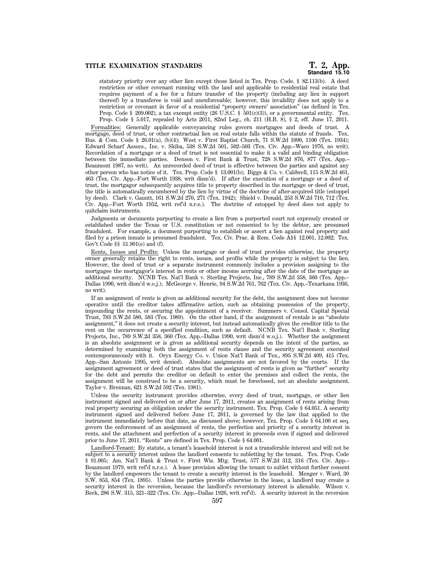statutory priority over any other lien except those listed in Tex. Prop. Code. § 82.113(b). A deed restriction or other covenant running with the land and applicable to residential real estate that requires payment of a fee for a future transfer of the property (including any lien in support thereof) by a transferee is void and unenforceable; however, this invalidity does not apply to a restriction or covenant in favor of a residential ''property owners' association'' (as defined in Tex. Prop. Code § 209.002), a tax exempt entity (26 U.S.C. §  $501(c)(3)$ ), or a governmental entity. Tex. Prop. Code § 5.017, repealed by Acts 2011, 82nd Leg., ch. 211 (H.B. 8), § 2, eff. June 17, 2011.

Formalities: Generally applicable conveyancing rules govern mortgages and deeds of trust. A mortgage, deed of trust, or other contractual lien on real estate falls within the statute of frauds. Tex. Bus. & Com. Code § 26.01(a), (b)(4); West v. First Baptist Church, 71 S.W.2d 1090, 1100 (Tex. 1934); Edward Scharf Assocs., Inc. v. Skiba, 538 S.W.2d 501, 502–503 (Tex. Civ. App.–Waco 1976, no writ). Recordation of a mortgage or a deed of trust is not essential to make it a valid and binding obligation between the immediate parties. Denson v. First Bank & Trust, 728 S.W.2d 876, 877 (Tex. App.– Beaumont 1987, no writ). An unrecorded deed of trust is effective between the parties and against any other person who has notice of it. Tex. Prop. Code § 13.001(b); Biggs & Co. v. Caldwell, 115 S.W.2d 461, 463 (Tex. Civ. App.–Fort Worth 1938, writ dism'd). If after the execution of a mortgage or a deed of trust, the mortgagor subsequently acquires title to property described in the mortgage or deed of trust, the title is automatically encumbered by the lien by virtue of the doctrine of after-acquired title (estoppel by deed). Clark v. Gauntt, 161 S.W.2d 270, 271 (Tex. 1942); Shield v. Donald, 253 S.W.2d 710, 712 (Tex. Civ. App.–Fort Worth 1952, writ ref'd n.r.e.). The doctrine of estoppel by deed does not apply to quitclaim instruments.

Judgments or documents purporting to create a lien from a purported court not expressly created or established under the Texas or U.S. constitution or not consented to by the debtor, are presumed fraudulent. For example, a document purporting to establish or assert a lien against real property and filed by a prison inmate is presumed fraudulent. Tex. Civ. Prac. & Rem. Code A§§ 12.001, 12.002; Tex. Gov't Code §§ 51.901(e) and (f).

Rents, Issues and Profits: Unless the mortgage or deed of trust provides otherwise, the property owner generally retains the right to rents, issues, and profits while the property is subject to the lien. However, the deed of trust or a separate instrument commonly includes a provision assigning to the mortgagee the mortgagor's interest in rents or other income accruing after the date of the mortgage as additional security. NCNB Tex. Nat'l Bank v. Sterling Projects, Inc., 789 S.W.2d 358, 360 (Tex. App.– Dallas 1990, writ dism'd w.o.j.); McGeorge v. Henrie, 94 S.W.2d 761, 762 (Tex. Civ. App.–Texarkana 1936, no writ).

If an assignment of rents is given as additional security for the debt, the assignment does not become operative until the creditor takes affirmative action, such as obtaining possession of the property, impounding the rents, or securing the appointment of a receiver. Summers v. Consol. Capital Special Trust, 783 S.W.2d 580, 583 (Tex. 1989). On the other hand, if the assignment of rentals is an ''absolute assignment,'' it does not create a security interest, but instead automatically gives the creditor title to the rent on the occurrence of a specified condition, such as default. NCNB Tex. Nat'l Bank v. Sterling Projects, Inc., 789 S.W.2d 358, 360 (Tex. App.–Dallas 1990, writ dism'd w.o.j.). Whether the assignment is an absolute assignment or is given as additional security depends on the intent of the parties, as determined by examining both the assignment of rents clause and the security agreement executed contemporaneously with it. Oryx Energy Co. v. Union Nat'l Bank of Tex., 895 S.W.2d 409, 415 (Tex. App.–San Antonio 1995, writ denied). Absolute assignments are not favored by the courts. If the assignment agreement or deed of trust states that the assignment of rents is given as ''further'' security for the debt and permits the creditor on default to enter the premises and collect the rents, the assignment will be construed to be a security, which must be foreclosed, not an absolute assignment. Taylor v. Brennan, 621 S.W.2d 592 (Tex. 1981).

Unless the security instrument provides otherwise, every deed of trust, mortgage, or other lien instrument signed and delivered on or after June 17, 2011, creates an assignment of rents arising from real property securing an obligation under the security instrument. Tex. Prop. Code § 64.051. A security instrument signed and delivered before June 17, 2011, is governed by the law that applied to the instrument immediately before that date, as discussed above; however, Tex. Prop. Code § 64.100 et seq. govern the enforcement of an assignment of rents, the perfection and priority of a security interest in rents, and the attachment and perfection of a security interest in proceeds even if signed and delivered prior to June 17, 2011. ''Rents'' are defined in Tex. Prop. Code § 64.001.

Landlord-Tenant: By statute, a tenant's leasehold interest is not a transferable interest and will not be subject to a security interest unless the landlord consents to subletting by the tenant. Tex. Prop. Code § 91.005; Am. Nat'l Bank & Trust v. First Wis. Mtg. Trust, 577 S.W.2d 312, 316 (Tex. Civ. App.– Beaumont 1979, writ ref'd n.r.e.). A lease provision allowing the tenant to sublet without further consent by the landlord empowers the tenant to create a security interest in the leasehold. Menger v. Ward, 30 S.W. 853, 854 (Tex. 1895). Unless the parties provide otherwise in the lease, a landlord may create a security interest in the reversion, because the landlord's reversionary interest is alienable. Wilson v. Beck, 286 S.W. 315, 321–322 (Tex. Civ. App.–Dallas 1926, writ ref'd). A security interest in the reversion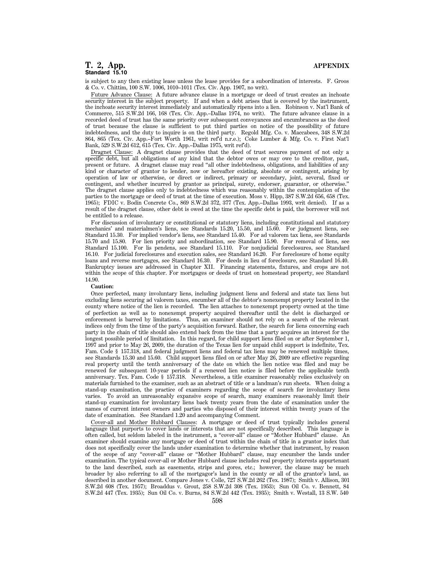is subject to any then existing lease unless the lease provides for a subordination of interests. F. Groos & Co. v. Chittim, 100 S.W. 1006, 1010–1011 (Tex. Civ. App. 1907, no writ).

Future Advance Clause: A future advance clause in a mortgage or deed of trust creates an inchoate security interest in the subject property. If and when a debt arises that is covered by the instrument, the inchoate security interest immediately and automatically ripens into a lien. Robinson v. Nat'l Bank of Commerce, 515 S.W.2d 166, 168 (Tex. Civ. App.–Dallas 1974, no writ). The future advance clause in a recorded deed of trust has the same priority over subsequent conveyances and encumbrances as the deed of trust because the clause is sufficient to put third parties on notice of the possibility of future indebtedness, and the duty to inquire is on the third party. Regold Mfg. Co. v. Maccabees, 348 S.W.2d 864, 865 (Tex. Civ. App.–Fort Worth 1961, writ ref'd n.r.e.); Coke Lumber & Mfg. Co. v. First Nat'l Bank, 529 S.W.2d 612, 615 (Tex. Civ. App.–Dallas 1975, writ ref'd).

Dragnet Clause: A dragnet clause provides that the deed of trust secures payment of not only a specific debt, but all obligations of any kind that the debtor owes or may owe to the creditor, past, present or future. A dragnet clause may read ''all other indebtedness, obligations, and liabilities of any kind or character of grantor to lender, now or hereafter existing, absolute or contingent, arising by operation of law or otherwise, or direct or indirect, primary or secondary, joint, several, fixed or contingent, and whether incurred by grantor as principal, surety, endorser, guarantor, or otherwise.'' The dragnet clause applies only to indebtedness which was reasonably within the contemplation of the parties to the mortgage or deed of trust at the time of execution. Moss v. Hipp, 387 S.W.2d 656, 658 (Tex. 1965); FDIC v. Bodin Concrete Co., 869 S.W.2d 372, 377 (Tex. App.–Dallas 1993, writ denied). If as a result of the dragnet clause, other debt is owed at the time the specific debt is paid, the borrower will not be entitled to a release.

For discussion of involuntary or constitutional or statutory liens, including constitutional and statutory mechanics' and materialmen's liens, see Standards 15.20, 15.50, and 15.60. For judgment liens, see Standard 15.30. For implied vendor's liens, see Standard 15.40. For ad valorem tax liens, see Standards 15.70 and 15.80. For lien priority and subordination, see Standard 15.90. For removal of liens, see Standard 15.100. For lis pendens, see Standard 15.110. For nonjudicial foreclosures, see Standard 16.10. For judicial foreclosures and execution sales, see Standard 16.20. For foreclosure of home equity loans and reverse mortgages, see Standard 16.30. For deeds in lieu of foreclosure, see Standard 16.40. Bankruptcy issues are addressed in Chapter XII. Financing statements, fixtures, and crops are not within the scope of this chapter. For mortgages or deeds of trust on homestead property, see Standard 14.90.

#### **Caution:**

Once perfected, many involuntary liens, including judgment liens and federal and state tax liens but excluding liens securing ad valorem taxes, encumber all of the debtor's nonexempt property located in the county where notice of the lien is recorded. The lien attaches to nonexempt property owned at the time of perfection as well as to nonexempt property acquired thereafter until the debt is discharged or enforcement is barred by limitations. Thus, an examiner should not rely on a search of the relevant indices only from the time of the party's acquisition forward. Rather, the search for liens concerning each party in the chain of title should also extend back from the time that a party acquires an interest for the longest possible period of limitation. In this regard, for child support liens filed on or after September 1, 1997 and prior to May 26, 2009, the duration of the Texas lien for unpaid child support is indefinite, Tex. Fam. Code § 157.318, and federal judgment liens and federal tax liens may be renewed multiple times, see Standards 15.30 and 15.60. Child support liens filed on or after May 26, 2009 are effective regarding real property until the tenth anniversary of the date on which the lien notice was filed and may be renewed for subsequent 10-year periods if a renewed lien notice is filed before the applicable tenth anniversary. Tex. Fam. Code § 157.318. Nevertheless, a title examiner reasonably relies exclusively on materials furnished to the examiner, such as an abstract of title or a landman's run sheets. When doing a stand-up examination, the practice of examiners regarding the scope of search for involuntary liens varies. To avoid an unreasonably expansive scope of search, many examiners reasonably limit their stand-up examination for involuntary liens back twenty years from the date of examination under the names of current interest owners and parties who disposed of their interest within twenty years of the date of examination. See Standard 1.20 and accompanying Comment.

Cover-all and Mother Hubbard Clauses: A mortgage or deed of trust typically includes general language that purports to cover lands or interests that are not specifically described. This language is often called, but seldom labeled in the instrument, a ''cover-all'' clause or ''Mother Hubbard'' clause. An examiner should examine any mortgage or deed of trust within the chain of title in a grantor index that does not specifically cover the lands under examination to determine whether that instrument, by reason of the scope of any ''cover-all'' clause or ''Mother Hubbard'' clause, may encumber the lands under examination. The typical cover-all or Mother Hubbard clause includes real property interests appurtenant to the land described, such as easements, strips and gores, etc.; however, the clause may be much broader by also referring to all of the mortgagor's land in the county or all of the grantor's land, as described in another document. Compare Jones v. Colle, 727 S.W.2d 262 (Tex. 1987); Smith v. Allison, 301 S.W.2d 608 (Tex. 1957); Broaddus v. Grout, 258 S.W.2d 308 (Tex. 1953); Sun Oil Co. v. Bennett, 84 S.W.2d 447 (Tex. 1935); Sun Oil Co. v. Burns, 84 S.W.2d 442 (Tex. 1935); Smith v. Westall, 13 S.W. 540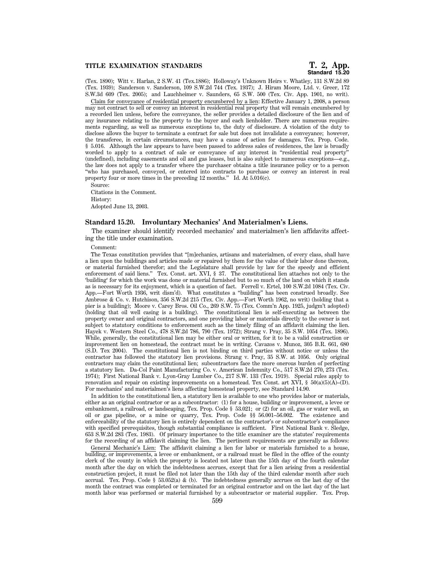# **Standard 15.20**

(Tex. 1890); Witt v. Harlan, 2 S.W. 41 (Tex.1886); Holloway's Unknown Heirs v. Whatley, 131 S.W.2d 89 (Tex. 1939); Sanderson v. Sanderson, 109 S.W.2d 744 (Tex. 1937); J. Hiram Moore, Ltd. v. Greer, 172 S.W.3d 609 (Tex. 2005); and Lauchheimer v. Saunders, 65 S.W. 500 (Tex. Civ. App. 1901, no writ).

Claim for conveyance of residential property encumbered by a lien: Effective January 1, 2008, a person may not contract to sell or convey an interest in residential real property that will remain encumbered by a recorded lien unless, before the conveyance, the seller provides a detailed disclosure of the lien and of any insurance relating to the property to the buyer and each lienholder. There are numerous requirements regarding, as well as numerous exceptions to, the duty of disclosure. A violation of the duty to disclose allows the buyer to terminate a contract for sale but does not invalidate a conveyance; however, the transferee, in certain circumstances, may have a cause of action for damages. Tex. Prop. Code. § 5.016. Although the law appears to have been passed to address sales of residences, the law is broadly worded to apply to a contract of sale or conveyance of any interest in ''residential real property'' (undefined), including easements and oil and gas leases, but is also subject to numerous exceptions—e.g., the law does not apply to a transfer where the purchaser obtains a title insurance policy or to a person ''who has purchased, conveyed, or entered into contracts to purchase or convey an interest in real property four or more times in the preceding 12 months." Id. At 5.016(c).

Source:

Citations in the Comment. History: Adopted June 13, 2003.

# **Standard 15.20. Involuntary Mechanics' And Materialmen's Liens.**

The examiner should identify recorded mechanics' and materialmen's lien affidavits affecting the title under examination.

#### Comment:

The Texas constitution provides that ''[m]echanics, artisans and materialmen, of every class, shall have a lien upon the buildings and articles made or repaired by them for the value of their labor done thereon, or material furnished therefor; and the Legislature shall provide by law for the speedy and efficient enforcement of said liens.'' Tex. Const. art. XVI, § 37. The constitutional lien attaches not only to the 'building' for which the work was done or material furnished but to so much of the land on which it stands as is necessary for its enjoyment, which is a question of fact. Ferrell v. Ertel, 100 S.W.2d 1084 (Tex. Civ. App.—Fort Worth 1936, writ dism'd). What constitutes a ''building'' has been construed broadly. See Ambrose & Co. v. Hutchison, 356 S.W.2d 215 (Tex. Civ. App.—Fort Worth 1962, no writ) (holding that a pier is a building); Moore v. Carey Bros. Oil Co., 269 S.W. 75 (Tex. Comm'n App. 1925, judgm't adopted) (holding that oil well casing is a building). The constitutional lien is self-executing as between the property owner and original contractors, and one providing labor or materials directly to the owner is not subject to statutory conditions to enforcement such as the timely filing of an affidavit claiming the lien. Hayek v. Western Steel Co., 478 S.W.2d 786, 790 (Tex. 1972); Strang v. Pray, 35 S.W. 1054 (Tex. 1896). While, generally, the constitutional lien may be either oral or written, for it to be a valid construction or improvement lien on homestead, the contract must be in writing. Cavazos v. Munoz, 305 B.R. 661, 680 (S.D. Tex 2004). The constitutional lien is not binding on third parties without notice or unless the contractor has followed the statutory lien provisions. Strang v. Pray, 35 S.W. at 1056. Only original contractors may claim the constitutional lien; subcontractors face the more onerous burden of perfecting a statutory lien. Da-Col Paint Manufacturing Co. v. American Indemnity Co., 517 S.W.2d 270, 273 (Tex. 1974); First National Bank v. Lyon-Gray Lumber Co., 217 S.W. 133 (Tex. 1919). Special rules apply to renovation and repair on existing improvements on a homestead. Tex Const. art XVI, §  $50(a)(5)(A)-D$ . For mechanics' and materialmen's liens affecting homestead property, see Standard 14.90.

In addition to the constitutional lien, a statutory lien is available to one who provides labor or materials, either as an original contractor or as a subcontractor: (1) for a house, building or improvement, a levee or embankment, a railroad, or landscaping, Tex. Prop. Code § 53.021; or (2) for an oil, gas or water well, an oil or gas pipeline, or a mine or quarry, Tex. Prop. Code §§ 56.001–56.002. The existence and enforceability of the statutory lien is entirely dependent on the contractor's or subcontractor's compliance with specified prerequisites, though substantial compliance is sufficient. First National Bank v. Sledge, 653 S.W.2d 283 (Tex. 1983). Of primary importance to the title examiner are the statutes' requirements for the recording of an affidavit claiming the lien. The pertinent requirements are generally as follows:

General Mechanic's Lien: The affidavit claiming a lien for labor or materials furnished to a house, building, or improvements, a levee or embankment, or a railroad must be filed in the office of the county clerk of the county in which the property is located not later than the 15th day of the fourth calendar month after the day on which the indebtedness accrues, except that for a lien arising from a residential construction project, it must be filed not later than the 15th day of the third calendar month after such accrual. Tex. Prop. Code § 53.052(a)  $\&$  (b). The indebtedness generally accrues on the last day of the month the contract was completed or terminated for an original contractor and on the last day of the last month labor was performed or material furnished by a subcontractor or material supplier. Tex. Prop.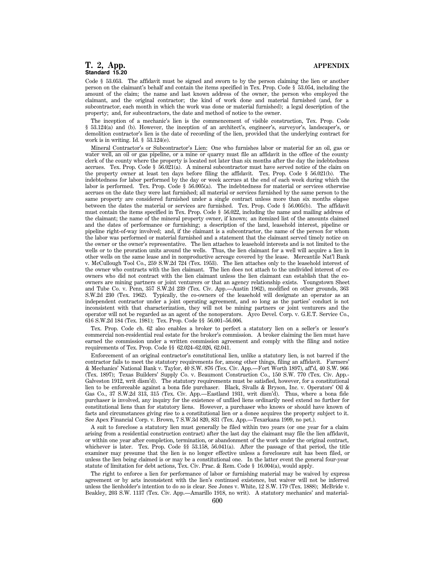Code § 53.053. The affidavit must be signed and sworn to by the person claiming the lien or another person on the claimant's behalf and contain the items specified in Tex. Prop. Code § 53.054, including the amount of the claim; the name and last known address of the owner, the person who employed the claimant, and the original contractor; the kind of work done and material furnished (and, for a subcontractor, each month in which the work was done or material furnished); a legal description of the property; and, for subcontractors, the date and method of notice to the owner.

The inception of a mechanic's lien is the commencement of visible construction, Tex. Prop. Code § 53.124(a) and (b). However, the inception of an architect's, engineer's, surveyor's, landscaper's, or demolition contractor's lien is the date of recording of the lien, provided that the underlying contract for work is in writing. Id. § 53.124(e).

Mineral Contractor's or Subcontractor's Lien: One who furnishes labor or material for an oil, gas or water well, an oil or gas pipeline, or a mine or quarry must file an affidavit in the office of the county clerk of the county where the property is located not later than six months after the day the indebtedness accrues. Tex. Prop. Code  $\S$  56.021(a). A mineral subcontractor must have served notice of the claim on the property owner at least ten days before filing the affidavit. Tex. Prop. Code § 56.021(b). The indebtedness for labor performed by the day or week accrues at the end of each week during which the labor is performed. Tex. Prop. Code § 56.005(a). The indebtedness for material or services otherwise accrues on the date they were last furnished; all material or services furnished by the same person to the same property are considered furnished under a single contract unless more than six months elapse between the dates the material or services are furnished. Tex. Prop. Code § 56.005(b). The affidavit must contain the items specified in Tex. Prop. Code § 56.022, including the name and mailing address of the claimant; the name of the mineral property owner, if known; an itemized list of the amounts claimed and the dates of performance or furnishing; a description of the land, leasehold interest, pipeline or pipeline right-of-way involved; and, if the claimant is a subcontractor, the name of the person for whom the labor was performed or material furnished and a statement that the claimant served timely notice on the owner or the owner's representative. The lien attaches to leasehold interests and is not limited to the wells or to the proration units around the wells. Thus, the lien claimant for a well will acquire a lien in other wells on the same lease and in nonproductive acreage covered by the lease. Mercantile Nat'l Bank v. McCullough Tool Co., 259 S.W.2d 724 (Tex. 1953). The lien attaches only to the leasehold interest of the owner who contracts with the lien claimant. The lien does not attach to the undivided interest of coowners who did not contract with the lien claimant unless the lien claimant can establish that the coowners are mining partners or joint venturers or that an agency relationship exists. Youngstown Sheet and Tube Co. v. Penn, 357 S.W.2d 239 (Tex. Civ. App.—Austin 1962), modified on other grounds, 363 S.W.2d 230 (Tex. 1962). Typically, the co-owners of the leasehold will designate an operator as an independent contractor under a joint operating agreement, and so long as the parties' conduct is not inconsistent with that characterization, they will not be mining partners or joint venturers and the operator will not be regarded as an agent of the nonoperators. Ayco Devel. Corp. v. G.E.T. Service Co., 616 S.W.2d 184 (Tex. 1981); Tex. Prop. Code §§ 56.001–56.006.

Tex. Prop. Code ch. 62 also enables a broker to perfect a statutory lien on a seller's or lessor's commercial non-residential real estate for the broker's commission. A broker claiming the lien must have earned the commission under a written commission agreement and comply with the filing and notice requirements of Tex. Prop. Code §§ 62.024–62.026, 62.041.

Enforcement of an original contractor's constitutional lien, unlike a statutory lien, is not barred if the contractor fails to meet the statutory requirements for, among other things, filing an affidavit. Farmers' & Mechanics' National Bank v. Taylor, 40 S.W. 876 (Tex. Civ. App.—Fort Worth 1897), aff'd, 40 S.W. 966 (Tex. 1897); Texas Builders' Supply Co. v. Beaumont Construction Co., 150 S.W. 770 (Tex. Civ. App.- Galveston 1912, writ dism'd). The statutory requirements must be satisfied, however, for a constitutional lien to be enforceable against a bona fide purchaser. Black, Sivalls & Bryson, Inc. v. Operators' Oil & Gas Co., 37 S.W.2d 313, 315 (Tex. Civ. App.—Eastland 1931, writ dism'd). Thus, where a bona fide purchaser is involved, any inquiry for the existence of unfiled liens ordinarily need extend no further for constitutional liens than for statutory liens. However, a purchaser who knows or should have known of facts and circumstances giving rise to a constitutional lien or a donee acquires the property subject to it. See Apex Financial Corp. v. Brown, 7 S.W.3d 820, 831 (Tex. App.—Texarkana 1999, no pet.).

A suit to foreclose a statutory lien must generally be filed within two years (or one year for a claim arising from a residential construction contract) after the last day the claimant may file the lien affidavit, or within one year after completion, termination, or abandonment of the work under the original contract, whichever is later. Tex. Prop. Code §§ 53.158, 56.041(a). After the passage of that period, the title examiner may presume that the lien is no longer effective unless a foreclosure suit has been filed, or unless the lien being claimed is or may be a constitutional one. In the latter event the general four-year statute of limitation for debt actions, Tex. Civ. Prac. & Rem. Code § 16.004(a), would apply.

The right to enforce a lien for performance of labor or furnishing material may be waived by express agreement or by acts inconsistent with the lien's continued existence, but waiver will not be inferred unless the lienholder's intention to do so is clear. See Jones v. White, 12 S.W. 179 (Tex. 1888); McBride v. Beakley, 203 S.W. 1137 (Tex. Civ. App.—Amarillo 1918, no writ). A statutory mechanics' and material-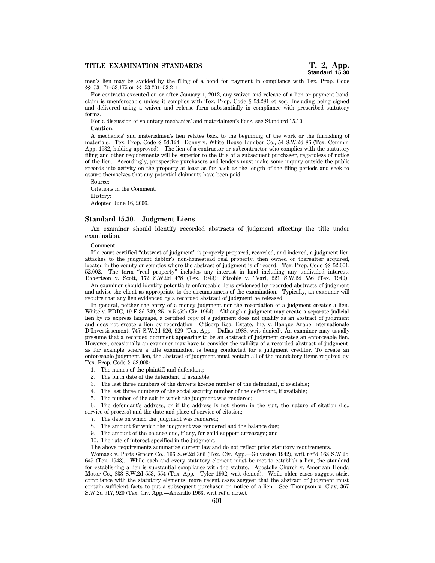men's lien may be avoided by the filing of a bond for payment in compliance with Tex. Prop. Code §§ 53.171–53.175 or §§ 53.201–53.211.

For contracts executed on or after January 1, 2012, any waiver and release of a lien or payment bond claim is unenforceable unless it complies with Tex. Prop. Code § 53.281 et seq., including being signed and delivered using a waiver and release form substantially in compliance with prescribed statutory forms.

For a discussion of voluntary mechanics' and materialmen's liens, see Standard 15.10.

#### **Caution:**

A mechanics' and materialmen's lien relates back to the beginning of the work or the furnishing of materials. Tex. Prop. Code § 53.124; Denny v. White House Lumber Co., 54 S.W.2d 86 (Tex. Comm'n App. 1932, holding approved). The lien of a contractor or subcontractor who complies with the statutory filing and other requirements will be superior to the title of a subsequent purchaser, regardless of notice of the lien. Accordingly, prospective purchasers and lenders must make some inquiry outside the public records into activity on the property at least as far back as the length of the filing periods and seek to assure themselves that any potential claimants have been paid.

Source: Citations in the Comment. History: Adopted June 16, 2006.

# **Standard 15.30. Judgment Liens**

An examiner should identify recorded abstracts of judgment affecting the title under examination.

#### Comment:

If a court-certified ''abstract of judgment'' is properly prepared, recorded, and indexed, a judgment lien attaches to the judgment debtor's non-homestead real property, then owned or thereafter acquired, located in the county or counties where the abstract of judgment is of record. Tex. Prop. Code §§ 52.001, 52.002. The term "real property" includes any interest in land including any undivided interest. Robertson v. Scott, 172 S.W.2d 478 (Tex. 1943); Stroble v. Tearl, 221 S.W.2d 556 (Tex. 1949).

An examiner should identify potentially enforceable liens evidenced by recorded abstracts of judgment and advise the client as appropriate to the circumstances of the examination. Typically, an examiner will require that any lien evidenced by a recorded abstract of judgment be released.

In general, neither the entry of a money judgment nor the recordation of a judgment creates a lien. White v. FDIC, 19 F.3d 249, 251 n.5 (5th Cir. 1994). Although a judgment may create a separate judicial lien by its express language, a certified copy of a judgment does not qualify as an abstract of judgment and does not create a lien by recordation. Citicorp Real Estate, Inc. v. Banque Arabe Internationale D'Investissement, 747 S.W.2d 926, 929 (Tex. App.—Dallas 1988, writ denied). An examiner may usually presume that a recorded document appearing to be an abstract of judgment creates an enforceable lien. However, occasionally an examiner may have to consider the validity of a recorded abstract of judgment, as for example where a title examination is being conducted for a judgment creditor. To create an enforceable judgment lien, the abstract of judgment must contain all of the mandatory items required by Tex. Prop. Code § 52.003:

- 1. The names of the plaintiff and defendant;
- 2. The birth date of the defendant, if available;
- 3. The last three numbers of the driver's license number of the defendant, if available;
- 4. The last three numbers of the social security number of the defendant, if available;
- 5. The number of the suit in which the judgment was rendered;

6. The defendant's address, or if the address is not shown in the suit, the nature of citation (i.e.,

service of process) and the date and place of service of citation; 7. The date on which the judgment was rendered;

- 8. The amount for which the judgment was rendered and the balance due;
- 9. The amount of the balance due, if any, for child support arrearage; and
- 10. The rate of interest specified in the judgment.

The above requirements summarize current law and do not reflect prior statutory requirements.

Womack v. Paris Grocer Co., 166 S.W.2d 366 (Tex. Civ. App.—Galveston 1942), writ ref'd 168 S.W.2d 645 (Tex. 1943). While each and every statutory element must be met to establish a lien, the standard for establishing a lien is substantial compliance with the statute. Apostolic Church v. American Honda Motor Co., 833 S.W.2d 553, 554 (Tex. App.—Tyler 1992, writ denied). While older cases suggest strict compliance with the statutory elements, more recent cases suggest that the abstract of judgment must contain sufficient facts to put a subsequent purchaser on notice of a lien. See Thompson v. Clay, 367 S.W.2d 917, 920 (Tex. Civ. App.—Amarillo 1963, writ ref'd n.r.e.).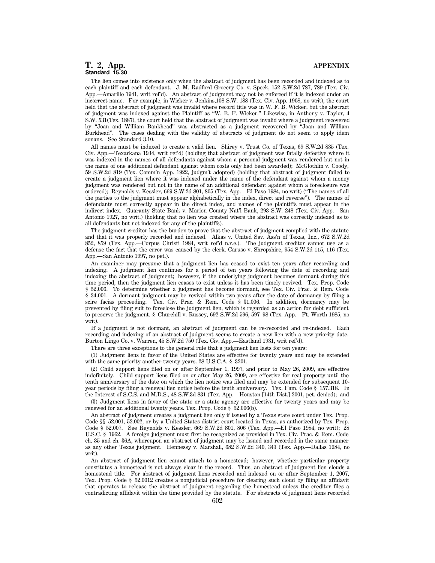The lien comes into existence only when the abstract of judgment has been recorded and indexed as to each plaintiff and each defendant. J. M. Radford Grocery Co. v. Speck, 152 S.W.2d 787, 789 (Tex. Civ. App.—Amarillo 1941, writ ref'd). An abstract of judgment may not be enforced if it is indexed under an incorrect name. For example, in Wicker v. Jenkins,108 S.W. 188 (Tex. Civ. App. 1908, no writ), the court held that the abstract of judgment was invalid where record title was in W. F. B. Wicker, but the abstract of judgment was indexed against the Plaintiff as ''W. B. F. Wicker.'' Likewise, in Anthony v. Taylor, 4 S.W. 531(Tex. 1887), the court held that the abstract of judgment was invalid where a judgment recovered by ''Joan and William Bankhead'' was abstracted as a judgment recovered by ''Joan and William Burkhead''. The cases dealing with the validity of abstracts of judgment do not seem to apply idem sonans. See Standard 3.10.

All names must be indexed to create a valid lien. Shirey v. Trust Co. of Texas, 69 S.W.2d 835 (Tex. Civ. App.—Texarkana 1934, writ ref'd) (holding that abstract of judgment was fatally defective where it was indexed in the names of all defendants against whom a personal judgment was rendered but not in the name of one additional defendant against whom costs only had been awarded); McGlothlin v. Coody, 59 S.W.2d 819 (Tex. Comm'n App. 1922, judgm't adopted) (holding that abstract of judgment failed to create a judgment lien where it was indexed under the name of the defendant against whom a money judgment was rendered but not in the name of an additional defendant against whom a foreclosure was ordered); Reynolds v. Kessler, 669 S.W.2d 801, 805 (Tex. App.—El Paso 1984, no writ) (''The names of all the parties to the judgment must appear alphabetically in the index, direct and reverse''). The names of defendants must correctly appear in the direct index, and names of the plaintiffs must appear in the indirect index. Guaranty State Bank v. Marion County Nat'l Bank, 293 S.W. 248 (Tex. Civ. App.—San Antonio 1927, no writ.) (holding that no lien was created where the abstract was correctly indexed as to all defendants but not indexed for any of the plaintiffs).

The judgment creditor has the burden to prove that the abstract of judgment complied with the statute and that it was properly recorded and indexed. Alkas v. United Sav. Ass'n of Texas, Inc., 672 S.W.2d 852, 859 (Tex. App.—Corpus Christi 1984, writ ref'd n.r.e.). The judgment creditor cannot use as a defense the fact that the error was caused by the clerk. Caruso v. Shropshire, 954 S.W.2d 115, 116 (Tex. App.—San Antonio 1997, no pet.).

An examiner may presume that a judgment lien has ceased to exist ten years after recording and indexing. A judgment lien continues for a period of ten years following the date of recording and indexing the abstract of judgment; however, if the underlying judgment becomes dormant during this time period, then the judgment lien ceases to exist unless it has been timely revived. Tex. Prop. Code § 52.006. To determine whether a judgment has become dormant, see Tex. Civ. Prac. & Rem. Code § 34.001. A dormant judgment may be revived within two years after the date of dormancy by filing a scire facias proceeding. Tex. Civ. Prac. & Rem. Code § 31.006. In addition, dormancy may be prevented by filing suit to foreclose the judgment lien, which is regarded as an action for debt sufficient to preserve the judgment. § Churchill v. Russey, 692 S.W.2d 596, 597–98 (Tex. App.—Ft. Worth 1985, no writ).

If a judgment is not dormant, an abstract of judgment can be re-recorded and re-indexed. Each recording and indexing of an abstract of judgment seems to create a new lien with a new priority date. Burton Lingo Co. v. Warren, 45 S.W.2d 750 (Tex. Civ. App.—Eastland 1931, writ ref'd).

There are three exceptions to the general rule that a judgment lien lasts for ten years:

(1) Judgment liens in favor of the United States are effective for twenty years and may be extended with the same priority another twenty years. 28 U.S.C.A. § 3201.

(2) Child support liens filed on or after September 1, 1997, and prior to May 26, 2009, are effective indefinitely. Child support liens filed on or after May 26, 2009, are effective for real property until the tenth anniversary of the date on which the lien notice was filed and may be extended for subsequent 10 year periods by filing a renewal lien notice before the tenth anniversary. Tex. Fam. Code § 157.318. In the Interest of S.C.S. and M.D.S., 48 S.W.3d 831 (Tex. App.—Houston [14th Dist.] 2001, pet. denied); and

(3) Judgment liens in favor of the state or a state agency are effective for twenty years and may be renewed for an additional twenty years. Tex. Prop. Code § 52.006(b).

An abstract of judgment creates a judgment lien only if issued by a Texas state court under Tex. Prop. Code §§ 52.001, 52.002, or by a United States district court located in Texas, as authorized by Tex. Prop. Code § 52.007. See Reynolds v. Kessler, 669 S.W.2d 801, 806 (Tex. App.—El Paso 1984, no writ); 28 U.S.C. § 1962. A foreign judgment must first be recognized as provided in Tex. Civ. Prac. & Rem. Code ch. 35 and ch. 36A, whereupon an abstract of judgment may be issued and recorded in the same manner as any other Texas judgment. Hennessy v. Marshall, 682 S.W.2d 340, 343 (Tex. App.—Dallas 1984, no writ).

An abstract of judgment lien cannot attach to a homestead; however, whether particular property constitutes a homestead is not always clear in the record. Thus, an abstract of judgment lien clouds a homestead title. For abstract of judgment liens recorded and indexed on or after September 1, 2007, Tex. Prop. Code § 52.0012 creates a nonjudicial procedure for clearing such cloud by filing an affidavit that operates to release the abstract of judgment regarding the homestead unless the creditor files a contradicting affidavit within the time provided by the statute. For abstracts of judgment liens recorded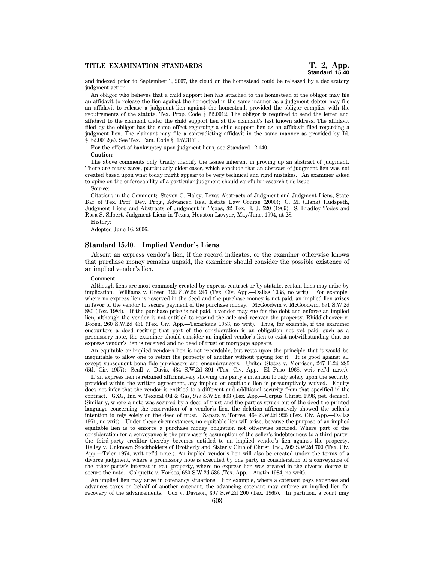and indexed prior to September 1, 2007, the cloud on the homestead could be released by a declaratory judgment action.

An obligor who believes that a child support lien has attached to the homestead of the obligor may file an affidavit to release the lien against the homestead in the same manner as a judgment debtor may file an affidavit to release a judgment lien against the homestead, provided the obligor complies with the requirements of the statute. Tex. Prop. Code § 52.0012. The obligor is required to send the letter and affidavit to the claimant under the child support lien at the claimant's last known address. The affidavit filed by the obligor has the same effect regarding a child support lien as an affidavit filed regarding a judgment lien. The claimant may file a contradicting affidavit in the same manner as provided by Id. § 52.0012(e). See Tex. Fam. Code § 157.3171.

For the effect of bankruptcy upon judgment liens, see Standard 12.140.

**Caution:**

The above comments only briefly identify the issues inherent in proving up an abstract of judgment. There are many cases, particularly older cases, which conclude that an abstract of judgment lien was not created based upon what today might appear to be very technical and rigid mistakes. An examiner asked to opine on the enforceability of a particular judgment should carefully research this issue.

#### Source:

Citations in the Comment; Steven C. Haley, Texas Abstracts of Judgment and Judgment Liens, State Bar of Tex. Prof. Dev. Prog., Advanced Real Estate Law Course (2000); C. M. (Hank) Hudspeth, Judgment Liens and Abstracts of Judgment in Texas, 32 Tex. B. J. 520 (1969); S. Bradley Todes and Rosa S. Silbert, Judgment Liens in Texas, Houston Lawyer, May/June, 1994, at 28.

History:

Adopted June 16, 2006.

# **Standard 15.40. Implied Vendor's Liens**

Absent an express vendor's lien, if the record indicates, or the examiner otherwise knows that purchase money remains unpaid, the examiner should consider the possible existence of an implied vendor's lien.

#### Comment:

Although liens are most commonly created by express contract or by statute, certain liens may arise by implication. Williams v. Greer, 122 S.W.2d 247 (Tex. Civ. App.—Dallas 1938, no writ). For example, where no express lien is reserved in the deed and the purchase money is not paid, an implied lien arises in favor of the vendor to secure payment of the purchase money. McGoodwin v. McGoodwin, 671 S.W.2d 880 (Tex. 1984). If the purchase price is not paid, a vendor may sue for the debt and enforce an implied lien, although the vendor is not entitled to rescind the sale and recover the property. Rhiddlehoover v. Boren, 260 S.W.2d 431 (Tex. Civ. App.—Texarkana 1953, no writ). Thus, for example, if the examiner encounters a deed reciting that part of the consideration is an obligation not yet paid, such as a promissory note, the examiner should consider an implied vendor's lien to exist notwithstanding that no express vendor's lien is received and no deed of trust or mortgage appears.

An equitable or implied vendor's lien is not recordable, but rests upon the principle that it would be inequitable to allow one to retain the property of another without paying for it. It is good against all except subsequent bona fide purchasers and encumbrancers. United States v. Morrison, 247 F.2d 285 (5th Cir. 1957); Scull v. Davis, 434 S.W.2d 391 (Tex. Civ. App.—El Paso 1968, writ ref'd n.r.e.).

If an express lien is retained affirmatively showing the party's intention to rely solely upon the security provided within the written agreement, any implied or equitable lien is presumptively waived. Equity does not infer that the vendor is entitled to a different and additional security from that specified in the contract. GXG, Inc. v. Texacal Oil & Gas, 977 S.W.2d 403 (Tex. App.—Corpus Christi 1998, pet. denied). Similarly, where a note was secured by a deed of trust and the parties struck out of the deed the printed language concerning the reservation of a vendor's lien, the deletion affirmatively showed the seller's intention to rely solely on the deed of trust. Zapata v. Torres, 464 S.W.2d 926 (Tex. Civ. App.—Dallas 1971, no writ). Under these circumstances, no equitable lien will arise, because the purpose of an implied equitable lien is to enforce a purchase money obligation not otherwise secured. Where part of the consideration for a conveyance is the purchaser's assumption of the seller's indebtedness to a third party, the third-party creditor thereby becomes entitled to an implied vendor's lien against the property. Delley v. Unknown Stockholders of Brotherly and Sisterly Club of Christ, Inc., 509 S.W.2d 709 (Tex. Civ. App.—Tyler 1974, writ ref'd n.r.e.). An implied vendor's lien will also be created under the terms of a divorce judgment, where a promissory note is executed by one party in consideration of a conveyance of the other party's interest in real property, where no express lien was created in the divorce decree to secure the note. Colquette v. Forbes, 680 S.W.2d 536 (Tex. App.—Austin 1984, no writ).

An implied lien may arise in cotenancy situations. For example, where a cotenant pays expenses and advances taxes on behalf of another cotenant, the advancing cotenant may enforce an implied lien for recovery of the advancements. Cox v. Davison, 397 S.W.2d 200 (Tex. 1965). In partition, a court may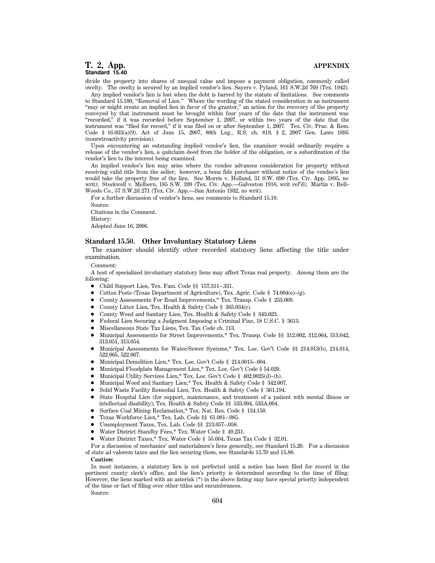divide the property into shares of unequal value and impose a payment obligation, commonly called owelty. The owelty is secured by an implied vendor's lien. Sayers v. Pyland, 161 S.W.2d 769 (Tex. 1942).

Any implied vendor's lien is lost when the debt is barred by the statute of limitations. See comments to Standard 15.100, "Removal of Lien." Where the wording of the stated consideration in an instrument ''may or might create an implied lien in favor of the grantor,'' an action for the recovery of the property conveyed by that instrument must be brought within four years of the date that the instrument was ''recorded,'' if it was recorded before September 1, 2007, or within two years of the date that the instrument was ''filed for record,'' if it was filed on or after September 1, 2007. Tex. Civ. Prac. & Rem. Code § 16.033(a)(9). Act of June 15, 2007, 80th Leg., R.S. ch. 819, § 2, 2007 Gen. Laws 1695 (nonretroactivity provision).

Upon encountering an outstanding implied vendor's lien, the examiner would ordinarily require a release of the vendor's lien, a quitclaim deed from the holder of the obligation, or a subordination of the vendor's lien to the interest being examined.

An implied vendee's lien may arise where the vendee advances consideration for property without receiving valid title from the seller; however, a bona fide purchaser without notice of the vendee's lien would take the property free of the lien. See Morris v. Holland, 31 S.W. 690 (Tex. Civ. App. 1895, no writ); Stockwell v. Melbern, 185 S.W. 399 (Tex. Civ. App.—Galveston 1916, writ ref'd); Martin v. Bell– Woods Co., 57 S.W.2d 271 (Tex. Civ. App.—San Antonio 1932, no writ).

For a further discussion of vendor's liens, see comments to Standard 15.10. Source: Citations in the Comment.

History:

Adopted June 16, 2006.

### **Standard 15.50. Other Involuntary Statutory Liens**

The examiner should identify other recorded statutory liens affecting the title under examination.

Comment:

A host of specialized involuntary statutory liens may affect Texas real property. Among them are the following:

- Child Support Lien, Tex. Fam. Code §§ 157.311-.331.
- Cotton Pests (Texas Department of Agriculture), Tex. Agric. Code § 74.004(e)–(g).
- 1 County Assessments For Road Improvements,\* Tex. Transp. Code § 253.009.
- County Litter Lien, Tex. Health & Safety Code § 365.034(c).
- County Weed and Sanitary Lien, Tex. Health & Safety Code § 343.023.
- Federal Lien Securing a Judgment Imposing a Criminal Fine, 18 U.S.C. § 3613.
- $\bullet$  Miscellaneous State Tax Liens, Tex. Tax Code ch. 113.
- Municipal Assessments for Street Improvements,\* Tex. Transp. Code §§ 312.002, 312.064, 313.042, 313.051, 313.054.
- 1 Municipal Assessments for Water/Sewer Systems,\* Tex. Loc. Gov't Code §§ 214.013(b), 214.014, 522.065, 522.067.
- 1 Municipal Demolition Lien,\* Tex. Loc. Gov't Code § 214.0015–.004.
- 1 Municipal Floodplain Management Lien,\* Tex. Loc. Gov't Code § 54.020.
- 1 Municipal Utility Services Lien,\* Tex. Loc. Gov't Code § 402.0025(d)–(h).
- 1 Municipal Weed and Sanitary Lien,\* Tex. Health & Safety Code § 342.007.
- Solid Waste Facility Remedial Lien, Tex. Health & Safety Code § 361.194.
- State Hospital Lien (for support, maintenance, and treatment of a patient with mental illness or intellectual disability), Tex. Health & Safety Code §§ 533.004, 533A.004.
- 1 Surface Coal Mining Reclamation,\* Tex. Nat. Res. Code § 134.150.
- 1 Texas Workforce Lien,\* Tex. Lab. Code §§ 61.081–.085.
- Unemployment Taxes, Tex. Lab. Code §§ 213.057-.058.
- 1 Water District Standby Fees,\* Tex. Water Code § 49.231.
- 1 Water District Taxes,\* Tex. Water Code § 55.604, Texas Tax Code § 32.01.

For a discussion of mechanics' and materialmen's liens generally, see Standard 15.20. For a discussion of state ad valorem taxes and the lien securing them, see Standards 15.70 and 15.80.

#### **Caution:**

In most instances, a statutory lien is not perfected until a notice has been filed for record in the pertinent county clerk's office, and the lien's priority is determined according to the time of filing. However, the liens marked with an asterisk (\*) in the above listing may have special priority independent of the time or fact of filing over other titles and encumbrances.

Source: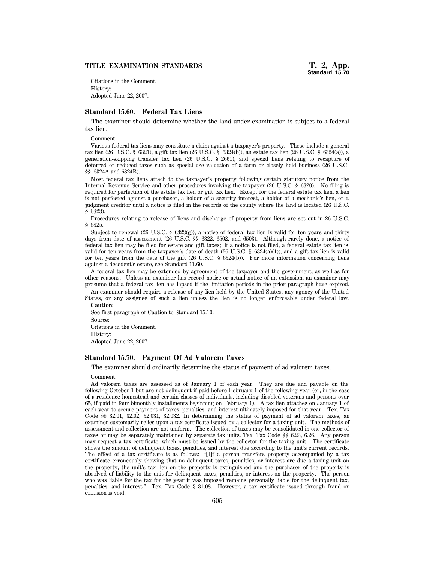# **TITLE EXAMINATION STANDARDS**

Citations in the Comment. History: Adopted June 22, 2007.

# **Standard 15.60. Federal Tax Liens**

The examiner should determine whether the land under examination is subject to a federal tax lien.

Comment:

Various federal tax liens may constitute a claim against a taxpayer's property. These include a general tax lien (26 U.S.C. § 6321), a gift tax lien (26 U.S.C. § 6324(b)), an estate tax lien (26 U.S.C. § 6324(a)), a generation-skipping transfer tax lien (26 U.S.C. § 2661), and special liens relating to recapture of deferred or reduced taxes such as special use valuation of a farm or closely held business (26 U.S.C. §§ 6324A and 6324B).

Most federal tax liens attach to the taxpayer's property following certain statutory notice from the Internal Revenue Service and other procedures involving the taxpayer (26 U.S.C. § 6320). No filing is required for perfection of the estate tax lien or gift tax lien. Except for the federal estate tax lien, a lien is not perfected against a purchaser, a holder of a security interest, a holder of a mechanic's lien, or a judgment creditor until a notice is filed in the records of the county where the land is located (26 U.S.C. § 6323).

Procedures relating to release of liens and discharge of property from liens are set out in 26 U.S.C. § 6325.

Subject to renewal (26 U.S.C. § 6323(g)), a notice of federal tax lien is valid for ten years and thirty days from date of assessment (26 U.S.C. §§ 6322, 6502, and 6503). Although rarely done, a notice of federal tax lien may be filed for estate and gift taxes; if a notice is not filed, a federal estate tax lien is valid for ten years from the taxpayer's date of death (26 U.S.C. §  $6324(a)(1)$ ), and a gift tax lien is valid for ten years from the date of the gift (26 U.S.C. § 6324(b)). For more information concerning liens against a decedent's estate, see Standard 11.60.

A federal tax lien may be extended by agreement of the taxpayer and the government, as well as for other reasons. Unless an examiner has record notice or actual notice of an extension, an examiner may presume that a federal tax lien has lapsed if the limitation periods in the prior paragraph have expired.

An examiner should require a release of any lien held by the United States, any agency of the United States, or any assignee of such a lien unless the lien is no longer enforceable under federal law. **Caution:**

See first paragraph of Caution to Standard 15.10.

Source:

Citations in the Comment.

History:

Adopted June 22, 2007.

# **Standard 15.70. Payment Of Ad Valorem Taxes**

The examiner should ordinarily determine the status of payment of ad valorem taxes.

Comment:

Ad valorem taxes are assessed as of January 1 of each year. They are due and payable on the following October 1 but are not delinquent if paid before February 1 of the following year (or, in the case of a residence homestead and certain classes of individuals, including disabled veterans and persons over 65, if paid in four bimonthly installments beginning on February 1). A tax lien attaches on January 1 of each year to secure payment of taxes, penalties, and interest ultimately imposed for that year. Tex. Tax Code §§ 32.01, 32.02, 32.031, 32.032. In determining the status of payment of ad valorem taxes, an examiner customarily relies upon a tax certificate issued by a collector for a taxing unit. The methods of assessment and collection are not uniform. The collection of taxes may be consolidated in one collector of taxes or may be separately maintained by separate tax units. Tex. Tax Code §§ 6.23, 6.26. Any person may request a tax certificate, which must be issued by the collector for the taxing unit. The certificate shows the amount of delinquent taxes, penalties, and interest due according to the unit's current records. The effect of a tax certificate is as follows: "[I]f a person transfers property accompanied by a tax certificate erroneously showing that no delinquent taxes, penalties, or interest are due a taxing unit on the property, the unit's tax lien on the property is extinguished and the purchaser of the property is absolved of liability to the unit for delinquent taxes, penalties, or interest on the property. The person who was liable for the tax for the year it was imposed remains personally liable for the delinquent tax, penalties, and interest.'' Tex. Tax Code § 31.08. However, a tax certificate issued through fraud or collusion is void.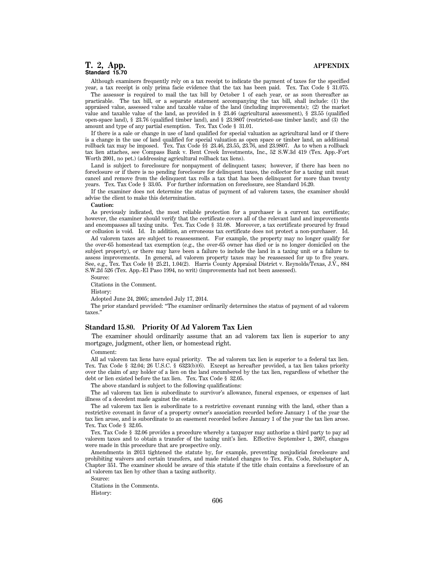Although examiners frequently rely on a tax receipt to indicate the payment of taxes for the specified year, a tax receipt is only prima facie evidence that the tax has been paid. Tex. Tax Code § 31.075.

The assessor is required to mail the tax bill by October 1 of each year, or as soon thereafter as practicable. The tax bill, or a separate statement accompanying the tax bill, shall include: (1) the appraised value, assessed value and taxable value of the land (including improvements); (2) the market value and taxable value of the land, as provided in § 23.46 (agricultural assessment), § 23.55 (qualified open-space land), § 23.76 (qualified timber land), and § 23.9807 (restricted-use timber land); and (3) the amount and type of any partial exemption. Tex. Tax Code § 31.01.

If there is a sale or change in use of land qualified for special valuation as agricultural land or if there is a change in the use of land qualified for special valuation as open space or timber land, an additional rollback tax may be imposed. Tex. Tax Code §§ 23.46, 23.55, 23.76, and 23.9807. As to when a rollback tax lien attaches, see Compass Bank v. Bent Creek Investments, Inc., 52 S.W.3d 419 (Tex. App.-Fort Worth 2001, no pet.) (addressing agricultural rollback tax liens).

Land is subject to foreclosure for nonpayment of delinquent taxes; however, if there has been no foreclosure or if there is no pending foreclosure for delinquent taxes, the collector for a taxing unit must cancel and remove from the delinquent tax rolls a tax that has been delinquent for more than twenty years. Tex. Tax Code § 33.05. For further information on foreclosure, see Standard 16.20.

If the examiner does not determine the status of payment of ad valorem taxes, the examiner should advise the client to make this determination.

#### **Caution:**

As previously indicated, the most reliable protection for a purchaser is a current tax certificate; however, the examiner should verify that the certificate covers all of the relevant land and improvements and encompasses all taxing units. Tex. Tax Code § 31.08. Moreover, a tax certificate procured by fraud or collusion is void. Id. In addition, an erroneous tax certificate does not protect a non-purchaser. Id.

Ad valorem taxes are subject to reassessment. For example, the property may no longer qualify for the over-65 homestead tax exemption (e.g., the over-65 owner has died or is no longer domiciled on the subject property), or there may have been a failure to include the land in a taxing unit or a failure to assess improvements. In general, ad valorem property taxes may be reassessed for up to five years. See, e.g., Tex. Tax Code §§ 25.21, 1.04(2). Harris County Appraisal District v. Reynolds/Texas, J.V., 884 S.W.2d 526 (Tex. App.-El Paso 1994, no writ) (improvements had not been assessed).

Source:

Citations in the Comment.

History:

Adopted June 24, 2005; amended July 17, 2014.

The prior standard provided: ''The examiner ordinarily determines the status of payment of ad valorem taxes.''

# **Standard 15.80. Priority Of Ad Valorem Tax Lien**

The examiner should ordinarily assume that an ad valorem tax lien is superior to any mortgage, judgment, other lien, or homestead right.

Comment:

All ad valorem tax liens have equal priority. The ad valorem tax lien is superior to a federal tax lien. Tex. Tax Code § 32.04; 26 U.S.C. § 6323(b)(6). Except as hereafter provided, a tax lien takes priority over the claim of any holder of a lien on the land encumbered by the tax lien, regardless of whether the debt or lien existed before the tax lien. Tex. Tax Code § 32.05.

The above standard is subject to the following qualifications:

The ad valorem tax lien is subordinate to survivor's allowance, funeral expenses, or expenses of last illness of a decedent made against the estate.

The ad valorem tax lien is subordinate to a restrictive covenant running with the land, other than a restrictive covenant in favor of a property owner's association recorded before January 1 of the year the tax lien arose, and is subordinate to an easement recorded before January 1 of the year the tax lien arose. Tex. Tax Code § 32.05.

Tex. Tax Code § 32.06 provides a procedure whereby a taxpayer may authorize a third party to pay ad valorem taxes and to obtain a transfer of the taxing unit's lien. Effective September 1, 2007, changes were made in this procedure that are prospective only.

Amendments in 2013 tightened the statute by, for example, preventing nonjudicial foreclosure and prohibiting waivers and certain transfers, and made related changes to Tex. Fin. Code, Subchapter A, Chapter 351. The examiner should be aware of this statute if the title chain contains a foreclosure of an ad valorem tax lien by other than a taxing authority.

Source:

Citations in the Comments. History: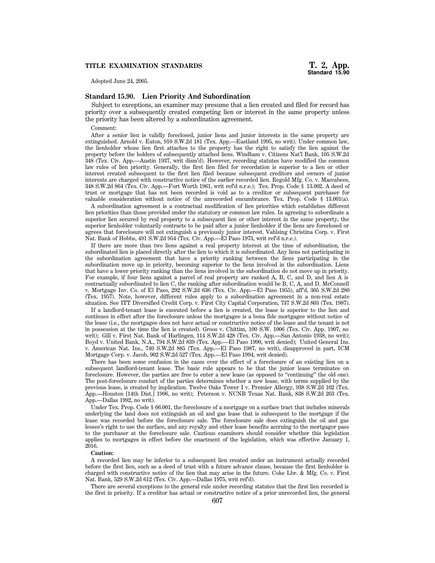# **TITLE EXAMINATION STANDARDS**

Adopted June 24, 2005.

# **Standard 15.90. Lien Priority And Subordination**

Subject to exceptions, an examiner may presume that a lien created and filed for record has priority over a subsequently created competing lien or interest in the same property unless the priority has been altered by a subordination agreement.

Comment:

After a senior lien is validly foreclosed, junior liens and junior interests in the same property are extinguished. Arnold v. Eaton, 910 S.W.2d 181 (Tex. App.—Eastland 1995, no writ). Under common law, the lienholder whose lien first attaches to the property has the right to satisfy the lien against the property before the holders of subsequently attached liens. Windham v. Citizens Nat'l Bank, 105 S.W.2d 348 (Tex. Civ. App.—Austin 1937, writ dism'd). However, recording statutes have modified the common law rules of lien priority. Generally, the first lien filed for recordation is superior to a lien or other interest created subsequent to the first lien filed because subsequent creditors and owners of junior interests are charged with constructive notice of the earlier recorded lien. Regold Mfg. Co. v. Maccabees, 348 S.W.2d 864 (Tex. Civ. App.—Fort Worth 1961, writ ref'd n.r.e.); Tex. Prop. Code § 13.002. A deed of trust or mortgage that has not been recorded is void as to a creditor or subsequent purchaser for valuable consideration without notice of the unrecorded encumbrance. Tex. Prop. Code § 13.001(a).

A subordination agreement is a contractual modification of lien priorities which establishes different lien priorities than those provided under the statutory or common law rules. In agreeing to subordinate a superior lien secured by real property to a subsequent lien or other interest in the same property, the superior lienholder voluntarily contracts to be paid after a junior lienholder if the liens are foreclosed or agrees that foreclosure will not extinguish a previously junior interest. Vahlsing Christina Corp. v. First Nat. Bank of Hobbs, 491 S.W.2d 954 (Tex. Civ. App.—El Paso 1973, writ ref'd n.r.e.).

If there are more than two liens against a real property interest at the time of subordination, the subordinated lien is placed directly after the lien to which it is subordinated. Any liens not participating in the subordination agreement that have a priority ranking between the liens participating in the subordination move up in priority, becoming superior to the liens involved in the subordination. Liens that have a lower priority ranking than the liens involved in the subordination do not move up in priority. For example, if four liens against a parcel of real property are ranked A, B, C, and D, and lien A is contractually subordinated to lien C, the ranking after subordination would be B, C, A, and D. McConnell v. Mortgage Inv. Co. of El Paso, 292 S.W.2d 636 (Tex. Civ. App.—El Paso 1955), aff'd, 305 S.W.2d 280 (Tex. 1957). Note, however, different rules apply to a subordination agreement in a non-real estate situation. See ITT Diversified Credit Corp. v. First City Capital Corporation, 737 S.W.2d 803 (Tex. 1987).

If a landlord-tenant lease is executed before a lien is created, the lease is superior to the lien and continues in effect after the foreclosure unless the mortgagee is a bona fide mortgagee without notice of the lease (i.e., the mortgagee does not have actual or constructive notice of the lease and the tenant is not in possession at the time the lien is created). Groos v. Chittim, 100 S.W. 1006 (Tex. Civ. App. 1907, no writ); Gill v. First Nat. Bank of Harlingen, 114 S.W.2d 428 (Tex. Civ. App.—San Antonio 1938, no writ); Boyd v. United Bank, N.A., 794 S.W.2d 839 (Tex. App.—El Paso 1990, writ denied); United General Ins. v. American Nat. Ins., 740 S.W.2d 885 (Tex. App.—El Paso 1987, no writ), disapproved in part, ICM Mortgage Corp. v. Jacob, 902 S.W.2d 527 (Tex. App.—El Paso 1994, writ denied).

There has been some confusion in the cases over the effect of a foreclosure of an existing lien on a subsequent landlord-tenant lease. The basic rule appears to be that the junior lease terminates on foreclosure. However, the parties are free to enter a new lease (as opposed to ''continuing'' the old one). The post-foreclosure conduct of the parties determines whether a new lease, with terms supplied by the previous lease, is created by implication. Twelve Oaks Tower I v. Premier Allergy, 938 S.W.2d 102 (Tex. App.—Houston [14th Dist.] 1996, no writ); Peterson v. NCNB Texas Nat. Bank, 838 S.W.2d 263 (Tex. App.—Dallas 1992, no writ).

Under Tex. Prop. Code § 66.001, the foreclosure of a mortgage on a surface tract that includes minerals underlying the land does not extinguish an oil and gas lease that is subsequent to the mortgage if the lease was recorded before the foreclosure sale. The foreclosure sale does extinguish the oil and gas lessee's right to use the surface, and any royalty and other lease benefits accruing to the mortgagor pass to the purchaser at the foreclosure sale. Cautious examiners should consider whether this legislation applies to mortgages in effect before the enactment of the legislation, which was effective January 1, 2016.

#### **Caution:**

A recorded lien may be inferior to a subsequent lien created under an instrument actually recorded before the first lien, such as a deed of trust with a future advance clause, because the first lienholder is charged with constructive notice of the lien that may arise in the future. Coke Lbr. & Mfg. Co. v. First Nat. Bank, 529 S.W.2d 612 (Tex. Civ. App.—Dallas 1975, writ ref'd).

There are several exceptions to the general rule under recording statutes that the first lien recorded is the first in priority. If a creditor has actual or constructive notice of a prior unrecorded lien, the general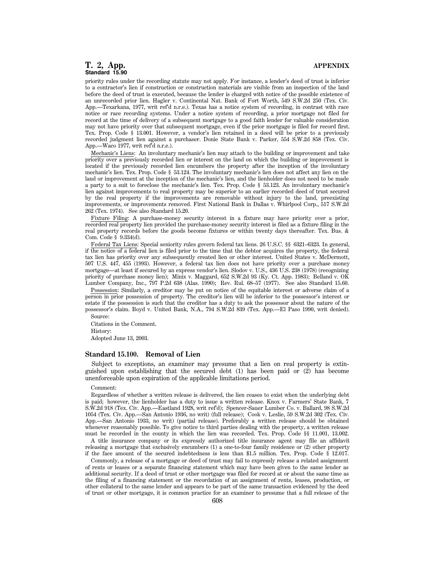priority rules under the recording statute may not apply. For instance, a lender's deed of trust is inferior to a contractor's lien if construction or construction materials are visible from an inspection of the land before the deed of trust is executed, because the lender is charged with notice of the possible existence of an unrecorded prior lien. Hagler v. Continental Nat. Bank of Fort Worth, 549 S.W.2d 250 (Tex. Civ. App.—Texarkana, 1977, writ ref'd n.r.e.). Texas has a notice system of recording, in contrast with race notice or race recording systems. Under a notice system of recording, a prior mortgage not filed for record at the time of delivery of a subsequent mortgage to a good faith lender for valuable consideration may not have priority over that subsequent mortgage, even if the prior mortgage is filed for record first. Tex. Prop. Code § 13.001. However, a vendor's lien retained in a deed will be prior to a previously recorded judgment lien against a purchaser. Donie State Bank v. Parker, 554 S.W.2d 858 (Tex. Civ. App.—Waco 1977, writ ref'd n.r.e.).

Mechanic's Liens: An involuntary mechanic's lien may attach to the building or improvement and take priority over a previously recorded lien or interest on the land on which the building or improvement is located if the previously recorded lien encumbers the property after the inception of the involuntary mechanic's lien. Tex. Prop. Code § 53.124. The involuntary mechanic's lien does not affect any lien on the land or improvement at the inception of the mechanic's lien, and the lienholder does not need to be made a party to a suit to foreclose the mechanic's lien. Tex. Prop. Code § 53.123. An involuntary mechanic's lien against improvements to real property may be superior to an earlier recorded deed of trust secured by the real property if the improvements are removable without injury to the land, preexisting improvements, or improvements removed. First National Bank in Dallas v. Whirlpool Corp., 517 S.W.2d 262 (Tex. 1974). See also Standard 15.20.

Fixture Filing: A purchase-money security interest in a fixture may have priority over a prior, recorded real property lien provided the purchase-money security interest is filed as a fixture filing in the real property records before the goods become fixtures or within twenty days thereafter. Tex. Bus. & Com. Code § 9.334(d).

Federal Tax Liens: Special seniority rules govern federal tax liens. 26 U.S.C. §§ 6321–6323. In general, if the notice of a federal lien is filed prior to the time that the debtor acquires the property, the federal tax lien has priority over any subsequently created lien or other interest. United States v. McDermott, 507 U.S. 447, 455 (1993). However, a federal tax lien does not have priority over a purchase money mortgage—at least if secured by an express vendor's lien. Slodov v. U.S., 436 U.S. 238 (1978) (recognizing priority of purchase money lien); Minix v. Maggard, 652 S.W.2d 93 (Ky. Ct. App. 1983); Belland v. OK Lumber Company, Inc., 797 P.2d 638 (Alas. 1990); Rev. Rul. 68–57 (1977). See also Standard 15.60.

Possession: Similarly, a creditor may be put on notice of the equitable interest or adverse claim of a person in prior possession of property. The creditor's lien will be inferior to the possessor's interest or estate if the possession is such that the creditor has a duty to ask the possessor about the nature of the possessor's claim. Boyd v. United Bank, N.A., 794 S.W.2d 839 (Tex. App.—El Paso 1990, writ denied).

Source:

Citations in the Comment.

History:

Adopted June 13, 2003.

#### **Standard 15.100. Removal of Lien**

Subject to exceptions, an examiner may presume that a lien on real property is extinguished upon establishing that the secured debt (1) has been paid or (2) has become unenforceable upon expiration of the applicable limitations period.

#### Comment:

Regardless of whether a written release is delivered, the lien ceases to exist when the underlying debt is paid; however, the lienholder has a duty to issue a written release. Knox v. Farmers' State Bank, 7 S.W.2d 918 (Tex. Civ. App.—Eastland 1928, writ ref'd); Spencer-Sauer Lumber Co. v. Ballard, 98 S.W.2d 1054 (Tex. Civ. App.—San Antonio 1936, no writ) (full release); Cook v. Leslie, 59 S.W.2d 302 (Tex. Civ. App.—San Antonio 1933, no writ) (partial release). Preferably a written release should be obtained whenever reasonably possible. To give notice to third parties dealing with the property, a written release must be recorded in the county in which the lien was recorded. Tex. Prop. Code §§ 11.001, 13.002.

A title insurance company or its expressly authorized title insurance agent may file an affidavit releasing a mortgage that exclusively encumbers (1) a one-to-four family residence or (2) other property if the face amount of the secured indebtedness is less than \$1.5 million. Tex. Prop. Code § 12.017.

Commonly, a release of a mortgage or deed of trust may fail to expressly release a related assignment of rents or leases or a separate financing statement which may have been given to the same lender as additional security. If a deed of trust or other mortgage was filed for record at or about the same time as the filing of a financing statement or the recordation of an assignment of rents, leases, production, or other collateral to the same lender and appears to be part of the same transaction evidenced by the deed of trust or other mortgage, it is common practice for an examiner to presume that a full release of the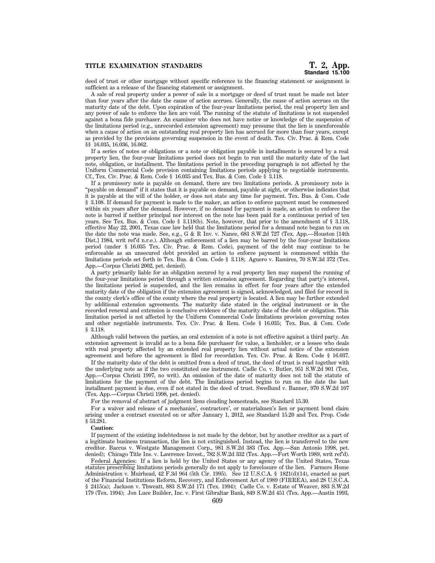deed of trust or other mortgage without specific reference to the financing statement or assignment is sufficient as a release of the financing statement or assignment.

A sale of real property under a power of sale in a mortgage or deed of trust must be made not later than four years after the date the cause of action accrues. Generally, the cause of action accrues on the maturity date of the debt. Upon expiration of the four-year limitations period, the real property lien and any power of sale to enforce the lien are void. The running of the statute of limitations is not suspended against a bona fide purchaser. An examiner who does not have notice or knowledge of the suspension of the limitations period (e.g., unrecorded extension agreement) may presume that the lien is unenforceable when a cause of action on an outstanding real property lien has accrued for more than four years, except as provided by the provisions governing suspension in the event of death. Tex. Civ. Prac. & Rem. Code §§ 16.035, 16.036, 16.062.

If a series of notes or obligations or a note or obligation payable in installments is secured by a real property lien, the four-year limitations period does not begin to run until the maturity date of the last note, obligation, or installment. The limitations period in the preceding paragraph is not affected by the Uniform Commercial Code provision containing limitations periods applying to negotiable instruments. Cf., Tex. Civ. Prac. & Rem. Code  $\S$  16.035 and Tex. Bus. & Com. Code  $\S$  3.118.

If a promissory note is payable on demand, there are two limitations periods. A promissory note is ''payable on demand'' if it states that it is payable on demand, payable at sight, or otherwise indicates that it is payable at the will of the holder, or does not state any time for payment. Tex. Bus. & Com. Code § 3.108. If demand for payment is made to the maker, an action to enforce payment must be commenced within six years after the demand. However, if no demand for payment is made, an action to enforce the note is barred if neither principal nor interest on the note has been paid for a continuous period of ten years. See Tex. Bus. & Com. Code § 3.118(b). Note, however, that prior to the amendment of § 3.118, effective May 22, 2001, Texas case law held that the limitations period for a demand note began to run on the date the note was made. See, e.g., G & R Inv. v. Nance, 683 S.W.2d 727 (Tex. App.—Houston [14th Dist.] 1984, writ ref'd n.r.e.). Although enforcement of a lien may be barred by the four-year limitations period (under § 16.035 Tex. Civ. Prac. & Rem. Code), payment of the debt may continue to be enforceable as an unsecured debt provided an action to enforce payment is commenced within the limitations periods set forth in Tex. Bus. & Com. Code § 3.118; Aguero v. Ramirez, 70 S.W.3d 372 (Tex. App.—Corpus Christi 2002, pet. denied).

A party primarily liable for an obligation secured by a real property lien may suspend the running of the four-year limitations period through a written extension agreement. Regarding that party's interest, the limitations period is suspended, and the lien remains in effect for four years after the extended maturity date of the obligation if the extension agreement is signed, acknowledged, and filed for record in the county clerk's office of the county where the real property is located. A lien may be further extended by additional extension agreements. The maturity date stated in the original instrument or in the recorded renewal and extension is conclusive evidence of the maturity date of the debt or obligation. This limitation period is not affected by the Uniform Commercial Code limitations provision governing notes and other negotiable instruments. Tex. Civ. Prac. & Rem. Code § 16.035; Tex. Bus. & Com. Code § 3.118.

Although valid between the parties, an oral extension of a note is not effective against a third party. An extension agreement is invalid as to a bona fide purchaser for value, a lienholder, or a lessee who deals with real property affected by an extended real property lien without actual notice of the extension agreement and before the agreement is filed for recordation. Tex. Civ. Prac. & Rem. Code § 16.037.

If the maturity date of the debt is omitted from a deed of trust, the deed of trust is read together with the underlying note as if the two constituted one instrument. Cadle Co. v. Butler, 951 S.W.2d 901 (Tex. App.—Corpus Christi 1997, no writ). An omission of the date of maturity does not toll the statute of limitations for the payment of the debt. The limitations period begins to run on the date the last installment payment is due, even if not stated in the deed of trust. Swedlund v. Banner, 970 S.W.2d 107 (Tex. App.—Corpus Christi 1998, pet. denied).

For the removal of abstract of judgment liens clouding homesteads, see Standard 15.30.

For a waiver and release of a mechanics', contractors', or materialmen's lien or payment bond claim arising under a contract executed on or after January 1, 2012, see Standard 15.20 and Tex. Prop. Code § 53.281.

#### **Caution:**

If payment of the existing indebtedness is not made by the debtor, but by another creditor as a part of a legitimate business transaction, the lien is not extinguished. Instead, the lien is transferred to the new creditor. Baccus v. Westgate Management Corp., 981 S.W.2d 383 (Tex. App.—San Antonio 1998, pet. denied); Chicago Title Ins. v. Lawrence Invest., 782 S.W.2d 332 (Tex. App.—Fort Worth 1989, writ ref'd).

Federal Agencies: If a lien is held by the United States or any agency of the United States, Texas statutes prescribing limitations periods generally do not apply to foreclosure of the lien. Farmers Home Administration v. Muirhead, 42 F.3d 964 (5th Cir. 1995). See 12 U.S.C.A. § 1821(d)(14), enacted as part of the Financial Institutions Reform, Recovery, and Enforcement Act of 1989 (FIRREA), and 28 U.S.C.A. § 2415(a); Jackson v. Thweatt, 883 S.W.2d 171 (Tex. 1994); Cadle Co. v. Estate of Weaver, 883 S.W.2d 179 (Tex. 1994); Jon Luce Builder, Inc. v. First Gibraltar Bank, 849 S.W.2d 451 (Tex. App.—Austin 1993,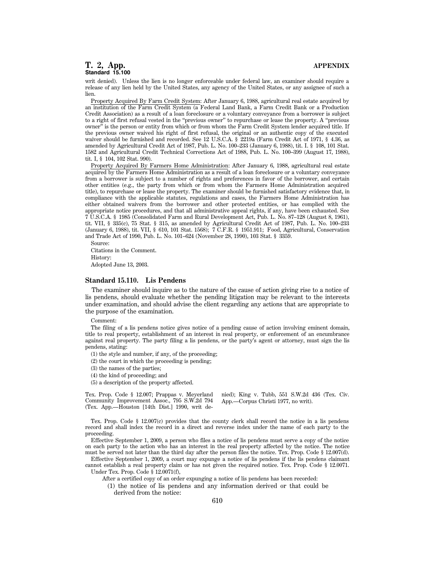writ denied). Unless the lien is no longer enforceable under federal law, an examiner should require a release of any lien held by the United States, any agency of the United States, or any assignee of such a lien.

Property Acquired By Farm Credit System: After January 6, 1988, agricultural real estate acquired by an institution of the Farm Credit System (a Federal Land Bank, a Farm Credit Bank or a Production Credit Association) as a result of a loan foreclosure or a voluntary conveyance from a borrower is subject to a right of first refusal vested in the ''previous owner'' to repurchase or lease the property. A ''previous owner'' is the person or entity from which or from whom the Farm Credit System lender acquired title. If the previous owner waived his right of first refusal, the original or an authentic copy of the executed waiver should be furnished and recorded. See 12 U.S.C.A. § 2219a (Farm Credit Act of 1971, § 4.36, as amended by Agricultural Credit Act of 1987, Pub. L. No. 100–233 (January 6, 1988), tit. I. § 108, 101 Stat. 1582 and Agricultural Credit Technical Corrections Act of 1988, Pub. L. No. 100–399 (August 17, 1988), tit. I, § 104, 102 Stat. 990).

Property Acquired By Farmers Home Administration: After January 6, 1988, agricultural real estate acquired by the Farmers Home Administration as a result of a loan foreclosure or a voluntary conveyance from a borrower is subject to a number of rights and preferences in favor of the borrower, and certain other entities (e.g., the party from which or from whom the Farmers Home Administration acquired title), to repurchase or lease the property. The examiner should be furnished satisfactory evidence that, in compliance with the applicable statutes, regulations and cases, the Farmers Home Administration has either obtained waivers from the borrower and other protected entities, or has complied with the appropriate notice procedures, and that all administrative appeal rights, if any, have been exhausted. See 7 U.S.C.A. § 1985 (Consolidated Farm and Rural Development Act, Pub. L. No. 87–128 (August 8, 1961), tit. VII, § 335(c), 75 Stat. § 315, as amended by Agricultural Credit Act of 1987, Pub. L. No. 100–233 (January 6, 1988), tit. VII, § 610, 101 Stat. 1568); 7 C.F.R. § 1951.911; Food, Agricultural, Conservation and Trade Act of 1990, Pub. L. No. 101–624 (November 28, 1990), 103 Stat. § 3359.

Source: Citations in the Comment.

History: Adopted June 13, 2003.

### **Standard 15.110. Lis Pendens**

The examiner should inquire as to the nature of the cause of action giving rise to a notice of lis pendens, should evaluate whether the pending litigation may be relevant to the interests under examination, and should advise the client regarding any actions that are appropriate to the purpose of the examination.

Comment:

The filing of a lis pendens notice gives notice of a pending cause of action involving eminent domain, title to real property, establishment of an interest in real property, or enforcement of an encumbrance against real property. The party filing a lis pendens, or the party's agent or attorney, must sign the lis pendens, stating:

(1) the style and number, if any, of the proceeding;

(2) the court in which the proceeding is pending;

(3) the names of the parties;

(4) the kind of proceeding; and

(5) a description of the property affected.

Tex. Prop. Code § 12.007; Prappas v. Meyerland Community Improvement Assoc., 795 S.W.2d 794 (Tex. App.—Houston [14th Dist.] 1990, writ denied); King v. Tubb, 551 S.W.2d 436 (Tex. Civ. App.—Corpus Christi 1977, no writ).

Tex. Prop. Code § 12.007(c) provides that the county clerk shall record the notice in a lis pendens record and shall index the record in a direct and reverse index under the name of each party to the proceeding.

Effective September 1, 2009, a person who files a notice of lis pendens must serve a copy of the notice on each party to the action who has an interest in the real property affected by the notice. The notice must be served not later than the third day after the person files the notice. Tex. Prop. Code § 12.007(d).

Effective September 1, 2009, a court may expunge a notice of lis pendens if the lis pendens claimant cannot establish a real property claim or has not given the required notice. Tex. Prop. Code § 12.0071. Under Tex. Prop. Code § 12.0071(f),

After a certified copy of an order expunging a notice of lis pendens has been recorded:

(1) the notice of lis pendens and any information derived or that could be derived from the notice:

610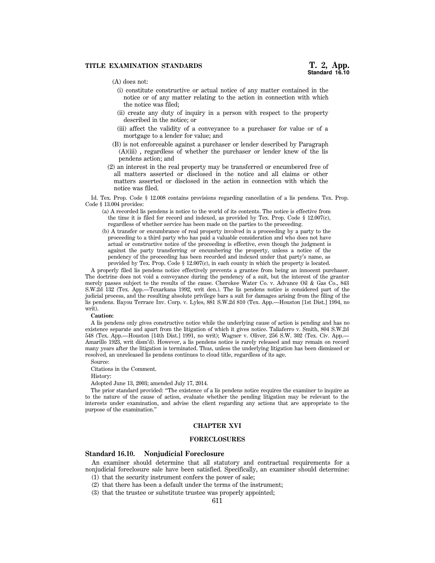# **TITLE EXAMINATION STANDARDS**

# (A) does not:

- (i) constitute constructive or actual notice of any matter contained in the notice or of any matter relating to the action in connection with which the notice was filed;
- (ii) create any duty of inquiry in a person with respect to the property described in the notice; or
- (iii) affect the validity of a conveyance to a purchaser for value or of a mortgage to a lender for value; and
- (B) is not enforceable against a purchaser or lender described by Paragraph (A)(iii) , regardless of whether the purchaser or lender knew of the lis pendens action; and
- (2) an interest in the real property may be transferred or encumbered free of all matters asserted or disclosed in the notice and all claims or other matters asserted or disclosed in the action in connection with which the notice was filed.

Id. Tex. Prop. Code § 12.008 contains provisions regarding cancellation of a lis pendens. Tex. Prop. Code § 13.004 provides:

- (a) A recorded lis pendens is notice to the world of its contents. The notice is effective from the time it is filed for record and indexed, as provided by Tex. Prop. Code § 12.007(c), regardless of whether service has been made on the parties to the proceeding.
- (b) A transfer or encumbrance of real property involved in a proceeding by a party to the proceeding to a third party who has paid a valuable consideration and who does not have actual or constructive notice of the proceeding is effective, even though the judgment is against the party transferring or encumbering the property, unless a notice of the pendency of the proceeding has been recorded and indexed under that party's name, as provided by Tex. Prop. Code § 12.007(c), in each county in which the property is located.

A properly filed lis pendens notice effectively prevents a grantee from being an innocent purchaser. The doctrine does not void a conveyance during the pendency of a suit, but the interest of the grantor merely passes subject to the results of the cause. Cherokee Water Co. v. Advance Oil & Gas Co., 843 S.W.2d 132 (Tex. App.—Texarkana 1992, writ den.). The lis pendens notice is considered part of the judicial process, and the resulting absolute privilege bars a suit for damages arising from the filing of the lis pendens. Bayou Terrace Inv. Corp. v. Lyles, 881 S.W.2d 810 (Tex. App.—Houston [1st Dist.] 1994, no writ).

#### **Caution:**

A lis pendens only gives constructive notice while the underlying cause of action is pending and has no existence separate and apart from the litigation of which it gives notice. Taliaferro v. Smith, 804 S.W.2d 548 (Tex. App.—Houston [14th Dist.] 1991, no writ); Wagner v. Oliver, 256 S.W. 302 (Tex. Civ. App.— Amarillo 1923, writ dism'd). However, a lis pendens notice is rarely released and may remain on record many years after the litigation is terminated. Thus, unless the underlying litigation has been dismissed or resolved, an unreleased lis pendens continues to cloud title, regardless of its age.

Source:

Citations in the Comment.

History:

Adopted June 13, 2003; amended July 17, 2014.

The prior standard provided: ''The existence of a lis pendens notice requires the examiner to inquire as to the nature of the cause of action, evaluate whether the pending litigation may be relevant to the interests under examination, and advise the client regarding any actions that are appropriate to the purpose of the examination.''

# **CHAPTER XVI**

### **FORECLOSURES**

# **Standard 16.10. Nonjudicial Foreclosure**

An examiner should determine that all statutory and contractual requirements for a nonjudicial foreclosure sale have been satisfied. Specifically, an examiner should determine: (1) that the security instrument confers the power of sale;

- (2) that there has been a default under the terms of the instrument;
- (3) that the trustee or substitute trustee was properly appointed;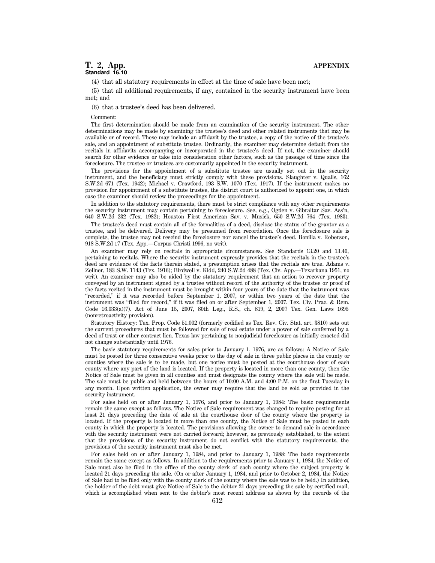(4) that all statutory requirements in effect at the time of sale have been met;

(5) that all additional requirements, if any, contained in the security instrument have been met; and

(6) that a trustee's deed has been delivered.

Comment:

The first determination should be made from an examination of the security instrument. The other determinations may be made by examining the trustee's deed and other related instruments that may be available or of record. These may include an affidavit by the trustee, a copy of the notice of the trustee's sale, and an appointment of substitute trustee. Ordinarily, the examiner may determine default from the recitals in affidavits accompanying or incorporated in the trustee's deed. If not, the examiner should search for other evidence or take into consideration other factors, such as the passage of time since the foreclosure. The trustee or trustees are customarily appointed in the security instrument.

The provisions for the appointment of a substitute trustee are usually set out in the security instrument, and the beneficiary must strictly comply with these provisions. Slaughter v. Qualls, 162 S.W.2d 671 (Tex. 1942); Michael v. Crawford, 193 S.W. 1070 (Tex. 1917). If the instrument makes no provision for appointment of a substitute trustee, the district court is authorized to appoint one, in which case the examiner should review the proceedings for the appointment.

In addition to the statutory requirements, there must be strict compliance with any other requirements the security instrument may contain pertaining to foreclosure. See, e.g., Ogden v. Gibraltar Sav. Ass'n, 640 S.W.2d 232 (Tex. 1982); Houston First American Sav. v. Musick, 650 S.W.2d 764 (Tex. 1983).

The trustee's deed must contain all of the formalities of a deed, disclose the status of the grantor as a trustee, and be delivered. Delivery may be presumed from recordation. Once the foreclosure sale is complete, the trustee may not rescind the foreclosure nor cancel the trustee's deed. Bonilla v. Roberson, 918 S.W.2d 17 (Tex. App.—Corpus Christi 1996, no writ).

An examiner may rely on recitals in appropriate circumstances. See Standards 13.20 and 13.40, pertaining to recitals. Where the security instrument expressly provides that the recitals in the trustee's deed are evidence of the facts therein stated, a presumption arises that the recitals are true. Adams v. Zellner, 183 S.W. 1143 (Tex. 1916); Birdwell v. Kidd, 240 S.W.2d 488 (Tex. Civ. App.—Texarkana 1951, no writ). An examiner may also be aided by the statutory requirement that an action to recover property conveyed by an instrument signed by a trustee without record of the authority of the trustee or proof of the facts recited in the instrument must be brought within four years of the date that the instrument was ''recorded,'' if it was recorded before September 1, 2007, or within two years of the date that the instrument was ''filed for record,'' if it was filed on or after September 1, 2007. Tex. Civ. Prac. & Rem. Code 16.033(a)(7). Act of June 15, 2007, 80th Leg., R.S., ch. 819, 2, 2007 Tex. Gen. Laws 1695 (nonretroactivity provision).

Statutory History: Tex. Prop. Code 51.002 (formerly codified as Tex. Rev. Civ. Stat. art. 3810) sets out the current procedures that must be followed for sale of real estate under a power of sale conferred by a deed of trust or other contract lien. Texas law pertaining to nonjudicial foreclosure as initially enacted did not change substantially until 1976.

The basic statutory requirements for sales prior to January 1, 1976, are as follows: A Notice of Sale must be posted for three consecutive weeks prior to the day of sale in three public places in the county or counties where the sale is to be made, but one notice must be posted at the courthouse door of each county where any part of the land is located. If the property is located in more than one county, then the Notice of Sale must be given in all counties and must designate the county where the sale will be made. The sale must be public and held between the hours of 10:00 A.M. and 4:00 P.M. on the first Tuesday in any month. Upon written application, the owner may require that the land be sold as provided in the security instrument.

For sales held on or after January 1, 1976, and prior to January 1, 1984: The basic requirements remain the same except as follows. The Notice of Sale requirement was changed to require posting for at least 21 days preceding the date of sale at the courthouse door of the county where the property is located. If the property is located in more than one county, the Notice of Sale must be posted in each county in which the property is located. The provisions allowing the owner to demand sale in accordance with the security instrument were not carried forward; however, as previously established, to the extent that the provisions of the security instrument do not conflict with the statutory requirements, the provisions of the security instrument must also be met.

For sales held on or after January 1, 1984, and prior to January 1, 1988: The basic requirements remain the same except as follows. In addition to the requirements prior to January 1, 1984, the Notice of Sale must also be filed in the office of the county clerk of each county where the subject property is located 21 days preceding the sale. (On or after January 1, 1984, and prior to October 2, 1984, the Notice of Sale had to be filed only with the county clerk of the county where the sale was to be held.) In addition, the holder of the debt must give Notice of Sale to the debtor 21 days preceding the sale by certified mail, which is accomplished when sent to the debtor's most recent address as shown by the records of the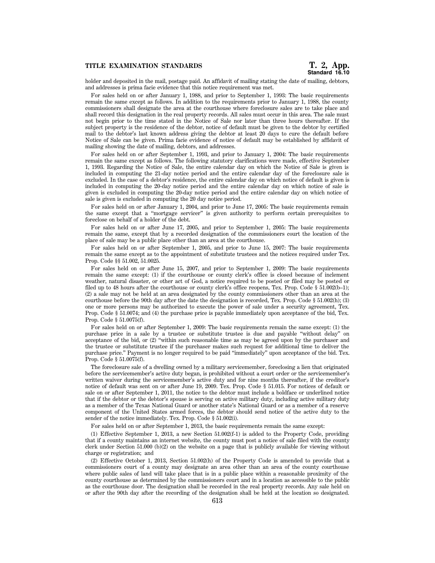holder and deposited in the mail, postage paid. An affidavit of mailing stating the date of mailing, debtors, and addresses is prima facie evidence that this notice requirement was met.

For sales held on or after January 1, 1988, and prior to September 1, 1993: The basic requirements remain the same except as follows. In addition to the requirements prior to January 1, 1988, the county commissioners shall designate the area at the courthouse where foreclosure sales are to take place and shall record this designation in the real property records. All sales must occur in this area. The sale must not begin prior to the time stated in the Notice of Sale nor later than three hours thereafter. If the subject property is the residence of the debtor, notice of default must be given to the debtor by certified mail to the debtor's last known address giving the debtor at least 20 days to cure the default before Notice of Sale can be given. Prima facie evidence of notice of default may be established by affidavit of mailing showing the date of mailing, debtors, and addresses.

For sales held on or after September 1, 1993, and prior to January 1, 2004: The basic requirements remain the same except as follows. The following statutory clarifications were made, effective September 1, 1993. Regarding the Notice of Sale, the entire calendar day on which the Notice of Sale is given is included in computing the 21-day notice period and the entire calendar day of the foreclosure sale is excluded. In the case of a debtor's residence, the entire calendar day on which notice of default is given is included in computing the 20-day notice period and the entire calendar day on which notice of sale is given is excluded in computing the 20-day notice period and the entire calendar day on which notice of sale is given is excluded in computing the 20 day notice period.

For sales held on or after January 1, 2004, and prior to June 17, 2005: The basic requirements remain the same except that a ''mortgage servicer'' is given authority to perform certain prerequisites to foreclose on behalf of a holder of the debt.

For sales held on or after June 17, 2005, and prior to September 1, 2005: The basic requirements remain the same, except that by a recorded designation of the commissioners court the location of the place of sale may be a public place other than an area at the courthouse.

For sales held on or after September 1, 2005, and prior to June 15, 2007: The basic requirements remain the same except as to the appointment of substitute trustees and the notices required under Tex. Prop. Code §§ 51.002, 51.0025.

For sales held on or after June 15, 2007, and prior to September 1, 2009: The basic requirements remain the same except: (1) if the courthouse or county clerk's office is closed because of inclement weather, natural disaster, or other act of God, a notice required to be posted or filed may be posted or filed up to 48 hours after the courthouse or county clerk's office reopens, Tex. Prop. Code § 51.002(b–1); (2) a sale may not be held at an area designated by the county commissioners other than an area at the courthouse before the 90th day after the date the designation is recorded, Tex. Prop. Code § 51.002(h); (3) one or more persons may be authorized to execute the power of sale under a security agreement, Tex. Prop. Code § 51.0074; and (4) the purchase price is payable immediately upon acceptance of the bid, Tex. Prop. Code § 51.0075(f).

For sales held on or after September 1, 2009: The basic requirements remain the same except: (1) the purchase price in a sale by a trustee or substitute trustee is due and payable ''without delay'' on acceptance of the bid, or  $(2)$  "within such reasonable time as may be agreed upon by the purchaser and the trustee or substitute trustee if the purchaser makes such request for additional time to deliver the purchase price.'' Payment is no longer required to be paid ''immediately'' upon acceptance of the bid. Tex. Prop. Code § 51.0075(f).

The foreclosure sale of a dwelling owned by a military servicemember, foreclosing a lien that originated before the servicemember's active duty began, is prohibited without a court order or the servicemember's written waiver during the servicemember's active duty and for nine months thereafter, if the creditor's notice of default was sent on or after June 19, 2009. Tex. Prop. Code § 51.015. For notices of default or sale on or after September 1, 2011, the notice to the debtor must include a boldface or underlined notice that if the debtor or the debtor's spouse is serving on active military duty, including active military duty as a member of the Texas National Guard or another state's National Guard or as a member of a reserve component of the United States armed forces, the debtor should send notice of the active duty to the sender of the notice immediately. Tex. Prop. Code § 51.002(i).

For sales held on or after September 1, 2013, the basic requirements remain the same except:

(1) Effective September 1, 2013, a new Section 51.002(f-1) is added to the Property Code, providing that if a county maintains an internet website, the county must post a notice of sale filed with the county clerk under Section 51.000 (b)(2) on the website on a page that is publicly available for viewing without charge or registration; and

(2) Effective October 1, 2013, Section 51.002(h) of the Property Code is amended to provide that a commissioners court of a county may designate an area other than an area of the county courthouse where public sales of land will take place that is in a public place within a reasonable proximity of the county courthouse as determined by the commissioners court and in a location as accessible to the public as the courthouse door. The designation shall be recorded in the real property records. Any sale held on or after the 90th day after the recording of the designation shall be held at the location so designated.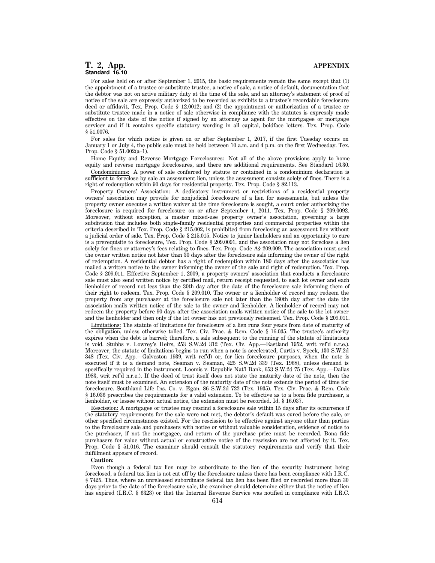For sales held on or after September 1, 2015, the basic requirements remain the same except that (1) the appointment of a trustee or substitute trustee, a notice of sale, a notice of default, documentation that the debtor was not on active military duty at the time of the sale, and an attorney's statement of proof of notice of the sale are expressly authorized to be recorded as exhibits to a trustee's recordable foreclosure deed or affidavit, Tex. Prop. Code § 12.0012; and (2) the appointment or authorization of a trustee or substitute trustee made in a notice of sale otherwise in compliance with the statutes is expressly made effective on the date of the notice if signed by an attorney as agent for the mortgagee or mortgage servicer and if it contains specific statutory wording in all capital, boldface letters. Tex. Prop. Code § 51.0076.

For sales for which notice is given on or after September 1, 2017, if the first Tuesday occurs on January 1 or July 4, the public sale must be held between 10 a.m. and 4 p.m. on the first Wednesday. Tex. Prop. Code § 51.002(a–1).

Home Equity and Reverse Mortgage Foreclosures: Not all of the above provisions apply to home equity and reverse mortgage foreclosures, and there are additional requirements. See Standard 16.30.

Condominiums: A power of sale conferred by statute or contained in a condominium declaration is sufficient to foreclose by sale an assessment lien, unless the assessment consists solely of fines. There is a right of redemption within 90 days for residential property. Tex. Prop. Code § 82.113.

Property Owners' Association: A dedicatory instrument or restrictions of a residential property owners' association may provide for nonjudicial foreclosure of a lien for assessments, but unless the property owner executes a written waiver at the time foreclosure is sought, a court order authorizing the foreclosure is required for foreclosure on or after September 1, 2011. Tex. Prop. Code § 209.0092. Moreover, without exception, a master mixed-use property owner's association, governing a large subdivision that includes both single-family residential properties and commercial properties within the criteria described in Tex. Prop. Code § 215.002, is prohibited from foreclosing an assessment lien without a judicial order of sale. Tex. Prop. Code § 215.015. Notice to junior lienholders and an opportunity to cure is a prerequisite to foreclosure, Tex. Prop. Code § 209.0091, and the association may not foreclose a lien solely for fines or attorney's fees relating to fines. Tex. Prop. Code A§ 209.009. The association must send the owner written notice not later than 30 days after the foreclosure sale informing the owner of the right of redemption. A residential debtor has a right of redemption within 180 days after the association has mailed a written notice to the owner informing the owner of the sale and right of redemption. Tex. Prop. Code § 209.011. Effective September 1, 2009, a property owners' association that conducts a foreclosure sale must also send written notice by certified mail, return receipt requested, to each lot owner and each lienholder of record not less than the 30th day after the date of the foreclosure sale informing them of their right to redeem. Tex. Prop. Code § 209.010. The owner or a lienholder of record may redeem the property from any purchaser at the foreclosure sale not later than the 180th day after the date the association mails written notice of the sale to the owner and lienholder. A lienholder of record may not redeem the property before 90 days after the association mails written notice of the sale to the lot owner and the lienholder and then only if the lot owner has not previously redeemed. Tex. Prop. Code § 209.011.

Limitations: The statute of limitations for foreclosure of a lien runs four years from date of maturity of the obligation, unless otherwise tolled. Tex. Civ. Prac. & Rem. Code § 16.035. The trustee's authority expires when the debt is barred; therefore, a sale subsequent to the running of the statute of limitations is void. Stubbs v. Lowrey's Heirs, 253 S.W.2d 312 (Tex. Civ. App.—Eastland 1952, writ ref'd n.r.e.). Moreover, the statute of limitations begins to run when a note is accelerated, Curtis v. Speck, 130 S.W.2d 348 (Tex. Civ. App.—Galveston 1939, writ ref'd) or, for lien foreclosure purposes, when the note is executed if it is a demand note, Seaman v. Seaman, 425 S.W.2d 339 (Tex. 1968), unless demand is specifically required in the instrument. Loomis v. Republic Nat'l Bank, 653 S.W.2d 75 (Tex. App.—Dallas 1983, writ ref'd n.r.e.). If the deed of trust itself does not state the maturity date of the note, then the note itself must be examined. An extension of the maturity date of the note extends the period of time for foreclosure. Southland Life Ins. Co. v. Egan, 86 S.W.2d 722 (Tex. 1935). Tex. Civ. Prac. & Rem. Code § 16.036 prescribes the requirements for a valid extension. To be effective as to a bona fide purchaser, a lienholder, or lessee without actual notice, the extension must be recorded. Id. § 16.037.

Rescission: A mortgagee or trustee may rescind a foreclosure sale within 15 days after its occurrence if the statutory requirements for the sale were not met, the debtor's default was cured before the sale, or other specified circumstances existed. For the rescission to be effective against anyone other than parties to the foreclosure sale and purchasers with notice or without valuable consideration, evidence of notice to the purchaser, if not the mortgagee, and return of the purchase price must be recorded. Bona fide purchasers for value without actual or constructive notice of the rescission are not affected by it. Tex. Prop. Code § 51.016. The examiner should consult the statutory requirements and verify that their fulfillment appears of record.

#### **Caution:**

Even though a federal tax lien may be subordinate to the lien of the security instrument being foreclosed, a federal tax lien is not cut off by the foreclosure unless there has been compliance with I.R.C. § 7425. Thus, where an unreleased subordinate federal tax lien has been filed or recorded more than 30 days prior to the date of the foreclosure sale, the examiner should determine either that the notice of lien has expired (I.R.C. § 6323) or that the Internal Revenue Service was notified in compliance with I.R.C.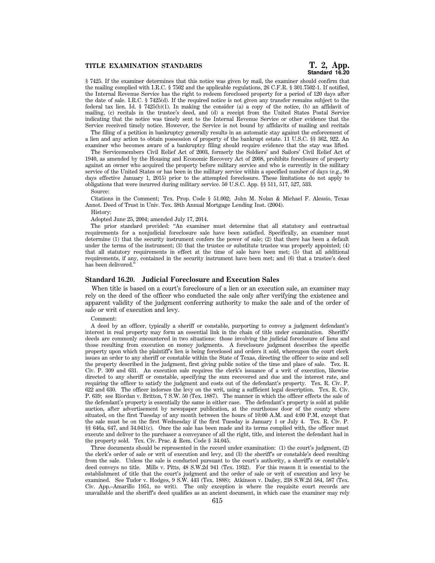# **Standard 16.20**

§ 7425. If the examiner determines that this notice was given by mail, the examiner should confirm that the mailing complied with I.R.C. § 7502 and the applicable regulations, 26 C.F.R. § 301.7502-1. If notified, the Internal Revenue Service has the right to redeem foreclosed property for a period of 120 days after the date of sale. I.R.C. § 7425(d). If the required notice is not given any transfer remains subject to the federal tax lien. Id. § 7425(b)(1). In making the consider (a) a copy of the notice, (b) an affidavit of mailing, (c) recitals in the trustee's deed, and (d) a receipt from the United States Postal Service indicating that the notice was timely sent to the Internal Revenue Service or other evidence that the Service received timely notice. However, the Service is not bound by affidavits of mailing and recitals

The filing of a petition in bankruptcy generally results in an automatic stay against the enforcement of a lien and any action to obtain possession of property of the bankrupt estate. 11 U.S.C. §§ 362, 922. An examiner who becomes aware of a bankruptcy filing should require evidence that the stay was lifted.

The Servicemembers Civil Relief Act of 2003, formerly the Soldiers' and Sailors' Civil Relief Act of 1940, as amended by the Housing and Economic Recovery Act of 2008, prohibits foreclosure of property against an owner who acquired the property before military service and who is currently in the military service of the United States or has been in the military service within a specified number of days (e.g., 90) days effective January 1, 2015) prior to the attempted foreclosure. These limitations do not apply to obligations that were incurred during military service. 50 U.S.C. App. §§ 511, 517, 527, 533.

Source:

Citations in the Comment; Tex. Prop. Code § 51.002; John M. Nolan & Michael F. Alessio, Texas Annot. Deed of Trust in Univ. Tex. 38th Annual Mortgage Lending Inst. (2004).

History:

Adopted June 25, 2004; amended July 17, 2014.

The prior standard provided: ''An examiner must determine that all statutory and contractual requirements for a nonjudicial foreclosure sale have been satisfied. Specifically, an examiner must determine (1) that the security instrument confers the power of sale; (2) that there has been a default under the terms of the instrument; (3) that the trustee or substitute trustee was properly appointed; (4) that all statutory requirements in effect at the time of sale have been met; (5) that all additional requirements, if any, contained in the security instrument have been met; and (6) that a trustee's deed has been delivered.''

# **Standard 16.20. Judicial Foreclosure and Execution Sales**

When title is based on a court's foreclosure of a lien or an execution sale, an examiner may rely on the deed of the officer who conducted the sale only after verifying the existence and apparent validity of the judgment conferring authority to make the sale and of the order of sale or writ of execution and levy.

Comment:

A deed by an officer, typically a sheriff or constable, purporting to convey a judgment defendant's interest in real property may form an essential link in the chain of title under examination. Sheriffs' deeds are commonly encountered in two situations: those involving the judicial foreclosure of liens and those resulting from execution on money judgments. A foreclosure judgment describes the specific property upon which the plaintiff's lien is being foreclosed and orders it sold, whereupon the court clerk issues an order to any sheriff or constable within the State of Texas, directing the officer to seize and sell the property described in the judgment, first giving public notice of the time and place of sale. Tex. R. Civ. P. 309 and 631. An execution sale requires the clerk's issuance of a writ of execution, likewise directed to any sheriff or constable, specifying the sum recovered and due and the interest rate, and requiring the officer to satisfy the judgment and costs out of the defendant's property. Tex. R. Civ. P. 622 and 630. The officer indorses the levy on the writ, using a sufficient legal description. Tex. R. Civ. P. 639; see Riordan v. Britton, 7 S.W. 50 (Tex. 1887). The manner in which the officer effects the sale of the defendant's property is essentially the same in either case. The defendant's property is sold at public auction, after advertisement by newspaper publication, at the courthouse door of the county where situated, on the first Tuesday of any month between the hours of 10:00 A.M. and 4:00 P.M, except that the sale must be on the first Wednesday if the first Tuesday is January 1 or July 4. Tex. R. Civ. P. §§ 646a, 647, and 34.041(c). Once the sale has been made and its terms complied with, the officer must execute and deliver to the purchaser a conveyance of all the right, title, and interest the defendant had in the property sold. Tex. Civ. Prac. & Rem. Code § 34.045.

Three documents should be represented in the record under examination: (1) the court's judgment, (2) the clerk's order of sale or writ of execution and levy, and (3) the sheriff's or constable's deed resulting from the sale. Unless the sale is conducted pursuant to the court's authority, a sheriff's or constable's deed conveys no title. Mills v. Pitts, 48 S.W.2d 941 (Tex. 1932). For this reason it is essential to the establishment of title that the court's judgment and the order of sale or writ of execution and levy be examined. See Tudor v. Hodges, 9 S.W. 443 (Tex. 1888); Atkinson v. Dailey, 238 S.W.2d 584, 587 (Tex. Civ. App.–Amarillo 1951, no writ). The only exception is where the requisite court records are unavailable and the sheriff's deed qualifies as an ancient document, in which case the examiner may rely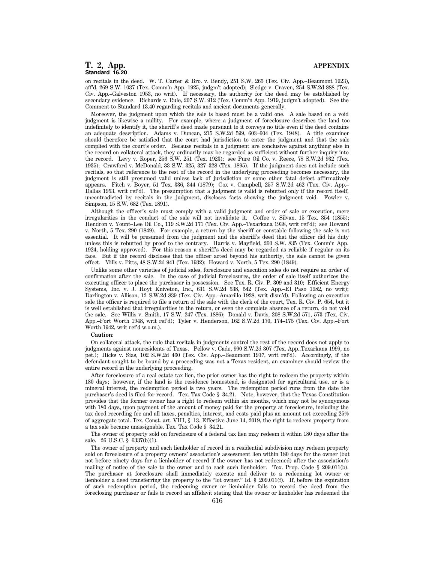# **T. 2, App. APPENDIX Standard 16.20**

on recitals in the deed. W. T. Carter & Bro. v. Bendy, 251 S.W. 265 (Tex. Civ. App.–Beaumont 1923), aff'd, 269 S.W. 1037 (Tex. Comm'n App. 1925, judgm't adopted); Sledge v. Craven, 254 S.W.2d 888 (Tex. Civ. App.–Galveston 1953, no writ). If necessary, the authority for the deed may be established by secondary evidence. Richards v. Rule, 207 S.W. 912 (Tex. Comm'n App. 1919, judgm't adopted). See the Comment to Standard 13.40 regarding recitals and ancient documents generally.

Moreover, the judgment upon which the sale is based must be a valid one. A sale based on a void judgment is likewise a nullity. For example, where a judgment of foreclosure describes the land too indefinitely to identify it, the sheriff's deed made pursuant to it conveys no title even if the deed contains an adequate description. Adams v. Duncan, 215 S.W.2d 599, 603–604 (Tex. 1948). A title examiner should therefore be satisfied that the court had jurisdiction to enter the judgment and that the sale complied with the court's order. Because recitals in a judgment are conclusive against anything else in the record on collateral attack, they ordinarily may be regarded as sufficient without further inquiry into the record. Levy v. Roper, 256 S.W. 251 (Tex. 1923); see Pure Oil Co. v. Reece, 78 S.W.2d 932 (Tex. 1935); Crawford v. McDonald, 33 S.W. 325, 327–328 (Tex. 1895). If the judgment does not include such recitals, so that reference to the rest of the record in the underlying proceeding becomes necessary, the judgment is still presumed valid unless lack of jurisdiction or some other fatal defect affirmatively appears. Fitch v. Boyer, 51 Tex. 336, 344 (1879); Cox v. Campbell, 257 S.W.2d 462 (Tex. Civ. App.– Dallas 1953, writ ref'd). The presumption that a judgment is valid is rebutted only if the record itself, uncontradicted by recitals in the judgment, discloses facts showing the judgment void. Fowler v. Simpson, 15 S.W. 682 (Tex. 1891).

Although the officer's sale must comply with a valid judgment and order of sale or execution, mere irregularities in the conduct of the sale will not invalidate it. Coffee v. Silvan, 15 Tex. 354 (1855); Hendron v. Yount–Lee Oil Co., 119 S.W.2d 171 (Tex. Civ. App.–Texarkana 1938, writ ref'd); see Howard v. North, 5 Tex. 290 (1849). For example, a return by the sheriff or constable following the sale is not essential. It will be presumed from the judgment and the sheriff's deed that the officer did his duty unless this is rebutted by proof to the contrary. Harris v. Mayfield, 260 S.W. 835 (Tex. Comm'n App. 1924, holding approved). For this reason a sheriff's deed may be regarded as reliable if regular on its face. But if the record discloses that the officer acted beyond his authority, the sale cannot be given effect. Mills v. Pitts, 48 S.W.2d 941 (Tex. 1932); Howard v. North, 5 Tex. 290 (1849).

Unlike some other varieties of judicial sales, foreclosure and execution sales do not require an order of confirmation after the sale. In the case of judicial foreclosures, the order of sale itself authorizes the executing officer to place the purchaser in possession. See Tex. R. Civ. P. 309 and 310; Efficient Energy Systems, Inc. v. J. Hoyt Kniveton, Inc., 631 S.W.2d 538, 542 (Tex. App.–El Paso 1982, no writ); Darlington v. Allison, 12 S.W.2d 839 (Tex. Civ. App.–Amarillo 1928, writ dism'd). Following an execution sale the officer is required to file a return of the sale with the clerk of the court, Tex. R. Civ. P. 654, but it is well established that irregularities in the return, or even the complete absence of a return, do not void the sale. See Willis v. Smith, 17 S.W. 247 (Tex. 1886); Donald v. Davis, 208 S.W.2d 571, 573 (Tex. Civ. App.–Fort Worth 1948, writ ref'd); Tyler v. Henderson, 162 S.W.2d 170, 174–175 (Tex. Civ. App.–Fort Worth 1942, writ ref'd w.o.m.).

## **Caution**:

On collateral attack, the rule that recitals in judgments control the rest of the record does not apply to judgments against nonresidents of Texas. Pellow v. Cade, 990 S.W.2d 307 (Tex. App..Texarkana 1999, no pet.); Hicks v. Sias, 102 S.W.2d 460 (Tex. Civ. App.–Beaumont 1937, writ ref'd). Accordingly, if the defendant sought to be bound by a proceeding was not a Texas resident, an examiner should review the entire record in the underlying proceeding.

After foreclosure of a real estate tax lien, the prior owner has the right to redeem the property within 180 days; however, if the land is the residence homestead, is designated for agricultural use, or is a mineral interest, the redemption period is two years. The redemption period runs from the date the purchaser's deed is filed for record. Tex. Tax Code § 34.21. Note, however, that the Texas Constitution provides that the former owner has a right to redeem within six months, which may not be synonymous with 180 days, upon payment of the amount of money paid for the property at foreclosure, including the tax deed recording fee and all taxes, penalties, interest, and costs paid plus an amount not exceeding 25% of aggregate total. Tex. Const. art. VIII, § 13. Effective June 14, 2019, the right to redeem property from a tax sale became unassignable. Tex. Tax Code § 34.21.

The owner of property sold on foreclosure of a federal tax lien may redeem it within 180 days after the sale. 26 U.S.C. § 6337(b)(1).

The owner of property and each lienholder of record in a residential subdivision may redeem property sold on foreclosure of a property owners' association's assessment lien within 180 days for the owner (but not before ninety days for a lienholder of record if the owner has not redeemed) after the association's mailing of notice of the sale to the owner and to each such lienholder. Tex. Prop. Code § 209.011(b). The purchaser at foreclosure shall immediately execute and deliver to a redeeming lot owner or lienholder a deed transferring the property to the ''lot owner.'' Id. § 209.011(f). If, before the expiration of such redemption period, the redeeming owner or lienholder fails to record the deed from the foreclosing purchaser or fails to record an affidavit stating that the owner or lienholder has redeemed the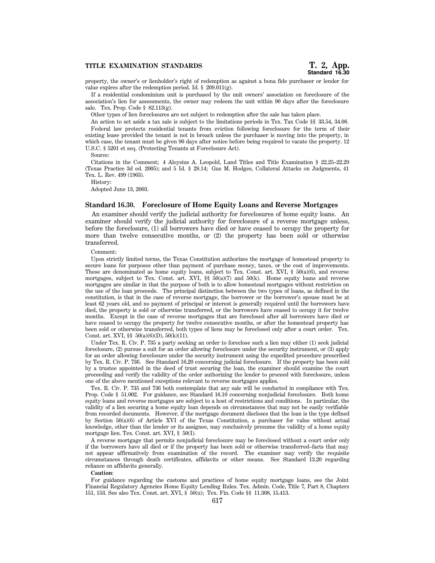# **TITLE EXAMINATION STANDARDS T. 2, App.**

property, the owner's or lienholder's right of redemption as against a bona fide purchaser or lender for value expires after the redemption period. Id.  $\S$  209.011(g).

If a residential condominium unit is purchased by the unit owners' association on foreclosure of the association's lien for assessments, the owner may redeem the unit within 90 days after the foreclosure sale. Tex. Prop. Code  $\S$  82.113(g).

Other types of lien foreclosures are not subject to redemption after the sale has taken place.

An action to set aside a tax sale is subject to the limitations periods in Tex. Tax Code §§ 33.54, 34.08. Federal law protects residential tenants from eviction following foreclosure for the term of their existing lease provided the tenant is not in breach unless the purchaser is moving into the property, in which case, the tenant must be given 90 days after notice before being required to vacate the property. 12 U.S.C. § 5201 et seq. (Protecting Tenants at Foreclosure Act).

Source:

Citations in the Comment; 4 Aloysius A. Leopold, Land Titles and Title Examination § 22.25–22.29 (Texas Practice 3d ed. 2005); and 5 Id. § 28.14; Gus M. Hodges, Collateral Attacks on Judgments, 41 Tex. L. Rev. 499 (1963).

History:

Adopted June 13, 2003.

## **Standard 16.30. Foreclosure of Home Equity Loans and Reverse Mortgages**

An examiner should verify the judicial authority for foreclosures of home equity loans. An examiner should verify the judicial authority for foreclosure of a reverse mortgage unless, before the foreclosure, (1) all borrowers have died or have ceased to occupy the property for more than twelve consecutive months, or (2) the property has been sold or otherwise transferred.

Comment:

Upon strictly limited terms, the Texas Constitution authorizes the mortgage of homestead property to secure loans for purposes other than payment of purchase money, taxes, or the cost of improvements. These are denominated as home equity loans, subject to Tex. Const. art. XVI,  $\S$  50(a)(6), and reverse mortgages, subject to Tex. Const. art. XVI,  $\S$   $\frac{1}{2}$  50(a)(7) and 50(k). Home equity loans and reverse mortgages are similar in that the purpose of both is to allow homestead mortgages without restriction on the use of the loan proceeds. The principal distinction between the two types of loans, as defined in the constitution, is that in the case of reverse mortgage, the borrower or the borrower's spouse must be at least 62 years old, and no payment of principal or interest is generally required until the borrowers have died, the property is sold or otherwise transferred, or the borrowers have ceased to occupy it for twelve months. Except in the case of reverse mortgages that are foreclosed after all borrowers have died or have ceased to occupy the property for twelve consecutive months, or after the homestead property has been sold or otherwise transferred, both types of liens may be foreclosed only after a court order. Tex. Const. art. XVI, §§ 50(a)(6)(D), 50(k)(11).

Under Tex. R. Civ. P. 735 a party seeking an order to foreclose such a lien may either (1) seek judicial foreclosure, (2) pursue a suit for an order allowing foreclosure under the security instrument, or (3) apply for an order allowing foreclosure under the security instrument using the expedited procedure prescribed by Tex. R. Civ. P. 736. See Standard 16.20 concerning judicial foreclosure. If the property has been sold by a trustee appointed in the deed of trust securing the loan, the examiner should examine the court proceeding and verify the validity of the order authorizing the lender to proceed with foreclosure, unless one of the above mentioned exceptions relevant to reverse mortgages applies.

Tex. R. Civ. P. 735 and 736 both contemplate that any sale will be conducted in compliance with Tex. Prop. Code § 51.002. For guidance, see Standard 16.10 concerning nonjudicial foreclosure. Both home equity loans and reverse mortgages are subject to a host of restrictions and conditions. In particular, the validity of a lien securing a home equity loan depends on circumstances that may not be easily verifiable from recorded documents. However, if the mortgage document discloses that the loan is the type defined by Section 50(a)(6) of Article XVI of the Texas Constitution, a purchaser for value without actual knowledge, other than the lender or its assignee, may conclusively presume the validity of a home equity mortgage lien. Tex. Const. art. XVI, § 50(I).

A reverse mortgage that permits nonjudicial foreclosure may be foreclosed without a court order only if the borrowers have all died or if the property has been sold or otherwise transferred–facts that may not appear affirmatively from examination of the record. The examiner may verify the requisite circumstances through death certificates, affidavits or other means. See Standard 13.20 regarding reliance on affidavits generally.

#### **Caution**:

For guidance regarding the customs and practices of home equity mortgage loans, see the Joint Financial Regulatory Agencies Home Equity Lending Rules. Tex. Admin. Code, Title 7, Part 8, Chapters 151, 153. See also Tex. Const. art. XVI, § 50(u); Tex. Fin. Code §§ 11.308, 15.413.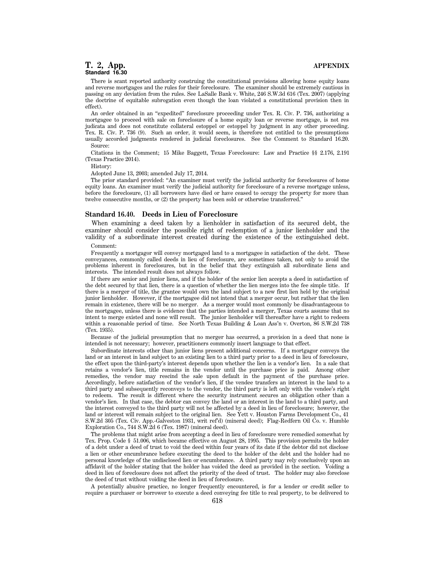# **T. 2, App. APPENDIX Standard 16.30**

There is scant reported authority construing the constitutional provisions allowing home equity loans and reverse mortgages and the rules for their foreclosure. The examiner should be extremely cautious in passing on any deviation from the rules. See LaSalle Bank v. White, 246 S.W.3d 616 (Tex. 2007) (applying the doctrine of equitable subrogation even though the loan violated a constitutional provision then in effect).

An order obtained in an ''expedited'' foreclosure proceeding under Tex. R. Civ. P. 736, authorizing a mortgagee to proceed with sale on foreclosure of a home equity loan or reverse mortgage, is not res judicata and does not constitute collateral estoppel or estoppel by judgment in any other proceeding. Tex. R. Civ. P. 736 (9). Such an order, it would seem, is therefore not entitled to the presumptions usually accorded judgments rendered in judicial foreclosures. See the Comment to Standard 16.20. Source:

Citations in the Comment; 15 Mike Baggett, Texas Foreclosure: Law and Practice §§ 2.176, 2.191 (Texas Practice 2014).

History:

Adopted June 13, 2003; amended July 17, 2014.

The prior standard provided: ''An examiner must verify the judicial authority for foreclosures of home equity loans. An examiner must verify the judicial authority for foreclosure of a reverse mortgage unless, before the foreclosure, (1) all borrowers have died or have ceased to occupy the property for more than twelve consecutive months, or (2) the property has been sold or otherwise transferred.''

## **Standard 16.40. Deeds in Lieu of Foreclosure**

When examining a deed taken by a lienholder in satisfaction of its secured debt, the examiner should consider the possible right of redemption of a junior lienholder and the validity of a subordinate interest created during the existence of the extinguished debt.

Comment:

Frequently a mortgagor will convey mortgaged land to a mortgagee in satisfaction of the debt. These conveyances, commonly called deeds in lieu of foreclosure, are sometimes taken, not only to avoid the problems inherent in foreclosures, but in the belief that they extinguish all subordinate liens and interests. The intended result does not always follow.

If there are senior and junior liens, and if the holder of the senior lien accepts a deed in satisfaction of the debt secured by that lien, there is a question of whether the lien merges into the fee simple title. If there is a merger of title, the grantee would own the land subject to a new first lien held by the original junior lienholder. However, if the mortgagee did not intend that a merger occur, but rather that the lien remain in existence, there will be no merger. As a merger would most commonly be disadvantageous to the mortgagee, unless there is evidence that the parties intended a merger, Texas courts assume that no intent to merge existed and none will result. The junior lienholder will thereafter have a right to redeem within a reasonable period of time. See North Texas Building & Loan Ass'n v. Overton, 86 S.W.2d 738 (Tex. 1935).

Because of the judicial presumption that no merger has occurred, a provision in a deed that none is intended is not necessary; however, practitioners commonly insert language to that effect.

Subordinate interests other than junior liens present additional concerns. If a mortgagor conveys the land or an interest in land subject to an existing lien to a third party prior to a deed in lieu of foreclosure, the effect upon the third-party's interest depends upon whether the lien is a vendor's lien. In a sale that retains a vendor's lien, title remains in the vendor until the purchase price is paid. Among other remedies, the vendor may rescind the sale upon default in the payment of the purchase price. Accordingly, before satisfaction of the vendor's lien, if the vendee transfers an interest in the land to a third party and subsequently reconveys to the vendor, the third party is left only with the vendee's right to redeem. The result is different where the security instrument secures an obligation other than a vendor's lien. In that case, the debtor can convey the land or an interest in the land to a third party, and the interest conveyed to the third party will not be affected by a deed in lieu of foreclosure; however, the land or interest will remain subject to the original lien. See Yett v. Houston Farms Development Co., 41 S.W.2d 305 (Tex. Civ. App.-Galveston 1931, writ ref'd) (mineral deed); Flag-Redfern Oil Co. v. Humble Exploration Co., 744 S.W.2d 6 (Tex. 1987) (mineral deed).

The problems that might arise from accepting a deed in lieu of foreclosure were remedied somewhat by Tex. Prop. Code § 51.006, which became effective on August 28, 1995. This provision permits the holder of a debt under a deed of trust to void the deed within four years of its date if the debtor did not disclose a lien or other encumbrance before executing the deed to the holder of the debt and the holder had no personal knowledge of the undisclosed lien or encumbrance. A third party may rely conclusively upon an affidavit of the holder stating that the holder has voided the deed as provided in the section. Voiding a deed in lieu of foreclosure does not affect the priority of the deed of trust. The holder may also foreclose the deed of trust without voiding the deed in lieu of foreclosure.

A potentially abusive practice, no longer frequently encountered, is for a lender or credit seller to require a purchaser or borrower to execute a deed conveying fee title to real property, to be delivered to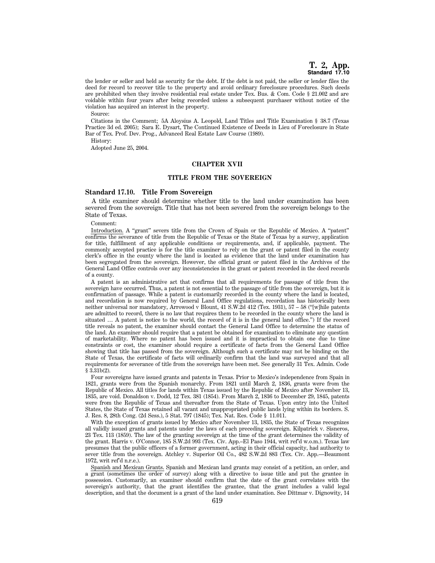the lender or seller and held as security for the debt. If the debt is not paid, the seller or lender files the deed for record to recover title to the property and avoid ordinary foreclosure procedures. Such deeds are prohibited when they involve residential real estate under Tex. Bus. & Com. Code § 21.002 and are voidable within four years after being recorded unless a subsequent purchaser without notice of the violation has acquired an interest in the property.

Source:

Citations in the Comment; 5A Aloysius A. Leopold, Land Titles and Title Examination § 38.7 (Texas Practice 3d ed. 2005); Sara E. Dysart, The Continued Existence of Deeds in Lieu of Foreclosure in State Bar of Tex. Prof. Dev. Prog., Advanced Real Estate Law Course (1989).

History:

Adopted June 25, 2004.

# **CHAPTER XVII**

## **TITLE FROM THE SOVEREIGN**

# **Standard 17.10. Title From Sovereign**

A title examiner should determine whether title to the land under examination has been severed from the sovereign. Title that has not been severed from the sovereign belongs to the State of Texas.

Comment:

Introduction. A ''grant'' severs title from the Crown of Spain or the Republic of Mexico. A ''patent'' confirms the severance of title from the Republic of Texas or the State of Texas by a survey, application for title, fulfillment of any applicable conditions or requirements, and, if applicable, payment. The commonly accepted practice is for the title examiner to rely on the grant or patent filed in the county clerk's office in the county where the land is located as evidence that the land under examination has been segregated from the sovereign. However, the official grant or patent filed in the Archives of the General Land Office controls over any inconsistencies in the grant or patent recorded in the deed records of a county.

A patent is an administrative act that confirms that all requirements for passage of title from the sovereign have occurred. Thus, a patent is not essential to the passage of title from the sovereign, but it is confirmation of passage. While a patent is customarily recorded in the county where the land is located, and recordation is now required by General Land Office regulations, recordation has historically been neither universal nor mandatory, Arrowood v Blount, 41 S.W.2d 412 (Tex. 1931), 57 – 58 (''[w]hile patents are admitted to record, there is no law that requires them to be recorded in the county where the land is situated … A patent is notice to the world, the record of it is in the general land office.'') If the record title reveals no patent, the examiner should contact the General Land Office to determine the status of the land. An examiner should require that a patent be obtained for examination to eliminate any question of marketability. Where no patent has been issued and it is impractical to obtain one due to time constraints or cost, the examiner should require a certificate of facts from the General Land Office showing that title has passed from the sovereign. Although such a certificate may not be binding on the State of Texas, the certificate of facts will ordinarily confirm that the land was surveyed and that all requirements for severance of title from the sovereign have been met. See generally 31 Tex. Admin. Code § 3.31b(2).

Four sovereigns have issued grants and patents in Texas. Prior to Mexico's independence from Spain in 1821, grants were from the Spanish monarchy. From 1821 until March 2, 1836, grants were from the Republic of Mexico. All titles for lands within Texas issued by the Republic of Mexico after November 13, 1835, are void. Donaldson v. Dodd, 12 Tex. 381 (1854). From March 2, 1836 to December 29, 1845, patents were from the Republic of Texas and thereafter from the State of Texas. Upon entry into the United States, the State of Texas retained all vacant and unappropriated public lands lying within its borders. S. J. Res. 8, 28th Cong. (2d Sess.), 5 Stat. 797 (1845); Tex. Nat. Res. Code § 11.011.

With the exception of grants issued by Mexico after November 13, 1835, the State of Texas recognizes all validly issued grants and patents under the laws of each preceding sovereign. Kilpatrick v. Sisneros, 23 Tex. 113 (1859). The law of the granting sovereign at the time of the grant determines the validity of the grant. Harris v. O'Connor, 185 S.W.2d 993 (Tex. Civ. App.–El Paso 1944, writ ref'd w.o.m.). Texas law presumes that the public officers of a former government, acting in their official capacity, had authority to sever title from the sovereign. Atchley v. Superior Oil Co., 482 S.W.2d 883 (Tex. Civ. App.—Beaumont 1972, writ ref'd n.r.e.).

Spanish and Mexican Grants. Spanish and Mexican land grants may consist of a petition, an order, and a grant (sometimes the order of survey) along with a directive to issue title and put the grantee in possession. Customarily, an examiner should confirm that the date of the grant correlates with the sovereign's authority, that the grant identifies the grantee, that the grant includes a valid legal description, and that the document is a grant of the land under examination. See Dittmar v. Dignowity, 14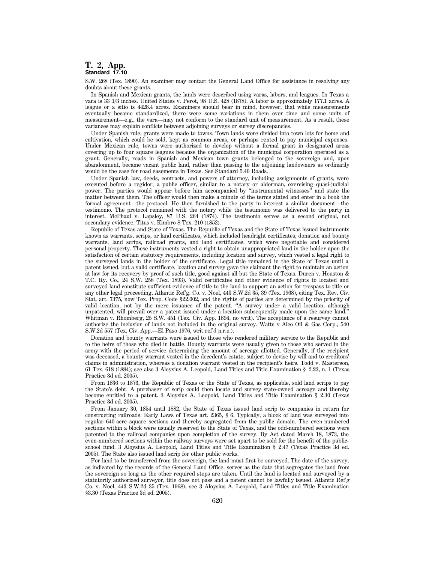# **T. 2, App. Standard 17.10**

S.W. 268 (Tex. 1890). An examiner may contact the General Land Office for assistance in resolving any doubts about these grants.

In Spanish and Mexican grants, the lands were described using varas, labors, and leagues. In Texas a vara is 33 1/3 inches. United States v. Perot, 98 U.S. 428 (1878). A labor is approximately 177.1 acres. A league or a sitio is 4428.4 acres. Examiners should bear in mind, however, that while measurements eventually became standardized, there were some variations in them over time and some units of measurement—e.g., the vara—may not conform to the standard unit of measurement. As a result, these variances may explain conflicts between adjoining surveys or survey discrepancies.

Under Spanish rule, grants were made to towns. Town lands were divided into town lots for home and cultivation, which could be sold, kept as common areas, or perhaps rented to pay municipal expenses. Under Mexican rule, towns were authorized to develop without a formal grant in designated areas covering up to four square leagues because the organization of the municipal corporation operated as a grant. Generally, roads in Spanish and Mexican town grants belonged to the sovereign and, upon abandonment, became vacant public land, rather than passing to the adjoining landowners as ordinarily would be the case for road easements in Texas. See Standard 5.40 Roads.

Under Spanish law, deeds, contracts, and powers of attorney, including assignments of grants, were executed before a regidor, a public officer, similar to a notary or alderman, exercising quasi-judicial power. The parties would appear before him accompanied by ''instrumental witnesses'' and state the matter between them. The officer would then make a minute of the terms stated and enter in a book the formal agreement—the protocol. He then furnished to the party in interest a similar document—the testimonio. The protocol remained with the notary while the testimonio was delivered to the party in interest. McPhaul v. Lapsley, 87 U.S. 264 (1874). The testimonio serves as a second original, not secondary evidence. Titus v. Kimbro 8 Tex. 210 (1852).

Republic of Texas and State of Texas. The Republic of Texas and the State of Texas issued instruments known as warrants, scrips, or land certificates, which included headright certificates, donation and bounty warrants, land scrips, railroad grants, and land certificates, which were negotiable and considered personal property. These instruments vested a right to obtain unappropriated land in the holder upon the satisfaction of certain statutory requirements, including location and survey, which vested a legal right to the surveyed lands in the holder of the certificate. Legal title remained in the State of Texas until a patent issued, but a valid certificate, location and survey gave the claimant the right to maintain an action at law for its recovery by proof of such title, good against all but the State of Texas. Duren v. Houston & T.C. Ry. Co., 24 S.W. 258 (Tex. 1893). Valid certificates and other evidence of rights to located and surveyed land constitute sufficient evidence of title to the land to support an action for trespass to title or any other legal proceeding, Atlantic Ref'g. Co. v. Noel, 443 S.W.2d 35, 39 (Tex. 1968), citing Tex. Rev. Civ. Stat. art. 7375, now Tex. Prop. Code §22.002, and the rights of parties are determined by the priority of valid location, not by the mere issuance of the patent. ''A survey under a valid location, although unpatented, will prevail over a patent issued under a location subsequently made upon the same land.'' Whitman v. Rhomberg, 25 S.W. 451 (Tex. Civ. App. 1894, no writ). The acceptance of a resurvey cannot authorize the inclusion of lands not included in the original survey. Watts v Alco Oil & Gas Corp., 540 S.W.2d 557 (Tex. Civ. App.—El Paso 1976, writ ref'd n.r.e.).

Donation and bounty warrants were issued to those who rendered military service to the Republic and to the heirs of those who died in battle. Bounty warrants were usually given to those who served in the army with the period of service determining the amount of acreage allotted. Generally, if the recipient was deceased, a bounty warrant vested in the decedent's estate, subject to devise by will and to creditors' claims in administration, whereas a donation warrant vested in the recipient's heirs. Todd v. Masterson, 61 Tex. 618 (1884); see also 3 Aloysius A. Leopold, Land Titles and Title Examination § 2.23, n. 1 (Texas Practice 3d ed. 2005).

From 1836 to 1876, the Republic of Texas or the State of Texas, as applicable, sold land scrips to pay the State's debt. A purchaser of scrip could then locate and survey state-owned acreage and thereby become entitled to a patent. 3 Aloysius A. Leopold, Land Titles and Title Examination § 2.30 (Texas Practice 3d ed. 2005).

From January 30, 1854 until 1882, the State of Texas issued land scrip to companies in return for constructing railroads. Early Laws of Texas art. 2365, § 6. Typically, a block of land was surveyed into regular 640-acre square sections and thereby segregated from the public domain. The even-numbered sections within a block were usually reserved to the State of Texas, and the odd-numbered sections were patented to the railroad companies upon completion of the survey. By Act dated March 18, 1873, the even-numbered sections within the railway surveys were set apart to be sold for the benefit of the publicschool fund. 3 Aloysius A. Leopold, Land Titles and Title Examination § 2.47 (Texas Practice 3d ed. 2005). The State also issued land scrip for other public works.

For land to be transferred from the sovereign, the land must first be surveyed. The date of the survey, as indicated by the records of the General Land Office, serves as the date that segregates the land from the sovereign so long as the other required steps are taken. Until the land is located and surveyed by a statutorily authorized surveyor, title does not pass and a patent cannot be lawfully issued. Atlantic Ref'g Co. v. Noel, 443 S.W.2d 35 (Tex. 1968); see 3 Aloysius A. Leopold, Land Titles and Title Examination §3.30 (Texas Practice 3d ed. 2005).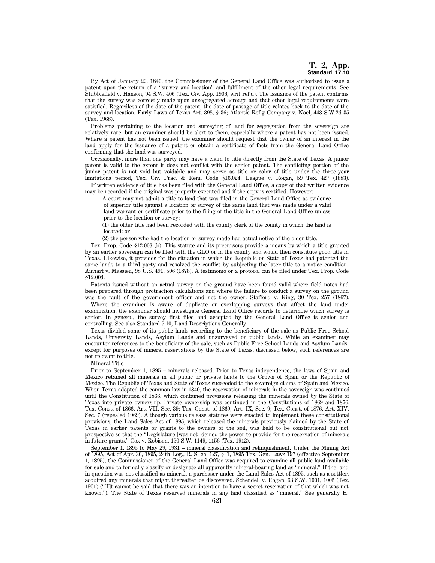By Act of January 29, 1840, the Commissioner of the General Land Office was authorized to issue a patent upon the return of a ''survey and location'' and fulfillment of the other legal requirements. See Stubblefield v. Hanson, 94 S.W. 406 (Tex. Civ. App. 1906, writ ref'd). The issuance of the patent confirms that the survey was correctly made upon unsegregated acreage and that other legal requirements were satisfied. Regardless of the date of the patent, the date of passage of title relates back to the date of the survey and location. Early Laws of Texas Art. 398, § 36; Atlantic Ref'g Company v. Noel, 443 S.W.2d 35 (Tex. 1968).

Problems pertaining to the location and surveying of land for segregation from the sovereign are relatively rare, but an examiner should be alert to them, especially where a patent has not been issued. Where a patent has not been issued, the examiner should request that the owner of an interest in the land apply for the issuance of a patent or obtain a certificate of facts from the General Land Office confirming that the land was surveyed.

Occasionally, more than one party may have a claim to title directly from the State of Texas. A junior patent is valid to the extent it does not conflict with the senior patent. The conflicting portion of the junior patent is not void but voidable and may serve as title or color of title under the three-year limitations period, Tex. Civ. Prac. & Rem. Code §16.024. League v. Rogan, 59 Tex. 427 (1883).

If written evidence of title has been filed with the General Land Office, a copy of that written evidence may be recorded if the original was properly executed and if the copy is certified. However:

A court may not admit a title to land that was filed in the General Land Office as evidence of superior title against a location or survey of the same land that was made under a valid land warrant or certificate prior to the filing of the title in the General Land Office unless prior to the location or survey:

(1) the older title had been recorded with the county clerk of the county in which the land is located; or

(2) the person who had the location or survey made had actual notice of the older title.

Tex. Prop. Code §12.003 (b). This statute and its precursors provide a means by which a title granted by an earlier sovereign can be filed with the GLO or in the county and would then constitute good title in Texas. Likewise, it provides for the situation in which the Republic or State of Texas had patented the same lands to a third party and resolved the conflict by subjecting the later title to a notice condition. Airhart v. Massieu, 98 U.S. 491, 506 (1878). A testimonio or a protocol can be filed under Tex. Prop. Code §12.003.

Patents issued without an actual survey on the ground have been found valid where field notes had been prepared through protraction calculations and where the failure to conduct a survey on the ground was the fault of the government officer and not the owner. Stafford v. King, 30 Tex. 257 (1867).

Where the examiner is aware of duplicate or overlapping surveys that affect the land under examination, the examiner should investigate General Land Office records to determine which survey is senior. In general, the survey first filed and accepted by the General Land Office is senior and controlling. See also Standard 5.10, Land Descriptions Generally.

Texas divided some of its public lands according to the beneficiary of the sale as Public Free School Lands, University Lands, Asylum Lands and unsurveyed or public lands. While an examiner may encounter references to the beneficiary of the sale, such as Public Free School Lands and Asylum Lands, except for purposes of mineral reservations by the State of Texas, discussed below, such references are not relevant to title.

Mineral Title

Prior to September 1, 1895 – minerals released. Prior to Texas independence, the laws of Spain and Mexico retained all minerals in all public or private lands to the Crown of Spain or the Republic of Mexico. The Republic of Texas and State of Texas succeeded to the sovereign claims of Spain and Mexico. When Texas adopted the common law in 1840, the reservation of minerals in the sovereign was continued until the Constitution of 1866, which contained provisions releasing the minerals owned by the State of Texas into private ownership. Private ownership was continued in the Constitutions of 1869 and 1876. Tex. Const. of 1866, Art. VII, Sec. 39; Tex. Const. of 1869, Art. IX, Sec. 9; Tex. Const. of 1876, Art. XIV, Sec. 7 (repealed 1969). Although various release statutes were enacted to implement these constitutional provisions, the Land Sales Act of 1895, which released the minerals previously claimed by the State of Texas in earlier patents or grants to the owners of the soil, was held to be constitutional but not prospective so that the ''Legislature [was not] denied the power to provide for the reservation of minerals in future grants.'' Cox v. Robison, 150 S.W. 1149, 1156 (Tex. 1912).

September 1, 1895 to May 29, 1931 – mineral classification and relinquishment. Under the Mining Act of 1895, Act of Apr. 30, 1895, 24th Leg., R. S. ch. 127, § 1, 1895 Tex. Gen. Laws 197 (effective September 1, 1895), the Commissioner of the General Land Office was required to examine all public land available for sale and to formally classify or designate all apparently mineral-bearing land as ''mineral.'' If the land in question was not classified as mineral, a purchaser under the Land Sales Act of 1895, such as a settler, acquired any minerals that might thereafter be discovered. Schendell v. Rogan, 63 S.W. 1001, 1005 (Tex. 1901) (''[I]t cannot be said that there was an intention to have a secret reservation of that which was not known.''). The State of Texas reserved minerals in any land classified as ''mineral.'' See generally H.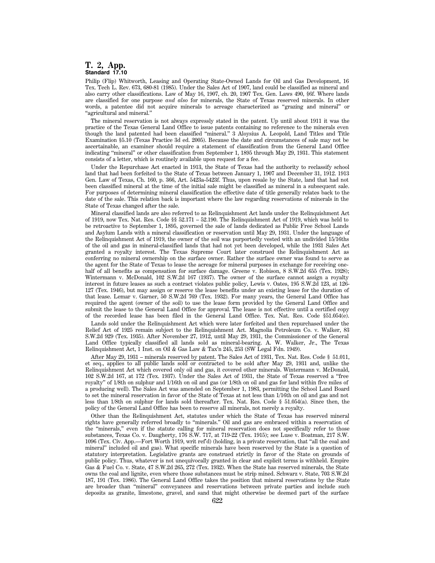# **T. 2, App. Standard 17.10**

Philip (Flip) Whitworth, Leasing and Operating State-Owned Lands for Oil and Gas Development, 16 Tex. Tech L. Rev. 673, 680-81 (1985). Under the Sales Act of 1907, land could be classified as mineral and also carry other classifications. Law of May 16, 1907, ch. 20, 1907 Tex. Gen. Laws 490, §6f. Where lands are classified for one purpose *and also* for minerals, the State of Texas reserved minerals. In other words, a patentee did not acquire minerals to acreage characterized as ''grazing and mineral'' or ''agricultural and mineral.''

The mineral reservation is not always expressly stated in the patent. Up until about 1911 it was the practice of the Texas General Land Office to issue patents containing no reference to the minerals even though the land patented had been classified ''mineral.'' 3 Aloysius A. Leopold, Land Titles and Title Examination §5.10 (Texas Practice 3d ed. 2005). Because the date and circumstances of sale may not be ascertainable, an examiner should require a statement of classification from the General Land Office indicating ''mineral'' or other classification from September 1, 1895 through May 29, 1931. This statement consists of a letter, which is routinely available upon request for a fee.

Under the Repurchase Act enacted in 1913, the State of Texas had the authority to reclassify school land that had been forfeited to the State of Texas between January 1, 1907 and December 31, 1912. 1913 Gen. Law of Texas, Ch. 160, p. 366, Art. 5423a-5423f. Thus, upon resale by the State, land that had not been classified mineral at the time of the initial sale might be classified as mineral in a subsequent sale. For purposes of determining mineral classification the effective date of title generally relates back to the date of the sale. This relation back is important where the law regarding reservations of minerals in the State of Texas changed after the sale.

Mineral classified lands are also referred to as Relinquishment Act lands under the Relinquishment Act of 1919, now Tex. Nat. Res. Code §§ 52.171 – 52.190. The Relinquishment Act of 1919, which was held to be retroactive to September 1, 1895, governed the sale of lands dedicated as Public Free School Lands and Asylum Lands with a mineral classification or reservation until May 29, 1931. Under the language of the Relinquishment Act of 1919, the owner of the soil was purportedly vested with an undivided 15/16ths of the oil and gas in mineral-classified lands that had not yet been developed, while the 1931 Sales Act granted a royalty interest. The Texas Supreme Court later construed the Relinquishment Act as conferring no mineral ownership on the surface owner. Rather the surface owner was found to serve as the agent for the State of Texas to lease the acreage for mineral purposes in exchange for receiving onehalf of all benefits as compensation for surface damage. Greene v. Robison, 8 S.W.2d 655 (Tex. 1928); Wintermann v. McDonald, 102 S.W.2d 167 (1937). The owner of the surface cannot assign a royalty interest in future leases as such a contract violates public policy, Lewis v. Oates, 195 S.W.2d 123, at 126- 127 (Tex. 1946), but may assign or reserve the lease benefits under an existing lease for the duration of that lease. Lemar v. Garner, 50 S.W.2d 769 (Tex. 1932). For many years, the General Land Office has required the agent (owner of the soil) to use the lease form provided by the General Land Office and submit the lease to the General Land Office for approval. The lease is not effective until a certified copy of the recorded lease has been filed in the General Land Office. Tex. Nat. Res. Code §51.054(e).

Lands sold under the Relinquishment Act which were later forfeited and then repurchased under the Relief Act of 1925 remain subject to the Relinquishment Act. Magnolia Petroleum Co. v. Walker, 83 S.W.2d 929 (Tex. 1935). After November 27, 1912, until May 29, 1931, the Commissioner of the General Land Office typically classified all lands sold as mineral-bearing. A. W. Walker, Jr., The Texas Relinquishment Act, 1 Inst. on Oil & Gas Law & Tax'n 245, 253 (SW Legal Fdn. 1949).

After May 29, 1931 – minerals reserved by patent. The Sales Act of 1931, Tex. Nat. Res. Code § 51.011, et seq., applies to all public lands sold or contracted to be sold after May 29, 1931 and, unlike the Relinquishment Act which covered only oil and gas, it covered other minerals. Wintermann v. McDonald, 102 S.W.2d 167, at 172 (Tex. 1937). Under the Sales Act of 1931, the State of Texas reserved a ''free royalty'' of 1/8th on sulphur and 1/16th on oil and gas (or 1/8th on oil and gas for land within five miles of a producing well). The Sales Act was amended on September 1, 1983, permitting the School Land Board to set the mineral reservation in favor of the State of Texas at not less than 1/16th on oil and gas and not less than 1/8th on sulphur for lands sold thereafter. Tex. Nat. Res. Code § 51.054(a). Since then, the policy of the General Land Office has been to reserve all minerals, not merely a royalty.

Other than the Relinquishment Act, statutes under which the State of Texas has reserved mineral rights have generally referred broadly to ''minerals.'' Oil and gas are embraced within a reservation of the "minerals," even if the statute calling for mineral reservation does not specifically refer to those substances, Texas Co. v. Daugherty, 176 S.W. 717, at 719-22 (Tex. 1915); see Luse v. Boatman, 217 S.W. 1096 (Tex. Civ. App.—Fort Worth 1919, writ ref'd) (holding, in a private reservation, that ''all the coal and mineral'' included oil and gas). What specific minerals have been reserved by the State is a question of statutory interpretation. Legislative grants are construed strictly in favor of the State on grounds of public policy. Thus, whatever is not unequivocally granted in clear and explicit terms is withheld. Empire Gas & Fuel Co. v. State, 47 S.W.2d 265, 272 (Tex. 1932). When the State has reserved minerals, the State owns the coal and lignite, even where those substances must be strip mined. Schwarz v. State, 703 S.W.2d 187, 191 (Tex. 1986). The General Land Office takes the position that mineral reservations by the State are broader than ''mineral'' conveyances and reservations between private parties and include such deposits as granite, limestone, gravel, and sand that might otherwise be deemed part of the surface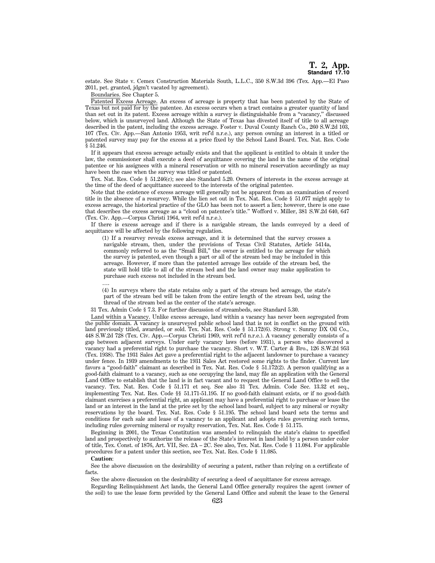estate. See State v. Cemex Construction Materials South, L.L.C., 350 S.W.3d 396 (Tex. App.—El Paso 2011, pet. granted, jdgm't vacated by agreement).

Boundaries. See Chapter 5.

Patented Excess Acreage. An excess of acreage is property that has been patented by the State of Texas but not paid for by the patentee. An excess occurs when a tract contains a greater quantity of land than set out in its patent. Excess acreage within a survey is distinguishable from a ''vacancy,'' discussed below, which is unsurveyed land. Although the State of Texas has divested itself of title to all acreage described in the patent, including the excess acreage. Foster v. Duval County Ranch Co., 260 S.W.2d 103, 107 (Tex. Civ. App.—San Antonio 1953, writ ref'd n.r.e.), any person owning an interest in a titled or patented survey may pay for the excess at a price fixed by the School Land Board. Tex. Nat. Res. Code § 51.246.

If it appears that excess acreage actually exists and that the applicant is entitled to obtain it under the law, the commissioner shall execute a deed of acquittance covering the land in the name of the original patentee or his assignees with a mineral reservation or with no mineral reservation accordingly as may have been the case when the survey was titled or patented.

Tex. Nat. Res. Code § 51.246(c); see also Standard 5.20. Owners of interests in the excess acreage at the time of the deed of acquittance succeed to the interests of the original patentee.

Note that the existence of excess acreage will generally not be apparent from an examination of record title in the absence of a resurvey. While the lien set out in Tex. Nat. Res. Code § 51.077 might apply to excess acreage, the historical practice of the GLO has been not to assert a lien; however, there is one case that describes the excess acreage as a ''cloud on patentee's title.'' Wofford v. Miller, 381 S.W.2d 640, 647 (Tex. Civ. App.—Corpus Christi 1964, writ ref'd n.r.e.).

If there is excess acreage and if there is a navigable stream, the lands conveyed by a deed of acquittance will be affected by the following regulation.

(1) If a resurvey reveals excess acreage, and it is determined that the survey crosses a navigable stream, then, under the provisions of Texas Civil Statutes, Article 5414a, commonly referred to as the "Small Bill," the owner is entitled to the acreage for which the survey is patented, even though a part or all of the stream bed may be included in this acreage. However, if more than the patented acreage lies outside of the stream bed, the state will hold title to all of the stream bed and the land owner may make application to purchase such excess not included in the stream bed.

(4) In surveys where the state retains only a part of the stream bed acreage, the state's part of the stream bed will be taken from the entire length of the stream bed, using the thread of the stream bed as the center of the state's acreage.

31 Tex. Admin Code § 7.3. For further discussion of streambeds, see Standard 5.30.

Land within a Vacancy. Unlike excess acreage, land within a vacancy has never been segregated from the public domain. A vacancy is unsurveyed public school land that is not in conflict on the ground with land previously titled, awarded, or sold. Tex. Nat. Res. Code § 51.172(6). Strong v. Sunray DX Oil Co., 448 S.W.2d 728 (Tex. Civ. App.—Corpus Christi 1969, writ ref'd n.r.e.). A vacancy generally consists of a gap between adjacent surveys. Under early vacancy laws (before 1931), a person who discovered a vacancy had a preferential right to purchase the vacancy. Short v. W.T. Carter & Bro., 126 S.W.2d 953 (Tex. 1938). The 1931 Sales Act gave a preferential right to the adjacent landowner to purchase a vacancy under fence. In 1939 amendments to the 1931 Sales Act restored some rights to the finder. Current law favors a ''good-faith'' claimant as described in Tex. Nat. Res. Code § 51.172(2). A person qualifying as a good-faith claimant to a vacancy, such as one occupying the land, may file an application with the General Land Office to establish that the land is in fact vacant and to request the General Land Office to sell the vacancy. Tex. Nat. Res. Code § 51.171 et seq. See also 31 Tex. Admin. Code Sec. 13.32 et seq., implementing Tex. Nat. Res. Code §§ 51.171-51.195. If no good-faith claimant exists, or if no good-faith claimant exercises a preferential right, an applicant may have a preferential right to purchase or lease the land or an interest in the land at the price set by the school land board, subject to any mineral or royalty reservations by the board. Tex. Nat. Res. Code § 51.195. The school land board sets the terms and conditions for each sale and lease of a vacancy to an applicant and adopts rules governing such terms, including rules governing mineral or royalty reservation, Tex. Nat. Res. Code § 51.175.

Beginning in 2001, the Texas Constitution was amended to relinquish the state's claims to specified land and prospectively to authorize the release of the State's interest in land held by a person under color of title, Tex. Const. of 1876, Art. VII, Sec. 2A – 2C. See also, Tex. Nat. Res. Code § 11.084. For applicable procedures for a patent under this section, see Tex. Nat. Res. Code § 11.085.

#### **Caution**:

….

See the above discussion on the desirability of securing a patent, rather than relying on a certificate of facts.

See the above discussion on the desirability of securing a deed of acquittance for excess acreage.

Regarding Relinquishment Act lands, the General Land Office generally requires the agent (owner of the soil) to use the lease form provided by the General Land Office and submit the lease to the General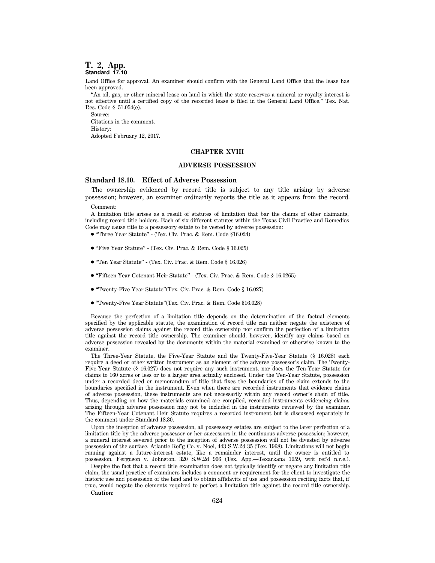## **T. 2, App. Standard 17.10**

Land Office for approval. An examiner should confirm with the General Land Office that the lease has been approved.

''An oil, gas, or other mineral lease on land in which the state reserves a mineral or royalty interest is not effective until a certified copy of the recorded lease is filed in the General Land Office.'' Tex. Nat. Res. Code § 51.054(e).

Source: Citations in the comment. History:

Adopted February 12, 2017.

## **CHAPTER XVIII**

## **ADVERSE POSSESSION**

## **Standard 18.10. Effect of Adverse Possession**

The ownership evidenced by record title is subject to any title arising by adverse possession; however, an examiner ordinarily reports the title as it appears from the record.

Comment:

A limitation title arises as a result of statutes of limitation that bar the claims of other claimants, including record title holders. Each of six different statutes within the Texas Civil Practice and Remedies Code may cause title to a possessory estate to be vested by adverse possession:

- 1 ''Three Year Statute'' (Tex. Civ. Prac. & Rem. Code §16.024)
- "Five Year Statute" (Tex. Civ. Prac. & Rem. Code § 16.025)
- 1 ''Ten Year Statute'' (Tex. Civ. Prac. & Rem. Code § 16.026)
- 1 ''Fifteen Year Cotenant Heir Statute'' (Tex. Civ. Prac. & Rem. Code § 16.0265)
- 1 ''Twenty-Five Year Statute''(Tex. Civ. Prac. & Rem. Code § 16.027)
- 1 ''Twenty-Five Year Statute''(Tex. Civ. Prac. & Rem. Code §16.028)

Because the perfection of a limitation title depends on the determination of the factual elements specified by the applicable statute, the examination of record title can neither negate the existence of adverse possession claims against the record title ownership nor confirm the perfection of a limitation title against the record title ownership. The examiner should, however, identify any claims based on adverse possession revealed by the documents within the material examined or otherwise known to the examiner.

The Three-Year Statute, the Five-Year Statute and the Twenty-Five-Year Statute (§ 16.028) each require a deed or other written instrument as an element of the adverse possessor's claim. The Twenty-Five-Year Statute (§ 16.027) does not require any such instrument, nor does the Ten-Year Statute for claims to 160 acres or less or to a larger area actually enclosed. Under the Ten-Year Statute, possession under a recorded deed or memorandum of title that fixes the boundaries of the claim extends to the boundaries specified in the instrument. Even when there are recorded instruments that evidence claims of adverse possession, these instruments are not necessarily within any record owner's chain of title. Thus, depending on how the materials examined are compiled, recorded instruments evidencing claims arising through adverse possession may not be included in the instruments reviewed by the examiner. The Fifteen-Year Cotenant Heir Statute requires a recorded instrument but is discussed separately in the comment under Standard 18.30.

Upon the inception of adverse possession, all possessory estates are subject to the later perfection of a limitation title by the adverse possessor or her successors in the continuous adverse possession; however, a mineral interest severed prior to the inception of adverse possession will not be divested by adverse possession of the surface. Atlantic Ref'g Co. v. Noel, 443 S.W.2d 35 (Tex. 1968). Limitations will not begin running against a future-interest estate, like a remainder interest, until the owner is entitled to possession. Ferguson v. Johnston, 320 S.W.2d 906 (Tex. App.—Texarkana 1959, writ ref'd n.r.e.).

Despite the fact that a record title examination does not typically identify or negate any limitation title claim, the usual practice of examiners includes a comment or requirement for the client to investigate the historic use and possession of the land and to obtain affidavits of use and possession reciting facts that, if true, would negate the elements required to perfect a limitation title against the record title ownership. **Caution:**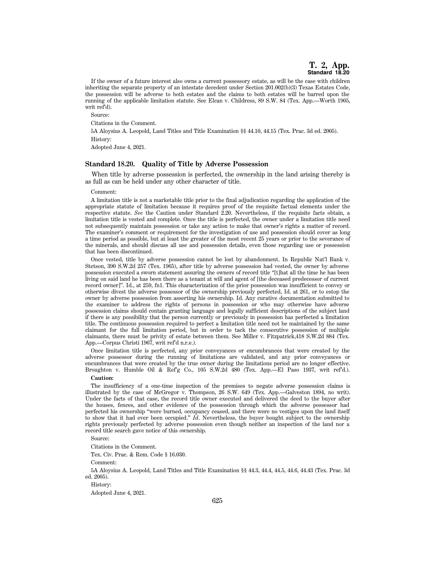If the owner of a future interest also owns a current possessory estate, as will be the case with children inheriting the separate property of an intestate decedent under Section 201.002(b)(3) Texas Estates Code, the possession will be adverse to both estates and the claims to both estates will be barred upon the running of the applicable limitation statute. See Elcan v. Childress, 89 S.W. 84 (Tex. App.—Worth 1905, writ ref'd).

Source:

Citations in the Comment.

5A Aloysius A. Leopold, Land Titles and Title Examination §§ 44.10, 44.15 (Tex. Prac. 3d ed. 2005). History:

Adopted June 4, 2021.

## **Standard 18.20. Quality of Title by Adverse Possession**

When title by adverse possession is perfected, the ownership in the land arising thereby is as full as can be held under any other character of title.

#### Comment:

A limitation title is not a marketable title prior to the final adjudication regarding the application of the appropriate statute of limitation because it requires proof of the requisite factual elements under the respective statute. *See* the Caution under Standard 2.20. Nevertheless, if the requisite facts obtain, a limitation title is vested and complete. Once the title is perfected, the owner under a limitation title need not subsequently maintain possession or take any action to make that owner's rights a matter of record. The examiner's comment or requirement for the investigation of use and possession should cover as long a time period as possible, but at least the greater of the most recent 25 years or prior to the severance of the minerals, and should discuss all use and possession details, even those regarding use or possession that has been discontinued.

Once vested, title by adverse possession cannot be lost by abandonment. In Republic Nat'l Bank v. Stetson, 390 S.W.2d 257 (Tex. 1965), after title by adverse possession had vested, the owner by adverse possession executed a sworn statement assuring the owners of record title ''[t]hat all the time he has been living on said land he has been there as a tenant at will and agent of [the deceased predecessor of current record owner]''. Id., at 259, fn1. This characterization of the prior possession was insufficient to convey or otherwise divest the adverse possessor of the ownership previously perfected, Id. at 261, or to estop the owner by adverse possession from asserting his ownership. Id. Any curative documentation submitted to the examiner to address the rights of persons in possession or who may otherwise have adverse possession claims should contain granting language and legally sufficient descriptions of the subject land if there is any possibility that the person currently or previously in possession has perfected a limitation title. The continuous possession required to perfect a limitation title need not be maintained by the same claimant for the full limitation period, but in order to tack the consecutive possession of multiple claimants, there must be privity of estate between them. See Miller v. Fitzpatrick,418 S.W.2d 884 (Tex. App.—Corpus Christi 1967, writ ref'd n.r.e.).

Once limitation title is perfected, any prior conveyances or encumbrances that were created by the adverse possessor during the running of limitations are validated, and any prior conveyances or encumbrances that were created by the true owner during the limitations period are no longer effective. Broughton v. Humble Oil & Ref'g Co., 105 S.W.2d 480 (Tex. App.—El Paso 1937, writ ref'd.).

## **Caution:**

The insufficiency of a one-time inspection of the premises to negate adverse possession claims is illustrated by the case of McGregor v. Thompson, 26 S.W. 649 (Tex. App.—Galveston 1894, no writ). Under the facts of that case, the record title owner executed and delivered the deed to the buyer after the houses, fences, and other evidence of the possession through which the adverse possessor had perfected his ownership ''were burned, occupancy ceased, and there were no vestiges upon the land itself to show that it had ever been occupied.'' *Id*. Nevertheless, the buyer bought subject to the ownership rights previously perfected by adverse possession even though neither an inspection of the land nor a record title search gave notice of this ownership.

Source:

Citations in the Comment.

Tex. Civ. Prac. & Rem. Code § 16.030.

Comment:

5A Aloysius A. Leopold, Land Titles and Title Examination §§ 44.3, 44.4, 44.5, 44.6, 44.43 (Tex. Prac. 3d ed. 2005).

History:

Adopted June 4, 2021.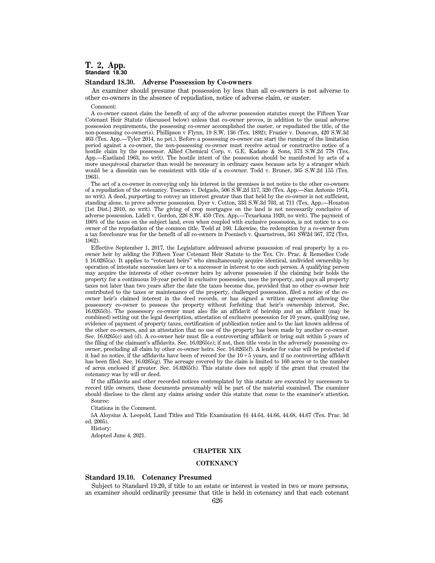# **T. 2, App. Standard 18.30**

## **Standard 18.30. Adverse Possession by Co-owners**

An examiner should presume that possession by less than all co-owners is not adverse to other co-owners in the absence of repudiation, notice of adverse claim, or ouster.

Comment:

A co-owner cannot claim the benefit of any of the adverse possession statutes except the Fifteen Year Cotenant Heir Statute (discussed below) unless that co-owner proves, in addition to the usual adverse possession requirements, the possessing co-owner accomplished the ouster, or repudiated the title, of the non-possessing co-owner(s). Phillipson v Flynn, 19 S.W. 136 (Tex. 1892); Frazier v. Donovan, 420 S.W.3d 463 (Tex. App.—Tyler 2014, no pet.). Before a possessing co-owner can start the running of the limitation period against a co-owner, the non-possessing co-owner must receive actual or constructive notice of a hostile claim by the possessor. Allied Chemical Corp. v. G.E. Kadane & Sons, 373 S.W.2d 778 (Tex. App.—Eastland 1963, no writ). The hostile intent of the possession should be manifested by acts of a more unequivocal character than would be necessary in ordinary cases because acts by a stranger which would be a disseizin can be consistent with title of a co-owner. Todd v. Bruner, 365 S.W.2d 155 (Tex. 1963).

The act of a co-owner in conveying only his interest in the premises is not notice to the other co-owners of a repudiation of the cotenancy. Toscano v. Delgado, 506 S.W.2d 317, 320 (Tex. App.—San Antonio 1974, no writ). A deed, purporting to convey an interest greater than that held by the co-owner is not sufficient, standing alone, to prove adverse possession. Dyer v. Cotton, 333 S.W.3d 703, at 711 (Tex. App.—Houston [1st Dist.] 2010, no writ). The giving of crop mortgages on the land is not necessarily conclusive of adverse possession. Lidell v. Gordon, 226 S.W. 459 (Tex. App.—Texarkana 1920, no writ). The payment of 100% of the taxes on the subject land, even when coupled with exclusive possession, is not notice to a coowner of the repudiation of the common title. Todd at 160. Likewise, the redemption by a co-owner from a tax foreclosure was for the benefit of all co-owners in Poenisch v. Quarnstrom, 361 SW2d 367, 372 (Tex. 1962).

Effective September 1, 2017, the Legislature addressed adverse possession of real property by a coowner heir by adding the Fifteen Year Cotenant Heir Statute to the Tex. Civ. Prac. & Remedies Code § 16.0265(a). It applies to ''cotenant heirs'' who simultaneously acquire identical, undivided ownership by operation of intestate succession laws or to a successor in interest to one such person. A qualifying person may acquire the interests of other co-owner heirs by adverse possession if the claiming heir holds the property for a continuous 10-year period in exclusive possession, uses the property, and pays all property taxes not later than two years after the date the taxes become due, provided that no other co-owner heir contributed to the taxes or maintenance of the property, challenged possession, filed a notice of the coowner heir's claimed interest in the deed records, or has signed a written agreement allowing the possessory co-owner to possess the property without forfeiting that heir's ownership interest. Sec. 16.0265(b). The possessory co-owner must also file an affidavit of heirship and an affidavit (may be combined) setting out the legal description, attestation of exclusive possession for 10 years, qualifying use, evidence of payment of property taxes, certification of publication notice and to the last known address of the other co-owners, and an attestation that no use of the property has been made by another co-owner. Sec. 16.0265(c) and (d). A co-owner heir must file a controverting affidavit or bring suit within 5 years of the filing of the claimant's affidavits. Sec. 16.0265(e); if not, then title vests in the adversely possessing coowner, precluding all claim by other co-owner heirs. Sec. 16.0265(f). A lender for value will be protected if it had no notice, if the affidavits have been of record for the  $10+\overline{5}$  years, and if no controverting affidavit has been filed. Sec. 16.0265(g). The acreage covered by the claim is limited to 160 acres or to the number of acres enclosed if greater. Sec. 16.0265(h). This statute does not apply if the grant that created the cotenancy was by will or deed.

If the affidavits and other recorded notices contemplated by this statute are executed by successors to record title owners, these documents presumably will be part of the material examined. The examiner should disclose to the client any claims arising under this statute that come to the examiner's attention. Source:

Citations in the Comment.

5A Aloysius A. Leopold, Land Titles and Title Examination §§ 44.64, 44.66, 44.68, 44.67 (Tex. Prac. 3d ed. 2005).

History:

Adopted June 4, 2021.

## **CHAPTER XIX**

## **COTENANCY**

## **Standard 19.10. Cotenancy Presumed**

Subject to Standard 19.20, if title to an estate or interest is vested in two or more persons, an examiner should ordinarily presume that title is held in cotenancy and that each cotenant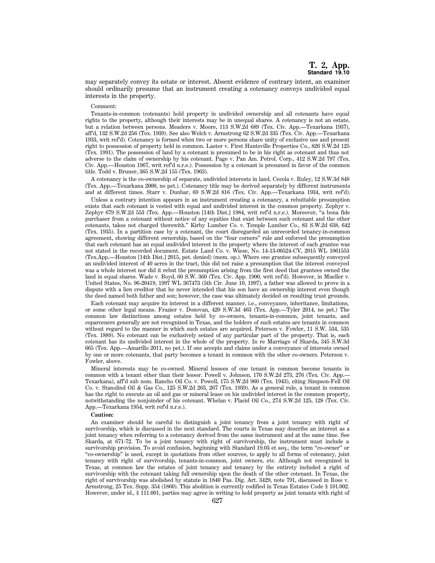may separately convey its estate or interest. Absent evidence of contrary intent, an examiner should ordinarily presume that an instrument creating a cotenancy conveys undivided equal interests in the property.

#### Comment:

Tenants-in-common (cotenants) hold property in undivided ownership and all cotenants have equal rights to the property, although their interests may be in unequal shares. A cotenancy is not an estate, but a relation between persons. Meaders v. Moore, 113 S.W.2d 689 (Tex. Civ. App.—Texarkana 1937), aff'd, 132 S.W.2d 256 (Tex. 1939). See also Welch v. Armstrong 62 S.W.2d 335 (Tex. Civ. App.—Texarkana 1933, writ ref'd). Cotenancy is formed when two or more persons share unity of exclusive use and present right to possession of property held in common. Laster v. First Huntsville Properties Co., 826 S.W.2d 125 (Tex. 1991). The possession of land by a cotenant is presumed to be in his right as cotenant and thus not adverse to the claim of ownership by his cotenant. Page v. Pan Am. Petrol. Corp., 412 S.W.2d 797 (Tex. Civ. App.—Houston 1967, writ ref'd n.r.e.). Possession by a cotenant is presumed in favor of the common title. Todd v. Bruner, 365 S.W.2d 155 (Tex. 1963).

A cotenancy is the co-ownership of separate, undivided interests in land. Cecola v. Ruley, 12 S.W.3d 848 (Tex. App.—Texarkana 2000, no pet.). Cotenancy title may be derived separately by different instruments and at different times. Starr v. Dunbar, 69 S.W.2d 816 (Tex. Civ. App.—Texarkana 1934, writ ref'd).

Unless a contrary intention appears in an instrument creating a cotenancy, a rebuttable presumption exists that each cotenant is vested with equal and undivided interest in the common property. Zephyr v. Zephyr 679 S.W.2d 553 (Tex. App.—Houston [14th Dist.] 1984, writ ref'd n.r.e.). Moreover, ''a bona fide purchaser from a cotenant without notice of any equities that exist between such cotenant and the other cotenants, takes not charged therewith.'' Kirby Lumber Co. v. Temple Lumber Co., 83 S.W.2d 638, 642 (Tex. 1935). In a partition case by a cotenant, the court disregarded an unrecorded tenancy-in-common agreement, showing different ownership, based on the ''four corners'' rule and enforced the presumption that each cotenant has an equal undivided interest in the property where the interest of each grantee was not stated in the recorded document. Estate Land Co. v. Wiese, No. 14-13-00524-CV, 2015 WL 1061553 (Tex.App.—Houston [14th Dist.] 2015, pet. denied) (mem. op.). Where one grantee subsequently conveyed an undivided interest of 40 acres in the tract, this did not raise a presumption that the interest conveyed was a whole interest nor did it rebut the presumption arising from the first deed that grantees owned the land in equal shares. Wade v. Boyd, 60 S.W. 360 (Tex. Civ. App. 1900, writ ref'd). However, in Mueller v. United States, No. 96-20419, 1997 WL 367473 (5th Cir. June 10, 1997), a father was allowed to prove in a dispute with a lien creditor that he never intended that his son have an ownership interest even though the deed named both father and son; however, the case was ultimately decided on resulting trust grounds.

Each cotenant may acquire its interest in a different manner, i.e., conveyance, inheritance, limitations, or some other legal means. Frazier v. Donovan, 420 S.W.3d 463 (Tex. App.—Tyler 2014, no pet.) The common law distinctions among estates held by co-owners, tenants-in-common, joint tenants, and coparceners generally are not recognized in Texas, and the holders of such estates are tenants in common without regard to the manner in which such estates are acquired. Peterson v. Fowler, 11 S.W. 534, 535 (Tex. 1889). No cotenant can be exclusively seized of any particular part of the property. That is, each cotenant has its undivided interest in the whole of the property. In re Marriage of Skarda, 345 S.W.3d 665 (Tex. App.—Amarillo 2011, no pet.). If one accepts and claims under a conveyance of interests owned by one or more cotenants, that party becomes a tenant in common with the other co-owners. Peterson v. Fowler, above.

Mineral interests may be co-owned. Mineral lessees of one tenant in common become tenants in common with a tenant other than their lessor. Powell v. Johnson, 170 S.W.2d 273, 276 (Tex. Civ. App.— Texarkana), aff'd sub nom. Rancho Oil Co. v. Powell, 175 S.W.2d 960 (Tex. 1943), citing Simpson-Fell Oil Co. v. Stanolind Oil & Gas Co., 125 S.W.2d 263, 267 (Tex. 1939). As a general rule, a tenant in common has the right to execute an oil and gas or mineral lease on his undivided interest in the common property, notwithstanding the nonjoinder of his cotenant. Whelan v. Placid Oil Co., 274 S.W.2d 125, 128 (Tex. Civ. App.—Texarkana 1954, writ ref'd n.r.e.).

#### **Caution:**

An examiner should be careful to distinguish a joint tenancy from a joint tenancy with right of survivorship, which is discussed in the next standard. The courts in Texas may describe an interest as a joint tenancy when referring to a cotenancy derived from the same instrument and at the same time. See Skarda, at 671-72. To be a joint tenancy with right of survivorship, the instrument must include a survivorship provision. To avoid confusion, beginning with Standard 19.03 et seq., the term "co-owner" or ''co-ownership'' is used, except in quotations from other sources, to apply to all forms of cotenancy, joint tenancy with right of survivorship, tenants-in-common, joint owners, etc. Although not recognized in Texas, at common law the estates of joint tenancy and tenancy by the entirety included a right of survivorship with the cotenant taking full ownership upon the death of the other cotenant. In Texas, the right of survivorship was abolished by statute in 1840 Pas. Dig. Art. 3429, note 791, discussed in Ross v. Armstrong, 25 Tex. Supp. 354 (1860). This abolition is currently codified in Texas Estates Code § 101.002. However, under id., § 111.001, parties may agree in writing to hold property as joint tenants with right of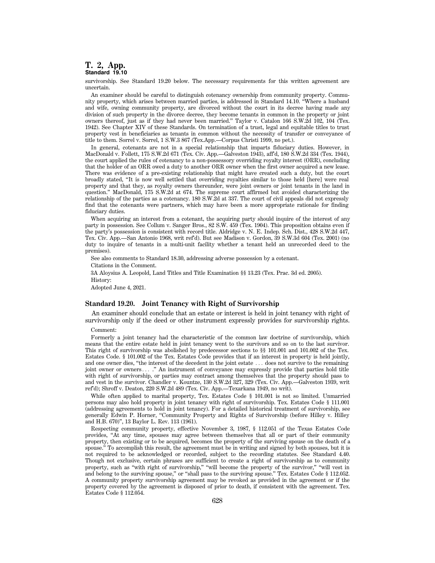## **T. 2, App. Standard 19.10**

survivorship. See Standard 19.20 below. The necessary requirements for this written agreement are uncertain.

An examiner should be careful to distinguish cotenancy ownership from community property. Community property, which arises between married parties, is addressed in Standard 14.10. ''Where a husband and wife, owning community property, are divorced without the court in its decree having made any division of such property in the divorce decree, they become tenants in common in the property or joint owners thereof, just as if they had never been married.'' Taylor v. Catalon 166 S.W.2d 102, 104 (Tex. 1942). See Chapter XIV of these Standards. On termination of a trust, legal and equitable titles to trust property vest in beneficiaries as tenants in common without the necessity of transfer or conveyance of title to them. Sorrel v. Sorrel, 1 S.W.3 867 (Tex.App.—Corpus Christi 1999, no pet.).

In general, cotenants are not in a special relationship that imparts fiduciary duties. However, in MacDonald v. Follett, 175 S.W.2d 671 (Tex. Civ. App.—Galveston 1943), aff'd, 180 S.W.2d 334 (Tex. 1944), the court applied the rules of cotenancy to a non-possessory overriding royalty interest (ORR), concluding that the holder of an ORR owed a duty to another ORR owner when the first owner acquired a new lease. There was evidence of a pre-existing relationship that might have created such a duty, but the court broadly stated, ''It is now well settled that overriding royalties similar to those held [here] were real property and that they, as royalty owners thereunder, were joint owners or joint tenants in the land in question.'' MacDonald, 175 S.W.2d at 674. The supreme court affirmed but avoided characterizing the relationship of the parties as a cotenancy. 180 S.W.2d at 337. The court of civil appeals did not expressly find that the cotenants were partners, which may have been a more appropriate rationale for finding fiduciary duties.

When acquiring an interest from a cotenant, the acquiring party should inquire of the interest of any party in possession. See Collum v. Sanger Bros., 82 S.W. 459 (Tex. 1904). This proposition obtains even if the party's possession is consistent with record title. Aldridge v. N. E. Indep. Sch. Dist., 428 S.W.2d 447, Tex. Civ. App.—San Antonio 1968, writ ref'd). But see Madison v. Gordon, 39 S.W.3d 604 (Tex. 2001) (no duty to inquire of tenants in a multi-unit facility whether a tenant held an unrecorded deed to the premises).

See also comments to Standard 18.30, addressing adverse possession by a cotenant.

Citations in the Comment.

3A Aloysius A. Leopold, Land Titles and Title Examination §§ 13.23 (Tex. Prac. 3d ed. 2005). History:

Adopted June 4, 2021.

## **Standard 19.20. Joint Tenancy with Right of Survivorship**

An examiner should conclude that an estate or interest is held in joint tenancy with right of survivorship only if the deed or other instrument expressly provides for survivorship rights.

#### Comment:

Formerly a joint tenancy had the characteristic of the common law doctrine of survivorship, which means that the entire estate held in joint tenancy went to the survivors and so on to the last survivor. This right of survivorship was abolished by predecessor sections to §§ 101.001 and 101.002 of the Tex. Estates Code. § 101.002 of the Tex. Estates Code provides that if an interest in property is held jointly, and one owner dies, "the interest of the decedent in the joint estate ... does not survive to the remaining joint owner or owners...." An instrument of conveyance may expressly provide that parties hold title with right of survivorship, or parties may contract among themselves that the property should pass to and vest in the survivor. Chandler v. Kountze, 130 S.W.2d 327, 329 (Tex. Civ. App.—Galveston 1939, writ ref'd); Shroff v. Deaton, 220 S.W.2d 489 (Tex. Civ. App.—Texarkana 1949, no writ).

While often applied to marital property, Tex. Estates Code § 101.001 is not so limited. Unmarried persons may also hold property in joint tenancy with right of survivorship. Tex. Estates Code § 111.001 (addressing agreements to hold in joint tenancy). For a detailed historical treatment of survivorship, see generally Edwin P. Horner, "Community Property and Rights of Survivorship (before Hilley v. Hilley and H.B. 670)'', 13 Baylor L. Rev. 113 (1961).

Respecting community property, effective November 3, 1987, § 112.051 of the Texas Estates Code provides, ''At any time, spouses may agree between themselves that all or part of their community property, then existing or to be acquired, becomes the property of the surviving spouse on the death of a spouse.'' To accomplish this result, the agreement must be in writing and signed by both spouses, but it is not required to be acknowledged or recorded, subject to the recording statutes. See Standard 4.40. Though not exclusive, certain phrases are sufficient to create a right of survivorship as to community property, such as ''with right of survivorship,'' ''will become the property of the survivor,'' ''will vest in and belong to the surviving spouse," or "shall pass to the surviving spouse." Tex. Estates Code § 112.052. A community property survivorship agreement may be revoked as provided in the agreement or if the property covered by the agreement is disposed of prior to death, if consistent with the agreement. Tex. Estates Code § 112.054.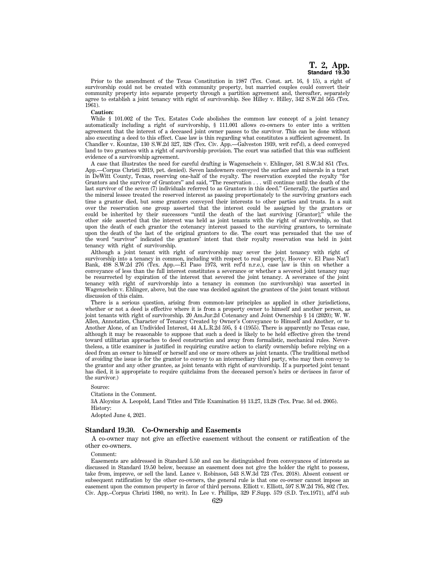Prior to the amendment of the Texas Constitution in 1987 (Tex. Const. art. 16, § 15), a right of survivorship could not be created with community property, but married couples could convert their community property into separate property through a partition agreement and, thereafter, separately agree to establish a joint tenancy with right of survivorship. See Hilley v. Hilley, 342 S.W.2d 565 (Tex. 1961).

## **Caution:**

While § 101.002 of the Tex. Estates Code abolishes the common law concept of a joint tenancy automatically including a right of survivorship, § 111.001 allows co-owners to enter into a written agreement that the interest of a deceased joint owner passes to the survivor. This can be done without also executing a deed to this effect. Case law is thin regarding what constitutes a sufficient agreement. In Chandler v. Kountze, 130 S.W.2d 327, 328 (Tex. Civ. App.—Galveston 1939, writ ref'd), a deed conveyed land to two grantees with a right of survivorship provision. The court was satisfied that this was sufficient evidence of a survivorship agreement.

A case that illustrates the need for careful drafting is Wagenschein v. Ehlinger, 581 S.W.3d 851 (Tex. App.—Corpus Christi 2019, pet. denied). Seven landowners conveyed the surface and minerals in a tract in DeWitt County, Texas, reserving one-half of the royalty. The reservation excepted the royalty ''for Grantors and the survivor of Grantors'' and said, ''The reservation . . . will continue until the death of the last survivor of the seven (7) individuals referred to as Grantors in this deed.'' Generally, the parties and the mineral lessee treated the reserved interest as passing proportionately to the surviving grantors each time a grantor died, but some grantors conveyed their interests to other parties and trusts. In a suit over the reservation one group asserted that the interest could be assigned by the grantors or could be inherited by their successors "until the death of the last surviving  $[G\$ rantor];" while the other side asserted that the interest was held as joint tenants with the right of survivorship, so that upon the death of each grantor the cotenancy interest passed to the surviving grantors, to terminate upon the death of the last of the original grantors to die. The court was persuaded that the use of the word ''survivor'' indicated the grantors' intent that their royalty reservation was held in joint tenancy with right of survivorship.

Although a joint tenant with right of survivorship may sever the joint tenancy with right of survivorship into a tenancy in common, including with respect to real property, Hoover v. El Paso Nat'l Bank, 498 S.W.2d 276 (Tex. App.—El Paso 1973, writ ref'd n.r.e.), case law is thin on whether a conveyance of less than the full interest constitutes a severance or whether a severed joint tenancy may be resurrected by expiration of the interest that severed the joint tenancy. A severance of the joint tenancy with right of survivorship into a tenancy in common (no survivorship) was asserted in Wagenschein v. Ehlinger, above, but the case was decided against the grantees of the joint tenant without discussion of this claim.

There is a serious question, arising from common-law principles as applied in other jurisdictions, whether or not a deed is effective where it is from a property owner to himself and another person, as joint tenants with right of survivorship. 20 Am.Jur.2d Cotenancy and Joint Ownership § 14 (2020); W. W. Allen, Annotation, Character of Tenancy Created by Owner's Conveyance to Himself and Another, or to Another Alone, of an Undivided Interest, 44 A.L.R.2d 595, § 4 (1955). There is apparently no Texas case, although it may be reasonable to suppose that such a deed is likely to be held effective given the trend toward utilitarian approaches to deed construction and away from formalistic, mechanical rules. Nevertheless, a title examiner is justified in requiring curative action to clarify ownership before relying on a deed from an owner to himself or herself and one or more others as joint tenants. (The traditional method of avoiding the issue is for the grantor to convey to an intermediary third party, who may then convey to the grantor and any other grantee, as joint tenants with right of survivorship. If a purported joint tenant has died, it is appropriate to require quitclaims from the deceased person's heirs or devisees in favor of the survivor.)

#### Source:

Citations in the Comment. 3A Aloysius A. Leopold, Land Titles and Title Examination §§ 13.27, 13.28 (Tex. Prac. 3d ed. 2005). History: Adopted June 4, 2021.

## **Standard 19.30. Co-Ownership and Easements**

A co-owner may not give an effective easement without the consent or ratification of the other co-owners.

## Comment:

Easements are addressed in Standard 5.50 and can be distinguished from conveyances of interests as discussed in Standard 19.50 below, because an easement does not give the holder the right to possess, take from, improve, or sell the land. Lance v. Robinson, 543 S.W.3d 723 (Tex. 2018). Absent consent or subsequent ratification by the other co-owners, the general rule is that one co-owner cannot impose an easement upon the common property in favor of third persons. Elliott v. Elliott, 597 S.W.2d 795, 802 (Tex. Civ. App.–Corpus Christi 1980, no writ). In Lee v. Phillips, 329 F.Supp. 579 (S.D. Tex.1971), aff'd sub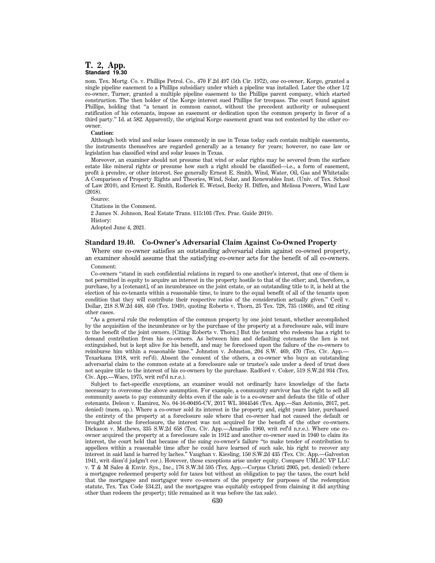## **T. 2, App. Standard 19.30**

nom. Tex. Mortg. Co. v. Phillips Petrol. Co., 470 F.2d 497 (5th Cir. 1972), one co-owner, Korge, granted a single pipeline easement to a Phillips subsidiary under which a pipeline was installed. Later the other 1/2 co-owner, Turner, granted a multiple pipeline easement to the Phillips parent company, which started construction. The then holder of the Korge interest sued Phillips for trespass. The court found against Phillips, holding that "a tenant in common cannot, without the precedent authority or subsequent ratification of his cotenants, impose an easement or dedication upon the common property in favor of a third party.'' Id. at 582. Apparently, the original Korge easement grant was not contested by the other coowner.

## **Caution:**

Although both wind and solar leases commonly in use in Texas today each contain multiple easements, the instruments themselves are regarded generally as a tenancy for years; however, no case law or legislation has classified wind and solar leases in Texas.

Moreover, an examiner should not presume that wind or solar rights may be severed from the surface estate like mineral rights or presume how such a right should be classified—i.e., a form of easement, profit `a prendre, or other interest. See generally Ernest E. Smith, Wind, Water, Oil, Gas and Whitetails: A Comparison of Property Rights and Theories, Wind, Solar, and Renewables Inst. (Univ. of Tex. School of Law 2010), and Ernest E. Smith, Roderick E. Wetsel, Becky H. Diffen, and Melissa Powers, Wind Law (2018).

Source:

Citations in the Comment.

2 James N. Johnson, Real Estate Trans. §15:103 (Tex. Prac. Guide 2019).

History:

Adopted June 4, 2021.

## **Standard 19.40. Co-Owner's Adversarial Claim Against Co-Owned Property**

Where one co-owner satisfies an outstanding adversarial claim against co-owned property, an examiner should assume that the satisfying co-owner acts for the benefit of all co-owners.

## Comment:

Co-owners ''stand in such confidential relations in regard to one another's interest, that one of them is not permitted in equity to acquire an interest in the property hostile to that of the other; and, therefore, a purchase, by a [cotenant], of an incumbrance on the joint estate, or an outstanding title to it, is held at the election of his co-tenants within a reasonable time, to inure to the equal benefit of all of the tenants upon condition that they will contribute their respective ratios of the consideration actually given.'' Cecil v. Dollar, 218 S.W.2d 448, 450 (Tex. 1949), quoting Roberts v. Thorn, 25 Tex. 728, 735 (1860), and 02 citing other cases.

''As a general rule the redemption of the common property by one joint tenant, whether accomplished by the acquisition of the incumbrance or by the purchase of the property at a foreclosure sale, will inure to the benefit of the joint owners. [Citing Roberts v. Thorn.] But the tenant who redeems has a right to demand contribution from his co-owners. As between him and defaulting cotenants the lien is not extinguished, but is kept alive for his benefit, and may be foreclosed upon the failure of the co-owners to reimburse him within a reasonable time." Johnston v. Johnston, 204 S.W. 469, 470 (Tex. Civ. App. Texarkana 1918, writ ref'd). Absent the consent of the others, a co-owner who buys an outstanding adversarial claim to the common estate at a foreclosure sale or trustee's sale under a deed of trust does not acquire title to the interest of his co-owners by the purchase. Radford v. Coker, 519 S.W.2d 934 (Tex. Civ. App.—Waco, 1975, writ ref'd n.r.e.).

Subject to fact-specific exceptions, an examiner would not ordinarily have knowledge of the facts necessary to overcome the above assumption. For example, a community survivor has the right to sell all community assets to pay community debts even if the sale is to a co-owner and defeats the title of other cotenants. Deleon v. Ramirez, No. 04-16-00495-CV, 2017 WL 3044546 (Tex. App.—San Antonio, 2017, pet. denied) (mem. op.). Where a co-owner sold its interest in the property and, eight years later, purchased the entirety of the property at a foreclosure sale where that co-owner had not caused the default or brought about the foreclosure, the interest was not acquired for the benefit of the other co-owners. Dickason v. Mathews, 335 S.W.2d 658 (Tex. Civ. App.—Amarillo 1960, writ ref'd n.r.e.). Where one coowner acquired the property at a foreclosure sale in 1912 and another co-owner sued in 1940 to claim its interest, the court held that because of the suing co-owner's failure ''to make tender of contribution to appellees within a reasonable time after he could have learned of such sale, his right to recover any interest in said land is barred by laches.'' Vaughan v. Kiesling, 150 S.W.2d 435 (Tex. Civ. App.—Galveston 1941, writ dism'd judgm't cor.). However, these exceptions arise under equity. Compare UMLIC VP LLC v. T & M Sales & Envir. Sys., Inc., 176 S.W.3d 595 (Tex. App.—Corpus Christi 2005, pet. denied) (where a mortgagee redeemed property sold for taxes but without an obligation to pay the taxes, the court held that the mortgagee and mortgagor were co-owners of the property for purposes of the redemption statute, Tex. Tax Code §34.21, and the mortgagee was equitably estopped from claiming it did anything other than redeem the property; title remained as it was before the tax sale).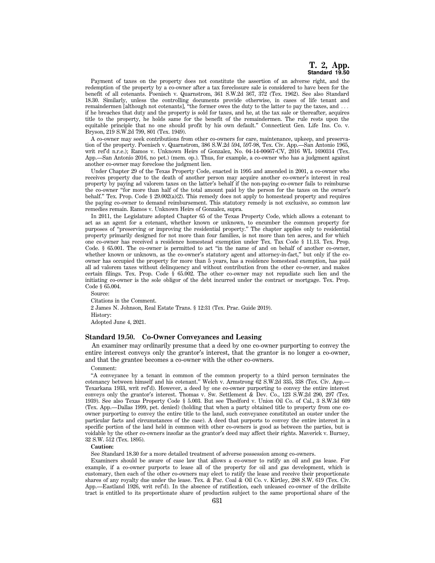Payment of taxes on the property does not constitute the assertion of an adverse right, and the redemption of the property by a co-owner after a tax foreclosure sale is considered to have been for the benefit of all cotenants. Poenisch v. Quarnstrom, 361 S.W.2d 367, 372 (Tex. 1962). See also Standard 18.30. Similarly, unless the controlling documents provide otherwise, in cases of life tenant and remaindermen [although not cotenants], "the former owes the duty to the latter to pay the taxes, and  $\ldots$ if he breaches that duty and the property is sold for taxes, and he, at the tax sale or thereafter, acquires title to the property, he holds same for the benefit of the remaindermen. The rule rests upon the equitable principle that no one should profit by his own default.'' Connecticut Gen. Life Ins. Co. v. Bryson, 219 S.W.2d 799, 801 (Tex. 1949).

A co-owner may seek contributions from other co-owners for care, maintenance, upkeep, and preservation of the property. Poenisch v. Quarnstrom, 386 S.W.2d 594, 597-98, Tex. Civ. App.—San Antonio 1965, writ ref'd n.r.e.); Ramos v. Unknown Heirs of Gonzalez, No. 04-14-00667-CV, 2016 WL 1690314 (Tex. App.—San Antonio 2016, no pet.) (mem. op.). Thus, for example, a co-owner who has a judgment against another co-owner may foreclose the judgment lien.

Under Chapter 29 of the Texas Property Code, enacted in 1995 and amended in 2001, a co-owner who receives property due to the death of another person may acquire another co-owner's interest in real property by paying ad valorem taxes on the latter's behalf if the non-paying co-owner fails to reimburse the co-owner ''for more than half of the total amount paid by the person for the taxes on the owner's behalf." Tex. Prop. Code  $\S 29.002(a)(2)$ . This remedy does not apply to homestead property and requires the paying co-owner to demand reimbursement. This statutory remedy is not exclusive, so common law remedies remain. Ramos v. Unknown Heirs of Gonzalez, supra.

In 2011, the Legislature adopted Chapter 65 of the Texas Property Code, which allows a cotenant to act as an agent for a cotenant, whether known or unknown, to encumber the common property for purposes of ''preserving or improving the residential property.'' The chapter applies only to residential property primarily designed for not more than four families, is not more than ten acres, and for which one co-owner has received a residence homestead exemption under Tex. Tax Code § 11.13. Tex. Prop. Code. § 65.001. The co-owner is permitted to act "in the name of and on behalf of another co-owner, whether known or unknown, as the co-owner's statutory agent and attorney-in-fact,'' but only if the coowner has occupied the property for more than 5 years, has a residence homestead exemption, has paid all ad valorem taxes without delinquency and without contribution from the other co-owner, and makes certain filings. Tex. Prop. Code § 65.002. The other co-owner may not repudiate such lien and the initiating co-owner is the sole obligor of the debt incurred under the contract or mortgage. Tex. Prop. Code § 65.004.

Source: Citations in the Comment. 2 James N. Johnson, Real Estate Trans. § 12:31 (Tex. Prac. Guide 2019). History: Adopted June 4, 2021.

## **Standard 19.50. Co-Owner Conveyances and Leasing**

An examiner may ordinarily presume that a deed by one co-owner purporting to convey the entire interest conveys only the grantor's interest, that the grantor is no longer a co-owner, and that the grantee becomes a co-owner with the other co-owners.

#### Comment:

''A conveyance by a tenant in common of the common property to a third person terminates the cotenancy between himself and his cotenant.'' Welch v. Armstrong 62 S.W.2d 335, 338 (Tex. Civ. App.— Texarkana 1933, writ ref'd). However, a deed by one co-owner purporting to convey the entire interest conveys only the grantor's interest. Thomas v. Sw. Settlement & Dev. Co., 123 S.W.2d 290, 297 (Tex. 1939). See also Texas Property Code § 5.003. But see Thedford v. Union Oil Co. of Cal., 3 S.W.3d 609 (Tex. App.—Dallas 1999, pet. denied) (holding that when a party obtained title to property from one coowner purporting to convey the entire title to the land, such conveyance constituted an ouster under the particular facts and circumstances of the case). A deed that purports to convey the entire interest in a specific portion of the land held in common with other co-owners is good as between the parties, but is voidable by the other co-owners insofar as the grantor's deed may affect their rights. Maverick v. Burney, 32 S.W. 512 (Tex. 1895).

### **Caution:**

See Standard 18.30 for a more detailed treatment of adverse possession among co-owners.

Examiners should be aware of case law that allows a co-owner to ratify an oil and gas lease. For example, if a co-owner purports to lease all of the property for oil and gas development, which is customary, then each of the other co-owners may elect to ratify the lease and receive their proportionate shares of any royalty due under the lease. Tex. & Pac. Coal & Oil Co. v. Kirtley, 288 S.W. 619 (Tex. Civ. App.—Eastland 1926, writ ref'd). In the absence of ratification, each unleased co-owner of the drillsite tract is entitled to its proportionate share of production subject to the same proportional share of the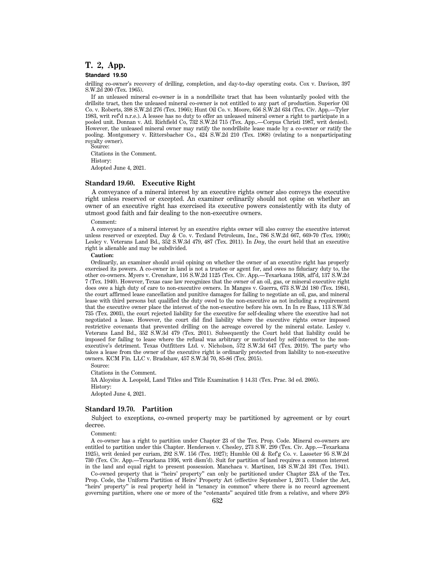# **T. 2, App.**

## **Standard 19.50**

drilling co-owner's recovery of drilling, completion, and day-to-day operating costs. Cox v. Davison, 397 S.W.2d 200 (Tex. 1965).

If an unleased mineral co-owner is in a nondrillsite tract that has been voluntarily pooled with the drillsite tract, then the unleased mineral co-owner is not entitled to any part of production. Superior Oil Co. v. Roberts, 398 S.W.2d 276 (Tex. 1966); Hunt Oil Co. v. Moore, 656 S.W.2d 634 (Tex. Civ. App.—Tyler 1983, writ ref'd n.r.e.). A lessee has no duty to offer an unleased mineral owner a right to participate in a pooled unit. Donnan v. Atl. Richfield Co, 732 S.W.2d 715 (Tex. App..—Corpus Christi 1987, writ denied). However, the unleased mineral owner may ratify the nondrillsite lease made by a co-owner or ratify the pooling. Montgomery v. Rittersbacher Co., 424 S.W.2d 210 (Tex. 1968) (relating to a nonparticipating royalty owner). Source:

Citations in the Comment. History: Adopted June 4, 2021.

## **Standard 19.60. Executive Right**

A conveyance of a mineral interest by an executive rights owner also conveys the executive right unless reserved or excepted. An examiner ordinarily should not opine on whether an owner of an executive right has exercised its executive powers consistently with its duty of utmost good faith and fair dealing to the non-executive owners.

#### Comment:

A conveyance of a mineral interest by an executive rights owner will also convey the executive interest unless reserved or excepted. Day & Co. v. Texland Petroleum, Inc., 786 S.W.2d 667, 669-70 (Tex. 1990); Lesley v. Veterans Land Bd., 352 S.W.3d 479, 487 (Tex. 2011). In *Day*, the court held that an executive right is alienable and may be subdivided.

#### **Caution:**

Ordinarily, an examiner should avoid opining on whether the owner of an executive right has properly exercised its powers. A co-owner in land is not a trustee or agent for, and owes no fiduciary duty to, the other co-owners. Myers v. Crenshaw, 116 S.W.2d 1125 (Tex. Civ. App.—Texarkana 1938, aff'd, 137 S.W.2d 7 (Tex. 1940). However, Texas case law recognizes that the owner of an oil, gas, or mineral executive right does owe a high duty of care to non-executive owners. In Manges v. Guerra, 673 S.W.2d 180 (Tex. 1984), the court affirmed lease cancellation and punitive damages for failing to negotiate an oil, gas, and mineral lease with third persons but qualified the duty owed to the non-executive as not including a requirement that the executive owner place the interest of the non-executive before his own. In In re Bass, 113 S.W.3d 735 (Tex. 2003), the court rejected liability for the executive for self-dealing where the executive had not negotiated a lease. However, the court did find liability where the executive rights owner imposed restrictive covenants that prevented drilling on the acreage covered by the mineral estate. Lesley v. Veterans Land Bd., 352 S.W.3d 479 (Tex. 2011). Subsequently the Court held that liability could be imposed for failing to lease where the refusal was arbitrary or motivated by self-interest to the nonexecutive's detriment. Texas Outfitters Ltd. v. Nicholson, 572 S.W.3d 647 (Tex. 2019). The party who takes a lease from the owner of the executive right is ordinarily protected from liability to non-executive owners. KCM Fin. LLC v. Bradshaw, 457 S.W.3d 70, 85-86 (Tex. 2015).

Source:

Citations in the Comment.

3A Aloysius A. Leopold, Land Titles and Title Examination § 14.31 (Tex. Prac. 3d ed. 2005). History:

Adopted June 4, 2021.

## **Standard 19.70. Partition**

Subject to exceptions, co-owned property may be partitioned by agreement or by court decree.

Comment:

A co-owner has a right to partition under Chapter 23 of the Tex. Prop. Code. Mineral co-owners are entitled to partition under this Chapter. Henderson v. Chesley, 273 S.W. 299 (Tex. Civ. App.—Texarkana 1925), writ denied per curiam, 292 S.W. 156 (Tex. 1927); Humble Oil & Ref'g Co. v. Lasseter 95 S.W.2d 730 (Tex. Civ. App.—Texarkana 1936, writ dism'd). Suit for partition of land requires a common interest in the land and equal right to present possession. Manchaca v. Martinez, 148 S.W.2d 391 (Tex. 1941).

Co-owned property that is ''heirs' property'' can only be partitioned under Chapter 23A of the Tex. Prop. Code, the Uniform Partition of Heirs' Property Act (effective September 1, 2017). Under the Act, ''heirs' property'' is real property held in ''tenancy in common'' where there is no record agreement governing partition, where one or more of the ''cotenants'' acquired title from a relative, and where 20%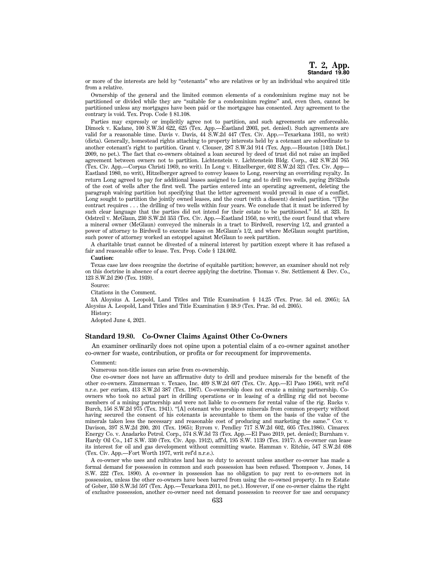or more of the interests are held by ''cotenants'' who are relatives or by an individual who acquired title from a relative.

Ownership of the general and the limited common elements of a condominium regime may not be partitioned or divided while they are ''suitable for a condominium regime'' and, even then, cannot be partitioned unless any mortgages have been paid or the mortgagee has consented. Any agreement to the contrary is void. Tex. Prop. Code § 81.108.

Parties may expressly or implicitly agree not to partition, and such agreements are enforceable. Dimock v. Kadane, 100 S.W.3d 622, 625 (Tex. App.—Eastland 2003, pet. denied). Such agreements are valid for a reasonable time. Davis v. Davis, 44 S.W.2d 447 (Tex. Civ. App.—Texarkana 1931, no writ) (dicta). Generally, homestead rights attaching to property interests held by a cotenant are subordinate to another cotenant's right to partition. Grant v. Clouser, 287 S.W.3d 914 (Tex. App.—Houston [14th Dist.] 2009, no pet.). The fact that co-owners obtained a loan secured by deed of trust did not raise an implied agreement between owners not to partition. Lichtenstein v. Lichtenstein Bldg. Corp., 442 S.W.2d 765 (Tex. Civ. App.—Corpus Christi 1969, no writ). In Long v. Hitzelberger, 602 S.W.2d 321 (Tex. Civ. App— Eastland 1980, no writ), Hitzelberger agreed to convey leases to Long, reserving an overriding royalty. In return Long agreed to pay for additional leases assigned to Long and to drill two wells, paying 29/32nds of the cost of wells after the first well. The parties entered into an operating agreement, deleting the paragraph waiving partition but specifying that the letter agreement would prevail in case of a conflict. Long sought to partition the jointly owned leases, and the court (with a dissent) denied partition. ''[T]he contract requires . . . the drilling of two wells within four years. We conclude that it must be inferred by such clear language that the parties did not intend for their estate to be partitioned.'' Id. at 323. In Odstrcil v. McGlaun, 230 S.W.2d 353 (Tex. Civ. App.—Eastland 1950, no writ), the court found that where a mineral owner (McGlaun) conveyed the minerals in a tract to Birdwell, reserving 1/2, and granted a power of attorney to Birdwell to execute leases on McGlaun's 1/2, and where McGlaun sought partition, such power of attorney worked an estoppel against McGlaun to seek partition.

A charitable trust cannot be divested of a mineral interest by partition except where it has refused a fair and reasonable offer to lease. Tex. Prop. Code § 124.002.

#### **Caution:**

Texas case law does recognize the doctrine of equitable partition; however, an examiner should not rely on this doctrine in absence of a court decree applying the doctrine. Thomas v. Sw. Settlement & Dev. Co., 123 S.W.2d 290 (Tex. 1939).

Source:

Citations in the Comment.

3A Aloysius A. Leopold, Land Titles and Title Examination § 14.25 (Tex. Prac. 3d ed. 2005); 5A Aloysius A. Leopold, Land Titles and Title Examination § 38.9 (Tex. Prac. 3d ed. 2005).

History:

Adopted June 4, 2021.

## **Standard 19.80. Co-Owner Claims Against Other Co-Owners**

An examiner ordinarily does not opine upon a potential claim of a co-owner against another co-owner for waste, contribution, or profits or for recoupment for improvements.

## Comment:

Numerous non-title issues can arise from co-ownership.

One co-owner does not have an affirmative duty to drill and produce minerals for the benefit of the other co-owners. Zimmerman v. Texaco, Inc. 409 S.W.2d 607 (Tex. Civ. App.—El Paso 1966), writ ref'd n.r.e. per curiam, 413 S.W.2d 387 (Tex. 1967). Co-ownership does not create a mining partnership. Coowners who took no actual part in drilling operations or in leasing of a drilling rig did not become members of a mining partnership and were not liable to co-owners for rental value of the rig. Rucks v. Burch, 156 S.W.2d 975 (Tex. 1941). ''[A] cotenant who produces minerals from common property without having secured the consent of his cotenants is accountable to them on the basis of the value of the minerals taken less the necessary and reasonable cost of producing and marketing the same.'' Cox v. Davison, 397 S.W.2d 200, 201 (Tex. 1965); Byrom v. Pendley 717 S.W.2d 602, 605 (Tex.1986). Cimarex Energy Co. v. Anadarko Petrol. Corp., 574 S.W.3d 73 (Tex. App.—El Paso 2019, pet. denied); Burnham v. Hardy Oil Co., 147 S.W. 330 (Tex. Civ. App. 1912), aff'd, 195 S.W. 1139 (Tex. 1917). A co-owner can lease its interest for oil and gas development without committing waste. Hamman v. Ritchie, 547 S.W.2d 698 (Tex. Civ. App.—Fort Worth 1977, writ ref'd n.r.e.).

A co-owner who uses and cultivates land has no duty to account unless another co-owner has made a formal demand for possession in common and such possession has been refused. Thompson v. Jones, 14 S.W. 222 (Tex. 1890). A co-owner in possession has no obligation to pay rent to co-owners not in possession, unless the other co-owners have been barred from using the co-owned property. In re Estate of Gober, 350 S.W.3d 597 (Tex. App.—Texarkana 2011, no pet.). However, if one co-owner claims the right of exclusive possession, another co-owner need not demand possession to recover for use and occupancy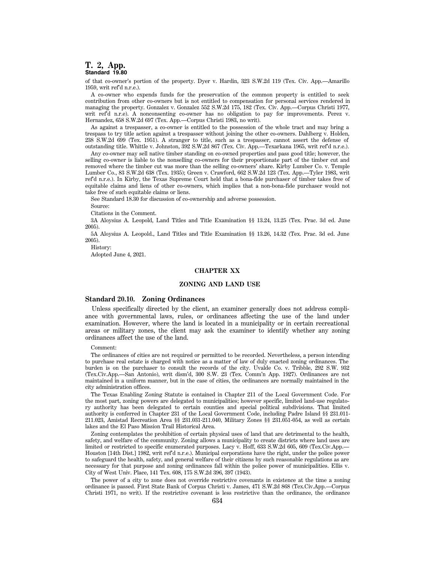## **T. 2, App. Standard 19.80**

of that co-owner's portion of the property. Dyer v. Hardin, 323 S.W.2d 119 (Tex. Civ. App.—Amarillo 1959, writ ref'd n.r.e.).

A co-owner who expends funds for the preservation of the common property is entitled to seek contribution from other co-owners but is not entitled to compensation for personal services rendered in managing the property. Gonzalez v. Gonzalez 552 S.W.2d 175, 182 (Tex. Civ. App.—Corpus Christi 1977, writ ref'd n.r.e). A nonconsenting co-owner has no obligation to pay for improvements. Perez v. Hernandez, 658 S.W.2d 697 (Tex. App.—Corpus Christi 1983, no writ).

As against a trespasser, a co-owner is entitled to the possession of the whole tract and may bring a trespass to try title action against a trespasser without joining the other co-owners. Dahlberg v. Holden, 238 S.W.2d 699 (Tex. 1951). A stranger to title, such as a trespasser, cannot assert the defense of outstanding title. Whittle v. Johnston, 392 S.W.2d 867 (Tex. Civ. App.—Texarkana 1965, writ ref'd n.r.e.).

Any co-owner may sell native timber standing on co-owned properties and pass good title; however, the selling co-owner is liable to the nonselling co-owners for their proportionate part of the timber cut and removed where the timber cut was more than the selling co-owners' share. Kirby Lumber Co. v. Temple Lumber Co., 83 S.W.2d 638 (Tex. 1935); Green v. Crawford, 662 S.W.2d 123 (Tex. App.—Tyler 1983, writ ref'd n.r.e.). In Kirby, the Texas Supreme Court held that a bona-fide purchaser of timber takes free of equitable claims and liens of other co-owners, which implies that a non-bona-fide purchaser would not take free of such equitable claims or liens.

See Standard 18.30 for discussion of co-ownership and adverse possession.

Source:

Citations in the Comment.

3A Aloysius A. Leopold, Land Titles and Title Examination §§ 13.24, 13.25 (Tex. Prac. 3d ed. June 2005).

5A Aloysius A. Leopold., Land Titles and Title Examination §§ 13.26, 14.32 (Tex. Prac. 3d ed. June 2005).

History:

Adopted June 4, 2021.

## **CHAPTER XX**

## **ZONING AND LAND USE**

## **Standard 20.10. Zoning Ordinances**

Unless specifically directed by the client, an examiner generally does not address compliance with governmental laws, rules, or ordinances affecting the use of the land under examination. However, where the land is located in a municipality or in certain recreational areas or military zones, the client may ask the examiner to identify whether any zoning ordinances affect the use of the land.

Comment:

The ordinances of cities are not required or permitted to be recorded. Nevertheless, a person intending to purchase real estate is charged with notice as a matter of law of duly enacted zoning ordinances. The burden is on the purchaser to consult the records of the city. Uvalde Co. v. Tribble, 292 S.W. 932 (Tex.Civ.App.—San Antonio), writ dism'd, 300 S.W. 23 (Tex. Comm'n App. 1927). Ordinances are not maintained in a uniform manner, but in the case of cities, the ordinances are normally maintained in the city administration offices.

The Texas Enabling Zoning Statute is contained in Chapter 211 of the Local Government Code. For the most part, zoning powers are delegated to municipalities; however specific, limited land-use regulatory authority has been delegated to certain counties and special political subdivisions. That limited authority is conferred in Chapter 231 of the Local Government Code, including Padre Island §§ 231.011- 211.023, Amistad Recreation Area §§ 231.031-211.040, Military Zones §§ 231.051-054, as well as certain lakes and the El Paso Mission Trail Historical Area.

Zoning contemplates the prohibition of certain physical uses of land that are detrimental to the health, safety, and welfare of the community. Zoning allows a municipality to create districts where land uses are limited or restricted to specific enumerated purposes. Lacy v. Hoff, 633 S.W.2d 605, 609 (Tex.Civ.App.— Houston [14th Dist.] 1982, writ ref'd n.r.e.). Municipal corporations have the right, under the police power to safeguard the health, safety, and general welfare of their citizens by such reasonable regulations as are necessary for that purpose and zoning ordinances fall within the police power of municipalities. Ellis v. City of West Univ. Place, 141 Tex. 608, 175 S.W.2d 396, 397 (1943).

The power of a city to zone does not override restrictive covenants in existence at the time a zoning ordinance is passed. First State Bank of Corpus Christi v. James, 471 S.W.2d 868 (Tex.Civ.App.—Corpus Christi 1971, no writ). If the restrictive covenant is less restrictive than the ordinance, the ordinance